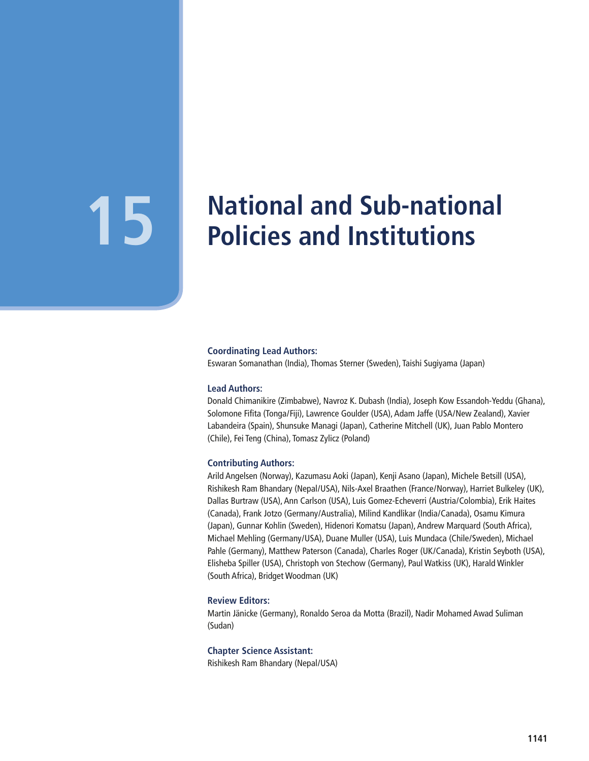# **15** National and Sub-national<br> **15** Policies and Institutions **Policies and Institutions**

#### **Coordinating Lead Authors:**

Eswaran Somanathan (India), Thomas Sterner (Sweden), Taishi Sugiyama (Japan)

#### **Lead Authors:**

Donald Chimanikire (Zimbabwe), Navroz K. Dubash (India), Joseph Kow Essandoh-Yeddu (Ghana), Solomone Fifita (Tonga/Fiji), Lawrence Goulder (USA), Adam Jaffe (USA/New Zealand), Xavier Labandeira (Spain), Shunsuke Managi (Japan), Catherine Mitchell (UK), Juan Pablo Montero (Chile), Fei Teng (China), Tomasz Zylicz (Poland)

#### **Contributing Authors:**

Arild Angelsen (Norway), Kazumasu Aoki (Japan), Kenji Asano (Japan), Michele Betsill (USA), Rishikesh Ram Bhandary (Nepal/USA), Nils-Axel Braathen (France/Norway), Harriet Bulkeley (UK), Dallas Burtraw (USA), Ann Carlson (USA), Luis Gomez-Echeverri (Austria/Colombia), Erik Haites (Canada), Frank Jotzo (Germany/Australia), Milind Kandlikar (India/Canada), Osamu Kimura (Japan), Gunnar Kohlin (Sweden), Hidenori Komatsu (Japan), Andrew Marquard (South Africa), Michael Mehling (Germany/USA), Duane Muller (USA), Luis Mundaca (Chile/Sweden), Michael Pahle (Germany), Matthew Paterson (Canada), Charles Roger (UK/Canada), Kristin Seyboth (USA), Elisheba Spiller (USA), Christoph von Stechow (Germany), Paul Watkiss (UK), Harald Winkler (South Africa), Bridget Woodman (UK)

#### **Review Editors:**

Martin Jänicke (Germany), Ronaldo Seroa da Motta (Brazil), Nadir Mohamed Awad Suliman (Sudan)

#### **Chapter Science Assistant:**

Rishikesh Ram Bhandary (Nepal/USA)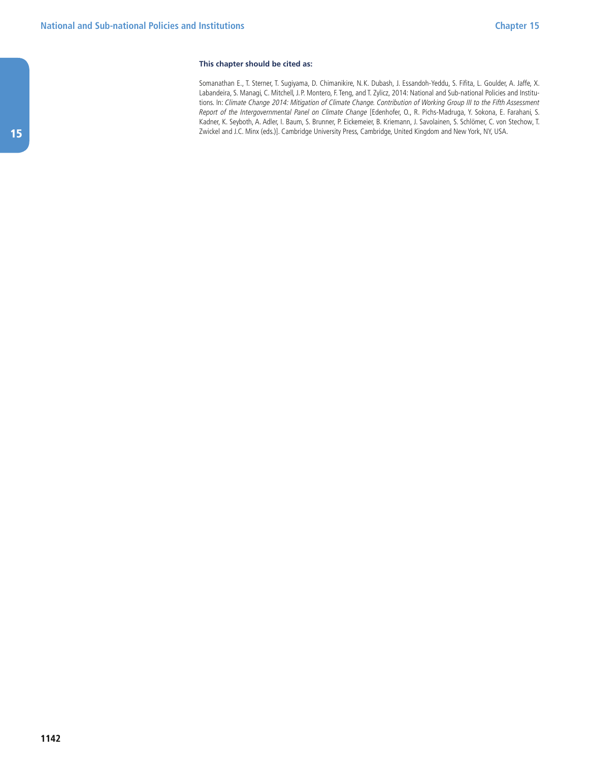#### **This chapter should be cited as:**

Somanathan E., T. Sterner, T. Sugiyama, D. Chimanikire, N.K. Dubash, J. Essandoh-Yeddu, S. Fifita, L. Goulder, A. Jaffe, X. Labandeira, S. Managi, C. Mitchell, J.P. Montero, F. Teng, and T. Zylicz, 2014: National and Sub-national Policies and Institutions. In: Climate Change 2014: Mitigation of Climate Change. Contribution of Working Group III to the Fifth Assessment Report of the Intergovernmental Panel on Climate Change [Edenhofer, O., R. Pichs-Madruga, Y. Sokona, E. Farahani, S. Kadner, K. Seyboth, A. Adler, I. Baum, S. Brunner, P. Eickemeier, B. Kriemann, J. Savolainen, S. Schlömer, C. von Stechow, T. Zwickel and J.C. Minx (eds.)]. Cambridge University Press, Cambridge, United Kingdom and New York, NY, USA.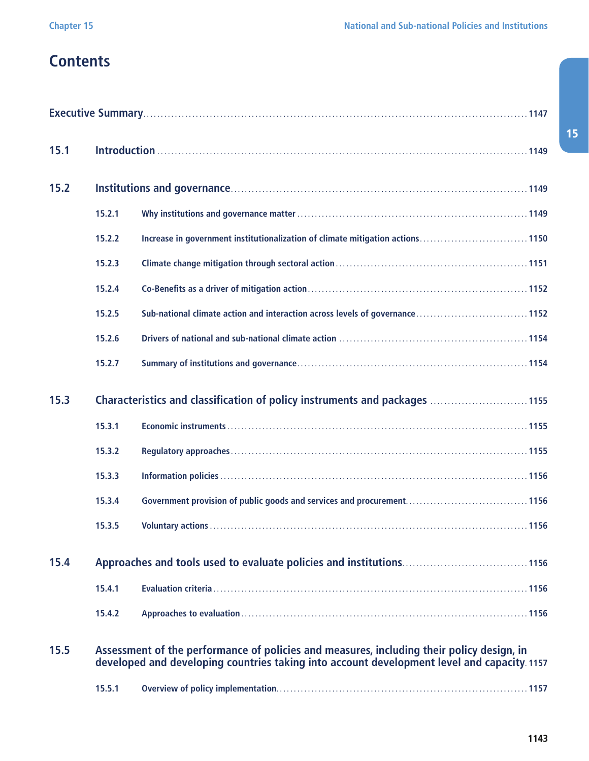## **Contents**

| 15.1 |                                                                            |                                                                                                                                                                                          |  |  |  |  |  |
|------|----------------------------------------------------------------------------|------------------------------------------------------------------------------------------------------------------------------------------------------------------------------------------|--|--|--|--|--|
| 15.2 |                                                                            |                                                                                                                                                                                          |  |  |  |  |  |
|      | 15.2.1                                                                     |                                                                                                                                                                                          |  |  |  |  |  |
|      | 15.2.2                                                                     | Increase in government institutionalization of climate mitigation actions1150                                                                                                            |  |  |  |  |  |
|      | 15.2.3                                                                     |                                                                                                                                                                                          |  |  |  |  |  |
|      | 15.2.4                                                                     |                                                                                                                                                                                          |  |  |  |  |  |
|      | 15.2.5                                                                     | Sub-national climate action and interaction across levels of governance1152                                                                                                              |  |  |  |  |  |
|      | 15.2.6                                                                     |                                                                                                                                                                                          |  |  |  |  |  |
|      | 15.2.7                                                                     |                                                                                                                                                                                          |  |  |  |  |  |
| 15.3 | Characteristics and classification of policy instruments and packages 1155 |                                                                                                                                                                                          |  |  |  |  |  |
|      | 15.3.1                                                                     |                                                                                                                                                                                          |  |  |  |  |  |
|      | 15.3.2                                                                     |                                                                                                                                                                                          |  |  |  |  |  |
|      | 15.3.3                                                                     |                                                                                                                                                                                          |  |  |  |  |  |
|      | 15.3.4                                                                     |                                                                                                                                                                                          |  |  |  |  |  |
|      | 15.3.5                                                                     |                                                                                                                                                                                          |  |  |  |  |  |
| 15.4 |                                                                            |                                                                                                                                                                                          |  |  |  |  |  |
|      | 15.4.1                                                                     |                                                                                                                                                                                          |  |  |  |  |  |
|      | 15.4.2                                                                     |                                                                                                                                                                                          |  |  |  |  |  |
| 15.5 |                                                                            | Assessment of the performance of policies and measures, including their policy design, in<br>developed and developing countries taking into account development level and capacity. 1157 |  |  |  |  |  |
|      | 15.5.1                                                                     |                                                                                                                                                                                          |  |  |  |  |  |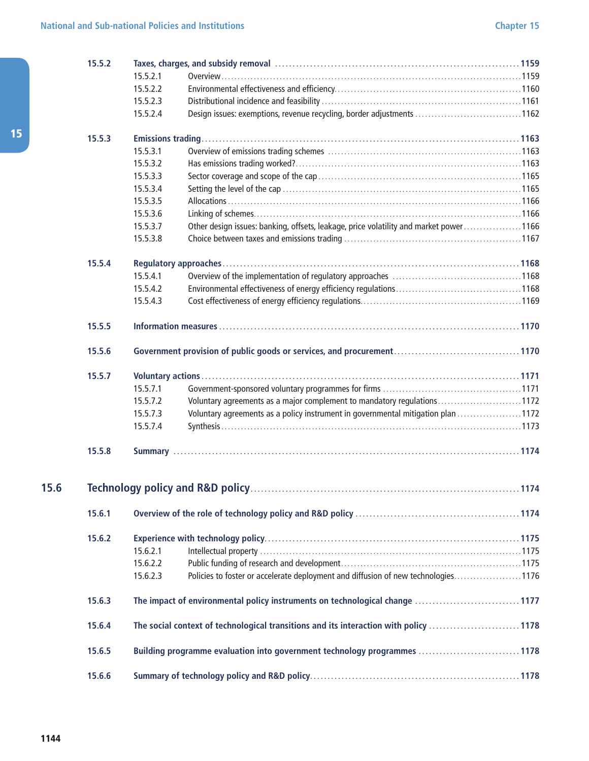| 15.5.2 | Taxes, charges, and subsidy removal measurement contains and the state of 159 |                                                                                       |  |  |
|--------|-------------------------------------------------------------------------------|---------------------------------------------------------------------------------------|--|--|
|        | 15.5.2.1                                                                      |                                                                                       |  |  |
|        | 15.5.2.2                                                                      |                                                                                       |  |  |
|        | 15.5.2.3                                                                      |                                                                                       |  |  |
|        | 15.5.2.4                                                                      | Design issues: exemptions, revenue recycling, border adjustments 1162                 |  |  |
| 15.5.3 |                                                                               |                                                                                       |  |  |
|        | 15.5.3.1                                                                      |                                                                                       |  |  |
|        | 15.5.3.2                                                                      |                                                                                       |  |  |
|        | 15.5.3.3                                                                      |                                                                                       |  |  |
|        | 15.5.3.4                                                                      |                                                                                       |  |  |
|        | 15.5.3.5                                                                      |                                                                                       |  |  |
|        | 15.5.3.6                                                                      |                                                                                       |  |  |
|        | 15.5.3.7                                                                      | Other design issues: banking, offsets, leakage, price volatility and market power1166 |  |  |
|        | 15.5.3.8                                                                      |                                                                                       |  |  |
| 15.5.4 |                                                                               |                                                                                       |  |  |
|        | 15.5.4.1                                                                      |                                                                                       |  |  |
|        | 15.5.4.2                                                                      |                                                                                       |  |  |
|        | 15.5.4.3                                                                      |                                                                                       |  |  |
| 15.5.5 |                                                                               |                                                                                       |  |  |
| 15.5.6 |                                                                               |                                                                                       |  |  |
| 15.5.7 |                                                                               |                                                                                       |  |  |
|        | 15.5.7.1                                                                      |                                                                                       |  |  |
|        | 15.5.7.2                                                                      | Voluntary agreements as a major complement to mandatory regulations1172               |  |  |
|        | 15.5.7.3                                                                      | Voluntary agreements as a policy instrument in governmental mitigation plan 1172      |  |  |
|        | 15.5.7.4                                                                      |                                                                                       |  |  |
| 15.5.8 |                                                                               |                                                                                       |  |  |
|        |                                                                               |                                                                                       |  |  |
| 15.6.1 |                                                                               |                                                                                       |  |  |
| 15.6.2 |                                                                               |                                                                                       |  |  |
|        | 15.6.2.1                                                                      |                                                                                       |  |  |
|        | 15.6.2.2                                                                      |                                                                                       |  |  |
|        | 15.6.2.3                                                                      | Policies to foster or accelerate deployment and diffusion of new technologies1176     |  |  |
| 15.6.3 |                                                                               | The impact of environmental policy instruments on technological change  1177          |  |  |
| 15.6.4 |                                                                               | The social context of technological transitions and its interaction with policy 1178  |  |  |
| 15.6.5 |                                                                               | Building programme evaluation into government technology programmes 1178              |  |  |
| 15.6.6 |                                                                               |                                                                                       |  |  |

15.6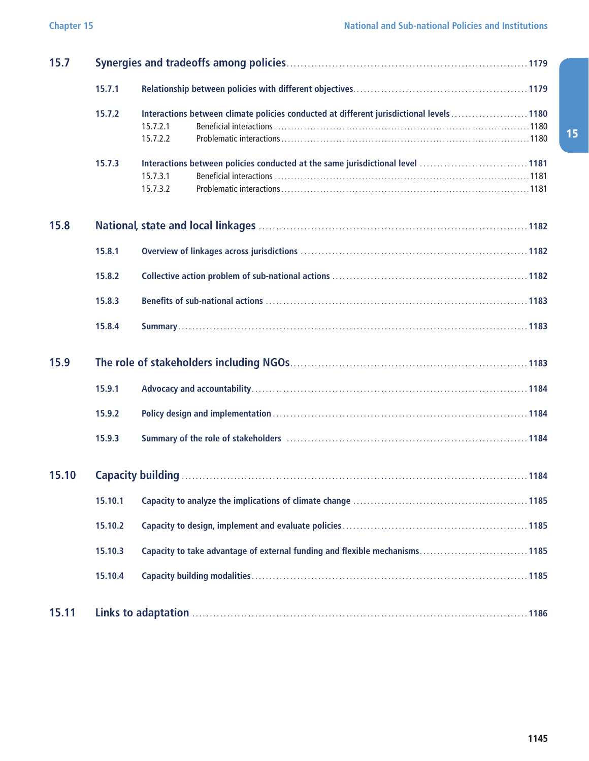| 15.7  |         |                                                                                                                  |  |  |  |  |  |
|-------|---------|------------------------------------------------------------------------------------------------------------------|--|--|--|--|--|
|       | 15.7.1  |                                                                                                                  |  |  |  |  |  |
|       | 15.7.2  | Interactions between climate policies conducted at different jurisdictional levels  1180<br>15.7.2.1<br>15.7.2.2 |  |  |  |  |  |
|       | 15.7.3  | 15.7.3.1<br>15.7.3.2                                                                                             |  |  |  |  |  |
| 15.8  |         |                                                                                                                  |  |  |  |  |  |
|       | 15.8.1  |                                                                                                                  |  |  |  |  |  |
|       | 15.8.2  |                                                                                                                  |  |  |  |  |  |
|       | 15.8.3  |                                                                                                                  |  |  |  |  |  |
|       | 15.8.4  |                                                                                                                  |  |  |  |  |  |
| 15.9  |         |                                                                                                                  |  |  |  |  |  |
|       | 15.9.1  |                                                                                                                  |  |  |  |  |  |
|       | 15.9.2  |                                                                                                                  |  |  |  |  |  |
|       | 15.9.3  |                                                                                                                  |  |  |  |  |  |
| 15.10 |         |                                                                                                                  |  |  |  |  |  |
|       | 15.10.1 |                                                                                                                  |  |  |  |  |  |
|       | 15.10.2 |                                                                                                                  |  |  |  |  |  |
|       | 15.10.3 | Capacity to take advantage of external funding and flexible mechanisms1185                                       |  |  |  |  |  |
|       | 15.10.4 |                                                                                                                  |  |  |  |  |  |
| 15.11 |         |                                                                                                                  |  |  |  |  |  |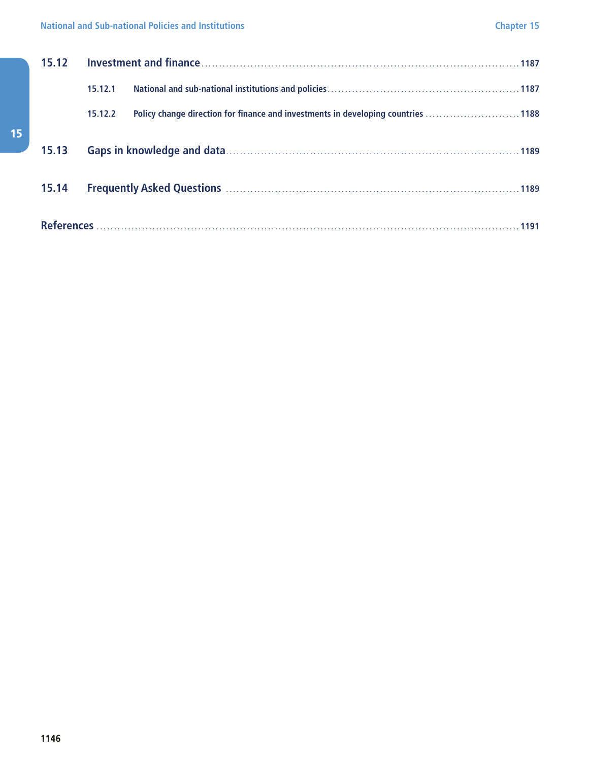| 15.12 |         |                                                                                  |  |  |  |
|-------|---------|----------------------------------------------------------------------------------|--|--|--|
|       | 15.12.1 |                                                                                  |  |  |  |
|       | 15.12.2 | Policy change direction for finance and investments in developing countries 1188 |  |  |  |
| 15.13 |         |                                                                                  |  |  |  |
| 15.14 |         |                                                                                  |  |  |  |
|       |         |                                                                                  |  |  |  |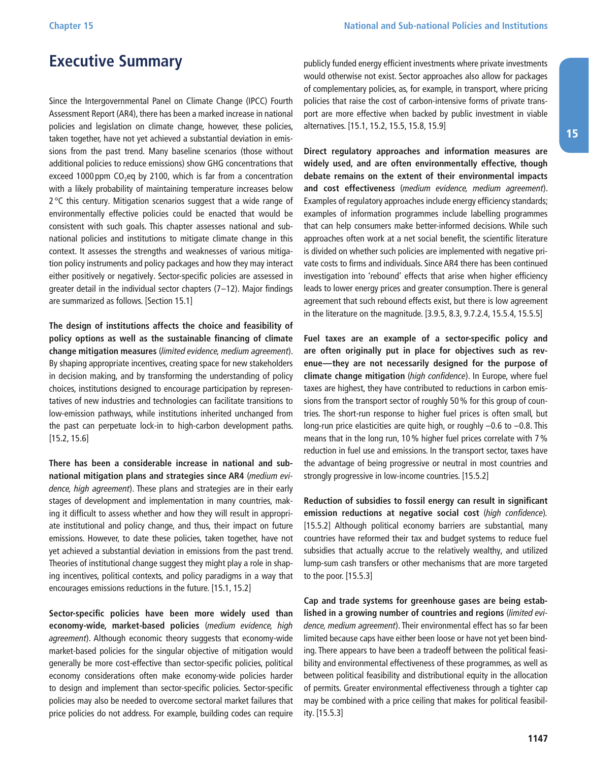### <span id="page-6-0"></span>**Executive Summary**

Since the Intergovernmental Panel on Climate Change (IPCC) Fourth Assessment Report (AR4), there has been a marked increase in national policies and legislation on climate change, however, these policies, taken together, have not yet achieved a substantial deviation in emissions from the past trend. Many baseline scenarios (those without additional policies to reduce emissions) show GHG concentrations that exceed 1000 ppm  $CO<sub>2</sub>$ eq by 2100, which is far from a concentration with a likely probability of maintaining temperature increases below 2 °C this century. Mitigation scenarios suggest that a wide range of environmentally effective policies could be enacted that would be consistent with such goals. This chapter assesses national and subnational policies and institutions to mitigate climate change in this context. It assesses the strengths and weaknesses of various mitigation policy instruments and policy packages and how they may interact either positively or negatively. Sector-specific policies are assessed in greater detail in the individual sector chapters (7–12). Major findings are summarized as follows. [Section 15.1]

**The design of institutions affects the choice and feasibility of policy options as well as the sustainable financing of climate change mitigation measures** (limited evidence, medium agreement). By shaping appropriate incentives, creating space for new stakeholders in decision making, and by transforming the understanding of policy choices, institutions designed to encourage participation by representatives of new industries and technologies can facilitate transitions to low-emission pathways, while institutions inherited unchanged from the past can perpetuate lock-in to high-carbon development paths. [15.2, 15.6]

**There has been a considerable increase in national and subnational mitigation plans and strategies since AR4** (medium evidence, high agreement). These plans and strategies are in their early stages of development and implementation in many countries, making it difficult to assess whether and how they will result in appropriate institutional and policy change, and thus, their impact on future emissions. However, to date these policies, taken together, have not yet achieved a substantial deviation in emissions from the past trend. Theories of institutional change suggest they might play a role in shaping incentives, political contexts, and policy paradigms in a way that encourages emissions reductions in the future. [15.1, 15.2]

**Sector-specific policies have been more widely used than economy-wide, market-based policies** (medium evidence, high agreement). Although economic theory suggests that economy-wide market-based policies for the singular objective of mitigation would generally be more cost-effective than sector-specific policies, political economy considerations often make economy-wide policies harder to design and implement than sector-specific policies. Sector-specific policies may also be needed to overcome sectoral market failures that price policies do not address. For example, building codes can require publicly funded energy efficient investments where private investments would otherwise not exist. Sector approaches also allow for packages of complementary policies, as, for example, in transport, where pricing policies that raise the cost of carbon-intensive forms of private transport are more effective when backed by public investment in viable alternatives. [15.1, 15.2, 15.5, 15.8, 15.9]

**Direct regulatory approaches and information measures are widely used, and are often environmentally effective, though debate remains on the extent of their environmental impacts and cost effectiveness** (medium evidence, medium agreement). Examples of regulatory approaches include energy efficiency standards; examples of information programmes include labelling programmes that can help consumers make better-informed decisions. While such approaches often work at a net social benefit, the scientific literature is divided on whether such policies are implemented with negative private costs to firms and individuals. Since AR4 there has been continued investigation into 'rebound' effects that arise when higher efficiency leads to lower energy prices and greater consumption. There is general agreement that such rebound effects exist, but there is low agreement in the literature on the magnitude. [3.9.5, 8.3, 9.7.2.4, 15.5.4, 15.5.5]

**Fuel taxes are an example of a sector-specific policy and are often originally put in place for objectives such as revenue—they are not necessarily designed for the purpose of climate change mitigation** (high confidence). In Europe, where fuel taxes are highest, they have contributed to reductions in carbon emissions from the transport sector of roughly 50% for this group of countries. The short-run response to higher fuel prices is often small, but long-run price elasticities are quite high, or roughly –0.6 to –0.8. This means that in the long run, 10% higher fuel prices correlate with 7% reduction in fuel use and emissions. In the transport sector, taxes have the advantage of being progressive or neutral in most countries and strongly progressive in low-income countries. [15.5.2]

**Reduction of subsidies to fossil energy can result in significant emission reductions at negative social cost** (high confidence). [15.5.2] Although political economy barriers are substantial, many countries have reformed their tax and budget systems to reduce fuel subsidies that actually accrue to the relatively wealthy, and utilized lump-sum cash transfers or other mechanisms that are more targeted to the poor. [15.5.3]

**Cap and trade systems for greenhouse gases are being established in a growing number of countries and regions** (limited evidence, medium agreement). Their environmental effect has so far been limited because caps have either been loose or have not yet been binding. There appears to have been a tradeoff between the political feasibility and environmental effectiveness of these programmes, as well as between political feasibility and distributional equity in the allocation of permits. Greater environmental effectiveness through a tighter cap may be combined with a price ceiling that makes for political feasibility. [15.5.3]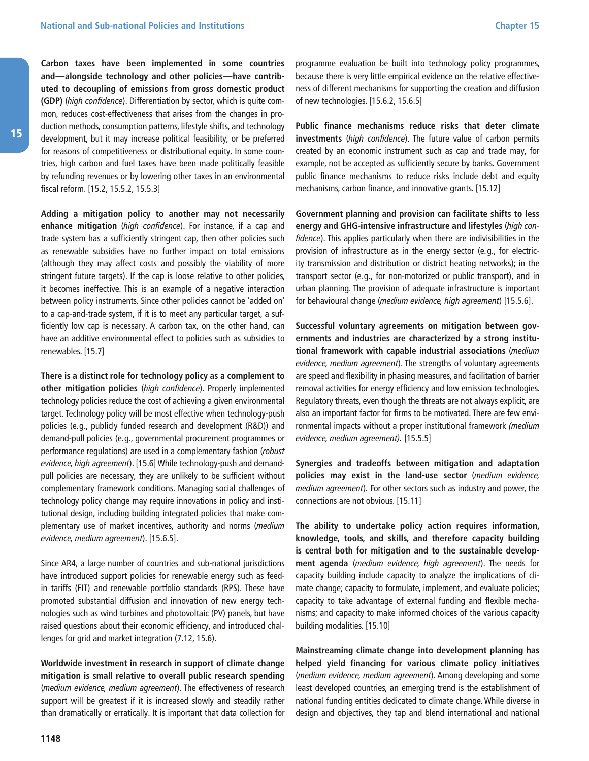**Carbon taxes have been implemented in some countries and—alongside technology and other policies—have contributed to decoupling of emissions from gross domestic product (GDP)** (high confidence). Differentiation by sector, which is quite common, reduces cost-effectiveness that arises from the changes in production methods, consumption patterns, lifestyle shifts, and technology development, but it may increase political feasibility, or be preferred for reasons of competitiveness or distributional equity. In some countries, high carbon and fuel taxes have been made politically feasible by refunding revenues or by lowering other taxes in an environmental fiscal reform. [15.2, 15.5.2, 15.5.3]

**Adding a mitigation policy to another may not necessarily enhance mitigation** (high confidence). For instance, if a cap and trade system has a sufficiently stringent cap, then other policies such as renewable subsidies have no further impact on total emissions (although they may affect costs and possibly the viability of more stringent future targets). If the cap is loose relative to other policies, it becomes ineffective. This is an example of a negative interaction between policy instruments. Since other policies cannot be 'added on' to a cap-and-trade system, if it is to meet any particular target, a sufficiently low cap is necessary. A carbon tax, on the other hand, can have an additive environmental effect to policies such as subsidies to renewables. [15.7]

**There is a distinct role for technology policy as a complement to other mitigation policies** (high confidence). Properly implemented technology policies reduce the cost of achieving a given environmental target. Technology policy will be most effective when technology-push policies (e.g., publicly funded research and development (R&D)) and demand-pull policies (e.g., governmental procurement programmes or performance regulations) are used in a complementary fashion (robust evidence, high agreement). [15.6] While technology-push and demandpull policies are necessary, they are unlikely to be sufficient without complementary framework conditions. Managing social challenges of technology policy change may require innovations in policy and institutional design, including building integrated policies that make complementary use of market incentives, authority and norms (medium evidence, medium agreement). [15.6.5].

Since AR4, a large number of countries and sub-national jurisdictions have introduced support policies for renewable energy such as feedin tariffs (FIT) and renewable portfolio standards (RPS). These have promoted substantial diffusion and innovation of new energy technologies such as wind turbines and photovoltaic (PV) panels, but have raised questions about their economic efficiency, and introduced challenges for grid and market integration (7.12, 15.6).

**Worldwide investment in research in support of climate change mitigation is small relative to overall public research spending** (medium evidence, medium agreement). The effectiveness of research support will be greatest if it is increased slowly and steadily rather than dramatically or erratically. It is important that data collection for **Chapter 15**

programme evaluation be built into technology policy programmes, because there is very little empirical evidence on the relative effectiveness of different mechanisms for supporting the creation and diffusion of new technologies. [15.6.2, 15.6.5]

**Public finance mechanisms reduce risks that deter climate investments** (high confidence). The future value of carbon permits created by an economic instrument such as cap and trade may, for example, not be accepted as sufficiently secure by banks. Government public finance mechanisms to reduce risks include debt and equity mechanisms, carbon finance, and innovative grants. [15.12]

**Government planning and provision can facilitate shifts to less energy and GHG-intensive infrastructure and lifestyles** (high confidence). This applies particularly when there are indivisibilities in the provision of infrastructure as in the energy sector (e.g., for electricity transmission and distribution or district heating networks); in the transport sector (e.g., for non-motorized or public transport), and in urban planning. The provision of adequate infrastructure is important for behavioural change (medium evidence, high agreement) [15.5.6].

**Successful voluntary agreements on mitigation between governments and industries are characterized by a strong institutional framework with capable industrial associations** (medium evidence, medium agreement). The strengths of voluntary agreements are speed and flexibility in phasing measures, and facilitation of barrier removal activities for energy efficiency and low emission technologies. Regulatory threats, even though the threats are not always explicit, are also an important factor for firms to be motivated. There are few environmental impacts without a proper institutional framework (medium evidence, medium agreement). [15.5.5]

**Synergies and tradeoffs between mitigation and adaptation policies may exist in the land-use sector** (medium evidence, medium agreement). For other sectors such as industry and power, the connections are not obvious. [15.11]

**The ability to undertake policy action requires information, knowledge, tools, and skills, and therefore capacity building is central both for mitigation and to the sustainable development agenda** (medium evidence, high agreement). The needs for capacity building include capacity to analyze the implications of climate change; capacity to formulate, implement, and evaluate policies; capacity to take advantage of external funding and flexible mechanisms; and capacity to make informed choices of the various capacity building modalities. [15.10]

**Mainstreaming climate change into development planning has helped yield financing for various climate policy initiatives** (medium evidence, medium agreement). Among developing and some least developed countries, an emerging trend is the establishment of national funding entities dedicated to climate change. While diverse in design and objectives, they tap and blend international and national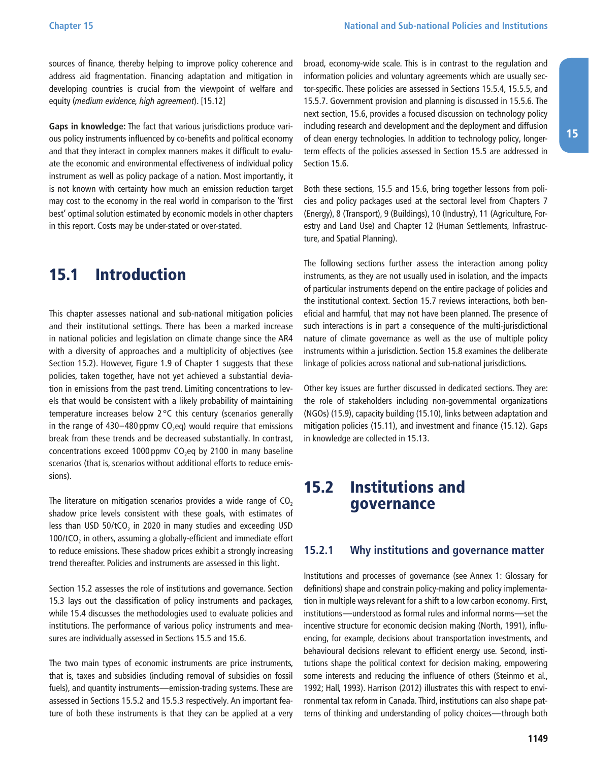<span id="page-8-0"></span>sources of finance, thereby helping to improve policy coherence and address aid fragmentation. Financing adaptation and mitigation in developing countries is crucial from the viewpoint of welfare and equity (medium evidence, high agreement). [15.12]

**Gaps in knowledge:** The fact that various jurisdictions produce various policy instruments influenced by co-benefits and political economy and that they interact in complex manners makes it difficult to evaluate the economic and environmental effectiveness of individual policy instrument as well as policy package of a nation. Most importantly, it is not known with certainty how much an emission reduction target may cost to the economy in the real world in comparison to the 'first best' optimal solution estimated by economic models in other chapters in this report. Costs may be under-stated or over-stated.

### 15.1 Introduction

This chapter assesses national and sub-national mitigation policies and their institutional settings. There has been a marked increase in national policies and legislation on climate change since the AR4 with a diversity of approaches and a multiplicity of objectives (see Section 15.2). However, Figure 1.9 of Chapter 1 suggests that these policies, taken together, have not yet achieved a substantial deviation in emissions from the past trend. Limiting concentrations to levels that would be consistent with a likely probability of maintaining temperature increases below 2 °C this century (scenarios generally in the range of  $430-480$  ppmv  $CO<sub>2</sub>$ eq) would require that emissions break from these trends and be decreased substantially. In contrast, concentrations exceed 1000 ppmv  $CO<sub>2</sub>$ eq by 2100 in many baseline scenarios (that is, scenarios without additional efforts to reduce emissions).

The literature on mitigation scenarios provides a wide range of  $CO<sub>2</sub>$ shadow price levels consistent with these goals, with estimates of less than USD 50/tCO<sub>2</sub> in 2020 in many studies and exceeding USD 100/tCO<sub>2</sub> in others, assuming a globally-efficient and immediate effort to reduce emissions. These shadow prices exhibit a strongly increasing trend thereafter. Policies and instruments are assessed in this light.

Section 15.2 assesses the role of institutions and governance. Section 15.3 lays out the classification of policy instruments and packages, while 15.4 discusses the methodologies used to evaluate policies and institutions. The performance of various policy instruments and measures are individually assessed in Sections 15.5 and 15.6.

The two main types of economic instruments are price instruments, that is, taxes and subsidies (including removal of subsidies on fossil fuels), and quantity instruments—emission-trading systems. These are assessed in Sections 15.5.2 and 15.5.3 respectively. An important feature of both these instruments is that they can be applied at a very broad, economy-wide scale. This is in contrast to the regulation and information policies and voluntary agreements which are usually sector-specific. These policies are assessed in Sections 15.5.4, 15.5.5, and 15.5.7. Government provision and planning is discussed in 15.5.6. The next section, 15.6, provides a focused discussion on technology policy including research and development and the deployment and diffusion of clean energy technologies. In addition to technology policy, longerterm effects of the policies assessed in Section 15.5 are addressed in Section 15.6.

Both these sections, 15.5 and 15.6, bring together lessons from policies and policy packages used at the sectoral level from Chapters 7 (Energy), 8 (Transport), 9 (Buildings), 10 (Industry), 11 (Agriculture, Forestry and Land Use) and Chapter 12 (Human Settlements, Infrastructure, and Spatial Planning).

The following sections further assess the interaction among policy instruments, as they are not usually used in isolation, and the impacts of particular instruments depend on the entire package of policies and the institutional context. Section 15.7 reviews interactions, both beneficial and harmful, that may not have been planned. The presence of such interactions is in part a consequence of the multi-jurisdictional nature of climate governance as well as the use of multiple policy instruments within a jurisdiction. Section 15.8 examines the deliberate linkage of policies across national and sub-national jurisdictions.

Other key issues are further discussed in dedicated sections. They are: the role of stakeholders including non-governmental organizations (NGOs) (15.9), capacity building (15.10), links between adaptation and mitigation policies (15.11), and investment and finance (15.12). Gaps in knowledge are collected in 15.13.

### 15.2 Institutions and governance

#### **15.2.1 Why institutions and governance matter**

Institutions and processes of governance (see Annex 1: Glossary for definitions) shape and constrain policy-making and policy implementation in multiple ways relevant for a shift to a low carbon economy. First, institutions—understood as formal rules and informal norms—set the incentive structure for economic decision making (North, 1991), influencing, for example, decisions about transportation investments, and behavioural decisions relevant to efficient energy use. Second, institutions shape the political context for decision making, empowering some interests and reducing the influence of others (Steinmo et al., 1992; Hall, 1993). Harrison (2012) illustrates this with respect to environmental tax reform in Canada. Third, institutions can also shape patterns of thinking and understanding of policy choices—through both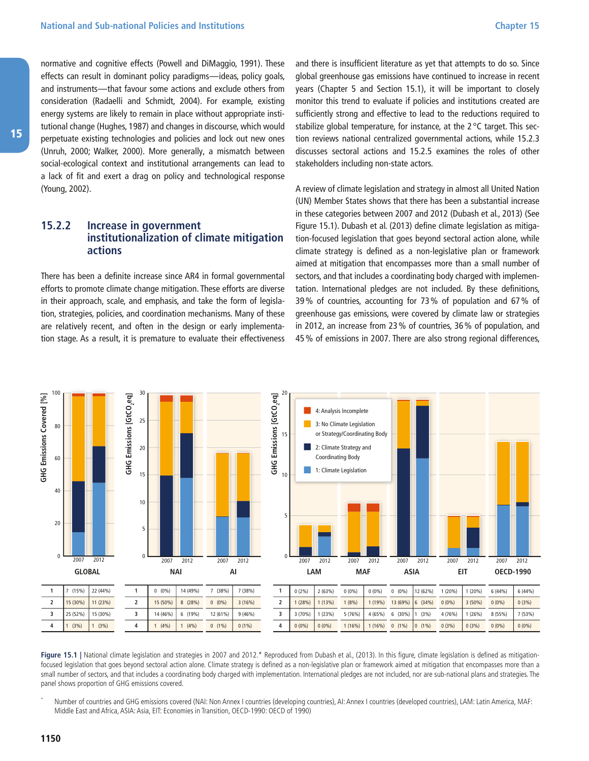<span id="page-9-0"></span>normative and cognitive effects (Powell and DiMaggio, 1991). These effects can result in dominant policy paradigms—ideas, policy goals, and instruments—that favour some actions and exclude others from consideration (Radaelli and Schmidt, 2004). For example, existing energy systems are likely to remain in place without appropriate institutional change (Hughes, 1987) and changes in discourse, which would perpetuate existing technologies and policies and lock out new ones (Unruh, 2000; Walker, 2000). More generally, a mismatch between social-ecological context and institutional arrangements can lead to a lack of fit and exert a drag on policy and technological response (Young, 2002).

#### **15.2.2 Increase in government institutionalization of climate mitigation actions**

There has been a definite increase since AR4 in formal governmental efforts to promote climate change mitigation. These efforts are diverse in their approach, scale, and emphasis, and take the form of legislation, strategies, policies, and coordination mechanisms. Many of these are relatively recent, and often in the design or early implementation stage. As a result, it is premature to evaluate their effectiveness and there is insufficient literature as yet that attempts to do so. Since global greenhouse gas emissions have continued to increase in recent years (Chapter 5 and Section 15.1), it will be important to closely monitor this trend to evaluate if policies and institutions created are sufficiently strong and effective to lead to the reductions required to stabilize global temperature, for instance, at the 2 °C target. This section reviews national centralized governmental actions, while 15.2.3 discusses sectoral actions and 15.2.5 examines the roles of other stakeholders including non-state actors.

A review of climate legislation and strategy in almost all United Nation (UN) Member States shows that there has been a substantial increase in these categories between 2007 and 2012 (Dubash et al., 2013) (See Figure 15.1). Dubash et al. (2013) define climate legislation as mitigation-focused legislation that goes beyond sectoral action alone, while climate strategy is defined as a non-legislative plan or framework aimed at mitigation that encompasses more than a small number of sectors, and that includes a coordinating body charged with implementation. International pledges are not included. By these definitions, 39% of countries, accounting for 73% of population and 67% of greenhouse gas emissions, were covered by climate law or strategies in 2012, an increase from 23% of countries, 36% of population, and 45% of emissions in 2007. There are also strong regional differences,





Number of countries and GHG emissions covered (NAI: Non Annex I countries (developing countries), AI: Annex I countries (developed countries), LAM: Latin America, MAF: Middle East and Africa, ASIA: Asia, EIT: Economies in Transition, OECD-1990: OECD of 1990)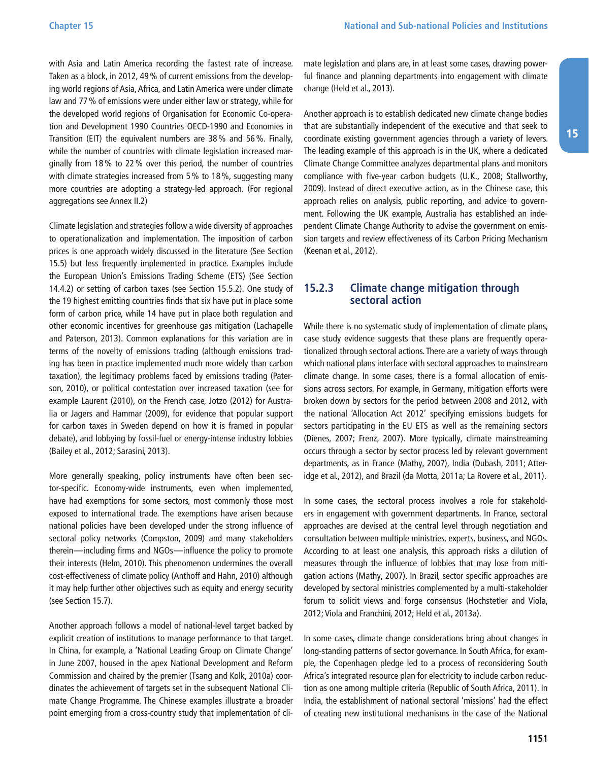<span id="page-10-0"></span>with Asia and Latin America recording the fastest rate of increase. Taken as a block, in 2012, 49% of current emissions from the developing world regions of Asia, Africa, and Latin America were under climate law and 77% of emissions were under either law or strategy, while for the developed world regions of Organisation for Economic Co-operation and Development 1990 Countries OECD-1990 and Economies in Transition (EIT) the equivalent numbers are 38% and 56%. Finally, while the number of countries with climate legislation increased marginally from 18% to 22% over this period, the number of countries with climate strategies increased from 5% to 18%, suggesting many more countries are adopting a strategy-led approach. (For regional aggregations see Annex II.2)

Climate legislation and strategies follow a wide diversity of approaches to operationalization and implementation. The imposition of carbon prices is one approach widely discussed in the literature (See Section 15.5) but less frequently implemented in practice. Examples include the European Union's Emissions Trading Scheme (ETS) (See Section 14.4.2) or setting of carbon taxes (see Section 15.5.2). One study of the 19 highest emitting countries finds that six have put in place some form of carbon price, while 14 have put in place both regulation and other economic incentives for greenhouse gas mitigation (Lachapelle and Paterson, 2013). Common explanations for this variation are in terms of the novelty of emissions trading (although emissions trading has been in practice implemented much more widely than carbon taxation), the legitimacy problems faced by emissions trading (Paterson, 2010), or political contestation over increased taxation (see for example Laurent (2010), on the French case, Jotzo (2012) for Australia or Jagers and Hammar (2009), for evidence that popular support for carbon taxes in Sweden depend on how it is framed in popular debate), and lobbying by fossil-fuel or energy-intense industry lobbies (Bailey et al., 2012; Sarasini, 2013).

More generally speaking, policy instruments have often been sector-specific. Economy-wide instruments, even when implemented, have had exemptions for some sectors, most commonly those most exposed to international trade. The exemptions have arisen because national policies have been developed under the strong influence of sectoral policy networks (Compston, 2009) and many stakeholders therein—including firms and NGOs—influence the policy to promote their interests (Helm, 2010). This phenomenon undermines the overall cost-effectiveness of climate policy (Anthoff and Hahn, 2010) although it may help further other objectives such as equity and energy security (see Section 15.7).

Another approach follows a model of national-level target backed by explicit creation of institutions to manage performance to that target. In China, for example, a 'National Leading Group on Climate Change' in June 2007, housed in the apex National Development and Reform Commission and chaired by the premier (Tsang and Kolk, 2010a) coordinates the achievement of targets set in the subsequent National Climate Change Programme. The Chinese examples illustrate a broader point emerging from a cross-country study that implementation of climate legislation and plans are, in at least some cases, drawing powerful finance and planning departments into engagement with climate change (Held et al., 2013).

Another approach is to establish dedicated new climate change bodies that are substantially independent of the executive and that seek to coordinate existing government agencies through a variety of levers. The leading example of this approach is in the UK, where a dedicated Climate Change Committee analyzes departmental plans and monitors compliance with five-year carbon budgets (U.K., 2008; Stallworthy, 2009). Instead of direct executive action, as in the Chinese case, this approach relies on analysis, public reporting, and advice to government. Following the UK example, Australia has established an independent Climate Change Authority to advise the government on emission targets and review effectiveness of its Carbon Pricing Mechanism (Keenan et al., 2012).

#### **15.2.3 Climate change mitigation through sectoral action**

While there is no systematic study of implementation of climate plans, case study evidence suggests that these plans are frequently operationalized through sectoral actions. There are a variety of ways through which national plans interface with sectoral approaches to mainstream climate change. In some cases, there is a formal allocation of emissions across sectors. For example, in Germany, mitigation efforts were broken down by sectors for the period between 2008 and 2012, with the national 'Allocation Act 2012' specifying emissions budgets for sectors participating in the EU ETS as well as the remaining sectors (Dienes, 2007; Frenz, 2007). More typically, climate mainstreaming occurs through a sector by sector process led by relevant government departments, as in France (Mathy, 2007), India (Dubash, 2011; Atteridge et al., 2012), and Brazil (da Motta, 2011a; La Rovere et al., 2011).

In some cases, the sectoral process involves a role for stakeholders in engagement with government departments. In France, sectoral approaches are devised at the central level through negotiation and consultation between multiple ministries, experts, business, and NGOs. According to at least one analysis, this approach risks a dilution of measures through the influence of lobbies that may lose from mitigation actions (Mathy, 2007). In Brazil, sector specific approaches are developed by sectoral ministries complemented by a multi-stakeholder forum to solicit views and forge consensus (Hochstetler and Viola, 2012; Viola and Franchini, 2012; Held et al., 2013a).

In some cases, climate change considerations bring about changes in long-standing patterns of sector governance. In South Africa, for example, the Copenhagen pledge led to a process of reconsidering South Africa's integrated resource plan for electricity to include carbon reduction as one among multiple criteria (Republic of South Africa, 2011). In India, the establishment of national sectoral 'missions' had the effect of creating new institutional mechanisms in the case of the National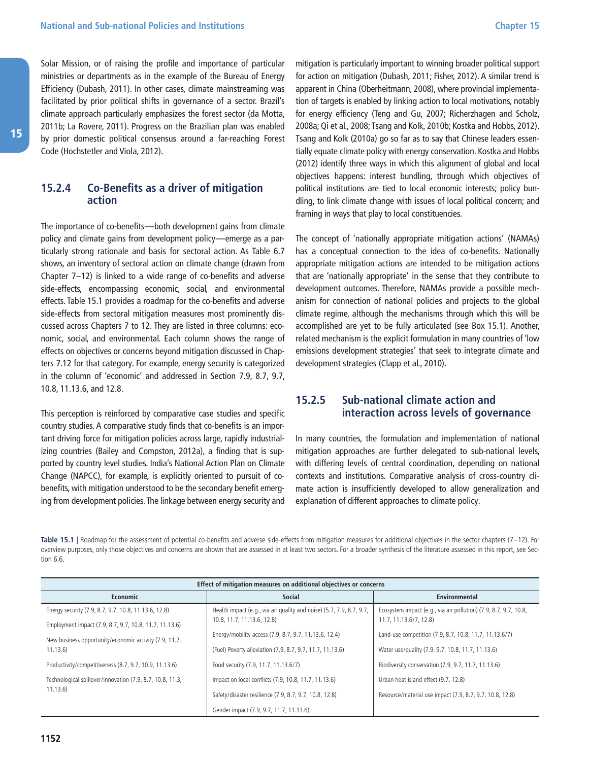<span id="page-11-0"></span>Solar Mission, or of raising the profile and importance of particular ministries or departments as in the example of the Bureau of Energy Efficiency (Dubash, 2011). In other cases, climate mainstreaming was facilitated by prior political shifts in governance of a sector. Brazil's climate approach particularly emphasizes the forest sector (da Motta, 2011b; La Rovere, 2011). Progress on the Brazilian plan was enabled by prior domestic political consensus around a far-reaching Forest Code (Hochstetler and Viola, 2012).

#### **15.2.4 Co-Benefits as a driver of mitigation action**

The importance of co-benefits—both development gains from climate policy and climate gains from development policy—emerge as a particularly strong rationale and basis for sectoral action. As Table 6.7 shows, an inventory of sectoral action on climate change (drawn from Chapter 7–12) is linked to a wide range of co-benefits and adverse side-effects, encompassing economic, social, and environmental effects. Table 15.1 provides a roadmap for the co-benefits and adverse side-effects from sectoral mitigation measures most prominently discussed across Chapters 7 to 12. They are listed in three columns: economic, social, and environmental. Each column shows the range of effects on objectives or concerns beyond mitigation discussed in Chapters 7.12 for that category. For example, energy security is categorized in the column of 'economic' and addressed in Section 7.9, 8.7, 9.7, 10.8, 11.13.6, and 12.8.

This perception is reinforced by comparative case studies and specific country studies. A comparative study finds that co-benefits is an important driving force for mitigation policies across large, rapidly industrializing countries (Bailey and Compston, 2012a), a finding that is supported by country level studies. India's National Action Plan on Climate Change (NAPCC), for example, is explicitly oriented to pursuit of cobenefits, with mitigation understood to be the secondary benefit emerging from development policies. The linkage between energy security and

mitigation is particularly important to winning broader political support for action on mitigation (Dubash, 2011; Fisher, 2012). A similar trend is apparent in China (Oberheitmann, 2008), where provincial implementation of targets is enabled by linking action to local motivations, notably for energy efficiency (Teng and Gu, 2007; Richerzhagen and Scholz, 2008a; Qi et al., 2008; Tsang and Kolk, 2010b; Kostka and Hobbs, 2012). Tsang and Kolk (2010a) go so far as to say that Chinese leaders essentially equate climate policy with energy conservation. Kostka and Hobbs (2012) identify three ways in which this alignment of global and local objectives happens: interest bundling, through which objectives of political institutions are tied to local economic interests; policy bundling, to link climate change with issues of local political concern; and framing in ways that play to local constituencies.

The concept of 'nationally appropriate mitigation actions' (NAMAs) has a conceptual connection to the idea of co-benefits. Nationally appropriate mitigation actions are intended to be mitigation actions that are 'nationally appropriate' in the sense that they contribute to development outcomes. Therefore, NAMAs provide a possible mechanism for connection of national policies and projects to the global climate regime, although the mechanisms through which this will be accomplished are yet to be fully articulated (see Box 15.1). Another, related mechanism is the explicit formulation in many countries of 'low emissions development strategies' that seek to integrate climate and development strategies (Clapp et al., 2010).

#### **15.2.5 Sub-national climate action and interaction across levels of governance**

In many countries, the formulation and implementation of national mitigation approaches are further delegated to sub-national levels, with differing levels of central coordination, depending on national contexts and institutions. Comparative analysis of cross-country climate action is insufficiently developed to allow generalization and explanation of different approaches to climate policy.

Table 15.1 | Roadmap for the assessment of potential co-benefits and adverse side-effects from mitigation measures for additional objectives in the sector chapters (7-12). For overview purposes, only those objectives and concerns are shown that are assessed in at least two sectors. For a broader synthesis of the literature assessed in this report, see Section 6.6.

| Effect of mitigation measures on additional objectives or concerns |                                                                                                    |                                                                                            |  |  |  |  |
|--------------------------------------------------------------------|----------------------------------------------------------------------------------------------------|--------------------------------------------------------------------------------------------|--|--|--|--|
| <b>Economic</b>                                                    | Social                                                                                             | Environmental                                                                              |  |  |  |  |
| Energy security (7.9, 8.7, 9.7, 10.8, 11.13.6, 12.8)               | Health impact (e.g., via air quality and noise) (5.7, 7.9, 8.7, 9.7,<br>10.8, 11.7, 11.13.6, 12.8) | Ecosystem impact (e.g., via air pollution) (7.9, 8.7, 9.7, 10.8,<br>11.7, 11.13.6/7, 12.8) |  |  |  |  |
| Employment impact (7.9, 8.7, 9.7, 10.8, 11.7, 11.13.6)             | Energy/mobility access (7.9, 8.7, 9.7, 11.13.6, 12.4)                                              | Land-use competition (7.9, 8.7, 10.8, 11.7, 11.13.6/7)                                     |  |  |  |  |
| New business opportunity/economic activity (7.9, 11.7,<br>11.13.6  | (Fuel) Poverty alleviation (7.9, 8.7, 9.7, 11.7, 11.13.6)                                          | Water use/quality (7.9, 9.7, 10.8, 11.7, 11.13.6)                                          |  |  |  |  |
| Productivity/competitiveness (8.7, 9.7, 10.9, 11.13.6)             | Food security (7.9, 11.7, 11.13.6/7)                                                               | Biodiversity conservation (7.9, 9.7, 11.7, 11.13.6)                                        |  |  |  |  |
| Technological spillover/innovation (7.9, 8.7, 10.8, 11.3,          | Impact on local conflicts (7.9, 10.8, 11.7, 11.13.6)                                               | Urban heat island effect (9.7, 12.8)                                                       |  |  |  |  |
| 11.13.6                                                            | Safety/disaster resilience (7.9, 8.7, 9.7, 10.8, 12.8)                                             | Resource/material use impact (7.9, 8.7, 9.7, 10.8, 12.8)                                   |  |  |  |  |
|                                                                    | Gender impact (7.9, 9.7, 11.7, 11.13.6)                                                            |                                                                                            |  |  |  |  |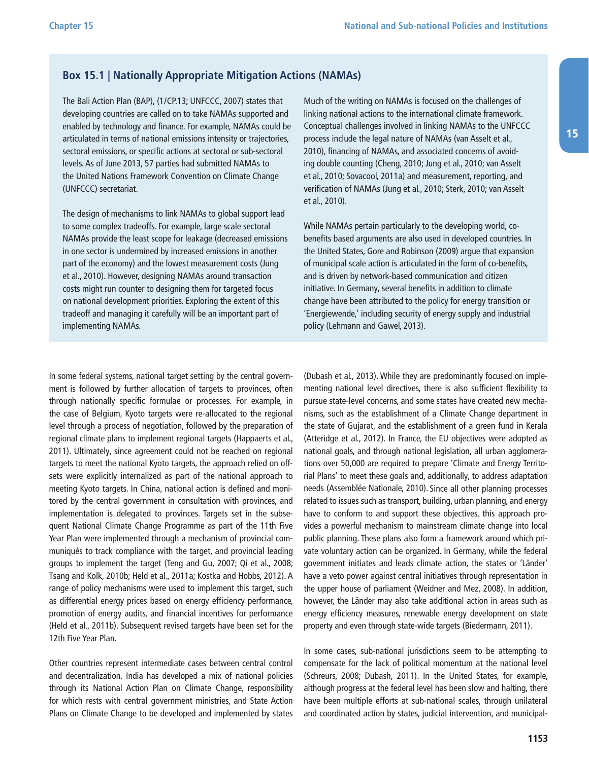#### **Box 15.1 | Nationally Appropriate Mitigation Actions (NAMAs)**

The Bali Action Plan (BAP), (1/CP.13; UNFCCC, 2007) states that developing countries are called on to take NAMAs supported and enabled by technology and finance. For example, NAMAs could be articulated in terms of national emissions intensity or trajectories, sectoral emissions, or specific actions at sectoral or sub-sectoral levels. As of June 2013, 57 parties had submitted NAMAs to the United Nations Framework Convention on Climate Change (UNFCCC) secretariat.

The design of mechanisms to link NAMAs to global support lead to some complex tradeoffs. For example, large scale sectoral NAMAs provide the least scope for leakage (decreased emissions in one sector is undermined by increased emissions in another part of the economy) and the lowest measurement costs (Jung et al., 2010). However, designing NAMAs around transaction costs might run counter to designing them for targeted focus on national development priorities. Exploring the extent of this tradeoff and managing it carefully will be an important part of implementing NAMAs.

Much of the writing on NAMAs is focused on the challenges of linking national actions to the international climate framework. Conceptual challenges involved in linking NAMAs to the UNFCCC process include the legal nature of NAMAs (van Asselt et al., 2010), financing of NAMAs, and associated concerns of avoiding double counting (Cheng, 2010; Jung et al., 2010; van Asselt et al., 2010; Sovacool, 2011a) and measurement, reporting, and verification of NAMAs (Jung et al., 2010; Sterk, 2010; van Asselt et al., 2010).

While NAMAs pertain particularly to the developing world, cobenefits based arguments are also used in developed countries. In the United States, Gore and Robinson (2009) argue that expansion of municipal scale action is articulated in the form of co-benefits, and is driven by network-based communication and citizen initiative. In Germany, several benefits in addition to climate change have been attributed to the policy for energy transition or 'Energiewende,' including security of energy supply and industrial policy (Lehmann and Gawel, 2013).

In some federal systems, national target setting by the central government is followed by further allocation of targets to provinces, often through nationally specific formulae or processes. For example, in the case of Belgium, Kyoto targets were re-allocated to the regional level through a process of negotiation, followed by the preparation of regional climate plans to implement regional targets (Happaerts et al., 2011). Ultimately, since agreement could not be reached on regional targets to meet the national Kyoto targets, the approach relied on offsets were explicitly internalized as part of the national approach to meeting Kyoto targets. In China, national action is defined and monitored by the central government in consultation with provinces, and implementation is delegated to provinces. Targets set in the subsequent National Climate Change Programme as part of the 11th Five Year Plan were implemented through a mechanism of provincial communiqués to track compliance with the target, and provincial leading groups to implement the target (Teng and Gu, 2007; Qi et al., 2008; Tsang and Kolk, 2010b; Held et al., 2011a; Kostka and Hobbs, 2012). A range of policy mechanisms were used to implement this target, such as differential energy prices based on energy efficiency performance, promotion of energy audits, and financial incentives for performance (Held et al., 2011b). Subsequent revised targets have been set for the 12th Five Year Plan.

Other countries represent intermediate cases between central control and decentralization. India has developed a mix of national policies through its National Action Plan on Climate Change, responsibility for which rests with central government ministries, and State Action Plans on Climate Change to be developed and implemented by states (Dubash et al., 2013). While they are predominantly focused on implementing national level directives, there is also sufficient flexibility to pursue state-level concerns, and some states have created new mechanisms, such as the establishment of a Climate Change department in the state of Gujarat, and the establishment of a green fund in Kerala (Atteridge et al., 2012). In France, the EU objectives were adopted as national goals, and through national legislation, all urban agglomerations over 50,000 are required to prepare 'Climate and Energy Territorial Plans' to meet these goals and, additionally, to address adaptation needs (Assemblée Nationale, 2010). Since all other planning processes related to issues such as transport, building, urban planning, and energy have to conform to and support these objectives, this approach provides a powerful mechanism to mainstream climate change into local public planning. These plans also form a framework around which private voluntary action can be organized. In Germany, while the federal government initiates and leads climate action, the states or 'Länder' have a veto power against central initiatives through representation in the upper house of parliament (Weidner and Mez, 2008). In addition, however, the Länder may also take additional action in areas such as energy efficiency measures, renewable energy development on state property and even through state-wide targets (Biedermann, 2011).

In some cases, sub-national jurisdictions seem to be attempting to compensate for the lack of political momentum at the national level (Schreurs, 2008; Dubash, 2011). In the United States, for example, although progress at the federal level has been slow and halting, there have been multiple efforts at sub-national scales, through unilateral and coordinated action by states, judicial intervention, and municipal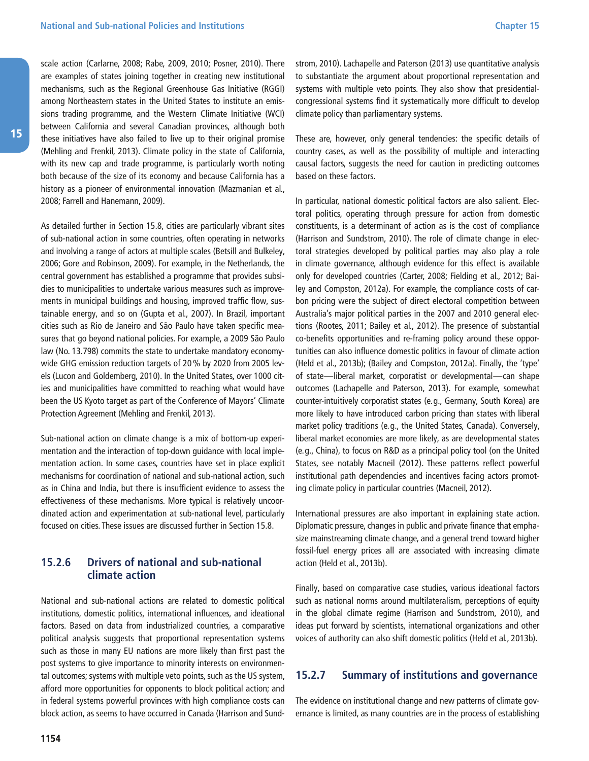<span id="page-13-0"></span>scale action (Carlarne, 2008; Rabe, 2009, 2010; Posner, 2010). There are examples of states joining together in creating new institutional mechanisms, such as the Regional Greenhouse Gas Initiative (RGGI) among Northeastern states in the United States to institute an emissions trading programme, and the Western Climate Initiative (WCI) between California and several Canadian provinces, although both these initiatives have also failed to live up to their original promise (Mehling and Frenkil, 2013). Climate policy in the state of California, with its new cap and trade programme, is particularly worth noting both because of the size of its economy and because California has a history as a pioneer of environmental innovation (Mazmanian et al., 2008; Farrell and Hanemann, 2009).

As detailed further in Section 15.8, cities are particularly vibrant sites of sub-national action in some countries, often operating in networks and involving a range of actors at multiple scales (Betsill and Bulkeley, 2006; Gore and Robinson, 2009). For example, in the Netherlands, the central government has established a programme that provides subsidies to municipalities to undertake various measures such as improvements in municipal buildings and housing, improved traffic flow, sustainable energy, and so on (Gupta et al., 2007). In Brazil, important cities such as Rio de Janeiro and São Paulo have taken specific measures that go beyond national policies. For example, a 2009 São Paulo law (No. 13.798) commits the state to undertake mandatory economywide GHG emission reduction targets of 20% by 2020 from 2005 levels (Lucon and Goldemberg, 2010). In the United States, over 1000 cities and municipalities have committed to reaching what would have been the US Kyoto target as part of the Conference of Mayors' Climate Protection Agreement (Mehling and Frenkil, 2013).

Sub-national action on climate change is a mix of bottom-up experimentation and the interaction of top-down guidance with local implementation action. In some cases, countries have set in place explicit mechanisms for coordination of national and sub-national action, such as in China and India, but there is insufficient evidence to assess the effectiveness of these mechanisms. More typical is relatively uncoordinated action and experimentation at sub-national level, particularly focused on cities. These issues are discussed further in Section 15.8.

#### **15.2.6 Drivers of national and sub-national climate action**

National and sub-national actions are related to domestic political institutions, domestic politics, international influences, and ideational factors. Based on data from industrialized countries, a comparative political analysis suggests that proportional representation systems such as those in many EU nations are more likely than first past the post systems to give importance to minority interests on environmental outcomes; systems with multiple veto points, such as the US system, afford more opportunities for opponents to block political action; and in federal systems powerful provinces with high compliance costs can block action, as seems to have occurred in Canada (Harrison and Sundstrom, 2010). Lachapelle and Paterson (2013) use quantitative analysis to substantiate the argument about proportional representation and systems with multiple veto points. They also show that presidentialcongressional systems find it systematically more difficult to develop climate policy than parliamentary systems.

These are, however, only general tendencies: the specific details of country cases, as well as the possibility of multiple and interacting causal factors, suggests the need for caution in predicting outcomes based on these factors.

In particular, national domestic political factors are also salient. Electoral politics, operating through pressure for action from domestic constituents, is a determinant of action as is the cost of compliance (Harrison and Sundstrom, 2010). The role of climate change in electoral strategies developed by political parties may also play a role in climate governance, although evidence for this effect is available only for developed countries (Carter, 2008; Fielding et al., 2012; Bailey and Compston, 2012a). For example, the compliance costs of carbon pricing were the subject of direct electoral competition between Australia's major political parties in the 2007 and 2010 general elections (Rootes, 2011; Bailey et al., 2012). The presence of substantial co-benefits opportunities and re-framing policy around these opportunities can also influence domestic politics in favour of climate action (Held et al., 2013b); (Bailey and Compston, 2012a). Finally, the 'type' of state—liberal market, corporatist or developmental—can shape outcomes (Lachapelle and Paterson, 2013). For example, somewhat counter-intuitively corporatist states (e.g., Germany, South Korea) are more likely to have introduced carbon pricing than states with liberal market policy traditions (e.g., the United States, Canada). Conversely, liberal market economies are more likely, as are developmental states (e.g., China), to focus on R&D as a principal policy tool (on the United States, see notably Macneil (2012). These patterns reflect powerful institutional path dependencies and incentives facing actors promoting climate policy in particular countries (Macneil, 2012).

International pressures are also important in explaining state action. Diplomatic pressure, changes in public and private finance that emphasize mainstreaming climate change, and a general trend toward higher fossil-fuel energy prices all are associated with increasing climate action (Held et al., 2013b).

Finally, based on comparative case studies, various ideational factors such as national norms around multilateralism, perceptions of equity in the global climate regime (Harrison and Sundstrom, 2010), and ideas put forward by scientists, international organizations and other voices of authority can also shift domestic politics (Held et al., 2013b).

#### **15.2.7 Summary of institutions and governance**

The evidence on institutional change and new patterns of climate governance is limited, as many countries are in the process of establishing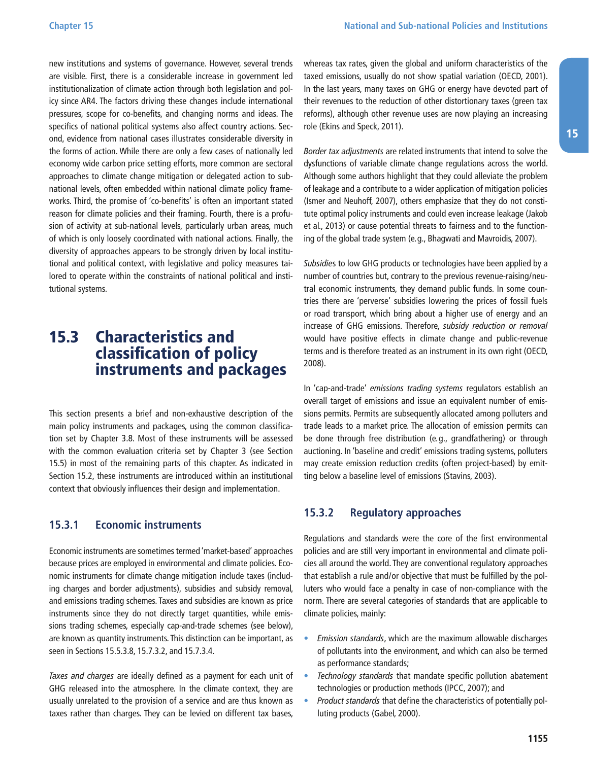<span id="page-14-0"></span>new institutions and systems of governance. However, several trends are visible. First, there is a considerable increase in government led institutionalization of climate action through both legislation and policy since AR4. The factors driving these changes include international pressures, scope for co-benefits, and changing norms and ideas. The specifics of national political systems also affect country actions. Second, evidence from national cases illustrates considerable diversity in the forms of action. While there are only a few cases of nationally led economy wide carbon price setting efforts, more common are sectoral approaches to climate change mitigation or delegated action to subnational levels, often embedded within national climate policy frameworks. Third, the promise of 'co-benefits' is often an important stated reason for climate policies and their framing. Fourth, there is a profusion of activity at sub-national levels, particularly urban areas, much of which is only loosely coordinated with national actions. Finally, the diversity of approaches appears to be strongly driven by local institutional and political context, with legislative and policy measures tailored to operate within the constraints of national political and institutional systems.

### 15.3 Characteristics and classification of policy instruments and packages

This section presents a brief and non-exhaustive description of the main policy instruments and packages, using the common classification set by Chapter 3.8. Most of these instruments will be assessed with the common evaluation criteria set by Chapter 3 (see Section 15.5) in most of the remaining parts of this chapter. As indicated in Section 15.2, these instruments are introduced within an institutional context that obviously influences their design and implementation.

#### **15.3.1 Economic instruments**

Economic instruments are sometimes termed 'market-based' approaches because prices are employed in environmental and climate policies. Economic instruments for climate change mitigation include taxes (including charges and border adjustments), subsidies and subsidy removal, and emissions trading schemes. Taxes and subsidies are known as price instruments since they do not directly target quantities, while emissions trading schemes, especially cap-and-trade schemes (see below), are known as quantity instruments. This distinction can be important, as seen in Sections 15.5.3.8, 15.7.3.2, and 15.7.3.4.

Taxes and charges are ideally defined as a payment for each unit of GHG released into the atmosphere. In the climate context, they are usually unrelated to the provision of a service and are thus known as taxes rather than charges. They can be levied on different tax bases,

whereas tax rates, given the global and uniform characteristics of the taxed emissions, usually do not show spatial variation (OECD, 2001). In the last years, many taxes on GHG or energy have devoted part of their revenues to the reduction of other distortionary taxes (green tax reforms), although other revenue uses are now playing an increasing role (Ekins and Speck, 2011).

Border tax adjustments are related instruments that intend to solve the dysfunctions of variable climate change regulations across the world. Although some authors highlight that they could alleviate the problem of leakage and a contribute to a wider application of mitigation policies (Ismer and Neuhoff, 2007), others emphasize that they do not constitute optimal policy instruments and could even increase leakage (Jakob et al., 2013) or cause potential threats to fairness and to the functioning of the global trade system (e.g., Bhagwati and Mavroidis, 2007).

Subsidies to low GHG products or technologies have been applied by a number of countries but, contrary to the previous revenue-raising/neutral economic instruments, they demand public funds. In some countries there are 'perverse' subsidies lowering the prices of fossil fuels or road transport, which bring about a higher use of energy and an increase of GHG emissions. Therefore, subsidy reduction or removal would have positive effects in climate change and public-revenue terms and is therefore treated as an instrument in its own right (OECD, 2008).

In 'cap-and-trade' emissions trading systems regulators establish an overall target of emissions and issue an equivalent number of emissions permits. Permits are subsequently allocated among polluters and trade leads to a market price. The allocation of emission permits can be done through free distribution (e.g., grandfathering) or through auctioning. In 'baseline and credit' emissions trading systems, polluters may create emission reduction credits (often project-based) by emitting below a baseline level of emissions (Stavins, 2003).

#### **15.3.2 Regulatory approaches**

Regulations and standards were the core of the first environmental policies and are still very important in environmental and climate policies all around the world. They are conventional regulatory approaches that establish a rule and/or objective that must be fulfilled by the polluters who would face a penalty in case of non-compliance with the norm. There are several categories of standards that are applicable to climate policies, mainly:

- Emission standards, which are the maximum allowable discharges of pollutants into the environment, and which can also be termed as performance standards;
- Technology standards that mandate specific pollution abatement technologies or production methods (IPCC, 2007); and
- Product standards that define the characteristics of potentially polluting products (Gabel, 2000).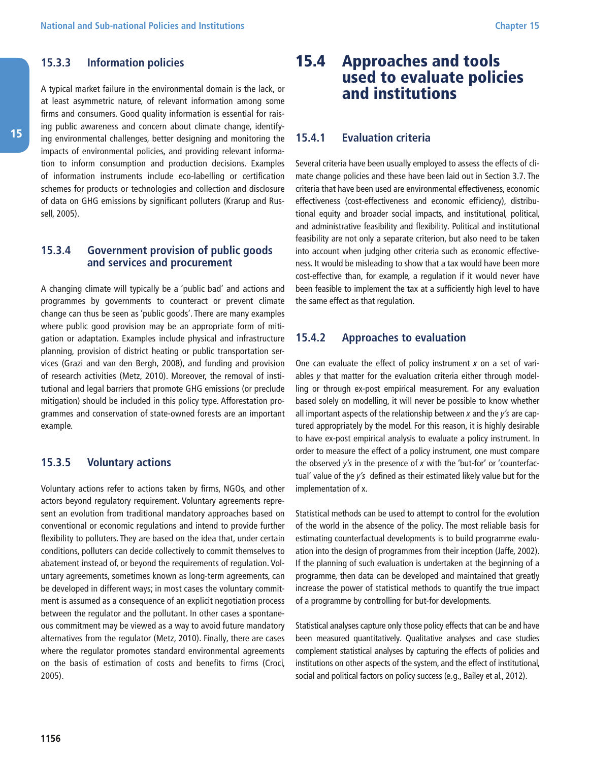#### <span id="page-15-0"></span>**15.3.3 Information policies**

A typical market failure in the environmental domain is the lack, or at least asymmetric nature, of relevant information among some firms and consumers. Good quality information is essential for raising public awareness and concern about climate change, identifying environmental challenges, better designing and monitoring the impacts of environmental policies, and providing relevant information to inform consumption and production decisions. Examples of information instruments include eco-labelling or certification schemes for products or technologies and collection and disclosure of data on GHG emissions by significant polluters (Krarup and Russell, 2005).

#### **15.3.4 Government provision of public goods and services and procurement**

A changing climate will typically be a 'public bad' and actions and programmes by governments to counteract or prevent climate change can thus be seen as 'public goods'. There are many examples where public good provision may be an appropriate form of mitigation or adaptation. Examples include physical and infrastructure planning, provision of district heating or public transportation services (Grazi and van den Bergh, 2008), and funding and provision of research activities (Metz, 2010). Moreover, the removal of institutional and legal barriers that promote GHG emissions (or preclude mitigation) should be included in this policy type. Afforestation programmes and conservation of state-owned forests are an important example.

#### **15.3.5 Voluntary actions**

Voluntary actions refer to actions taken by firms, NGOs, and other actors beyond regulatory requirement. Voluntary agreements represent an evolution from traditional mandatory approaches based on conventional or economic regulations and intend to provide further flexibility to polluters. They are based on the idea that, under certain conditions, polluters can decide collectively to commit themselves to abatement instead of, or beyond the requirements of regulation. Voluntary agreements, sometimes known as long-term agreements, can be developed in different ways; in most cases the voluntary commitment is assumed as a consequence of an explicit negotiation process between the regulator and the pollutant. In other cases a spontaneous commitment may be viewed as a way to avoid future mandatory alternatives from the regulator (Metz, 2010). Finally, there are cases where the regulator promotes standard environmental agreements on the basis of estimation of costs and benefits to firms (Croci, 2005).

### 15.4 Approaches and tools used to evaluate policies and institutions

#### **15.4.1 Evaluation criteria**

Several criteria have been usually employed to assess the effects of climate change policies and these have been laid out in Section 3.7. The criteria that have been used are environmental effectiveness, economic effectiveness (cost-effectiveness and economic efficiency), distributional equity and broader social impacts, and institutional, political, and administrative feasibility and flexibility. Political and institutional feasibility are not only a separate criterion, but also need to be taken into account when judging other criteria such as economic effectiveness. It would be misleading to show that a tax would have been more cost-effective than, for example, a regulation if it would never have been feasible to implement the tax at a sufficiently high level to have the same effect as that regulation.

#### **15.4.2 Approaches to evaluation**

One can evaluate the effect of policy instrument  $x$  on a set of variables  $\nu$  that matter for the evaluation criteria either through modelling or through ex-post empirical measurement. For any evaluation based solely on modelling, it will never be possible to know whether all important aspects of the relationship between  $x$  and the  $y'$ s are captured appropriately by the model. For this reason, it is highly desirable to have ex-post empirical analysis to evaluate a policy instrument. In order to measure the effect of a policy instrument, one must compare the observed  $y'$ s in the presence of x with the 'but-for' or 'counterfactual' value of the y's defined as their estimated likely value but for the implementation of x.

Statistical methods can be used to attempt to control for the evolution of the world in the absence of the policy. The most reliable basis for estimating counterfactual developments is to build programme evaluation into the design of programmes from their inception (Jaffe, 2002). If the planning of such evaluation is undertaken at the beginning of a programme, then data can be developed and maintained that greatly increase the power of statistical methods to quantify the true impact of a programme by controlling for but-for developments.

Statistical analyses capture only those policy effects that can be and have been measured quantitatively. Qualitative analyses and case studies complement statistical analyses by capturing the effects of policies and institutions on other aspects of the system, and the effect of institutional, social and political factors on policy success (e.g., Bailey et al., 2012).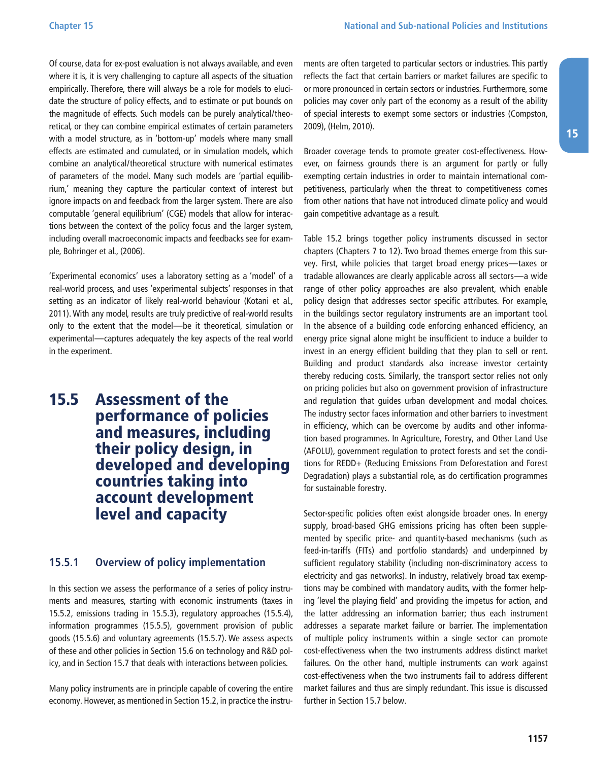<span id="page-16-0"></span>Of course, data for ex-post evaluation is not always available, and even where it is, it is very challenging to capture all aspects of the situation empirically. Therefore, there will always be a role for models to elucidate the structure of policy effects, and to estimate or put bounds on the magnitude of effects. Such models can be purely analytical/theoretical, or they can combine empirical estimates of certain parameters with a model structure, as in 'bottom-up' models where many small effects are estimated and cumulated, or in simulation models, which combine an analytical/theoretical structure with numerical estimates of parameters of the model. Many such models are 'partial equilibrium,' meaning they capture the particular context of interest but ignore impacts on and feedback from the larger system. There are also computable 'general equilibrium' (CGE) models that allow for interactions between the context of the policy focus and the larger system, including overall macroeconomic impacts and feedbacks see for example, Bohringer et al., (2006).

'Experimental economics' uses a laboratory setting as a 'model' of a real-world process, and uses 'experimental subjects' responses in that setting as an indicator of likely real-world behaviour (Kotani et al., 2011). With any model, results are truly predictive of real-world results only to the extent that the model—be it theoretical, simulation or experimental—captures adequately the key aspects of the real world in the experiment.

### 15.5 Assessment of the performance of policies and measures, including their policy design, in developed and developing countries taking into account development level and capacity

#### **15.5.1 Overview of policy implementation**

In this section we assess the performance of a series of policy instruments and measures, starting with economic instruments (taxes in 15.5.2, emissions trading in 15.5.3), regulatory approaches (15.5.4), information programmes (15.5.5), government provision of public goods (15.5.6) and voluntary agreements (15.5.7). We assess aspects of these and other policies in Section 15.6 on technology and R&D policy, and in Section 15.7 that deals with interactions between policies.

Many policy instruments are in principle capable of covering the entire economy. However, as mentioned in Section 15.2, in practice the instruments are often targeted to particular sectors or industries. This partly reflects the fact that certain barriers or market failures are specific to or more pronounced in certain sectors or industries. Furthermore, some policies may cover only part of the economy as a result of the ability of special interests to exempt some sectors or industries (Compston, 2009), (Helm, 2010).

Broader coverage tends to promote greater cost-effectiveness. However, on fairness grounds there is an argument for partly or fully exempting certain industries in order to maintain international competitiveness, particularly when the threat to competitiveness comes from other nations that have not introduced climate policy and would gain competitive advantage as a result.

Table 15.2 brings together policy instruments discussed in sector chapters (Chapters 7 to 12). Two broad themes emerge from this survey. First, while policies that target broad energy prices—taxes or tradable allowances are clearly applicable across all sectors—a wide range of other policy approaches are also prevalent, which enable policy design that addresses sector specific attributes. For example, in the buildings sector regulatory instruments are an important tool. In the absence of a building code enforcing enhanced efficiency, an energy price signal alone might be insufficient to induce a builder to invest in an energy efficient building that they plan to sell or rent. Building and product standards also increase investor certainty thereby reducing costs. Similarly, the transport sector relies not only on pricing policies but also on government provision of infrastructure and regulation that guides urban development and modal choices. The industry sector faces information and other barriers to investment in efficiency, which can be overcome by audits and other information based programmes. In Agriculture, Forestry, and Other Land Use (AFOLU), government regulation to protect forests and set the conditions for REDD+ (Reducing Emissions From Deforestation and Forest Degradation) plays a substantial role, as do certification programmes for sustainable forestry.

Sector-specific policies often exist alongside broader ones. In energy supply, broad-based GHG emissions pricing has often been supplemented by specific price- and quantity-based mechanisms (such as feed-in-tariffs (FITs) and portfolio standards) and underpinned by sufficient regulatory stability (including non-discriminatory access to electricity and gas networks). In industry, relatively broad tax exemptions may be combined with mandatory audits, with the former helping 'level the playing field' and providing the impetus for action, and the latter addressing an information barrier; thus each instrument addresses a separate market failure or barrier. The implementation of multiple policy instruments within a single sector can promote cost-effectiveness when the two instruments address distinct market failures. On the other hand, multiple instruments can work against cost-effectiveness when the two instruments fail to address different market failures and thus are simply redundant. This issue is discussed further in Section 15.7 below.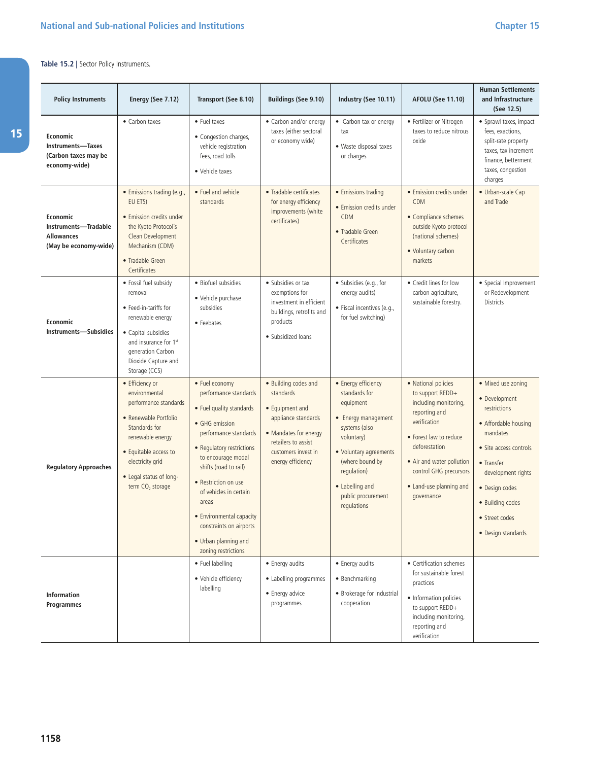#### **Table 15.2 |** Sector Policy Instruments.

15

| <b>Policy Instruments</b>                                                      | Energy (See 7.12)                                                                                                                                                                                                               | Transport (See 8.10)                                                                                                                                                                                                                                                                                                                                        | Buildings (See 9.10)                                                                                                                                                    | Industry (See 10.11)                                                                                                                                                                                                        | <b>AFOLU (See 11.10)</b>                                                                                                                                                                                                                     | <b>Human Settlements</b><br>and Infrastructure<br>(See 12.5)                                                                                                                                                                        |
|--------------------------------------------------------------------------------|---------------------------------------------------------------------------------------------------------------------------------------------------------------------------------------------------------------------------------|-------------------------------------------------------------------------------------------------------------------------------------------------------------------------------------------------------------------------------------------------------------------------------------------------------------------------------------------------------------|-------------------------------------------------------------------------------------------------------------------------------------------------------------------------|-----------------------------------------------------------------------------------------------------------------------------------------------------------------------------------------------------------------------------|----------------------------------------------------------------------------------------------------------------------------------------------------------------------------------------------------------------------------------------------|-------------------------------------------------------------------------------------------------------------------------------------------------------------------------------------------------------------------------------------|
| Economic<br>Instruments-Taxes<br>(Carbon taxes may be<br>economy-wide)         | • Carbon taxes                                                                                                                                                                                                                  | • Fuel taxes<br>• Congestion charges,<br>vehicle registration<br>fees, road tolls<br>• Vehicle taxes                                                                                                                                                                                                                                                        | • Carbon and/or energy<br>taxes (either sectoral<br>or economy wide)                                                                                                    | • Carbon tax or energy<br>tax<br>· Waste disposal taxes<br>or charges                                                                                                                                                       | • Fertilizer or Nitrogen<br>taxes to reduce nitrous<br>oxide                                                                                                                                                                                 | • Sprawl taxes, impact<br>fees, exactions,<br>split-rate property<br>taxes, tax increment<br>finance, betterment<br>taxes, congestion<br>charges                                                                                    |
| Economic<br>Instruments-Tradable<br><b>Allowances</b><br>(May be economy-wide) | · Emissions trading (e.g.,<br>EU ETS)<br>• Emission credits under<br>the Kyoto Protocol's<br>Clean Development<br>Mechanism (CDM)<br>• Tradable Green<br>Certificates                                                           | • Fuel and vehicle<br>standards                                                                                                                                                                                                                                                                                                                             | • Tradable certificates<br>for energy efficiency<br>improvements (white<br>certificates)                                                                                | • Emissions trading<br>• Emission credits under<br><b>CDM</b><br>• Tradable Green<br>Certificates                                                                                                                           | • Emission credits under<br>CDM<br>• Compliance schemes<br>outside Kyoto protocol<br>(national schemes)<br>• Voluntary carbon<br>markets                                                                                                     | • Urban-scale Cap<br>and Trade                                                                                                                                                                                                      |
| Economic<br><b>Instruments-Subsidies</b>                                       | • Fossil fuel subsidy<br>removal<br>• Feed-in-tariffs for<br>renewable energy<br>• Capital subsidies<br>and insurance for 1st<br>generation Carbon<br>Dioxide Capture and<br>Storage (CCS)                                      | • Biofuel subsidies<br>• Vehicle purchase<br>subsidies<br>• Feebates                                                                                                                                                                                                                                                                                        | • Subsidies or tax<br>exemptions for<br>investment in efficient<br>buildings, retrofits and<br>products<br>• Subsidized loans                                           | · Subsidies (e.g., for<br>energy audits)<br>· Fiscal incentives (e.g.,<br>for fuel switching)                                                                                                                               | • Credit lines for low<br>carbon agriculture,<br>sustainable forestry.                                                                                                                                                                       | • Special Improvement<br>or Redevelopment<br>Districts                                                                                                                                                                              |
| <b>Regulatory Approaches</b>                                                   | • Efficiency or<br>environmental<br>performance standards<br>• Renewable Portfolio<br>Standards for<br>renewable energy<br>• Equitable access to<br>electricity grid<br>• Legal status of long-<br>term CO <sub>2</sub> storage | • Fuel economy<br>performance standards<br>• Fuel quality standards<br>• GHG emission<br>performance standards<br>• Regulatory restrictions<br>to encourage modal<br>shifts (road to rail)<br>• Restriction on use<br>of vehicles in certain<br>areas<br>• Environmental capacity<br>constraints on airports<br>• Urban planning and<br>zoning restrictions | • Building codes and<br>standards<br>• Equipment and<br>appliance standards<br>• Mandates for energy<br>retailers to assist<br>customers invest in<br>energy efficiency | • Energy efficiency<br>standards for<br>equipment<br>• Energy management<br>systems (also<br>voluntary)<br>• Voluntary agreements<br>(where bound by<br>regulation)<br>• Labelling and<br>public procurement<br>regulations | • National policies<br>to support REDD+<br>including monitoring,<br>reporting and<br>verification<br>• Forest law to reduce<br>deforestation<br>• Air and water pollution<br>control GHG precursors<br>• Land-use planning and<br>governance | • Mixed use zoning<br>• Development<br>restrictions<br>• Affordable housing<br>mandates<br>• Site access controls<br>• Transfer<br>development rights<br>· Design codes<br>· Building codes<br>• Street codes<br>• Design standards |
| <b>Information</b><br>Programmes                                               |                                                                                                                                                                                                                                 | • Fuel labelling<br>• Vehicle efficiency<br>labelling                                                                                                                                                                                                                                                                                                       | • Energy audits<br>• Labelling programmes<br>• Energy advice<br>programmes                                                                                              | • Energy audits<br>• Benchmarking<br>• Brokerage for industrial<br>cooperation                                                                                                                                              | • Certification schemes<br>for sustainable forest<br>practices<br>• Information policies<br>to support REDD+<br>including monitoring,<br>reporting and<br>verification                                                                       |                                                                                                                                                                                                                                     |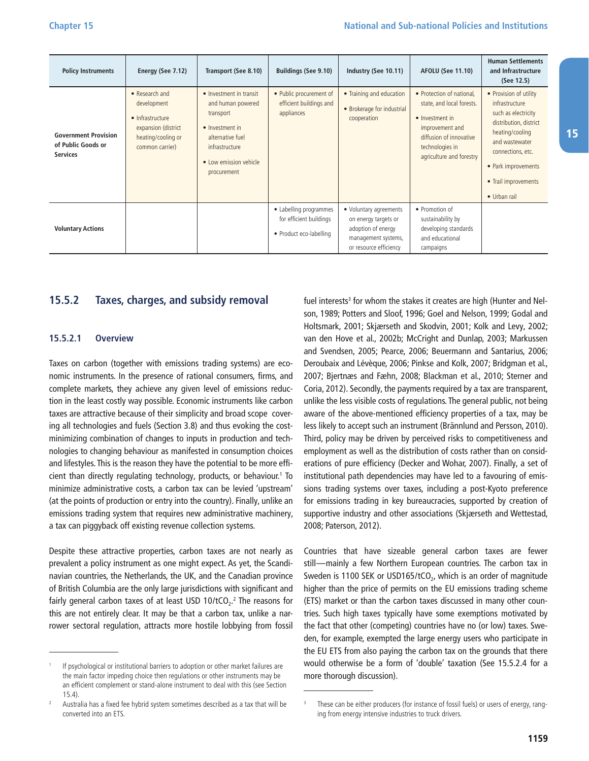<span id="page-18-0"></span>

| <b>Policy Instruments</b>                                            | Energy (See 7.12)                                                                                                 | Transport (See 8.10)                                                                                                                                        | <b>Buildings (See 9.10)</b>                                                  | Industry (See 10.11)                                                                                                  | <b>AFOLU (See 11.10)</b>                                                                                                                                               | <b>Human Settlements</b><br>and Infrastructure<br>(See 12.5)                                                                                                                                                       |
|----------------------------------------------------------------------|-------------------------------------------------------------------------------------------------------------------|-------------------------------------------------------------------------------------------------------------------------------------------------------------|------------------------------------------------------------------------------|-----------------------------------------------------------------------------------------------------------------------|------------------------------------------------------------------------------------------------------------------------------------------------------------------------|--------------------------------------------------------------------------------------------------------------------------------------------------------------------------------------------------------------------|
| <b>Government Provision</b><br>of Public Goods or<br><b>Services</b> | • Research and<br>development<br>• Infrastructure<br>expansion (district<br>heating/cooling or<br>common carrier) | • Investment in transit<br>and human powered<br>transport<br>• Investment in<br>alternative fuel<br>infrastructure<br>• Low emission vehicle<br>procurement | • Public procurement of<br>efficient buildings and<br>appliances             | • Training and education<br>• Brokerage for industrial<br>cooperation                                                 | • Protection of national,<br>state, and local forests.<br>• Investment in<br>improvement and<br>diffusion of innovative<br>technologies in<br>agriculture and forestry | • Provision of utility<br>infrastructure<br>such as electricity<br>distribution, district<br>heating/cooling<br>and wastewater<br>connections, etc.<br>• Park improvements<br>• Trail improvements<br>• Urban rail |
| <b>Voluntary Actions</b>                                             |                                                                                                                   |                                                                                                                                                             | • Labelling programmes<br>for efficient buildings<br>• Product eco-labelling | • Voluntary agreements<br>on energy targets or<br>adoption of energy<br>management systems,<br>or resource efficiency | • Promotion of<br>sustainability by<br>developing standards<br>and educational<br>campaigns                                                                            |                                                                                                                                                                                                                    |

#### **15.5.2 Taxes, charges, and subsidy removal**

#### **15.5.2.1 Overview**

Taxes on carbon (together with emissions trading systems) are economic instruments. In the presence of rational consumers, firms, and complete markets, they achieve any given level of emissions reduction in the least costly way possible. Economic instruments like carbon taxes are attractive because of their simplicity and broad scope covering all technologies and fuels (Section 3.8) and thus evoking the costminimizing combination of changes to inputs in production and technologies to changing behaviour as manifested in consumption choices and lifestyles. This is the reason they have the potential to be more efficient than directly regulating technology, products, or behaviour.1 To minimize administrative costs, a carbon tax can be levied 'upstream' (at the points of production or entry into the country). Finally, unlike an emissions trading system that requires new administrative machinery, a tax can piggyback off existing revenue collection systems.

Despite these attractive properties, carbon taxes are not nearly as prevalent a policy instrument as one might expect. As yet, the Scandinavian countries, the Netherlands, the UK, and the Canadian province of British Columbia are the only large jurisdictions with significant and fairly general carbon taxes of at least USD 10/tCO $_2$ . $^2$  The reasons for this are not entirely clear. It may be that a carbon tax, unlike a narrower sectoral regulation, attracts more hostile lobbying from fossil

fuel interests<sup>3</sup> for whom the stakes it creates are high (Hunter and Nelson, 1989; Potters and Sloof, 1996; Goel and Nelson, 1999; Godal and Holtsmark, 2001; Skjærseth and Skodvin, 2001; Kolk and Levy, 2002; van den Hove et al., 2002b; McCright and Dunlap, 2003; Markussen and Svendsen, 2005; Pearce, 2006; Beuermann and Santarius, 2006; Deroubaix and Lévèque, 2006; Pinkse and Kolk, 2007; Bridgman et al., 2007; Bjertnæs and Fæhn, 2008; Blackman et al., 2010; Sterner and Coria, 2012). Secondly, the payments required by a tax are transparent, unlike the less visible costs of regulations. The general public, not being aware of the above-mentioned efficiency properties of a tax, may be less likely to accept such an instrument (Brännlund and Persson, 2010). Third, policy may be driven by perceived risks to competitiveness and employment as well as the distribution of costs rather than on considerations of pure efficiency (Decker and Wohar, 2007). Finally, a set of institutional path dependencies may have led to a favouring of emissions trading systems over taxes, including a post-Kyoto preference for emissions trading in key bureaucracies, supported by creation of supportive industry and other associations (Skjærseth and Wettestad, 2008; Paterson, 2012).

Countries that have sizeable general carbon taxes are fewer still—mainly a few Northern European countries. The carbon tax in Sweden is 1100 SEK or USD165/tCO<sub>2</sub>, which is an order of magnitude higher than the price of permits on the EU emissions trading scheme (ETS) market or than the carbon taxes discussed in many other countries. Such high taxes typically have some exemptions motivated by the fact that other (competing) countries have no (or low) taxes. Sweden, for example, exempted the large energy users who participate in the EU ETS from also paying the carbon tax on the grounds that there would otherwise be a form of 'double' taxation (See 15.5.2.4 for a more thorough discussion).

15

If psychological or institutional barriers to adoption or other market failures are the main factor impeding choice then regulations or other instruments may be an efficient complement or stand-alone instrument to deal with this (see Section 15.4).<br>Australia has a fixed fee hybrid system sometimes described as a tax that will be

converted into an ETS.

These can be either producers (for instance of fossil fuels) or users of energy, ranging from energy intensive industries to truck drivers.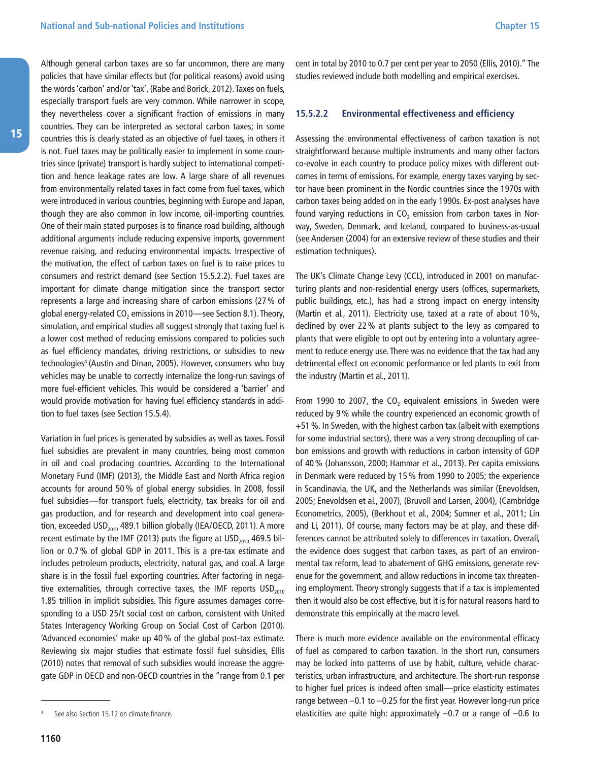<span id="page-19-0"></span>Although general carbon taxes are so far uncommon, there are many policies that have similar effects but (for political reasons) avoid using the words 'carbon' and/or 'tax', (Rabe and Borick, 2012). Taxes on fuels, especially transport fuels are very common. While narrower in scope, they nevertheless cover a significant fraction of emissions in many countries. They can be interpreted as sectoral carbon taxes; in some countries this is clearly stated as an objective of fuel taxes, in others it is not. Fuel taxes may be politically easier to implement in some countries since (private) transport is hardly subject to international competition and hence leakage rates are low. A large share of all revenues from environmentally related taxes in fact come from fuel taxes, which were introduced in various countries, beginning with Europe and Japan, though they are also common in low income, oil-importing countries. One of their main stated purposes is to finance road building, although additional arguments include reducing expensive imports, government revenue raising, and reducing environmental impacts. Irrespective of the motivation, the effect of carbon taxes on fuel is to raise prices to consumers and restrict demand (see Section 15.5.2.2). Fuel taxes are important for climate change mitigation since the transport sector represents a large and increasing share of carbon emissions (27% of global energy-related  $CO<sub>2</sub>$  emissions in 2010—see Section 8.1). Theory, simulation, and empirical studies all suggest strongly that taxing fuel is a lower cost method of reducing emissions compared to policies such as fuel efficiency mandates, driving restrictions, or subsidies to new technologies<sup>4</sup> (Austin and Dinan, 2005). However, consumers who buy vehicles may be unable to correctly internalize the long-run savings of more fuel-efficient vehicles. This would be considered a 'barrier' and would provide motivation for having fuel efficiency standards in addition to fuel taxes (see Section 15.5.4).

Variation in fuel prices is generated by subsidies as well as taxes. Fossil fuel subsidies are prevalent in many countries, being most common in oil and coal producing countries. According to the International Monetary Fund (IMF) (2013), the Middle East and North Africa region accounts for around 50% of global energy subsidies. In 2008, fossil fuel subsidies—for transport fuels, electricity, tax breaks for oil and gas production, and for research and development into coal generation, exceeded USD<sub>2010</sub> 489.1 billion globally (IEA/OECD, 2011). A more recent estimate by the IMF (2013) puts the figure at  $\text{USD}_{\text{2010}}$  469.5 billion or 0.7% of global GDP in 2011. This is a pre-tax estimate and includes petroleum products, electricity, natural gas, and coal. A large share is in the fossil fuel exporting countries. After factoring in negative externalities, through corrective taxes, the IMF reports  $\text{USD}_{2010}$ 1.85 trillion in implicit subsidies. This figure assumes damages corresponding to a USD 25/t social cost on carbon, consistent with United States Interagency Working Group on Social Cost of Carbon (2010). 'Advanced economies' make up 40% of the global post-tax estimate. Reviewing six major studies that estimate fossil fuel subsidies, Ellis (2010) notes that removal of such subsidies would increase the aggregate GDP in OECD and non-OECD countries in the "range from 0.1 per cent in total by 2010 to 0.7 per cent per year to 2050 (Ellis, 2010)." The studies reviewed include both modelling and empirical exercises.

#### **15.5.2.2 Environmental effectiveness and efficiency**

Assessing the environmental effectiveness of carbon taxation is not straightforward because multiple instruments and many other factors co-evolve in each country to produce policy mixes with different outcomes in terms of emissions. For example, energy taxes varying by sector have been prominent in the Nordic countries since the 1970s with carbon taxes being added on in the early 1990s. Ex-post analyses have found varying reductions in  $CO<sub>2</sub>$  emission from carbon taxes in Norway, Sweden, Denmark, and Iceland, compared to business-as-usual (see Andersen (2004) for an extensive review of these studies and their estimation techniques).

The UK's Climate Change Levy (CCL), introduced in 2001 on manufacturing plants and non-residential energy users (offices, supermarkets, public buildings, etc.), has had a strong impact on energy intensity (Martin et al., 2011). Electricity use, taxed at a rate of about 10%, declined by over 22% at plants subject to the levy as compared to plants that were eligible to opt out by entering into a voluntary agreement to reduce energy use. There was no evidence that the tax had any detrimental effect on economic performance or led plants to exit from the industry (Martin et al., 2011).

From 1990 to 2007, the  $CO<sub>2</sub>$  equivalent emissions in Sweden were reduced by 9% while the country experienced an economic growth of +51%. In Sweden, with the highest carbon tax (albeit with exemptions for some industrial sectors), there was a very strong decoupling of carbon emissions and growth with reductions in carbon intensity of GDP of 40% (Johansson, 2000; Hammar et al., 2013). Per capita emissions in Denmark were reduced by 15% from 1990 to 2005; the experience in Scandinavia, the UK, and the Netherlands was similar (Enevoldsen, 2005; Enevoldsen et al., 2007), (Bruvoll and Larsen, 2004), (Cambridge Econometrics, 2005), (Berkhout et al., 2004; Sumner et al., 2011; Lin and Li, 2011). Of course, many factors may be at play, and these differences cannot be attributed solely to differences in taxation. Overall, the evidence does suggest that carbon taxes, as part of an environmental tax reform, lead to abatement of GHG emissions, generate revenue for the government, and allow reductions in income tax threatening employment. Theory strongly suggests that if a tax is implemented then it would also be cost effective, but it is for natural reasons hard to demonstrate this empirically at the macro level.

There is much more evidence available on the environmental efficacy of fuel as compared to carbon taxation. In the short run, consumers may be locked into patterns of use by habit, culture, vehicle characteristics, urban infrastructure, and architecture. The short-run response to higher fuel prices is indeed often small—price elasticity estimates range between –0.1 to –0.25 for the first year. However long-run price elasticities are quite high: approximately –0.7 or a range of –0.6 to

See also Section 15.12 on climate finance.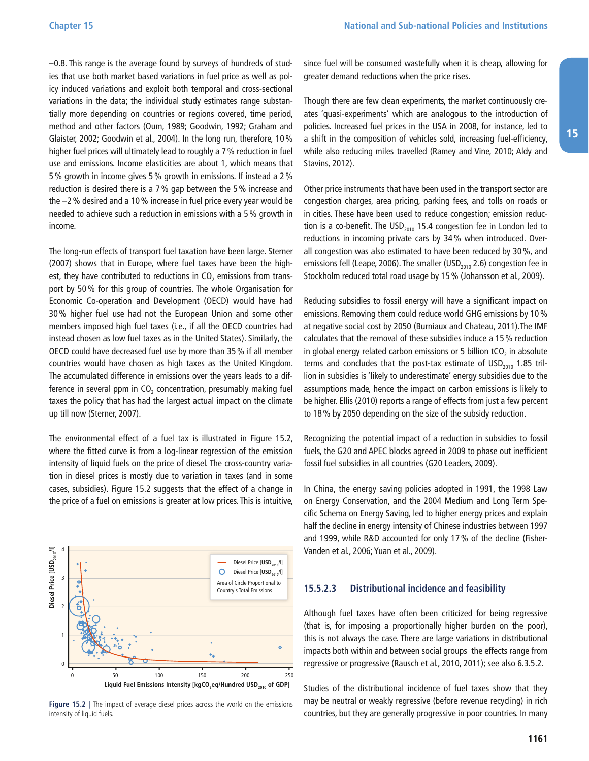<span id="page-20-0"></span>–0.8. This range is the average found by surveys of hundreds of studies that use both market based variations in fuel price as well as policy induced variations and exploit both temporal and cross-sectional variations in the data; the individual study estimates range substantially more depending on countries or regions covered, time period, method and other factors (Oum, 1989; Goodwin, 1992; Graham and Glaister, 2002; Goodwin et al., 2004). In the long run, therefore, 10% higher fuel prices will ultimately lead to roughly a 7% reduction in fuel use and emissions. Income elasticities are about 1, which means that 5% growth in income gives 5% growth in emissions. If instead a 2% reduction is desired there is a 7% gap between the 5% increase and the –2% desired and a 10% increase in fuel price every year would be needed to achieve such a reduction in emissions with a 5% growth in income.

The long-run effects of transport fuel taxation have been large. Sterner (2007) shows that in Europe, where fuel taxes have been the highest, they have contributed to reductions in  $CO<sub>2</sub>$  emissions from transport by 50% for this group of countries. The whole Organisation for Economic Co-operation and Development (OECD) would have had 30% higher fuel use had not the European Union and some other members imposed high fuel taxes (i.e., if all the OECD countries had instead chosen as low fuel taxes as in the United States). Similarly, the OECD could have decreased fuel use by more than 35% if all member countries would have chosen as high taxes as the United Kingdom. The accumulated difference in emissions over the years leads to a difference in several ppm in  $CO<sub>2</sub>$  concentration, presumably making fuel taxes the policy that has had the largest actual impact on the climate up till now (Sterner, 2007).

The environmental effect of a fuel tax is illustrated in Figure 15.2, where the fitted curve is from a log-linear regression of the emission intensity of liquid fuels on the price of diesel. The cross-country variation in diesel prices is mostly due to variation in taxes (and in some cases, subsidies). Figure 15.2 suggests that the effect of a change in the price of a fuel on emissions is greater at low prices. This is intuitive,



**Figure 15.2 |** The impact of average diesel prices across the world on the emissions

since fuel will be consumed wastefully when it is cheap, allowing for greater demand reductions when the price rises.

Though there are few clean experiments, the market continuously creates 'quasi-experiments' which are analogous to the introduction of policies. Increased fuel prices in the USA in 2008, for instance, led to a shift in the composition of vehicles sold, increasing fuel-efficiency, while also reducing miles travelled (Ramey and Vine, 2010; Aldy and Stavins, 2012).

Other price instruments that have been used in the transport sector are congestion charges, area pricing, parking fees, and tolls on roads or in cities. These have been used to reduce congestion; emission reduction is a co-benefit. The USD $_{2010}$  15.4 congestion fee in London led to reductions in incoming private cars by 34% when introduced. Overall congestion was also estimated to have been reduced by 30%, and emissions fell (Leape, 2006). The smaller (USD<sub>2010</sub> 2.6) congestion fee in Stockholm reduced total road usage by 15% (Johansson et al., 2009).

Reducing subsidies to fossil energy will have a significant impact on emissions. Removing them could reduce world GHG emissions by 10% at negative social cost by 2050 (Burniaux and Chateau, 2011).The IMF calculates that the removal of these subsidies induce a 15% reduction in global energy related carbon emissions or 5 billion  $tCO<sub>2</sub>$  in absolute terms and concludes that the post-tax estimate of  $\text{USD}_{2010}$  1.85 trillion in subsidies is 'likely to underestimate' energy subsidies due to the assumptions made, hence the impact on carbon emissions is likely to be higher. Ellis (2010) reports a range of effects from just a few percent to 18% by 2050 depending on the size of the subsidy reduction.

Recognizing the potential impact of a reduction in subsidies to fossil fuels, the G20 and APEC blocks agreed in 2009 to phase out inefficient fossil fuel subsidies in all countries (G20 Leaders, 2009).

In China, the energy saving policies adopted in 1991, the 1998 Law on Energy Conservation, and the 2004 Medium and Long Term Specific Schema on Energy Saving, led to higher energy prices and explain half the decline in energy intensity of Chinese industries between 1997 and 1999, while R&D accounted for only 17% of the decline (Fisher-Vanden et al., 2006; Yuan et al., 2009).

#### **15.5.2.3 Distributional incidence and feasibility**

Although fuel taxes have often been criticized for being regressive (that is, for imposing a proportionally higher burden on the poor), this is not always the case. There are large variations in distributional impacts both within and between social groups the effects range from regressive or progressive (Rausch et al., 2010, 2011); see also 6.3.5.2.

Studies of the distributional incidence of fuel taxes show that they may be neutral or weakly regressive (before revenue recycling) in rich countries, but they are generally progressive in poor countries. In many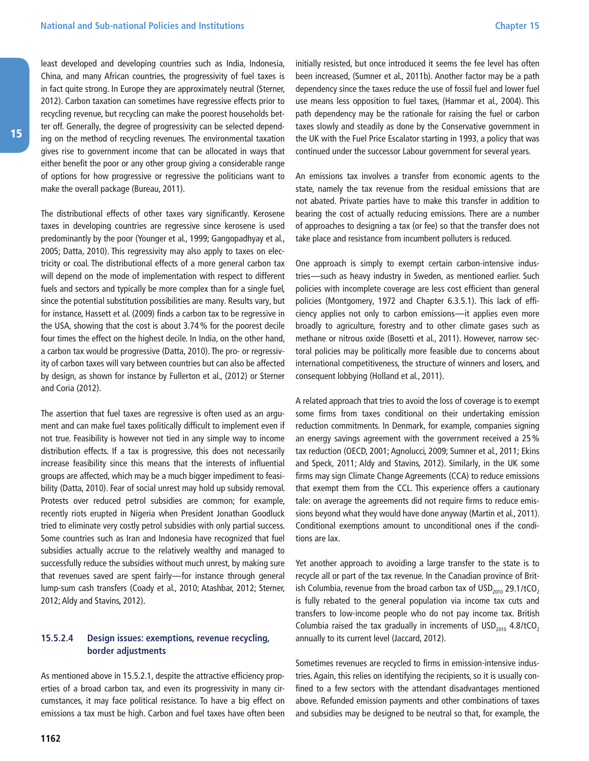<span id="page-21-0"></span>least developed and developing countries such as India, Indonesia, China, and many African countries, the progressivity of fuel taxes is in fact quite strong. In Europe they are approximately neutral (Sterner, 2012). Carbon taxation can sometimes have regressive effects prior to recycling revenue, but recycling can make the poorest households better off. Generally, the degree of progressivity can be selected depending on the method of recycling revenues. The environmental taxation gives rise to government income that can be allocated in ways that either benefit the poor or any other group giving a considerable range of options for how progressive or regressive the politicians want to make the overall package (Bureau, 2011).

The distributional effects of other taxes vary significantly. Kerosene taxes in developing countries are regressive since kerosene is used predominantly by the poor (Younger et al., 1999; Gangopadhyay et al., 2005; Datta, 2010). This regressivity may also apply to taxes on electricity or coal. The distributional effects of a more general carbon tax will depend on the mode of implementation with respect to different fuels and sectors and typically be more complex than for a single fuel, since the potential substitution possibilities are many. Results vary, but for instance, Hassett et al. (2009) finds a carbon tax to be regressive in the USA, showing that the cost is about 3.74% for the poorest decile four times the effect on the highest decile. In India, on the other hand, a carbon tax would be progressive (Datta, 2010). The pro- or regressivity of carbon taxes will vary between countries but can also be affected by design, as shown for instance by Fullerton et al., (2012) or Sterner and Coria (2012).

The assertion that fuel taxes are regressive is often used as an argument and can make fuel taxes politically difficult to implement even if not true. Feasibility is however not tied in any simple way to income distribution effects. If a tax is progressive, this does not necessarily increase feasibility since this means that the interests of influential groups are affected, which may be a much bigger impediment to feasibility (Datta, 2010). Fear of social unrest may hold up subsidy removal. Protests over reduced petrol subsidies are common; for example, recently riots erupted in Nigeria when President Jonathan Goodluck tried to eliminate very costly petrol subsidies with only partial success. Some countries such as Iran and Indonesia have recognized that fuel subsidies actually accrue to the relatively wealthy and managed to successfully reduce the subsidies without much unrest, by making sure that revenues saved are spent fairly—for instance through general lump-sum cash transfers (Coady et al., 2010; Atashbar, 2012; Sterner, 2012; Aldy and Stavins, 2012).

#### **15.5.2.4 Design issues: exemptions, revenue recycling, border adjustments**

As mentioned above in 15.5.2.1, despite the attractive efficiency properties of a broad carbon tax, and even its progressivity in many circumstances, it may face political resistance. To have a big effect on emissions a tax must be high. Carbon and fuel taxes have often been initially resisted, but once introduced it seems the fee level has often been increased, (Sumner et al., 2011b). Another factor may be a path dependency since the taxes reduce the use of fossil fuel and lower fuel use means less opposition to fuel taxes, (Hammar et al., 2004). This path dependency may be the rationale for raising the fuel or carbon taxes slowly and steadily as done by the Conservative government in the UK with the Fuel Price Escalator starting in 1993, a policy that was continued under the successor Labour government for several years.

An emissions tax involves a transfer from economic agents to the state, namely the tax revenue from the residual emissions that are not abated. Private parties have to make this transfer in addition to bearing the cost of actually reducing emissions. There are a number of approaches to designing a tax (or fee) so that the transfer does not take place and resistance from incumbent polluters is reduced.

One approach is simply to exempt certain carbon-intensive industries—such as heavy industry in Sweden, as mentioned earlier. Such policies with incomplete coverage are less cost efficient than general policies (Montgomery, 1972 and Chapter 6.3.5.1). This lack of efficiency applies not only to carbon emissions—it applies even more broadly to agriculture, forestry and to other climate gases such as methane or nitrous oxide (Bosetti et al., 2011). However, narrow sectoral policies may be politically more feasible due to concerns about international competitiveness, the structure of winners and losers, and consequent lobbying (Holland et al., 2011).

A related approach that tries to avoid the loss of coverage is to exempt some firms from taxes conditional on their undertaking emission reduction commitments. In Denmark, for example, companies signing an energy savings agreement with the government received a 25% tax reduction (OECD, 2001; Agnolucci, 2009; Sumner et al., 2011; Ekins and Speck, 2011; Aldy and Stavins, 2012). Similarly, in the UK some firms may sign Climate Change Agreements (CCA) to reduce emissions that exempt them from the CCL. This experience offers a cautionary tale: on average the agreements did not require firms to reduce emissions beyond what they would have done anyway (Martin et al., 2011). Conditional exemptions amount to unconditional ones if the conditions are lax.

Yet another approach to avoiding a large transfer to the state is to recycle all or part of the tax revenue. In the Canadian province of British Columbia, revenue from the broad carbon tax of  $\text{USD}_{2010}$  29.1/tCO<sub>2</sub> is fully rebated to the general population via income tax cuts and transfers to low-income people who do not pay income tax. British Columbia raised the tax gradually in increments of  $USD<sub>2010</sub>$  4.8/tCO<sub>2</sub> annually to its current level (Jaccard, 2012).

Sometimes revenues are recycled to firms in emission-intensive industries. Again, this relies on identifying the recipients, so it is usually confined to a few sectors with the attendant disadvantages mentioned above. Refunded emission payments and other combinations of taxes and subsidies may be designed to be neutral so that, for example, the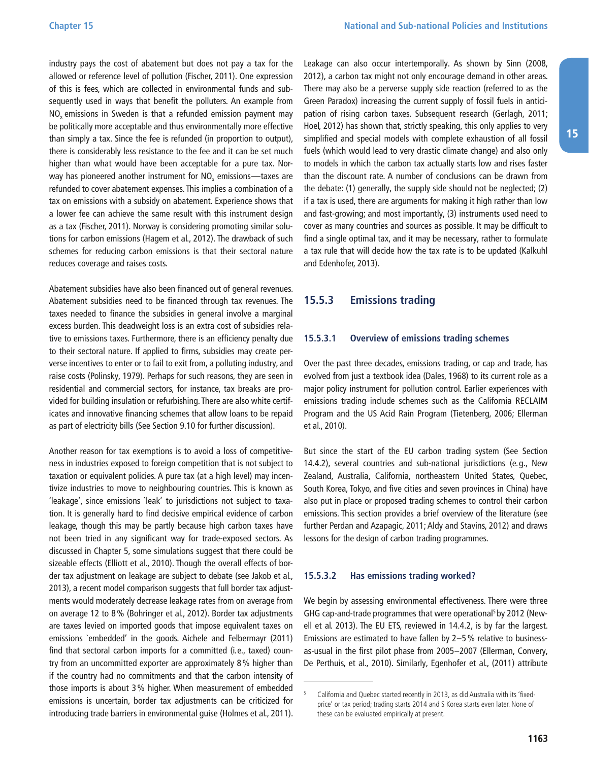<span id="page-22-0"></span>industry pays the cost of abatement but does not pay a tax for the allowed or reference level of pollution (Fischer, 2011). One expression of this is fees, which are collected in environmental funds and subsequently used in ways that benefit the polluters. An example from  $NO<sub>x</sub>$  emissions in Sweden is that a refunded emission payment may be politically more acceptable and thus environmentally more effective than simply a tax. Since the fee is refunded (in proportion to output), there is considerably less resistance to the fee and it can be set much higher than what would have been acceptable for a pure tax. Norway has pioneered another instrument for  $NO<sub>x</sub>$  emissions—taxes are refunded to cover abatement expenses. This implies a combination of a tax on emissions with a subsidy on abatement. Experience shows that a lower fee can achieve the same result with this instrument design as a tax (Fischer, 2011). Norway is considering promoting similar solutions for carbon emissions (Hagem et al., 2012). The drawback of such schemes for reducing carbon emissions is that their sectoral nature reduces coverage and raises costs.

Abatement subsidies have also been financed out of general revenues. Abatement subsidies need to be financed through tax revenues. The taxes needed to finance the subsidies in general involve a marginal excess burden. This deadweight loss is an extra cost of subsidies relative to emissions taxes. Furthermore, there is an efficiency penalty due to their sectoral nature. If applied to firms, subsidies may create perverse incentives to enter or to fail to exit from, a polluting industry, and raise costs (Polinsky, 1979). Perhaps for such reasons, they are seen in residential and commercial sectors, for instance, tax breaks are provided for building insulation or refurbishing. There are also white certificates and innovative financing schemes that allow loans to be repaid as part of electricity bills (See Section 9.10 for further discussion).

Another reason for tax exemptions is to avoid a loss of competitiveness in industries exposed to foreign competition that is not subject to taxation or equivalent policies. A pure tax (at a high level) may incentivize industries to move to neighbouring countries. This is known as 'leakage', since emissions `leak' to jurisdictions not subject to taxation. It is generally hard to find decisive empirical evidence of carbon leakage, though this may be partly because high carbon taxes have not been tried in any significant way for trade-exposed sectors. As discussed in Chapter 5, some simulations suggest that there could be sizeable effects (Elliott et al., 2010). Though the overall effects of border tax adjustment on leakage are subject to debate (see Jakob et al., 2013), a recent model comparison suggests that full border tax adjustments would moderately decrease leakage rates from on average from on average 12 to 8% (Bohringer et al., 2012). Border tax adjustments are taxes levied on imported goods that impose equivalent taxes on emissions `embedded' in the goods. Aichele and Felbermayr (2011) find that sectoral carbon imports for a committed (i.e., taxed) country from an uncommitted exporter are approximately 8% higher than if the country had no commitments and that the carbon intensity of those imports is about 3% higher. When measurement of embedded emissions is uncertain, border tax adjustments can be criticized for introducing trade barriers in environmental guise (Holmes et al., 2011). Leakage can also occur intertemporally. As shown by Sinn (2008, 2012), a carbon tax might not only encourage demand in other areas. There may also be a perverse supply side reaction (referred to as the Green Paradox) increasing the current supply of fossil fuels in anticipation of rising carbon taxes. Subsequent research (Gerlagh, 2011; Hoel, 2012) has shown that, strictly speaking, this only applies to very simplified and special models with complete exhaustion of all fossil fuels (which would lead to very drastic climate change) and also only to models in which the carbon tax actually starts low and rises faster than the discount rate. A number of conclusions can be drawn from the debate: (1) generally, the supply side should not be neglected; (2) if a tax is used, there are arguments for making it high rather than low and fast-growing; and most importantly, (3) instruments used need to cover as many countries and sources as possible. It may be difficult to find a single optimal tax, and it may be necessary, rather to formulate a tax rule that will decide how the tax rate is to be updated (Kalkuhl and Edenhofer, 2013).

#### **15.5.3 Emissions trading**

#### **15.5.3.1 Overview of emissions trading schemes**

Over the past three decades, emissions trading, or cap and trade, has evolved from just a textbook idea (Dales, 1968) to its current role as a major policy instrument for pollution control. Earlier experiences with emissions trading include schemes such as the California RECLAIM Program and the US Acid Rain Program (Tietenberg, 2006; Ellerman et al., 2010).

But since the start of the EU carbon trading system (See Section 14.4.2), several countries and sub-national jurisdictions (e.g., New Zealand, Australia, California, northeastern United States, Quebec, South Korea, Tokyo, and five cities and seven provinces in China) have also put in place or proposed trading schemes to control their carbon emissions. This section provides a brief overview of the literature (see further Perdan and Azapagic, 2011; Aldy and Stavins, 2012) and draws lessons for the design of carbon trading programmes.

#### **15.5.3.2 Has emissions trading worked?**

We begin by assessing environmental effectiveness. There were three GHG cap-and-trade programmes that were operational<sup>5</sup> by 2012 (Newell et al. 2013). The EU ETS, reviewed in 14.4.2, is by far the largest. Emissions are estimated to have fallen by 2–5% relative to businessas-usual in the first pilot phase from 2005–2007 (Ellerman, Convery, De Perthuis, et al., 2010). Similarly, Egenhofer et al., (2011) attribute

California and Quebec started recently in 2013, as did Australia with its 'fixedprice' or tax period; trading starts 2014 and S Korea starts even later. None of these can be evaluated empirically at present.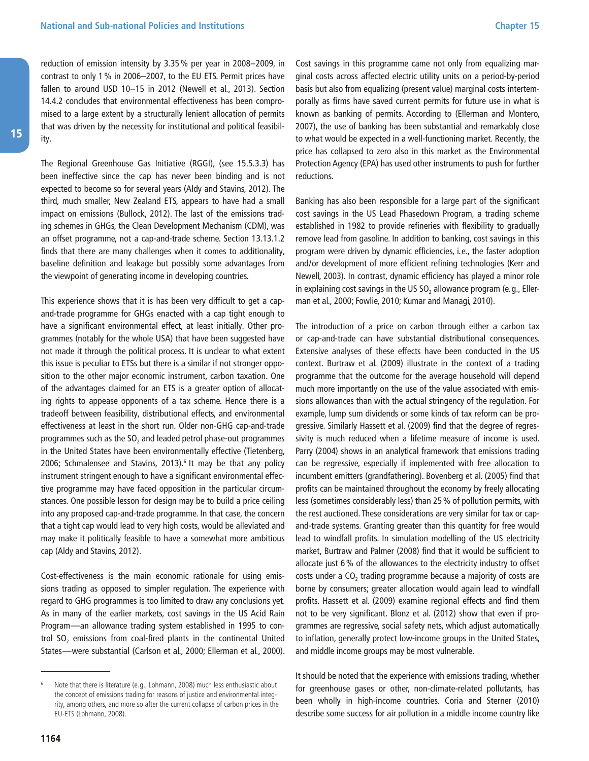reduction of emission intensity by 3.35% per year in 2008–2009, in contrast to only 1% in 2006–2007, to the EU ETS. Permit prices have fallen to around USD 10-15 in 2012 (Newell et al., 2013). Section 14.4.2 concludes that environmental effectiveness has been compromised to a large extent by a structurally lenient allocation of permits that was driven by the necessity for institutional and political feasibility.

The Regional Greenhouse Gas Initiative (RGGI), (see 15.5.3.3) has been ineffective since the cap has never been binding and is not expected to become so for several years (Aldy and Stavins, 2012). The third, much smaller, New Zealand ETS, appears to have had a small impact on emissions (Bullock, 2012). The last of the emissions trading schemes in GHGs, the Clean Development Mechanism (CDM), was an offset programme, not a cap-and-trade scheme. Section 13.13.1.2 finds that there are many challenges when it comes to additionality, baseline definition and leakage but possibly some advantages from the viewpoint of generating income in developing countries.

This experience shows that it is has been very difficult to get a capand-trade programme for GHGs enacted with a cap tight enough to have a significant environmental effect, at least initially. Other programmes (notably for the whole USA) that have been suggested have not made it through the political process. It is unclear to what extent this issue is peculiar to ETSs but there is a similar if not stronger opposition to the other major economic instrument, carbon taxation. One of the advantages claimed for an ETS is a greater option of allocating rights to appease opponents of a tax scheme. Hence there is a tradeoff between feasibility, distributional effects, and environmental effectiveness at least in the short run. Older non-GHG cap-and-trade programmes such as the SO<sub>2</sub> and leaded petrol phase-out programmes in the United States have been environmentally effective (Tietenberg, 2006; Schmalensee and Stavins, 2013).<sup>6</sup> It may be that any policy instrument stringent enough to have a significant environmental effective programme may have faced opposition in the particular circumstances. One possible lesson for design may be to build a price ceiling into any proposed cap-and-trade programme. In that case, the concern that a tight cap would lead to very high costs, would be alleviated and may make it politically feasible to have a somewhat more ambitious cap (Aldy and Stavins, 2012).

Cost-effectiveness is the main economic rationale for using emissions trading as opposed to simpler regulation. The experience with regard to GHG programmes is too limited to draw any conclusions yet. As in many of the earlier markets, cost savings in the US Acid Rain Program—an allowance trading system established in 1995 to control  $SO<sub>2</sub>$  emissions from coal-fired plants in the continental United States—were substantial (Carlson et al., 2000; Ellerman et al., 2000). Cost savings in this programme came not only from equalizing marginal costs across affected electric utility units on a period-by-period basis but also from equalizing (present value) marginal costs intertemporally as firms have saved current permits for future use in what is known as banking of permits. According to (Ellerman and Montero, 2007), the use of banking has been substantial and remarkably close to what would be expected in a well-functioning market. Recently, the price has collapsed to zero also in this market as the Environmental Protection Agency (EPA) has used other instruments to push for further reductions.

Banking has also been responsible for a large part of the significant cost savings in the US Lead Phasedown Program, a trading scheme established in 1982 to provide refineries with flexibility to gradually remove lead from gasoline. In addition to banking, cost savings in this program were driven by dynamic efficiencies, i.e., the faster adoption and/or development of more efficient refining technologies (Kerr and Newell, 2003). In contrast, dynamic efficiency has played a minor role in explaining cost savings in the US  $SO<sub>2</sub>$  allowance program (e.g., Ellerman et al., 2000; Fowlie, 2010; Kumar and Managi, 2010).

The introduction of a price on carbon through either a carbon tax or cap-and-trade can have substantial distributional consequences. Extensive analyses of these effects have been conducted in the US context. Burtraw et al. (2009) illustrate in the context of a trading programme that the outcome for the average household will depend much more importantly on the use of the value associated with emissions allowances than with the actual stringency of the regulation. For example, lump sum dividends or some kinds of tax reform can be progressive. Similarly Hassett et al. (2009) find that the degree of regressivity is much reduced when a lifetime measure of income is used. Parry (2004) shows in an analytical framework that emissions trading can be regressive, especially if implemented with free allocation to incumbent emitters (grandfathering). Bovenberg et al. (2005) find that profits can be maintained throughout the economy by freely allocating less (sometimes considerably less) than 25% of pollution permits, with the rest auctioned. These considerations are very similar for tax or capand-trade systems. Granting greater than this quantity for free would lead to windfall profits. In simulation modelling of the US electricity market, Burtraw and Palmer (2008) find that it would be sufficient to allocate just 6% of the allowances to the electricity industry to offset costs under a  $CO<sub>2</sub>$  trading programme because a majority of costs are borne by consumers; greater allocation would again lead to windfall profits. Hassett et al. (2009) examine regional effects and find them not to be very significant. Blonz et al. (2012) show that even if programmes are regressive, social safety nets, which adjust automatically to inflation, generally protect low-income groups in the United States, and middle income groups may be most vulnerable.

It should be noted that the experience with emissions trading, whether for greenhouse gases or other, non-climate-related pollutants, has been wholly in high-income countries. Coria and Sterner (2010) describe some success for air pollution in a middle income country like

Note that there is literature (e.g., Lohmann, 2008) much less enthusiastic about the concept of emissions trading for reasons of justice and environmental integrity, among others, and more so after the current collapse of carbon prices in the EU-ETS (Lohmann, 2008).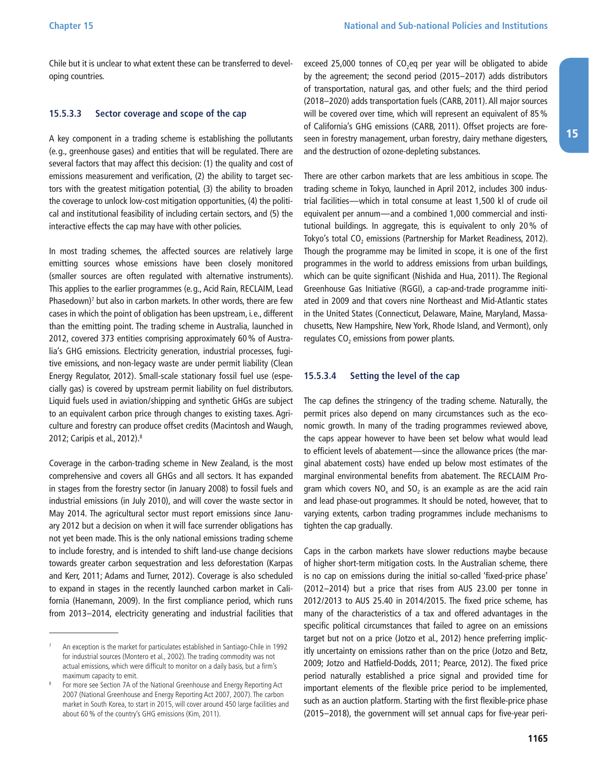<span id="page-24-0"></span>Chile but it is unclear to what extent these can be transferred to developing countries.

#### **15.5.3.3 Sector coverage and scope of the cap**

A key component in a trading scheme is establishing the pollutants (e.g., greenhouse gases) and entities that will be regulated. There are several factors that may affect this decision: (1) the quality and cost of emissions measurement and verification, (2) the ability to target sectors with the greatest mitigation potential, (3) the ability to broaden the coverage to unlock low-cost mitigation opportunities, (4) the political and institutional feasibility of including certain sectors, and (5) the interactive effects the cap may have with other policies.

In most trading schemes, the affected sources are relatively large emitting sources whose emissions have been closely monitored (smaller sources are often regulated with alternative instruments). This applies to the earlier programmes (e.g., Acid Rain, RECLAIM, Lead Phasedown)<sup>7</sup> but also in carbon markets. In other words, there are few cases in which the point of obligation has been upstream, i.e., different than the emitting point. The trading scheme in Australia, launched in 2012, covered 373 entities comprising approximately 60% of Australia's GHG emissions. Electricity generation, industrial processes, fugitive emissions, and non-legacy waste are under permit liability (Clean Energy Regulator, 2012). Small-scale stationary fossil fuel use (especially gas) is covered by upstream permit liability on fuel distributors. Liquid fuels used in aviation/shipping and synthetic GHGs are subject to an equivalent carbon price through changes to existing taxes. Agriculture and forestry can produce offset credits (Macintosh and Waugh, 2012; Caripis et al., 2012).8

Coverage in the carbon-trading scheme in New Zealand, is the most comprehensive and covers all GHGs and all sectors. It has expanded in stages from the forestry sector (in January 2008) to fossil fuels and industrial emissions (in July 2010), and will cover the waste sector in May 2014. The agricultural sector must report emissions since January 2012 but a decision on when it will face surrender obligations has not yet been made. This is the only national emissions trading scheme to include forestry, and is intended to shift land-use change decisions towards greater carbon sequestration and less deforestation (Karpas and Kerr, 2011; Adams and Turner, 2012). Coverage is also scheduled to expand in stages in the recently launched carbon market in California (Hanemann, 2009). In the first compliance period, which runs from 2013–2014, electricity generating and industrial facilities that exceed 25,000 tonnes of  $CO<sub>2</sub>$ eq per year will be obligated to abide by the agreement; the second period (2015–2017) adds distributors of transportation, natural gas, and other fuels; and the third period (2018–2020) adds transportation fuels (CARB, 2011). All major sources will be covered over time, which will represent an equivalent of 85% of California's GHG emissions (CARB, 2011). Offset projects are foreseen in forestry management, urban forestry, dairy methane digesters, and the destruction of ozone-depleting substances.

There are other carbon markets that are less ambitious in scope. The trading scheme in Tokyo, launched in April 2012, includes 300 industrial facilities—which in total consume at least 1,500 kl of crude oil equivalent per annum—and a combined 1,000 commercial and institutional buildings. In aggregate, this is equivalent to only 20% of Tokyo's total CO<sub>2</sub> emissions (Partnership for Market Readiness, 2012). Though the programme may be limited in scope, it is one of the first programmes in the world to address emissions from urban buildings, which can be quite significant (Nishida and Hua, 2011). The Regional Greenhouse Gas Initiative (RGGI), a cap-and-trade programme initiated in 2009 and that covers nine Northeast and Mid-Atlantic states in the United States (Connecticut, Delaware, Maine, Maryland, Massachusetts, New Hampshire, New York, Rhode Island, and Vermont), only regulates  $CO<sub>2</sub>$  emissions from power plants.

#### **15.5.3.4 Setting the level of the cap**

The cap defines the stringency of the trading scheme. Naturally, the permit prices also depend on many circumstances such as the economic growth. In many of the trading programmes reviewed above, the caps appear however to have been set below what would lead to efficient levels of abatement—since the allowance prices (the marginal abatement costs) have ended up below most estimates of the marginal environmental benefits from abatement. The RECLAIM Program which covers  $NO<sub>x</sub>$  and  $SO<sub>2</sub>$  is an example as are the acid rain and lead phase-out programmes. It should be noted, however, that to varying extents, carbon trading programmes include mechanisms to tighten the cap gradually.

Caps in the carbon markets have slower reductions maybe because of higher short-term mitigation costs. In the Australian scheme, there is no cap on emissions during the initial so-called 'fixed-price phase' (2012–2014) but a price that rises from AUS 23.00 per tonne in 2012/2013 to AUS 25.40 in 2014/2015. The fixed price scheme, has many of the characteristics of a tax and offered advantages in the specific political circumstances that failed to agree on an emissions target but not on a price (Jotzo et al., 2012) hence preferring implicitly uncertainty on emissions rather than on the price (Jotzo and Betz, 2009; Jotzo and Hatfield-Dodds, 2011; Pearce, 2012). The fixed price period naturally established a price signal and provided time for important elements of the flexible price period to be implemented, such as an auction platform. Starting with the first flexible-price phase (2015–2018), the government will set annual caps for five-year peri-

<sup>7</sup> An exception is the market for particulates established in Santiago-Chile in 1992 for industrial sources (Montero et al., 2002). The trading commodity was not actual emissions, which were difficult to monitor on a daily basis, but a firm's maximum capacity to emit.

For more see Section 7A of the National Greenhouse and Energy Reporting Act 2007 (National Greenhouse and Energy Reporting Act 2007, 2007). The carbon market in South Korea, to start in 2015, will cover around 450 large facilities and about 60% of the country's GHG emissions (Kim, 2011).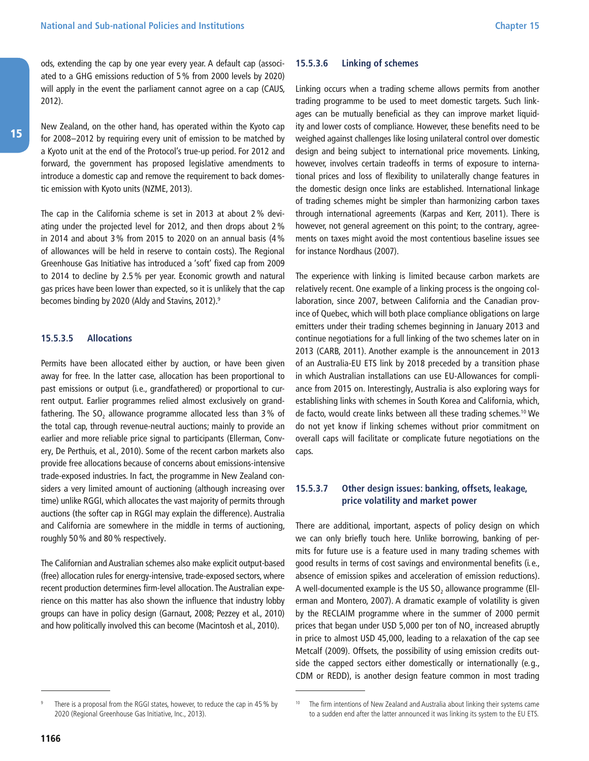<span id="page-25-0"></span>ods, extending the cap by one year every year. A default cap (associated to a GHG emissions reduction of 5% from 2000 levels by 2020) will apply in the event the parliament cannot agree on a cap (CAUS, 2012).

New Zealand, on the other hand, has operated within the Kyoto cap for 2008–2012 by requiring every unit of emission to be matched by a Kyoto unit at the end of the Protocol's true-up period. For 2012 and forward, the government has proposed legislative amendments to introduce a domestic cap and remove the requirement to back domestic emission with Kyoto units (NZME, 2013).

The cap in the California scheme is set in 2013 at about 2% deviating under the projected level for 2012, and then drops about 2% in 2014 and about 3% from 2015 to 2020 on an annual basis (4% of allowances will be held in reserve to contain costs). The Regional Greenhouse Gas Initiative has introduced a 'soft' fixed cap from 2009 to 2014 to decline by 2.5% per year. Economic growth and natural gas prices have been lower than expected, so it is unlikely that the cap becomes binding by 2020 (Aldy and Stavins, 2012).9

#### **15.5.3.5 Allocations**

Permits have been allocated either by auction, or have been given away for free. In the latter case, allocation has been proportional to past emissions or output (i.e., grandfathered) or proportional to current output. Earlier programmes relied almost exclusively on grandfathering. The SO<sub>2</sub> allowance programme allocated less than  $3\%$  of the total cap, through revenue-neutral auctions; mainly to provide an earlier and more reliable price signal to participants (Ellerman, Convery, De Perthuis, et al., 2010). Some of the recent carbon markets also provide free allocations because of concerns about emissions-intensive trade-exposed industries. In fact, the programme in New Zealand considers a very limited amount of auctioning (although increasing over time) unlike RGGI, which allocates the vast majority of permits through auctions (the softer cap in RGGI may explain the difference). Australia and California are somewhere in the middle in terms of auctioning, roughly 50% and 80% respectively.

The Californian and Australian schemes also make explicit output-based (free) allocation rules for energy-intensive, trade-exposed sectors, where recent production determines firm-level allocation. The Australian experience on this matter has also shown the influence that industry lobby groups can have in policy design (Garnaut, 2008; Pezzey et al., 2010) and how politically involved this can become (Macintosh et al., 2010).

#### **15.5.3.6 Linking of schemes**

Linking occurs when a trading scheme allows permits from another trading programme to be used to meet domestic targets. Such linkages can be mutually beneficial as they can improve market liquidity and lower costs of compliance. However, these benefits need to be weighed against challenges like losing unilateral control over domestic design and being subject to international price movements. Linking, however, involves certain tradeoffs in terms of exposure to international prices and loss of flexibility to unilaterally change features in the domestic design once links are established. International linkage of trading schemes might be simpler than harmonizing carbon taxes through international agreements (Karpas and Kerr, 2011). There is however, not general agreement on this point; to the contrary, agreements on taxes might avoid the most contentious baseline issues see for instance Nordhaus (2007).

The experience with linking is limited because carbon markets are relatively recent. One example of a linking process is the ongoing collaboration, since 2007, between California and the Canadian province of Quebec, which will both place compliance obligations on large emitters under their trading schemes beginning in January 2013 and continue negotiations for a full linking of the two schemes later on in 2013 (CARB, 2011). Another example is the announcement in 2013 of an Australia-EU ETS link by 2018 preceded by a transition phase in which Australian installations can use EU-Allowances for compliance from 2015 on. Interestingly, Australia is also exploring ways for establishing links with schemes in South Korea and California, which, de facto, would create links between all these trading schemes.10 We do not yet know if linking schemes without prior commitment on overall caps will facilitate or complicate future negotiations on the caps.

#### **15.5.3.7 Other design issues: banking, offsets, leakage, price volatility and market power**

There are additional, important, aspects of policy design on which we can only briefly touch here. Unlike borrowing, banking of permits for future use is a feature used in many trading schemes with good results in terms of cost savings and environmental benefits (i.e., absence of emission spikes and acceleration of emission reductions). A well-documented example is the US  $SO<sub>2</sub>$  allowance programme (Ellerman and Montero, 2007). A dramatic example of volatility is given by the RECLAIM programme where in the summer of 2000 permit prices that began under USD 5,000 per ton of  $NO<sub>x</sub>$  increased abruptly in price to almost USD 45,000, leading to a relaxation of the cap see Metcalf (2009). Offsets, the possibility of using emission credits outside the capped sectors either domestically or internationally (e.g., CDM or REDD), is another design feature common in most trading

15

There is a proposal from the RGGI states, however, to reduce the cap in 45 % by 2020 (Regional Greenhouse Gas Initiative, Inc., 2013).

<sup>&</sup>lt;sup>10</sup> The firm intentions of New Zealand and Australia about linking their systems came to a sudden end after the latter announced it was linking its system to the EU ETS.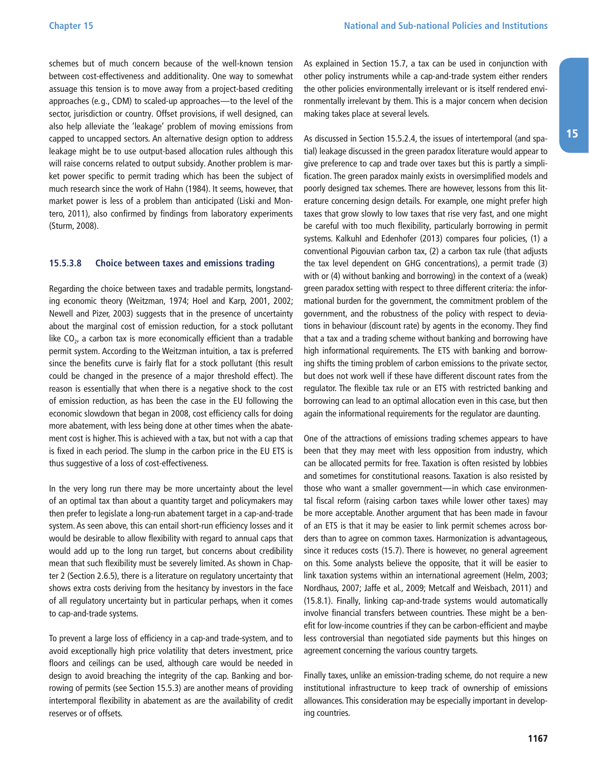<span id="page-26-0"></span>schemes but of much concern because of the well-known tension between cost-effectiveness and additionality. One way to somewhat assuage this tension is to move away from a project-based crediting approaches (e.g., CDM) to scaled-up approaches—to the level of the sector, jurisdiction or country. Offset provisions, if well designed, can also help alleviate the 'leakage' problem of moving emissions from capped to uncapped sectors. An alternative design option to address leakage might be to use output-based allocation rules although this will raise concerns related to output subsidy. Another problem is market power specific to permit trading which has been the subject of much research since the work of Hahn (1984). It seems, however, that market power is less of a problem than anticipated (Liski and Montero, 2011), also confirmed by findings from laboratory experiments (Sturm, 2008).

#### **15.5.3.8 Choice between taxes and emissions trading**

Regarding the choice between taxes and tradable permits, longstanding economic theory (Weitzman, 1974; Hoel and Karp, 2001, 2002; Newell and Pizer, 2003) suggests that in the presence of uncertainty about the marginal cost of emission reduction, for a stock pollutant like  $CO<sub>2</sub>$ , a carbon tax is more economically efficient than a tradable permit system. According to the Weitzman intuition, a tax is preferred since the benefits curve is fairly flat for a stock pollutant (this result could be changed in the presence of a major threshold effect). The reason is essentially that when there is a negative shock to the cost of emission reduction, as has been the case in the EU following the economic slowdown that began in 2008, cost efficiency calls for doing more abatement, with less being done at other times when the abatement cost is higher. This is achieved with a tax, but not with a cap that is fixed in each period. The slump in the carbon price in the EU ETS is thus suggestive of a loss of cost-effectiveness.

In the very long run there may be more uncertainty about the level of an optimal tax than about a quantity target and policymakers may then prefer to legislate a long-run abatement target in a cap-and-trade system. As seen above, this can entail short-run efficiency losses and it would be desirable to allow flexibility with regard to annual caps that would add up to the long run target, but concerns about credibility mean that such flexibility must be severely limited. As shown in Chapter 2 (Section 2.6.5), there is a literature on regulatory uncertainty that shows extra costs deriving from the hesitancy by investors in the face of all regulatory uncertainty but in particular perhaps, when it comes to cap-and-trade systems.

To prevent a large loss of efficiency in a cap-and trade-system, and to avoid exceptionally high price volatility that deters investment, price floors and ceilings can be used, although care would be needed in design to avoid breaching the integrity of the cap. Banking and borrowing of permits (see Section 15.5.3) are another means of providing intertemporal flexibility in abatement as are the availability of credit reserves or of offsets.

As explained in Section 15.7, a tax can be used in conjunction with other policy instruments while a cap-and-trade system either renders the other policies environmentally irrelevant or is itself rendered environmentally irrelevant by them. This is a major concern when decision making takes place at several levels.

As discussed in Section 15.5.2.4, the issues of intertemporal (and spatial) leakage discussed in the green paradox literature would appear to give preference to cap and trade over taxes but this is partly a simplification. The green paradox mainly exists in oversimplified models and poorly designed tax schemes. There are however, lessons from this literature concerning design details. For example, one might prefer high taxes that grow slowly to low taxes that rise very fast, and one might be careful with too much flexibility, particularly borrowing in permit systems. Kalkuhl and Edenhofer (2013) compares four policies, (1) a conventional Pigouvian carbon tax, (2) a carbon tax rule (that adjusts the tax level dependent on GHG concentrations), a permit trade (3) with or (4) without banking and borrowing) in the context of a (weak) green paradox setting with respect to three different criteria: the informational burden for the government, the commitment problem of the government, and the robustness of the policy with respect to deviations in behaviour (discount rate) by agents in the economy. They find that a tax and a trading scheme without banking and borrowing have high informational requirements. The ETS with banking and borrowing shifts the timing problem of carbon emissions to the private sector, but does not work well if these have different discount rates from the regulator. The flexible tax rule or an ETS with restricted banking and borrowing can lead to an optimal allocation even in this case, but then again the informational requirements for the regulator are daunting.

One of the attractions of emissions trading schemes appears to have been that they may meet with less opposition from industry, which can be allocated permits for free. Taxation is often resisted by lobbies and sometimes for constitutional reasons. Taxation is also resisted by those who want a smaller government—in which case environmental fiscal reform (raising carbon taxes while lower other taxes) may be more acceptable. Another argument that has been made in favour of an ETS is that it may be easier to link permit schemes across borders than to agree on common taxes. Harmonization is advantageous, since it reduces costs (15.7). There is however, no general agreement on this. Some analysts believe the opposite, that it will be easier to link taxation systems within an international agreement (Helm, 2003; Nordhaus, 2007; Jaffe et al., 2009; Metcalf and Weisbach, 2011) and (15.8.1). Finally, linking cap-and-trade systems would automatically involve financial transfers between countries. These might be a benefit for low-income countries if they can be carbon-efficient and maybe less controversial than negotiated side payments but this hinges on agreement concerning the various country targets.

Finally taxes, unlike an emission-trading scheme, do not require a new institutional infrastructure to keep track of ownership of emissions allowances. This consideration may be especially important in developing countries.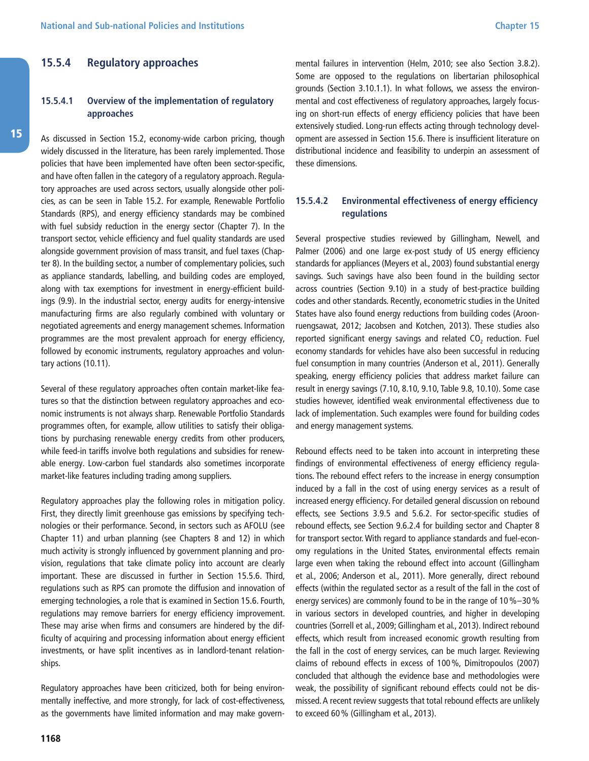#### <span id="page-27-0"></span>**15.5.4 Regulatory approaches**

#### **15.5.4.1 Overview of the implementation of regulatory approaches**

As discussed in Section 15.2, economy-wide carbon pricing, though widely discussed in the literature, has been rarely implemented. Those policies that have been implemented have often been sector-specific, and have often fallen in the category of a regulatory approach. Regulatory approaches are used across sectors, usually alongside other policies, as can be seen in Table 15.2. For example, Renewable Portfolio Standards (RPS), and energy efficiency standards may be combined with fuel subsidy reduction in the energy sector (Chapter 7). In the transport sector, vehicle efficiency and fuel quality standards are used alongside government provision of mass transit, and fuel taxes (Chapter 8). In the building sector, a number of complementary policies, such as appliance standards, labelling, and building codes are employed, along with tax exemptions for investment in energy-efficient buildings (9.9). In the industrial sector, energy audits for energy-intensive manufacturing firms are also regularly combined with voluntary or negotiated agreements and energy management schemes. Information programmes are the most prevalent approach for energy efficiency, followed by economic instruments, regulatory approaches and voluntary actions (10.11).

Several of these regulatory approaches often contain market-like features so that the distinction between regulatory approaches and economic instruments is not always sharp. Renewable Portfolio Standards programmes often, for example, allow utilities to satisfy their obligations by purchasing renewable energy credits from other producers, while feed-in tariffs involve both regulations and subsidies for renewable energy. Low-carbon fuel standards also sometimes incorporate market-like features including trading among suppliers.

Regulatory approaches play the following roles in mitigation policy. First, they directly limit greenhouse gas emissions by specifying technologies or their performance. Second, in sectors such as AFOLU (see Chapter 11) and urban planning (see Chapters 8 and 12) in which much activity is strongly influenced by government planning and provision, regulations that take climate policy into account are clearly important. These are discussed in further in Section 15.5.6. Third, regulations such as RPS can promote the diffusion and innovation of emerging technologies, a role that is examined in Section 15.6. Fourth, regulations may remove barriers for energy efficiency improvement. These may arise when firms and consumers are hindered by the difficulty of acquiring and processing information about energy efficient investments, or have split incentives as in landlord-tenant relationships.

Regulatory approaches have been criticized, both for being environmentally ineffective, and more strongly, for lack of cost-effectiveness, as the governments have limited information and may make governmental failures in intervention (Helm, 2010; see also Section 3.8.2). Some are opposed to the regulations on libertarian philosophical grounds (Section 3.10.1.1). In what follows, we assess the environmental and cost effectiveness of regulatory approaches, largely focusing on short-run effects of energy efficiency policies that have been extensively studied. Long-run effects acting through technology development are assessed in Section 15.6. There is insufficient literature on distributional incidence and feasibility to underpin an assessment of these dimensions.

#### **15.5.4.2 Environmental effectiveness of energy efficiency regulations**

Several prospective studies reviewed by Gillingham, Newell, and Palmer (2006) and one large ex-post study of US energy efficiency standards for appliances (Meyers et al., 2003) found substantial energy savings. Such savings have also been found in the building sector across countries (Section 9.10) in a study of best-practice building codes and other standards. Recently, econometric studies in the United States have also found energy reductions from building codes (Aroonruengsawat, 2012; Jacobsen and Kotchen, 2013). These studies also reported significant energy savings and related  $CO<sub>2</sub>$  reduction. Fuel economy standards for vehicles have also been successful in reducing fuel consumption in many countries (Anderson et al., 2011). Generally speaking, energy efficiency policies that address market failure can result in energy savings (7.10, 8.10, 9.10, Table 9.8, 10.10). Some case studies however, identified weak environmental effectiveness due to lack of implementation. Such examples were found for building codes and energy management systems.

Rebound effects need to be taken into account in interpreting these findings of environmental effectiveness of energy efficiency regulations. The rebound effect refers to the increase in energy consumption induced by a fall in the cost of using energy services as a result of increased energy efficiency. For detailed general discussion on rebound effects, see Sections 3.9.5 and 5.6.2. For sector-specific studies of rebound effects, see Section 9.6.2.4 for building sector and Chapter 8 for transport sector. With regard to appliance standards and fuel-economy regulations in the United States, environmental effects remain large even when taking the rebound effect into account (Gillingham et al., 2006; Anderson et al., 2011). More generally, direct rebound effects (within the regulated sector as a result of the fall in the cost of energy services) are commonly found to be in the range of 10%–30% in various sectors in developed countries, and higher in developing countries (Sorrell et al., 2009; Gillingham et al., 2013). Indirect rebound effects, which result from increased economic growth resulting from the fall in the cost of energy services, can be much larger. Reviewing claims of rebound effects in excess of 100%, Dimitropoulos (2007) concluded that although the evidence base and methodologies were weak, the possibility of significant rebound effects could not be dismissed. A recent review suggests that total rebound effects are unlikely to exceed 60% (Gillingham et al., 2013).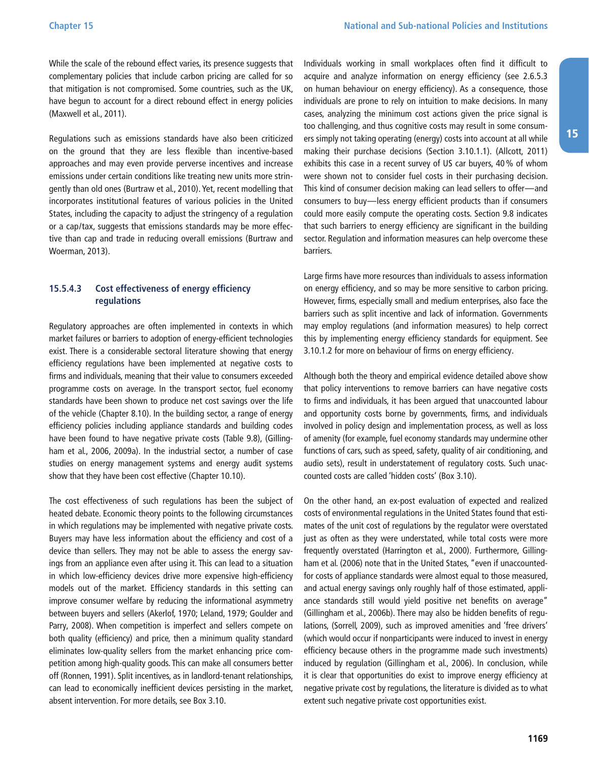<span id="page-28-0"></span>While the scale of the rebound effect varies, its presence suggests that complementary policies that include carbon pricing are called for so that mitigation is not compromised. Some countries, such as the UK, have begun to account for a direct rebound effect in energy policies (Maxwell et al., 2011).

Regulations such as emissions standards have also been criticized on the ground that they are less flexible than incentive-based approaches and may even provide perverse incentives and increase emissions under certain conditions like treating new units more stringently than old ones (Burtraw et al., 2010). Yet, recent modelling that incorporates institutional features of various policies in the United States, including the capacity to adjust the stringency of a regulation or a cap/tax, suggests that emissions standards may be more effective than cap and trade in reducing overall emissions (Burtraw and Woerman, 2013).

#### **15.5.4.3 Cost effectiveness of energy efficiency regulations**

Regulatory approaches are often implemented in contexts in which market failures or barriers to adoption of energy-efficient technologies exist. There is a considerable sectoral literature showing that energy efficiency regulations have been implemented at negative costs to firms and individuals, meaning that their value to consumers exceeded programme costs on average. In the transport sector, fuel economy standards have been shown to produce net cost savings over the life of the vehicle (Chapter 8.10). In the building sector, a range of energy efficiency policies including appliance standards and building codes have been found to have negative private costs (Table 9.8), (Gillingham et al., 2006, 2009a). In the industrial sector, a number of case studies on energy management systems and energy audit systems show that they have been cost effective (Chapter 10.10).

The cost effectiveness of such regulations has been the subject of heated debate. Economic theory points to the following circumstances in which regulations may be implemented with negative private costs. Buyers may have less information about the efficiency and cost of a device than sellers. They may not be able to assess the energy savings from an appliance even after using it. This can lead to a situation in which low-efficiency devices drive more expensive high-efficiency models out of the market. Efficiency standards in this setting can improve consumer welfare by reducing the informational asymmetry between buyers and sellers (Akerlof, 1970; Leland, 1979; Goulder and Parry, 2008). When competition is imperfect and sellers compete on both quality (efficiency) and price, then a minimum quality standard eliminates low-quality sellers from the market enhancing price competition among high-quality goods. This can make all consumers better off (Ronnen, 1991). Split incentives, as in landlord-tenant relationships, can lead to economically inefficient devices persisting in the market, absent intervention. For more details, see Box 3.10.

Individuals working in small workplaces often find it difficult to acquire and analyze information on energy efficiency (see 2.6.5.3 on human behaviour on energy efficiency). As a consequence, those individuals are prone to rely on intuition to make decisions. In many cases, analyzing the minimum cost actions given the price signal is too challenging, and thus cognitive costs may result in some consumers simply not taking operating (energy) costs into account at all while making their purchase decisions (Section 3.10.1.1). (Allcott, 2011) exhibits this case in a recent survey of US car buyers, 40% of whom were shown not to consider fuel costs in their purchasing decision. This kind of consumer decision making can lead sellers to offer—and consumers to buy—less energy efficient products than if consumers could more easily compute the operating costs. Section 9.8 indicates that such barriers to energy efficiency are significant in the building sector. Regulation and information measures can help overcome these barriers.

Large firms have more resources than individuals to assess information on energy efficiency, and so may be more sensitive to carbon pricing. However, firms, especially small and medium enterprises, also face the barriers such as split incentive and lack of information. Governments may employ regulations (and information measures) to help correct this by implementing energy efficiency standards for equipment. See 3.10.1.2 for more on behaviour of firms on energy efficiency.

Although both the theory and empirical evidence detailed above show that policy interventions to remove barriers can have negative costs to firms and individuals, it has been argued that unaccounted labour and opportunity costs borne by governments, firms, and individuals involved in policy design and implementation process, as well as loss of amenity (for example, fuel economy standards may undermine other functions of cars, such as speed, safety, quality of air conditioning, and audio sets), result in understatement of regulatory costs. Such unaccounted costs are called 'hidden costs' (Box 3.10).

On the other hand, an ex-post evaluation of expected and realized costs of environmental regulations in the United States found that estimates of the unit cost of regulations by the regulator were overstated just as often as they were understated, while total costs were more frequently overstated (Harrington et al., 2000). Furthermore, Gillingham et al. (2006) note that in the United States, "even if unaccountedfor costs of appliance standards were almost equal to those measured, and actual energy savings only roughly half of those estimated, appliance standards still would yield positive net benefits on average" (Gillingham et al., 2006b). There may also be hidden benefits of regulations, (Sorrell, 2009), such as improved amenities and 'free drivers' (which would occur if nonparticipants were induced to invest in energy efficiency because others in the programme made such investments) induced by regulation (Gillingham et al., 2006). In conclusion, while it is clear that opportunities do exist to improve energy efficiency at negative private cost by regulations, the literature is divided as to what extent such negative private cost opportunities exist.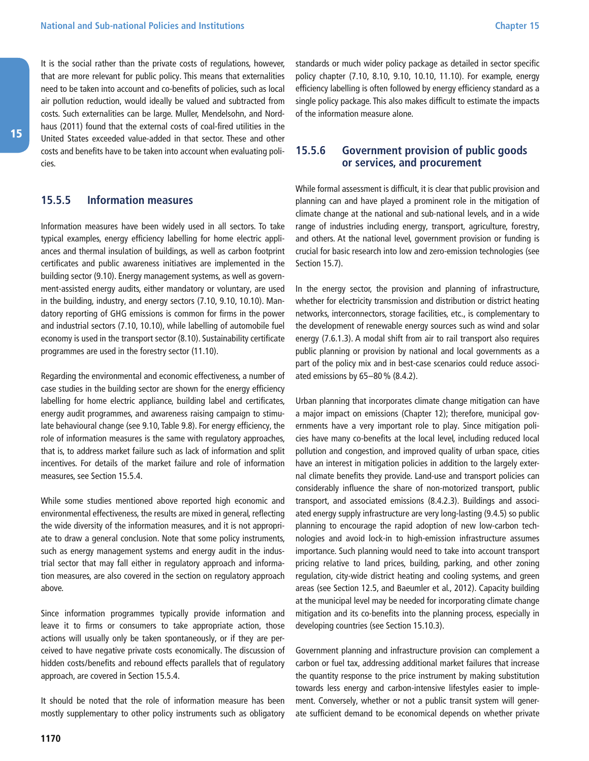<span id="page-29-0"></span>It is the social rather than the private costs of regulations, however, that are more relevant for public policy. This means that externalities need to be taken into account and co-benefits of policies, such as local air pollution reduction, would ideally be valued and subtracted from costs. Such externalities can be large. Muller, Mendelsohn, and Nordhaus (2011) found that the external costs of coal-fired utilities in the United States exceeded value-added in that sector. These and other costs and benefits have to be taken into account when evaluating policies.

#### **15.5.5 Information measures**

Information measures have been widely used in all sectors. To take typical examples, energy efficiency labelling for home electric appliances and thermal insulation of buildings, as well as carbon footprint certificates and public awareness initiatives are implemented in the building sector (9.10). Energy management systems, as well as government-assisted energy audits, either mandatory or voluntary, are used in the building, industry, and energy sectors (7.10, 9.10, 10.10). Mandatory reporting of GHG emissions is common for firms in the power and industrial sectors (7.10, 10.10), while labelling of automobile fuel economy is used in the transport sector (8.10). Sustainability certificate programmes are used in the forestry sector (11.10).

Regarding the environmental and economic effectiveness, a number of case studies in the building sector are shown for the energy efficiency labelling for home electric appliance, building label and certificates, energy audit programmes, and awareness raising campaign to stimulate behavioural change (see 9.10, Table 9.8). For energy efficiency, the role of information measures is the same with regulatory approaches, that is, to address market failure such as lack of information and split incentives. For details of the market failure and role of information measures, see Section 15.5.4.

While some studies mentioned above reported high economic and environmental effectiveness, the results are mixed in general, reflecting the wide diversity of the information measures, and it is not appropriate to draw a general conclusion. Note that some policy instruments, such as energy management systems and energy audit in the industrial sector that may fall either in regulatory approach and information measures, are also covered in the section on regulatory approach above.

Since information programmes typically provide information and leave it to firms or consumers to take appropriate action, those actions will usually only be taken spontaneously, or if they are perceived to have negative private costs economically. The discussion of hidden costs/benefits and rebound effects parallels that of regulatory approach, are covered in Section 15.5.4.

It should be noted that the role of information measure has been mostly supplementary to other policy instruments such as obligatory standards or much wider policy package as detailed in sector specific policy chapter (7.10, 8.10, 9.10, 10.10, 11.10). For example, energy efficiency labelling is often followed by energy efficiency standard as a single policy package. This also makes difficult to estimate the impacts of the information measure alone.

#### **15.5.6 Government provision of public goods or services, and procurement**

While formal assessment is difficult, it is clear that public provision and planning can and have played a prominent role in the mitigation of climate change at the national and sub-national levels, and in a wide range of industries including energy, transport, agriculture, forestry, and others. At the national level, government provision or funding is crucial for basic research into low and zero-emission technologies (see Section 15.7).

In the energy sector, the provision and planning of infrastructure, whether for electricity transmission and distribution or district heating networks, interconnectors, storage facilities, etc., is complementary to the development of renewable energy sources such as wind and solar energy (7.6.1.3). A modal shift from air to rail transport also requires public planning or provision by national and local governments as a part of the policy mix and in best-case scenarios could reduce associated emissions by 65–80% (8.4.2).

Urban planning that incorporates climate change mitigation can have a major impact on emissions (Chapter 12); therefore, municipal governments have a very important role to play. Since mitigation policies have many co-benefits at the local level, including reduced local pollution and congestion, and improved quality of urban space, cities have an interest in mitigation policies in addition to the largely external climate benefits they provide. Land-use and transport policies can considerably influence the share of non-motorized transport, public transport, and associated emissions (8.4.2.3). Buildings and associated energy supply infrastructure are very long-lasting (9.4.5) so public planning to encourage the rapid adoption of new low-carbon technologies and avoid lock-in to high-emission infrastructure assumes importance. Such planning would need to take into account transport pricing relative to land prices, building, parking, and other zoning regulation, city-wide district heating and cooling systems, and green areas (see Section 12.5, and Baeumler et al., 2012). Capacity building at the municipal level may be needed for incorporating climate change mitigation and its co-benefits into the planning process, especially in developing countries (see Section 15.10.3).

Government planning and infrastructure provision can complement a carbon or fuel tax, addressing additional market failures that increase the quantity response to the price instrument by making substitution towards less energy and carbon-intensive lifestyles easier to implement. Conversely, whether or not a public transit system will generate sufficient demand to be economical depends on whether private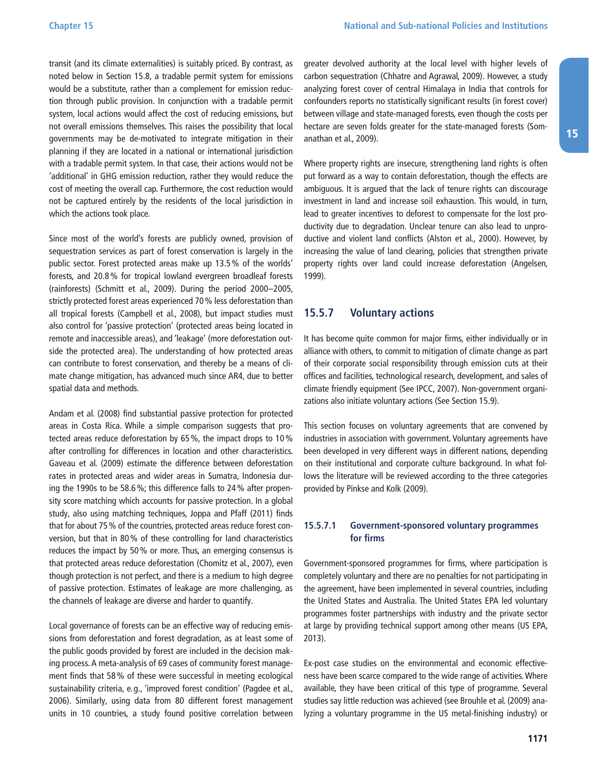<span id="page-30-0"></span>transit (and its climate externalities) is suitably priced. By contrast, as noted below in Section 15.8, a tradable permit system for emissions would be a substitute, rather than a complement for emission reduction through public provision. In conjunction with a tradable permit system, local actions would affect the cost of reducing emissions, but not overall emissions themselves. This raises the possibility that local governments may be de-motivated to integrate mitigation in their planning if they are located in a national or international jurisdiction with a tradable permit system. In that case, their actions would not be 'additional' in GHG emission reduction, rather they would reduce the cost of meeting the overall cap. Furthermore, the cost reduction would not be captured entirely by the residents of the local jurisdiction in which the actions took place.

Since most of the world's forests are publicly owned, provision of sequestration services as part of forest conservation is largely in the public sector. Forest protected areas make up 13.5% of the worlds' forests, and 20.8% for tropical lowland evergreen broadleaf forests (rainforests) (Schmitt et al., 2009). During the period 2000–2005, strictly protected forest areas experienced 70% less deforestation than all tropical forests (Campbell et al., 2008), but impact studies must also control for 'passive protection' (protected areas being located in remote and inaccessible areas), and 'leakage' (more deforestation outside the protected area). The understanding of how protected areas can contribute to forest conservation, and thereby be a means of climate change mitigation, has advanced much since AR4, due to better spatial data and methods.

Andam et al. (2008) find substantial passive protection for protected areas in Costa Rica. While a simple comparison suggests that protected areas reduce deforestation by 65%, the impact drops to 10% after controlling for differences in location and other characteristics. Gaveau et al. (2009) estimate the difference between deforestation rates in protected areas and wider areas in Sumatra, Indonesia during the 1990s to be 58.6%; this difference falls to 24% after propensity score matching which accounts for passive protection. In a global study, also using matching techniques, Joppa and Pfaff (2011) finds that for about 75% of the countries, protected areas reduce forest conversion, but that in 80% of these controlling for land characteristics reduces the impact by 50% or more. Thus, an emerging consensus is that protected areas reduce deforestation (Chomitz et al., 2007), even though protection is not perfect, and there is a medium to high degree of passive protection. Estimates of leakage are more challenging, as the channels of leakage are diverse and harder to quantify.

Local governance of forests can be an effective way of reducing emissions from deforestation and forest degradation, as at least some of the public goods provided by forest are included in the decision making process. A meta-analysis of 69 cases of community forest management finds that 58% of these were successful in meeting ecological sustainability criteria, e.g., 'improved forest condition' (Pagdee et al., 2006). Similarly, using data from 80 different forest management units in 10 countries, a study found positive correlation between greater devolved authority at the local level with higher levels of carbon sequestration (Chhatre and Agrawal, 2009). However, a study analyzing forest cover of central Himalaya in India that controls for confounders reports no statistically significant results (in forest cover) between village and state-managed forests, even though the costs per hectare are seven folds greater for the state-managed forests (Somanathan et al., 2009).

Where property rights are insecure, strengthening land rights is often put forward as a way to contain deforestation, though the effects are ambiguous. It is argued that the lack of tenure rights can discourage investment in land and increase soil exhaustion. This would, in turn, lead to greater incentives to deforest to compensate for the lost productivity due to degradation. Unclear tenure can also lead to unproductive and violent land conflicts (Alston et al., 2000). However, by increasing the value of land clearing, policies that strengthen private property rights over land could increase deforestation (Angelsen, 1999).

#### **15.5.7 Voluntary actions**

It has become quite common for major firms, either individually or in alliance with others, to commit to mitigation of climate change as part of their corporate social responsibility through emission cuts at their offices and facilities, technological research, development, and sales of climate friendly equipment (See IPCC, 2007). Non-government organizations also initiate voluntary actions (See Section 15.9).

This section focuses on voluntary agreements that are convened by industries in association with government. Voluntary agreements have been developed in very different ways in different nations, depending on their institutional and corporate culture background. In what follows the literature will be reviewed according to the three categories provided by Pinkse and Kolk (2009).

#### **15.5.7.1 Government-sponsored voluntary programmes for firms**

Government-sponsored programmes for firms, where participation is completely voluntary and there are no penalties for not participating in the agreement, have been implemented in several countries, including the United States and Australia. The United States EPA led voluntary programmes foster partnerships with industry and the private sector at large by providing technical support among other means (US EPA, 2013).

Ex-post case studies on the environmental and economic effectiveness have been scarce compared to the wide range of activities. Where available, they have been critical of this type of programme. Several studies say little reduction was achieved (see Brouhle et al. (2009) analyzing a voluntary programme in the US metal-finishing industry) or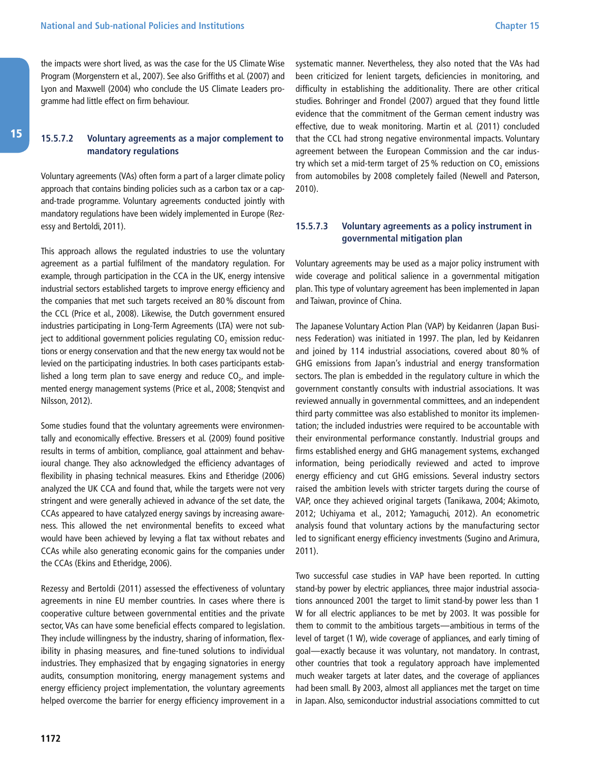<span id="page-31-0"></span>the impacts were short lived, as was the case for the US Climate Wise Program (Morgenstern et al., 2007). See also Griffiths et al. (2007) and Lyon and Maxwell (2004) who conclude the US Climate Leaders programme had little effect on firm behaviour.

#### **15.5.7.2 Voluntary agreements as a major complement to mandatory regulations**

Voluntary agreements (VAs) often form a part of a larger climate policy approach that contains binding policies such as a carbon tax or a capand-trade programme. Voluntary agreements conducted jointly with mandatory regulations have been widely implemented in Europe (Rezessy and Bertoldi, 2011).

This approach allows the regulated industries to use the voluntary agreement as a partial fulfilment of the mandatory regulation. For example, through participation in the CCA in the UK, energy intensive industrial sectors established targets to improve energy efficiency and the companies that met such targets received an 80% discount from the CCL (Price et al., 2008). Likewise, the Dutch government ensured industries participating in Long-Term Agreements (LTA) were not subject to additional government policies regulating  $CO<sub>2</sub>$  emission reductions or energy conservation and that the new energy tax would not be levied on the participating industries. In both cases participants established a long term plan to save energy and reduce  $CO<sub>2</sub>$  and implemented energy management systems (Price et al., 2008; Stenqvist and Nilsson, 2012).

Some studies found that the voluntary agreements were environmentally and economically effective. Bressers et al. (2009) found positive results in terms of ambition, compliance, goal attainment and behavioural change. They also acknowledged the efficiency advantages of flexibility in phasing technical measures. Ekins and Etheridge (2006) analyzed the UK CCA and found that, while the targets were not very stringent and were generally achieved in advance of the set date, the CCAs appeared to have catalyzed energy savings by increasing awareness. This allowed the net environmental benefits to exceed what would have been achieved by levying a flat tax without rebates and CCAs while also generating economic gains for the companies under the CCAs (Ekins and Etheridge, 2006).

Rezessy and Bertoldi (2011) assessed the effectiveness of voluntary agreements in nine EU member countries. In cases where there is cooperative culture between governmental entities and the private sector, VAs can have some beneficial effects compared to legislation. They include willingness by the industry, sharing of information, flexibility in phasing measures, and fine-tuned solutions to individual industries. They emphasized that by engaging signatories in energy audits, consumption monitoring, energy management systems and energy efficiency project implementation, the voluntary agreements helped overcome the barrier for energy efficiency improvement in a

systematic manner. Nevertheless, they also noted that the VAs had been criticized for lenient targets, deficiencies in monitoring, and difficulty in establishing the additionality. There are other critical studies. Bohringer and Frondel (2007) argued that they found little evidence that the commitment of the German cement industry was effective, due to weak monitoring. Martin et al. (2011) concluded that the CCL had strong negative environmental impacts. Voluntary agreement between the European Commission and the car industry which set a mid-term target of 25 % reduction on  $CO<sub>2</sub>$  emissions from automobiles by 2008 completely failed (Newell and Paterson, 2010).

#### **15.5.7.3 Voluntary agreements as a policy instrument in governmental mitigation plan**

Voluntary agreements may be used as a major policy instrument with wide coverage and political salience in a governmental mitigation plan. This type of voluntary agreement has been implemented in Japan and Taiwan, province of China.

The Japanese Voluntary Action Plan (VAP) by Keidanren (Japan Business Federation) was initiated in 1997. The plan, led by Keidanren and joined by 114 industrial associations, covered about 80 % of GHG emissions from Japan's industrial and energy transformation sectors. The plan is embedded in the regulatory culture in which the government constantly consults with industrial associations. It was reviewed annually in governmental committees, and an independent third party committee was also established to monitor its implementation; the included industries were required to be accountable with their environmental performance constantly. Industrial groups and firms established energy and GHG management systems, exchanged information, being periodically reviewed and acted to improve energy efficiency and cut GHG emissions. Several industry sectors raised the ambition levels with stricter targets during the course of VAP, once they achieved original targets (Tanikawa, 2004; Akimoto, 2012; Uchiyama et al., 2012; Yamaguchi, 2012). An econometric analysis found that voluntary actions by the manufacturing sector led to significant energy efficiency investments (Sugino and Arimura, 2011).

Two successful case studies in VAP have been reported. In cutting stand-by power by electric appliances, three major industrial associations announced 2001 the target to limit stand-by power less than 1 W for all electric appliances to be met by 2003. It was possible for them to commit to the ambitious targets—ambitious in terms of the level of target (1 W), wide coverage of appliances, and early timing of goal—exactly because it was voluntary, not mandatory. In contrast, other countries that took a regulatory approach have implemented much weaker targets at later dates, and the coverage of appliances had been small. By 2003, almost all appliances met the target on time in Japan. Also, semiconductor industrial associations committed to cut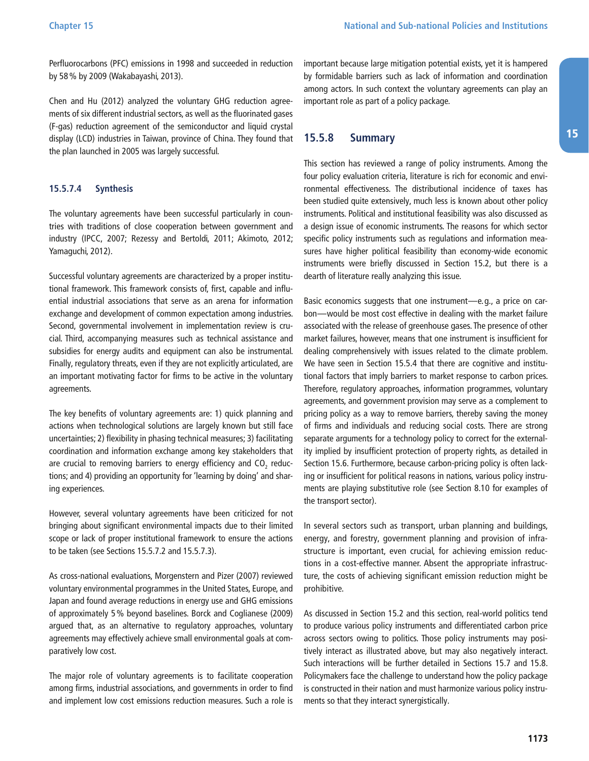<span id="page-32-0"></span>Perfluorocarbons (PFC) emissions in 1998 and succeeded in reduction by 58% by 2009 (Wakabayashi, 2013).

Chen and Hu (2012) analyzed the voluntary GHG reduction agreements of six different industrial sectors, as well as the fluorinated gases (F-gas) reduction agreement of the semiconductor and liquid crystal display (LCD) industries in Taiwan, province of China. They found that the plan launched in 2005 was largely successful.

#### **15.5.7.4 Synthesis**

The voluntary agreements have been successful particularly in countries with traditions of close cooperation between government and industry (IPCC, 2007; Rezessy and Bertoldi, 2011; Akimoto, 2012; Yamaguchi, 2012).

Successful voluntary agreements are characterized by a proper institutional framework. This framework consists of, first, capable and influential industrial associations that serve as an arena for information exchange and development of common expectation among industries. Second, governmental involvement in implementation review is crucial. Third, accompanying measures such as technical assistance and subsidies for energy audits and equipment can also be instrumental. Finally, regulatory threats, even if they are not explicitly articulated, are an important motivating factor for firms to be active in the voluntary agreements.

The key benefits of voluntary agreements are: 1) quick planning and actions when technological solutions are largely known but still face uncertainties; 2) flexibility in phasing technical measures; 3) facilitating coordination and information exchange among key stakeholders that are crucial to removing barriers to energy efficiency and  $CO<sub>2</sub>$  reductions; and 4) providing an opportunity for 'learning by doing' and sharing experiences.

However, several voluntary agreements have been criticized for not bringing about significant environmental impacts due to their limited scope or lack of proper institutional framework to ensure the actions to be taken (see Sections 15.5.7.2 and 15.5.7.3).

As cross-national evaluations, Morgenstern and Pizer (2007) reviewed voluntary environmental programmes in the United States, Europe, and Japan and found average reductions in energy use and GHG emissions of approximately 5% beyond baselines. Borck and Coglianese (2009) argued that, as an alternative to regulatory approaches, voluntary agreements may effectively achieve small environmental goals at comparatively low cost.

The major role of voluntary agreements is to facilitate cooperation among firms, industrial associations, and governments in order to find and implement low cost emissions reduction measures. Such a role is important because large mitigation potential exists, yet it is hampered by formidable barriers such as lack of information and coordination among actors. In such context the voluntary agreements can play an important role as part of a policy package.

#### **15.5.8 Summary**

This section has reviewed a range of policy instruments. Among the four policy evaluation criteria, literature is rich for economic and environmental effectiveness. The distributional incidence of taxes has been studied quite extensively, much less is known about other policy instruments. Political and institutional feasibility was also discussed as a design issue of economic instruments. The reasons for which sector specific policy instruments such as regulations and information measures have higher political feasibility than economy-wide economic instruments were briefly discussed in Section 15.2, but there is a dearth of literature really analyzing this issue.

Basic economics suggests that one instrument—e.g., a price on carbon—would be most cost effective in dealing with the market failure associated with the release of greenhouse gases. The presence of other market failures, however, means that one instrument is insufficient for dealing comprehensively with issues related to the climate problem. We have seen in Section 15.5.4 that there are cognitive and institutional factors that imply barriers to market response to carbon prices. Therefore, regulatory approaches, information programmes, voluntary agreements, and government provision may serve as a complement to pricing policy as a way to remove barriers, thereby saving the money of firms and individuals and reducing social costs. There are strong separate arguments for a technology policy to correct for the externality implied by insufficient protection of property rights, as detailed in Section 15.6. Furthermore, because carbon-pricing policy is often lacking or insufficient for political reasons in nations, various policy instruments are playing substitutive role (see Section 8.10 for examples of the transport sector).

In several sectors such as transport, urban planning and buildings, energy, and forestry, government planning and provision of infrastructure is important, even crucial, for achieving emission reductions in a cost-effective manner. Absent the appropriate infrastructure, the costs of achieving significant emission reduction might be prohibitive.

As discussed in Section 15.2 and this section, real-world politics tend to produce various policy instruments and differentiated carbon price across sectors owing to politics. Those policy instruments may positively interact as illustrated above, but may also negatively interact. Such interactions will be further detailed in Sections 15.7 and 15.8. Policymakers face the challenge to understand how the policy package is constructed in their nation and must harmonize various policy instruments so that they interact synergistically.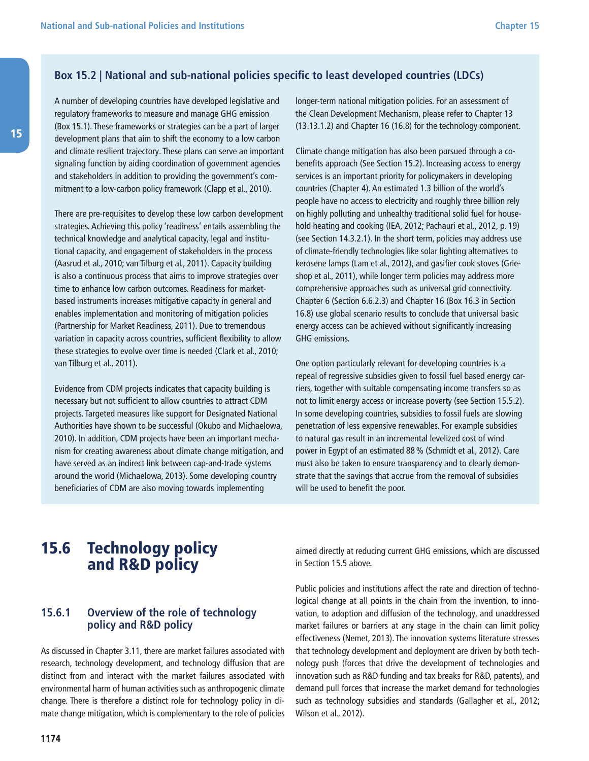### <span id="page-33-0"></span>**Box 15.2 | National and sub-national policies specific to least developed countries (LDCs)**

A number of developing countries have developed legislative and regulatory frameworks to measure and manage GHG emission (Box 15.1). These frameworks or strategies can be a part of larger development plans that aim to shift the economy to a low carbon and climate resilient trajectory. These plans can serve an important signaling function by aiding coordination of government agencies and stakeholders in addition to providing the government's commitment to a low-carbon policy framework (Clapp et al., 2010).

There are pre-requisites to develop these low carbon development strategies. Achieving this policy 'readiness' entails assembling the technical knowledge and analytical capacity, legal and institutional capacity, and engagement of stakeholders in the process (Aasrud et al., 2010; van Tilburg et al., 2011). Capacity building is also a continuous process that aims to improve strategies over time to enhance low carbon outcomes. Readiness for marketbased instruments increases mitigative capacity in general and enables implementation and monitoring of mitigation policies (Partnership for Market Readiness, 2011). Due to tremendous variation in capacity across countries, sufficient flexibility to allow these strategies to evolve over time is needed (Clark et al., 2010; van Tilburg et al., 2011).

Evidence from CDM projects indicates that capacity building is necessary but not sufficient to allow countries to attract CDM projects. Targeted measures like support for Designated National Authorities have shown to be successful (Okubo and Michaelowa, 2010). In addition, CDM projects have been an important mechanism for creating awareness about climate change mitigation, and have served as an indirect link between cap-and-trade systems around the world (Michaelowa, 2013). Some developing country beneficiaries of CDM are also moving towards implementing

longer-term national mitigation policies. For an assessment of the Clean Development Mechanism, please refer to Chapter 13 (13.13.1.2) and Chapter 16 (16.8) for the technology component.

Climate change mitigation has also been pursued through a cobenefits approach (See Section 15.2). Increasing access to energy services is an important priority for policymakers in developing countries (Chapter 4). An estimated 1.3 billion of the world's people have no access to electricity and roughly three billion rely on highly polluting and unhealthy traditional solid fuel for household heating and cooking (IEA, 2012; Pachauri et al., 2012, p. 19) (see Section 14.3.2.1). In the short term, policies may address use of climate-friendly technologies like solar lighting alternatives to kerosene lamps (Lam et al., 2012), and gasifier cook stoves (Grieshop et al., 2011), while longer term policies may address more comprehensive approaches such as universal grid connectivity. Chapter 6 (Section 6.6.2.3) and Chapter 16 (Box 16.3 in Section 16.8) use global scenario results to conclude that universal basic energy access can be achieved without significantly increasing GHG emissions.

One option particularly relevant for developing countries is a repeal of regressive subsidies given to fossil fuel based energy carriers, together with suitable compensating income transfers so as not to limit energy access or increase poverty (see Section 15.5.2). In some developing countries, subsidies to fossil fuels are slowing penetration of less expensive renewables. For example subsidies to natural gas result in an incremental levelized cost of wind power in Egypt of an estimated 88% (Schmidt et al., 2012). Care must also be taken to ensure transparency and to clearly demonstrate that the savings that accrue from the removal of subsidies will be used to benefit the poor.

### 15.6 Technology policy and R&D policy

### **15.6.1 Overview of the role of technology policy and R&D policy**

As discussed in Chapter 3.11, there are market failures associated with research, technology development, and technology diffusion that are distinct from and interact with the market failures associated with environmental harm of human activities such as anthropogenic climate change. There is therefore a distinct role for technology policy in climate change mitigation, which is complementary to the role of policies aimed directly at reducing current GHG emissions, which are discussed in Section 15.5 above.

Public policies and institutions affect the rate and direction of technological change at all points in the chain from the invention, to innovation, to adoption and diffusion of the technology, and unaddressed market failures or barriers at any stage in the chain can limit policy effectiveness (Nemet, 2013). The innovation systems literature stresses that technology development and deployment are driven by both technology push (forces that drive the development of technologies and innovation such as R&D funding and tax breaks for R&D, patents), and demand pull forces that increase the market demand for technologies such as technology subsidies and standards (Gallagher et al., 2012; Wilson et al., 2012).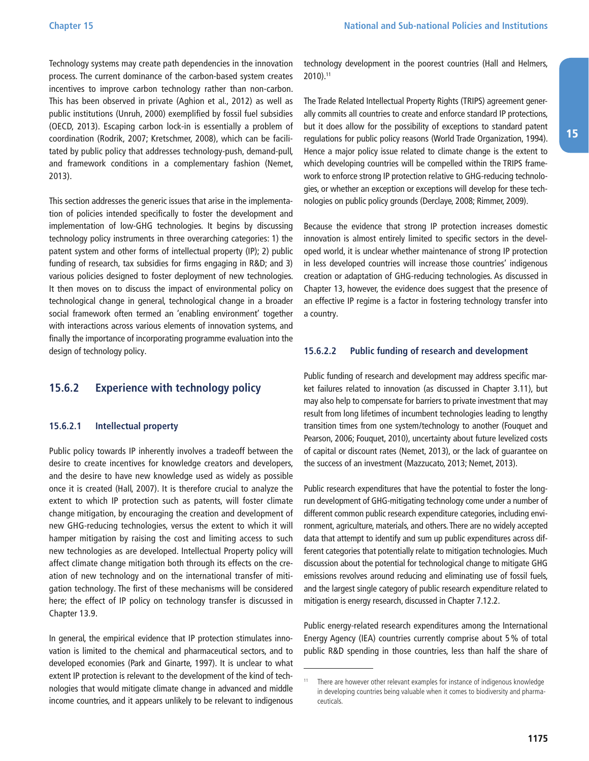<span id="page-34-0"></span>Technology systems may create path dependencies in the innovation process. The current dominance of the carbon-based system creates incentives to improve carbon technology rather than non-carbon. This has been observed in private (Aghion et al., 2012) as well as public institutions (Unruh, 2000) exemplified by fossil fuel subsidies (OECD, 2013). Escaping carbon lock-in is essentially a problem of coordination (Rodrik, 2007; Kretschmer, 2008), which can be facilitated by public policy that addresses technology-push, demand-pull, and framework conditions in a complementary fashion (Nemet, 2013).

This section addresses the generic issues that arise in the implementation of policies intended specifically to foster the development and implementation of low-GHG technologies. It begins by discussing technology policy instruments in three overarching categories: 1) the patent system and other forms of intellectual property (IP); 2) public funding of research, tax subsidies for firms engaging in R&D; and 3) various policies designed to foster deployment of new technologies. It then moves on to discuss the impact of environmental policy on technological change in general, technological change in a broader social framework often termed an 'enabling environment' together with interactions across various elements of innovation systems, and finally the importance of incorporating programme evaluation into the design of technology policy.

#### **15.6.2 Experience with technology policy**

#### **15.6.2.1 Intellectual property**

Public policy towards IP inherently involves a tradeoff between the desire to create incentives for knowledge creators and developers, and the desire to have new knowledge used as widely as possible once it is created (Hall, 2007). It is therefore crucial to analyze the extent to which IP protection such as patents, will foster climate change mitigation, by encouraging the creation and development of new GHG-reducing technologies, versus the extent to which it will hamper mitigation by raising the cost and limiting access to such new technologies as are developed. Intellectual Property policy will affect climate change mitigation both through its effects on the creation of new technology and on the international transfer of mitigation technology. The first of these mechanisms will be considered here; the effect of IP policy on technology transfer is discussed in Chapter 13.9.

In general, the empirical evidence that IP protection stimulates innovation is limited to the chemical and pharmaceutical sectors, and to developed economies (Park and Ginarte, 1997). It is unclear to what extent IP protection is relevant to the development of the kind of technologies that would mitigate climate change in advanced and middle income countries, and it appears unlikely to be relevant to indigenous technology development in the poorest countries (Hall and Helmers, 2010).11

The Trade Related Intellectual Property Rights (TRIPS) agreement generally commits all countries to create and enforce standard IP protections, but it does allow for the possibility of exceptions to standard patent regulations for public policy reasons (World Trade Organization, 1994). Hence a major policy issue related to climate change is the extent to which developing countries will be compelled within the TRIPS framework to enforce strong IP protection relative to GHG-reducing technologies, or whether an exception or exceptions will develop for these technologies on public policy grounds (Derclaye, 2008; Rimmer, 2009).

Because the evidence that strong IP protection increases domestic innovation is almost entirely limited to specific sectors in the developed world, it is unclear whether maintenance of strong IP protection in less developed countries will increase those countries' indigenous creation or adaptation of GHG-reducing technologies. As discussed in Chapter 13, however, the evidence does suggest that the presence of an effective IP regime is a factor in fostering technology transfer into a country.

#### **15.6.2.2 Public funding of research and development**

Public funding of research and development may address specific market failures related to innovation (as discussed in Chapter 3.11), but may also help to compensate for barriers to private investment that may result from long lifetimes of incumbent technologies leading to lengthy transition times from one system/technology to another (Fouquet and Pearson, 2006; Fouquet, 2010), uncertainty about future levelized costs of capital or discount rates (Nemet, 2013), or the lack of guarantee on the success of an investment (Mazzucato, 2013; Nemet, 2013).

Public research expenditures that have the potential to foster the longrun development of GHG-mitigating technology come under a number of different common public research expenditure categories, including environment, agriculture, materials, and others. There are no widely accepted data that attempt to identify and sum up public expenditures across different categories that potentially relate to mitigation technologies. Much discussion about the potential for technological change to mitigate GHG emissions revolves around reducing and eliminating use of fossil fuels, and the largest single category of public research expenditure related to mitigation is energy research, discussed in Chapter 7.12.2.

Public energy-related research expenditures among the International Energy Agency (IEA) countries currently comprise about 5% of total public R&D spending in those countries, less than half the share of

<sup>&</sup>lt;sup>11</sup> There are however other relevant examples for instance of indigenous knowledge in developing countries being valuable when it comes to biodiversity and pharmaceuticals.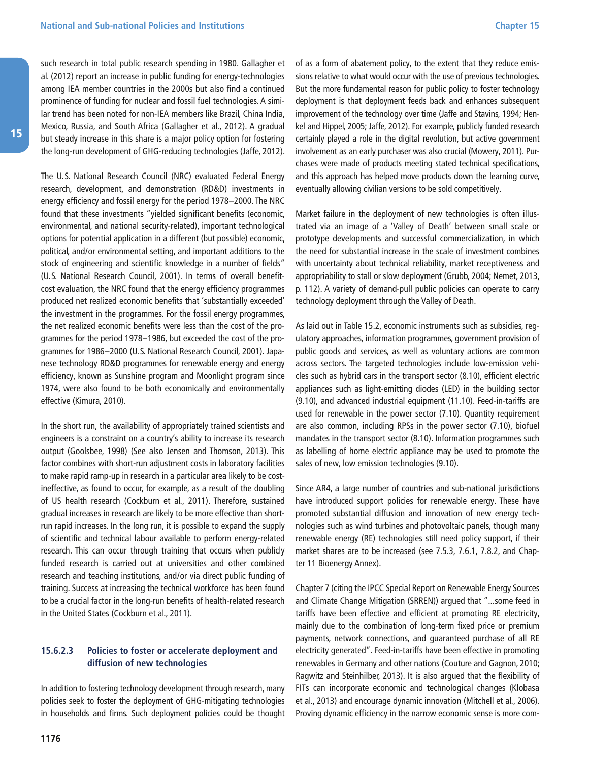<span id="page-35-0"></span>such research in total public research spending in 1980. Gallagher et al. (2012) report an increase in public funding for energy-technologies among IEA member countries in the 2000s but also find a continued prominence of funding for nuclear and fossil fuel technologies. A similar trend has been noted for non-IEA members like Brazil, China India, Mexico, Russia, and South Africa (Gallagher et al., 2012). A gradual but steady increase in this share is a major policy option for fostering the long-run development of GHG-reducing technologies (Jaffe, 2012).

The U.S. National Research Council (NRC) evaluated Federal Energy research, development, and demonstration (RD&D) investments in energy efficiency and fossil energy for the period 1978–2000. The NRC found that these investments "yielded significant benefits (economic, environmental, and national security-related), important technological options for potential application in a different (but possible) economic, political, and/or environmental setting, and important additions to the stock of engineering and scientific knowledge in a number of fields" (U.S. National Research Council, 2001). In terms of overall benefitcost evaluation, the NRC found that the energy efficiency programmes produced net realized economic benefits that 'substantially exceeded' the investment in the programmes. For the fossil energy programmes, the net realized economic benefits were less than the cost of the programmes for the period 1978–1986, but exceeded the cost of the programmes for 1986–2000 (U.S. National Research Council, 2001). Japanese technology RD&D programmes for renewable energy and energy efficiency, known as Sunshine program and Moonlight program since 1974, were also found to be both economically and environmentally effective (Kimura, 2010).

In the short run, the availability of appropriately trained scientists and engineers is a constraint on a country's ability to increase its research output (Goolsbee, 1998) (See also Jensen and Thomson, 2013). This factor combines with short-run adjustment costs in laboratory facilities to make rapid ramp-up in research in a particular area likely to be costineffective, as found to occur, for example, as a result of the doubling of US health research (Cockburn et al., 2011). Therefore, sustained gradual increases in research are likely to be more effective than shortrun rapid increases. In the long run, it is possible to expand the supply of scientific and technical labour available to perform energy-related research. This can occur through training that occurs when publicly funded research is carried out at universities and other combined research and teaching institutions, and/or via direct public funding of training. Success at increasing the technical workforce has been found to be a crucial factor in the long-run benefits of health-related research in the United States (Cockburn et al., 2011).

#### **15.6.2.3 Policies to foster or accelerate deployment and diffusion of new technologies**

In addition to fostering technology development through research, many policies seek to foster the deployment of GHG-mitigating technologies in households and firms. Such deployment policies could be thought of as a form of abatement policy, to the extent that they reduce emissions relative to what would occur with the use of previous technologies. But the more fundamental reason for public policy to foster technology deployment is that deployment feeds back and enhances subsequent improvement of the technology over time (Jaffe and Stavins, 1994; Henkel and Hippel, 2005; Jaffe, 2012). For example, publicly funded research certainly played a role in the digital revolution, but active government involvement as an early purchaser was also crucial (Mowery, 2011). Purchases were made of products meeting stated technical specifications, and this approach has helped move products down the learning curve, eventually allowing civilian versions to be sold competitively.

Market failure in the deployment of new technologies is often illustrated via an image of a 'Valley of Death' between small scale or prototype developments and successful commercialization, in which the need for substantial increase in the scale of investment combines with uncertainty about technical reliability, market receptiveness and appropriability to stall or slow deployment (Grubb, 2004; Nemet, 2013, p. 112). A variety of demand-pull public policies can operate to carry technology deployment through the Valley of Death.

As laid out in Table 15.2, economic instruments such as subsidies, regulatory approaches, information programmes, government provision of public goods and services, as well as voluntary actions are common across sectors. The targeted technologies include low-emission vehicles such as hybrid cars in the transport sector (8.10), efficient electric appliances such as light-emitting diodes (LED) in the building sector (9.10), and advanced industrial equipment (11.10). Feed-in-tariffs are used for renewable in the power sector (7.10). Quantity requirement are also common, including RPSs in the power sector (7.10), biofuel mandates in the transport sector (8.10). Information programmes such as labelling of home electric appliance may be used to promote the sales of new, low emission technologies (9.10).

Since AR4, a large number of countries and sub-national jurisdictions have introduced support policies for renewable energy. These have promoted substantial diffusion and innovation of new energy technologies such as wind turbines and photovoltaic panels, though many renewable energy (RE) technologies still need policy support, if their market shares are to be increased (see 7.5.3, 7.6.1, 7.8.2, and Chapter 11 Bioenergy Annex).

Chapter 7 (citing the IPCC Special Report on Renewable Energy Sources and Climate Change Mitigation (SRREN)) argued that "...some feed in tariffs have been effective and efficient at promoting RE electricity, mainly due to the combination of long-term fixed price or premium payments, network connections, and guaranteed purchase of all RE electricity generated". Feed-in-tariffs have been effective in promoting renewables in Germany and other nations (Couture and Gagnon, 2010; Ragwitz and Steinhilber, 2013). It is also argued that the flexibility of FITs can incorporate economic and technological changes (Klobasa et al., 2013) and encourage dynamic innovation (Mitchell et al., 2006). Proving dynamic efficiency in the narrow economic sense is more com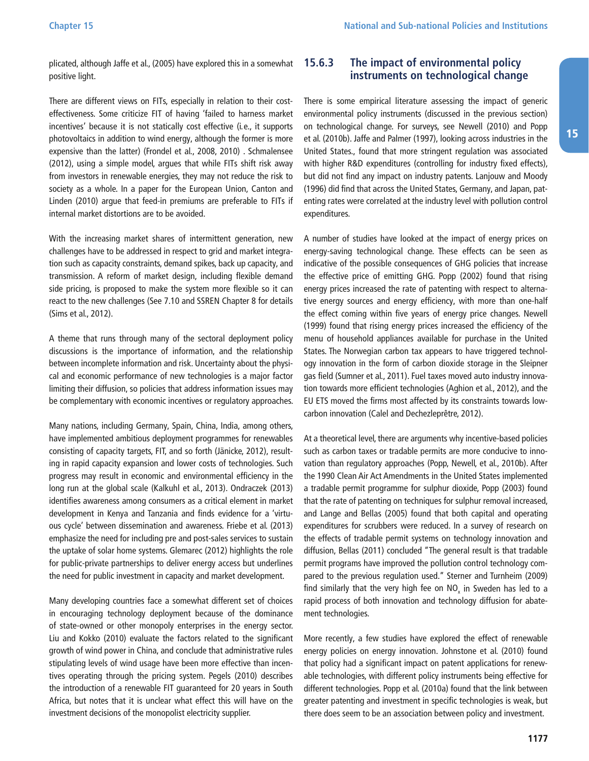<span id="page-36-0"></span>plicated, although Jaffe et al., (2005) have explored this in a somewhat positive light.

There are different views on FITs, especially in relation to their costeffectiveness. Some criticize FIT of having 'failed to harness market incentives' because it is not statically cost effective (i.e., it supports photovoltaics in addition to wind energy, although the former is more expensive than the latter) (Frondel et al., 2008, 2010) . Schmalensee (2012), using a simple model, argues that while FITs shift risk away from investors in renewable energies, they may not reduce the risk to society as a whole. In a paper for the European Union, Canton and Linden (2010) argue that feed-in premiums are preferable to FITs if internal market distortions are to be avoided.

With the increasing market shares of intermittent generation, new challenges have to be addressed in respect to grid and market integration such as capacity constraints, demand spikes, back up capacity, and transmission. A reform of market design, including flexible demand side pricing, is proposed to make the system more flexible so it can react to the new challenges (See 7.10 and SSREN Chapter 8 for details (Sims et al., 2012).

A theme that runs through many of the sectoral deployment policy discussions is the importance of information, and the relationship between incomplete information and risk. Uncertainty about the physical and economic performance of new technologies is a major factor limiting their diffusion, so policies that address information issues may be complementary with economic incentives or regulatory approaches.

Many nations, including Germany, Spain, China, India, among others, have implemented ambitious deployment programmes for renewables consisting of capacity targets, FIT, and so forth (Jänicke, 2012), resulting in rapid capacity expansion and lower costs of technologies. Such progress may result in economic and environmental efficiency in the long run at the global scale (Kalkuhl et al., 2013). Ondraczek (2013) identifies awareness among consumers as a critical element in market development in Kenya and Tanzania and finds evidence for a 'virtuous cycle' between dissemination and awareness. Friebe et al. (2013) emphasize the need for including pre and post-sales services to sustain the uptake of solar home systems. Glemarec (2012) highlights the role for public-private partnerships to deliver energy access but underlines the need for public investment in capacity and market development.

Many developing countries face a somewhat different set of choices in encouraging technology deployment because of the dominance of state-owned or other monopoly enterprises in the energy sector. Liu and Kokko (2010) evaluate the factors related to the significant growth of wind power in China, and conclude that administrative rules stipulating levels of wind usage have been more effective than incentives operating through the pricing system. Pegels (2010) describes the introduction of a renewable FIT guaranteed for 20 years in South Africa, but notes that it is unclear what effect this will have on the investment decisions of the monopolist electricity supplier.

#### **15.6.3 The impact of environmental policy instruments on technological change**

There is some empirical literature assessing the impact of generic environmental policy instruments (discussed in the previous section) on technological change. For surveys, see Newell (2010) and Popp et al. (2010b). Jaffe and Palmer (1997), looking across industries in the United States., found that more stringent regulation was associated with higher R&D expenditures (controlling for industry fixed effects), but did not find any impact on industry patents. Lanjouw and Moody (1996) did find that across the United States, Germany, and Japan, patenting rates were correlated at the industry level with pollution control expenditures.

A number of studies have looked at the impact of energy prices on energy-saving technological change. These effects can be seen as indicative of the possible consequences of GHG policies that increase the effective price of emitting GHG. Popp (2002) found that rising energy prices increased the rate of patenting with respect to alternative energy sources and energy efficiency, with more than one-half the effect coming within five years of energy price changes. Newell (1999) found that rising energy prices increased the efficiency of the menu of household appliances available for purchase in the United States. The Norwegian carbon tax appears to have triggered technology innovation in the form of carbon dioxide storage in the Sleipner gas field (Sumner et al., 2011). Fuel taxes moved auto industry innovation towards more efficient technologies (Aghion et al., 2012), and the EU ETS moved the firms most affected by its constraints towards lowcarbon innovation (Calel and Dechezleprêtre, 2012).

At a theoretical level, there are arguments why incentive-based policies such as carbon taxes or tradable permits are more conducive to innovation than regulatory approaches (Popp, Newell, et al., 2010b). After the 1990 Clean Air Act Amendments in the United States implemented a tradable permit programme for sulphur dioxide, Popp (2003) found that the rate of patenting on techniques for sulphur removal increased, and Lange and Bellas (2005) found that both capital and operating expenditures for scrubbers were reduced. In a survey of research on the effects of tradable permit systems on technology innovation and diffusion, Bellas (2011) concluded "The general result is that tradable permit programs have improved the pollution control technology compared to the previous regulation used." Sterner and Turnheim (2009) find similarly that the very high fee on  $NO<sub>x</sub>$  in Sweden has led to a rapid process of both innovation and technology diffusion for abatement technologies.

More recently, a few studies have explored the effect of renewable energy policies on energy innovation. Johnstone et al. (2010) found that policy had a significant impact on patent applications for renewable technologies, with different policy instruments being effective for different technologies. Popp et al. (2010a) found that the link between greater patenting and investment in specific technologies is weak, but there does seem to be an association between policy and investment.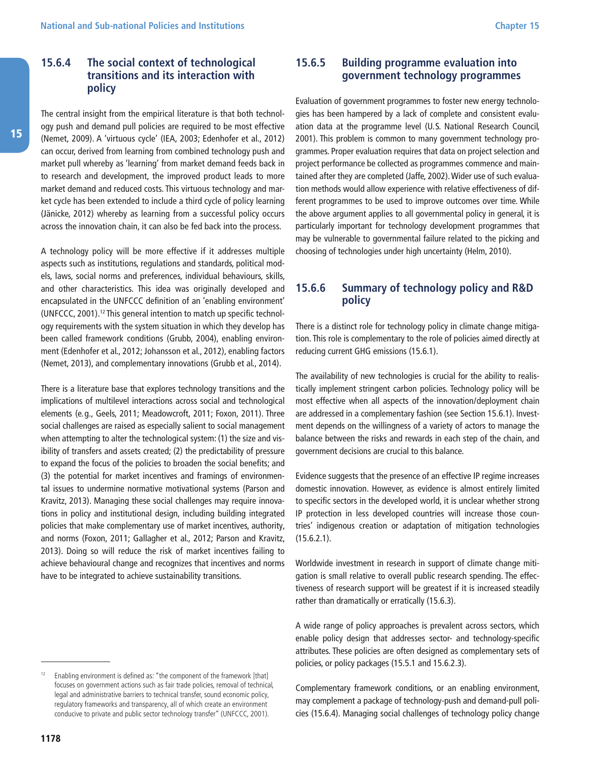<span id="page-37-0"></span>The central insight from the empirical literature is that both technology push and demand pull policies are required to be most effective (Nemet, 2009). A 'virtuous cycle' (IEA, 2003; Edenhofer et al., 2012) can occur, derived from learning from combined technology push and market pull whereby as 'learning' from market demand feeds back in to research and development, the improved product leads to more market demand and reduced costs. This virtuous technology and market cycle has been extended to include a third cycle of policy learning (Jänicke, 2012) whereby as learning from a successful policy occurs across the innovation chain, it can also be fed back into the process.

A technology policy will be more effective if it addresses multiple aspects such as institutions, regulations and standards, political models, laws, social norms and preferences, individual behaviours, skills, and other characteristics. This idea was originally developed and encapsulated in the UNFCCC definition of an 'enabling environment' (UNFCCC, 2001).12 This general intention to match up specific technology requirements with the system situation in which they develop has been called framework conditions (Grubb, 2004), enabling environment (Edenhofer et al., 2012; Johansson et al., 2012), enabling factors (Nemet, 2013), and complementary innovations (Grubb et al., 2014).

There is a literature base that explores technology transitions and the implications of multilevel interactions across social and technological elements (e.g., Geels, 2011; Meadowcroft, 2011; Foxon, 2011). Three social challenges are raised as especially salient to social management when attempting to alter the technological system: (1) the size and visibility of transfers and assets created; (2) the predictability of pressure to expand the focus of the policies to broaden the social benefits; and (3) the potential for market incentives and framings of environmental issues to undermine normative motivational systems (Parson and Kravitz, 2013). Managing these social challenges may require innovations in policy and institutional design, including building integrated policies that make complementary use of market incentives, authority, and norms (Foxon, 2011; Gallagher et al., 2012; Parson and Kravitz, 2013). Doing so will reduce the risk of market incentives failing to achieve behavioural change and recognizes that incentives and norms have to be integrated to achieve sustainability transitions.

#### **15.6.5 Building programme evaluation into government technology programmes**

Evaluation of government programmes to foster new energy technologies has been hampered by a lack of complete and consistent evaluation data at the programme level (U.S. National Research Council, 2001). This problem is common to many government technology programmes. Proper evaluation requires that data on project selection and project performance be collected as programmes commence and maintained after they are completed (Jaffe, 2002). Wider use of such evaluation methods would allow experience with relative effectiveness of different programmes to be used to improve outcomes over time. While the above argument applies to all governmental policy in general, it is particularly important for technology development programmes that may be vulnerable to governmental failure related to the picking and choosing of technologies under high uncertainty (Helm, 2010).

#### **15.6.6 Summary of technology policy and R&D policy**

There is a distinct role for technology policy in climate change mitigation. This role is complementary to the role of policies aimed directly at reducing current GHG emissions (15.6.1).

The availability of new technologies is crucial for the ability to realistically implement stringent carbon policies. Technology policy will be most effective when all aspects of the innovation/deployment chain are addressed in a complementary fashion (see Section 15.6.1). Investment depends on the willingness of a variety of actors to manage the balance between the risks and rewards in each step of the chain, and government decisions are crucial to this balance.

Evidence suggests that the presence of an effective IP regime increases domestic innovation. However, as evidence is almost entirely limited to specific sectors in the developed world, it is unclear whether strong IP protection in less developed countries will increase those countries' indigenous creation or adaptation of mitigation technologies (15.6.2.1).

Worldwide investment in research in support of climate change mitigation is small relative to overall public research spending. The effectiveness of research support will be greatest if it is increased steadily rather than dramatically or erratically (15.6.3).

A wide range of policy approaches is prevalent across sectors, which enable policy design that addresses sector- and technology-specific attributes. These policies are often designed as complementary sets of policies, or policy packages (15.5.1 and 15.6.2.3).

Complementary framework conditions, or an enabling environment, may complement a package of technology-push and demand-pull policies (15.6.4). Managing social challenges of technology policy change

Enabling environment is defined as: "the component of the framework [that] focuses on government actions such as fair trade policies, removal of technical, legal and administrative barriers to technical transfer, sound economic policy, regulatory frameworks and transparency, all of which create an environment conducive to private and public sector technology transfer" (UNFCCC, 2001).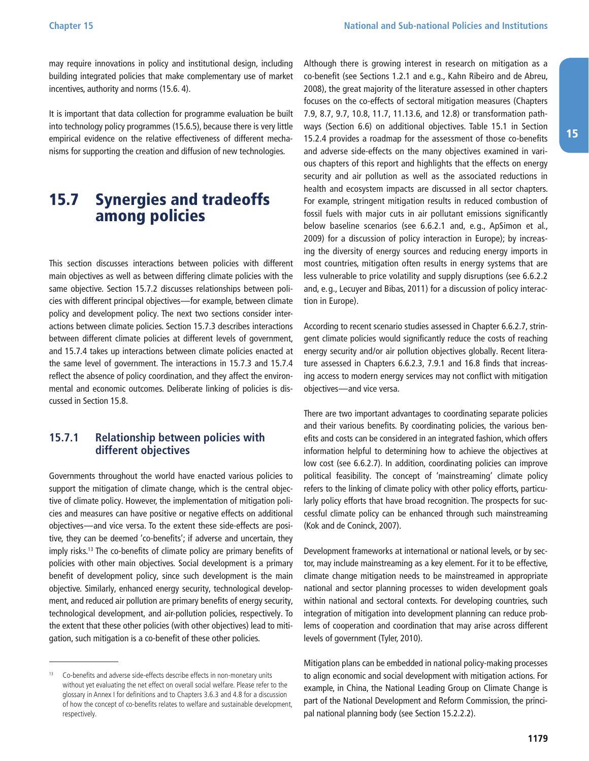<span id="page-38-0"></span>may require innovations in policy and institutional design, including building integrated policies that make complementary use of market incentives, authority and norms (15.6. 4).

It is important that data collection for programme evaluation be built into technology policy programmes (15.6.5), because there is very little empirical evidence on the relative effectiveness of different mechanisms for supporting the creation and diffusion of new technologies.

### 15.7 Synergies and tradeoffs among policies

This section discusses interactions between policies with different main objectives as well as between differing climate policies with the same objective. Section 15.7.2 discusses relationships between policies with different principal objectives—for example, between climate policy and development policy. The next two sections consider interactions between climate policies. Section 15.7.3 describes interactions between different climate policies at different levels of government, and 15.7.4 takes up interactions between climate policies enacted at the same level of government. The interactions in 15.7.3 and 15.7.4 reflect the absence of policy coordination, and they affect the environmental and economic outcomes. Deliberate linking of policies is discussed in Section 15.8.

#### **15.7.1 Relationship between policies with different objectives**

Governments throughout the world have enacted various policies to support the mitigation of climate change, which is the central objective of climate policy. However, the implementation of mitigation policies and measures can have positive or negative effects on additional objectives—and vice versa. To the extent these side-effects are positive, they can be deemed 'co-benefits'; if adverse and uncertain, they imply risks.<sup>13</sup> The co-benefits of climate policy are primary benefits of policies with other main objectives. Social development is a primary benefit of development policy, since such development is the main objective. Similarly, enhanced energy security, technological development, and reduced air pollution are primary benefits of energy security, technological development, and air-pollution policies, respectively. To the extent that these other policies (with other objectives) lead to mitigation, such mitigation is a co-benefit of these other policies.

Although there is growing interest in research on mitigation as a co-benefit (see Sections 1.2.1 and e.g., Kahn Ribeiro and de Abreu, 2008), the great majority of the literature assessed in other chapters focuses on the co-effects of sectoral mitigation measures (Chapters 7.9, 8.7, 9.7, 10.8, 11.7, 11.13.6, and 12.8) or transformation pathways (Section 6.6) on additional objectives. Table 15.1 in Section 15.2.4 provides a roadmap for the assessment of those co-benefits and adverse side-effects on the many objectives examined in various chapters of this report and highlights that the effects on energy security and air pollution as well as the associated reductions in health and ecosystem impacts are discussed in all sector chapters. For example, stringent mitigation results in reduced combustion of fossil fuels with major cuts in air pollutant emissions significantly below baseline scenarios (see 6.6.2.1 and, e.g., ApSimon et al., 2009) for a discussion of policy interaction in Europe); by increasing the diversity of energy sources and reducing energy imports in most countries, mitigation often results in energy systems that are less vulnerable to price volatility and supply disruptions (see 6.6.2.2 and, e.g., Lecuyer and Bibas, 2011) for a discussion of policy interaction in Europe).

According to recent scenario studies assessed in Chapter 6.6.2.7, stringent climate policies would significantly reduce the costs of reaching energy security and/or air pollution objectives globally. Recent literature assessed in Chapters 6.6.2.3, 7.9.1 and 16.8 finds that increasing access to modern energy services may not conflict with mitigation objectives—and vice versa.

There are two important advantages to coordinating separate policies and their various benefits. By coordinating policies, the various benefits and costs can be considered in an integrated fashion, which offers information helpful to determining how to achieve the objectives at low cost (see 6.6.2.7). In addition, coordinating policies can improve political feasibility. The concept of 'mainstreaming' climate policy refers to the linking of climate policy with other policy efforts, particularly policy efforts that have broad recognition. The prospects for successful climate policy can be enhanced through such mainstreaming (Kok and de Coninck, 2007).

Development frameworks at international or national levels, or by sector, may include mainstreaming as a key element. For it to be effective, climate change mitigation needs to be mainstreamed in appropriate national and sector planning processes to widen development goals within national and sectoral contexts. For developing countries, such integration of mitigation into development planning can reduce problems of cooperation and coordination that may arise across different levels of government (Tyler, 2010).

Mitigation plans can be embedded in national policy-making processes to align economic and social development with mitigation actions. For example, in China, the National Leading Group on Climate Change is part of the National Development and Reform Commission, the principal national planning body (see Section 15.2.2.2).

<sup>&</sup>lt;sup>13</sup> Co-benefits and adverse side-effects describe effects in non-monetary units without yet evaluating the net effect on overall social welfare. Please refer to the glossary in Annex I for definitions and to Chapters 3.6.3 and 4.8 for a discussion of how the concept of co-benefits relates to welfare and sustainable development, respectively.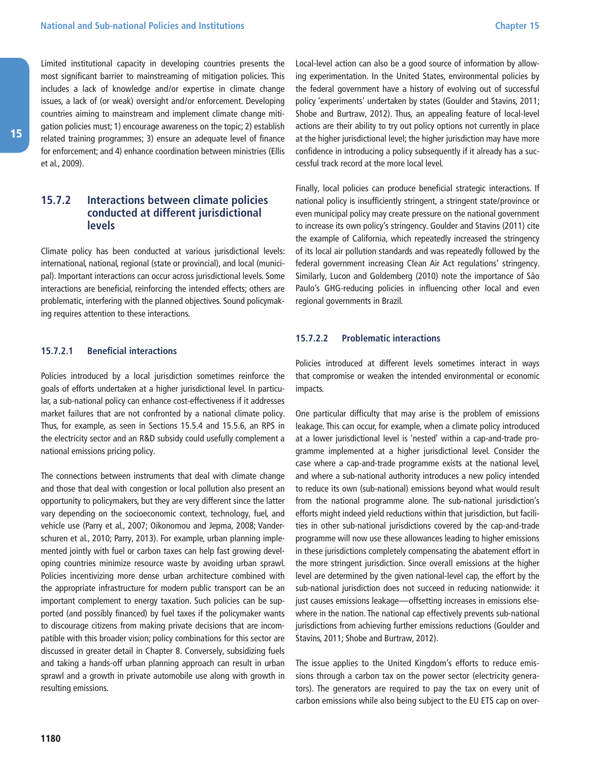<span id="page-39-0"></span>Limited institutional capacity in developing countries presents the most significant barrier to mainstreaming of mitigation policies. This includes a lack of knowledge and/or expertise in climate change issues, a lack of (or weak) oversight and/or enforcement. Developing countries aiming to mainstream and implement climate change mitigation policies must; 1) encourage awareness on the topic; 2) establish related training programmes; 3) ensure an adequate level of finance for enforcement; and 4) enhance coordination between ministries (Ellis et al., 2009).

#### **15.7.2 Interactions between climate policies conducted at different jurisdictional levels**

Climate policy has been conducted at various jurisdictional levels: international, national, regional (state or provincial), and local (municipal). Important interactions can occur across jurisdictional levels. Some interactions are beneficial, reinforcing the intended effects; others are problematic, interfering with the planned objectives. Sound policymaking requires attention to these interactions.

#### **15.7.2.1 Beneficial interactions**

Policies introduced by a local jurisdiction sometimes reinforce the goals of efforts undertaken at a higher jurisdictional level. In particular, a sub-national policy can enhance cost-effectiveness if it addresses market failures that are not confronted by a national climate policy. Thus, for example, as seen in Sections 15.5.4 and 15.5.6, an RPS in the electricity sector and an R&D subsidy could usefully complement a national emissions pricing policy.

The connections between instruments that deal with climate change and those that deal with congestion or local pollution also present an opportunity to policymakers, but they are very different since the latter vary depending on the socioeconomic context, technology, fuel, and vehicle use (Parry et al., 2007; Oikonomou and Jepma, 2008; Vanderschuren et al., 2010; Parry, 2013). For example, urban planning implemented jointly with fuel or carbon taxes can help fast growing developing countries minimize resource waste by avoiding urban sprawl. Policies incentivizing more dense urban architecture combined with the appropriate infrastructure for modern public transport can be an important complement to energy taxation. Such policies can be supported (and possibly financed) by fuel taxes if the policymaker wants to discourage citizens from making private decisions that are incompatible with this broader vision; policy combinations for this sector are discussed in greater detail in Chapter 8. Conversely, subsidizing fuels and taking a hands-off urban planning approach can result in urban sprawl and a growth in private automobile use along with growth in resulting emissions.

Local-level action can also be a good source of information by allowing experimentation. In the United States, environmental policies by the federal government have a history of evolving out of successful policy 'experiments' undertaken by states (Goulder and Stavins, 2011; Shobe and Burtraw, 2012). Thus, an appealing feature of local-level actions are their ability to try out policy options not currently in place at the higher jurisdictional level; the higher jurisdiction may have more confidence in introducing a policy subsequently if it already has a successful track record at the more local level.

Finally, local policies can produce beneficial strategic interactions. If national policy is insufficiently stringent, a stringent state/province or even municipal policy may create pressure on the national government to increase its own policy's stringency. Goulder and Stavins (2011) cite the example of California, which repeatedly increased the stringency of its local air pollution standards and was repeatedly followed by the federal government increasing Clean Air Act regulations' stringency. Similarly, Lucon and Goldemberg (2010) note the importance of São Paulo's GHG-reducing policies in influencing other local and even regional governments in Brazil.

#### **15.7.2.2 Problematic interactions**

Policies introduced at different levels sometimes interact in ways that compromise or weaken the intended environmental or economic impacts.

One particular difficulty that may arise is the problem of emissions leakage. This can occur, for example, when a climate policy introduced at a lower jurisdictional level is 'nested' within a cap-and-trade programme implemented at a higher jurisdictional level. Consider the case where a cap-and-trade programme exists at the national level, and where a sub-national authority introduces a new policy intended to reduce its own (sub-national) emissions beyond what would result from the national programme alone. The sub-national jurisdiction's efforts might indeed yield reductions within that jurisdiction, but facilities in other sub-national jurisdictions covered by the cap-and-trade programme will now use these allowances leading to higher emissions in these jurisdictions completely compensating the abatement effort in the more stringent jurisdiction. Since overall emissions at the higher level are determined by the given national-level cap, the effort by the sub-national jurisdiction does not succeed in reducing nationwide: it just causes emissions leakage—offsetting increases in emissions elsewhere in the nation. The national cap effectively prevents sub-national jurisdictions from achieving further emissions reductions (Goulder and Stavins, 2011; Shobe and Burtraw, 2012).

The issue applies to the United Kingdom's efforts to reduce emissions through a carbon tax on the power sector (electricity generators). The generators are required to pay the tax on every unit of carbon emissions while also being subject to the EU ETS cap on over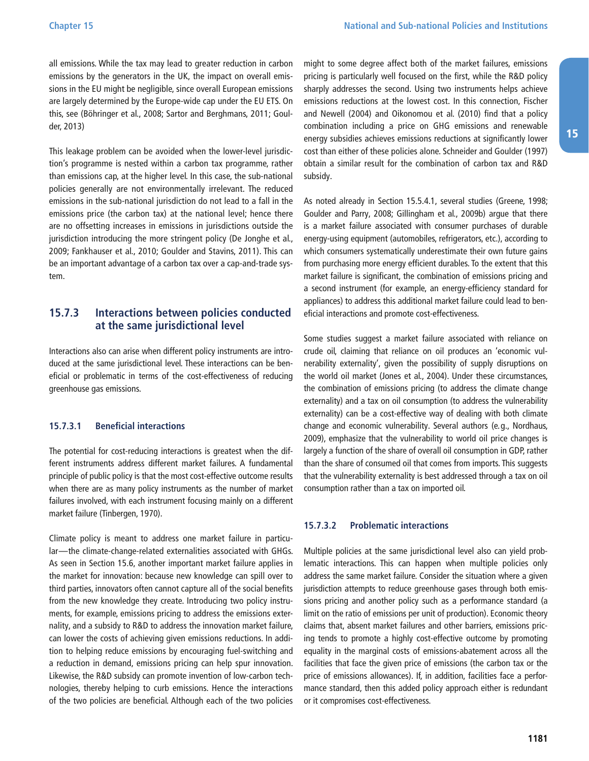<span id="page-40-0"></span>all emissions. While the tax may lead to greater reduction in carbon emissions by the generators in the UK, the impact on overall emissions in the EU might be negligible, since overall European emissions are largely determined by the Europe-wide cap under the EU ETS. On this, see (Böhringer et al., 2008; Sartor and Berghmans, 2011; Goulder, 2013)

This leakage problem can be avoided when the lower-level jurisdiction's programme is nested within a carbon tax programme, rather than emissions cap, at the higher level. In this case, the sub-national policies generally are not environmentally irrelevant. The reduced emissions in the sub-national jurisdiction do not lead to a fall in the emissions price (the carbon tax) at the national level; hence there are no offsetting increases in emissions in jurisdictions outside the jurisdiction introducing the more stringent policy (De Jonghe et al., 2009; Fankhauser et al., 2010; Goulder and Stavins, 2011). This can be an important advantage of a carbon tax over a cap-and-trade system.

#### **15.7.3 Interactions between policies conducted at the same jurisdictional level**

Interactions also can arise when different policy instruments are introduced at the same jurisdictional level. These interactions can be beneficial or problematic in terms of the cost-effectiveness of reducing greenhouse gas emissions.

#### **15.7.3.1 Beneficial interactions**

The potential for cost-reducing interactions is greatest when the different instruments address different market failures. A fundamental principle of public policy is that the most cost-effective outcome results when there are as many policy instruments as the number of market failures involved, with each instrument focusing mainly on a different market failure (Tinbergen, 1970).

Climate policy is meant to address one market failure in particular—the climate-change-related externalities associated with GHGs. As seen in Section 15.6, another important market failure applies in the market for innovation: because new knowledge can spill over to third parties, innovators often cannot capture all of the social benefits from the new knowledge they create. Introducing two policy instruments, for example, emissions pricing to address the emissions externality, and a subsidy to R&D to address the innovation market failure, can lower the costs of achieving given emissions reductions. In addition to helping reduce emissions by encouraging fuel-switching and a reduction in demand, emissions pricing can help spur innovation. Likewise, the R&D subsidy can promote invention of low-carbon technologies, thereby helping to curb emissions. Hence the interactions of the two policies are beneficial. Although each of the two policies

might to some degree affect both of the market failures, emissions pricing is particularly well focused on the first, while the R&D policy sharply addresses the second. Using two instruments helps achieve emissions reductions at the lowest cost. In this connection, Fischer and Newell (2004) and Oikonomou et al. (2010) find that a policy combination including a price on GHG emissions and renewable energy subsidies achieves emissions reductions at significantly lower cost than either of these policies alone. Schneider and Goulder (1997) obtain a similar result for the combination of carbon tax and R&D subsidy.

As noted already in Section 15.5.4.1, several studies (Greene, 1998; Goulder and Parry, 2008; Gillingham et al., 2009b) argue that there is a market failure associated with consumer purchases of durable energy-using equipment (automobiles, refrigerators, etc.), according to which consumers systematically underestimate their own future gains from purchasing more energy efficient durables. To the extent that this market failure is significant, the combination of emissions pricing and a second instrument (for example, an energy-efficiency standard for appliances) to address this additional market failure could lead to beneficial interactions and promote cost-effectiveness.

Some studies suggest a market failure associated with reliance on crude oil, claiming that reliance on oil produces an 'economic vulnerability externality', given the possibility of supply disruptions on the world oil market (Jones et al., 2004). Under these circumstances, the combination of emissions pricing (to address the climate change externality) and a tax on oil consumption (to address the vulnerability externality) can be a cost-effective way of dealing with both climate change and economic vulnerability. Several authors (e.g., Nordhaus, 2009), emphasize that the vulnerability to world oil price changes is largely a function of the share of overall oil consumption in GDP, rather than the share of consumed oil that comes from imports. This suggests that the vulnerability externality is best addressed through a tax on oil consumption rather than a tax on imported oil.

#### **15.7.3.2 Problematic interactions**

Multiple policies at the same jurisdictional level also can yield problematic interactions. This can happen when multiple policies only address the same market failure. Consider the situation where a given jurisdiction attempts to reduce greenhouse gases through both emissions pricing and another policy such as a performance standard (a limit on the ratio of emissions per unit of production). Economic theory claims that, absent market failures and other barriers, emissions pricing tends to promote a highly cost-effective outcome by promoting equality in the marginal costs of emissions-abatement across all the facilities that face the given price of emissions (the carbon tax or the price of emissions allowances). If, in addition, facilities face a performance standard, then this added policy approach either is redundant or it compromises cost-effectiveness.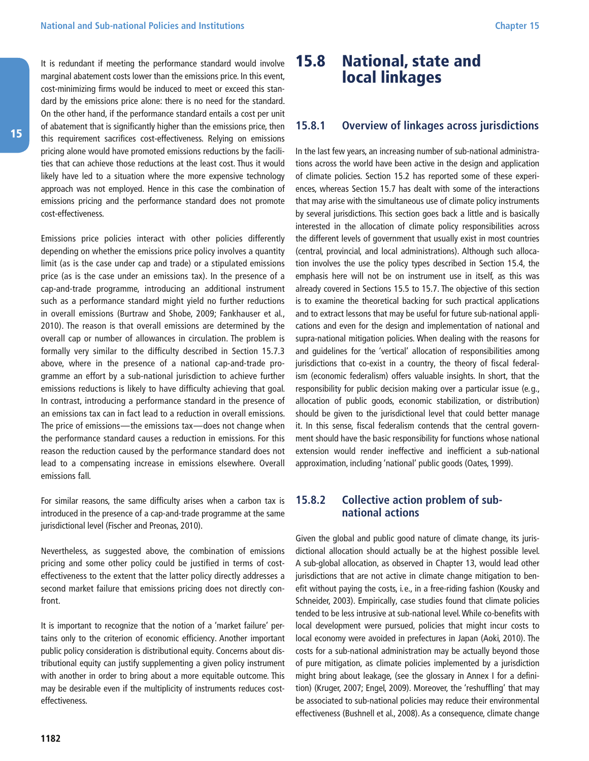<span id="page-41-0"></span>It is redundant if meeting the performance standard would involve marginal abatement costs lower than the emissions price. In this event, cost-minimizing firms would be induced to meet or exceed this standard by the emissions price alone: there is no need for the standard. On the other hand, if the performance standard entails a cost per unit of abatement that is significantly higher than the emissions price, then this requirement sacrifices cost-effectiveness. Relying on emissions pricing alone would have promoted emissions reductions by the facilities that can achieve those reductions at the least cost. Thus it would likely have led to a situation where the more expensive technology approach was not employed. Hence in this case the combination of emissions pricing and the performance standard does not promote cost-effectiveness.

Emissions price policies interact with other policies differently depending on whether the emissions price policy involves a quantity limit (as is the case under cap and trade) or a stipulated emissions price (as is the case under an emissions tax). In the presence of a cap-and-trade programme, introducing an additional instrument such as a performance standard might yield no further reductions in overall emissions (Burtraw and Shobe, 2009; Fankhauser et al., 2010). The reason is that overall emissions are determined by the overall cap or number of allowances in circulation. The problem is formally very similar to the difficulty described in Section 15.7.3 above, where in the presence of a national cap-and-trade programme an effort by a sub-national jurisdiction to achieve further emissions reductions is likely to have difficulty achieving that goal. In contrast, introducing a performance standard in the presence of an emissions tax can in fact lead to a reduction in overall emissions. The price of emissions—the emissions tax—does not change when the performance standard causes a reduction in emissions. For this reason the reduction caused by the performance standard does not lead to a compensating increase in emissions elsewhere. Overall emissions fall.

For similar reasons, the same difficulty arises when a carbon tax is introduced in the presence of a cap-and-trade programme at the same jurisdictional level (Fischer and Preonas, 2010).

Nevertheless, as suggested above, the combination of emissions pricing and some other policy could be justified in terms of costeffectiveness to the extent that the latter policy directly addresses a second market failure that emissions pricing does not directly confront.

It is important to recognize that the notion of a 'market failure' pertains only to the criterion of economic efficiency. Another important public policy consideration is distributional equity. Concerns about distributional equity can justify supplementing a given policy instrument with another in order to bring about a more equitable outcome. This may be desirable even if the multiplicity of instruments reduces costeffectiveness.

### 15.8 National, state and local linkages

#### **15.8.1 Overview of linkages across jurisdictions**

In the last few years, an increasing number of sub-national administrations across the world have been active in the design and application of climate policies. Section 15.2 has reported some of these experiences, whereas Section 15.7 has dealt with some of the interactions that may arise with the simultaneous use of climate policy instruments by several jurisdictions. This section goes back a little and is basically interested in the allocation of climate policy responsibilities across the different levels of government that usually exist in most countries (central, provincial, and local administrations). Although such allocation involves the use the policy types described in Section 15.4, the emphasis here will not be on instrument use in itself, as this was already covered in Sections 15.5 to 15.7. The objective of this section is to examine the theoretical backing for such practical applications and to extract lessons that may be useful for future sub-national applications and even for the design and implementation of national and supra-national mitigation policies. When dealing with the reasons for and guidelines for the 'vertical' allocation of responsibilities among jurisdictions that co-exist in a country, the theory of fiscal federalism (economic federalism) offers valuable insights. In short, that the responsibility for public decision making over a particular issue (e.g., allocation of public goods, economic stabilization, or distribution) should be given to the jurisdictional level that could better manage it. In this sense, fiscal federalism contends that the central government should have the basic responsibility for functions whose national extension would render ineffective and inefficient a sub-national approximation, including 'national' public goods (Oates, 1999).

#### **15.8.2 Collective action problem of subnational actions**

Given the global and public good nature of climate change, its jurisdictional allocation should actually be at the highest possible level. A sub-global allocation, as observed in Chapter 13, would lead other jurisdictions that are not active in climate change mitigation to benefit without paying the costs, i.e., in a free-riding fashion (Kousky and Schneider, 2003). Empirically, case studies found that climate policies tended to be less intrusive at sub-national level. While co-benefits with local development were pursued, policies that might incur costs to local economy were avoided in prefectures in Japan (Aoki, 2010). The costs for a sub-national administration may be actually beyond those of pure mitigation, as climate policies implemented by a jurisdiction might bring about leakage, (see the glossary in Annex I for a definition) (Kruger, 2007; Engel, 2009). Moreover, the 'reshuffling' that may be associated to sub-national policies may reduce their environmental effectiveness (Bushnell et al., 2008). As a consequence, climate change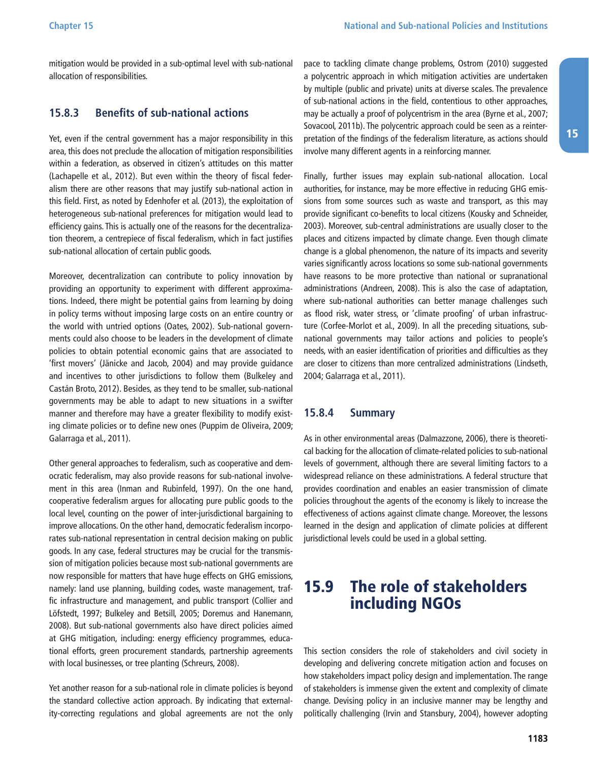<span id="page-42-0"></span>mitigation would be provided in a sub-optimal level with sub-national allocation of responsibilities.

#### **15.8.3 Benefits of sub-national actions**

Yet, even if the central government has a major responsibility in this area, this does not preclude the allocation of mitigation responsibilities within a federation, as observed in citizen's attitudes on this matter (Lachapelle et al., 2012). But even within the theory of fiscal federalism there are other reasons that may justify sub-national action in this field. First, as noted by Edenhofer et al. (2013), the exploitation of heterogeneous sub-national preferences for mitigation would lead to efficiency gains. This is actually one of the reasons for the decentralization theorem, a centrepiece of fiscal federalism, which in fact justifies sub-national allocation of certain public goods.

Moreover, decentralization can contribute to policy innovation by providing an opportunity to experiment with different approximations. Indeed, there might be potential gains from learning by doing in policy terms without imposing large costs on an entire country or the world with untried options (Oates, 2002). Sub-national governments could also choose to be leaders in the development of climate policies to obtain potential economic gains that are associated to 'first movers' (Jänicke and Jacob, 2004) and may provide guidance and incentives to other jurisdictions to follow them (Bulkeley and Castán Broto, 2012). Besides, as they tend to be smaller, sub-national governments may be able to adapt to new situations in a swifter manner and therefore may have a greater flexibility to modify existing climate policies or to define new ones (Puppim de Oliveira, 2009; Galarraga et al., 2011).

Other general approaches to federalism, such as cooperative and democratic federalism, may also provide reasons for sub-national involvement in this area (Inman and Rubinfeld, 1997). On the one hand, cooperative federalism argues for allocating pure public goods to the local level, counting on the power of inter-jurisdictional bargaining to improve allocations. On the other hand, democratic federalism incorporates sub-national representation in central decision making on public goods. In any case, federal structures may be crucial for the transmission of mitigation policies because most sub-national governments are now responsible for matters that have huge effects on GHG emissions, namely: land use planning, building codes, waste management, traffic infrastructure and management, and public transport (Collier and Löfstedt, 1997; Bulkeley and Betsill, 2005; Doremus and Hanemann, 2008). But sub-national governments also have direct policies aimed at GHG mitigation, including: energy efficiency programmes, educational efforts, green procurement standards, partnership agreements with local businesses, or tree planting (Schreurs, 2008).

Yet another reason for a sub-national role in climate policies is beyond the standard collective action approach. By indicating that externality-correcting regulations and global agreements are not the only

pace to tackling climate change problems, Ostrom (2010) suggested a polycentric approach in which mitigation activities are undertaken by multiple (public and private) units at diverse scales. The prevalence of sub-national actions in the field, contentious to other approaches, may be actually a proof of polycentrism in the area (Byrne et al., 2007; Sovacool, 2011b). The polycentric approach could be seen as a reinterpretation of the findings of the federalism literature, as actions should involve many different agents in a reinforcing manner.

Finally, further issues may explain sub-national allocation. Local authorities, for instance, may be more effective in reducing GHG emissions from some sources such as waste and transport, as this may provide significant co-benefits to local citizens (Kousky and Schneider, 2003). Moreover, sub-central administrations are usually closer to the places and citizens impacted by climate change. Even though climate change is a global phenomenon, the nature of its impacts and severity varies significantly across locations so some sub-national governments have reasons to be more protective than national or supranational administrations (Andreen, 2008). This is also the case of adaptation, where sub-national authorities can better manage challenges such as flood risk, water stress, or 'climate proofing' of urban infrastructure (Corfee-Morlot et al., 2009). In all the preceding situations, subnational governments may tailor actions and policies to people's needs, with an easier identification of priorities and difficulties as they are closer to citizens than more centralized administrations (Lindseth, 2004; Galarraga et al., 2011).

#### **15.8.4 Summary**

As in other environmental areas (Dalmazzone, 2006), there is theoretical backing for the allocation of climate-related policies to sub-national levels of government, although there are several limiting factors to a widespread reliance on these administrations. A federal structure that provides coordination and enables an easier transmission of climate policies throughout the agents of the economy is likely to increase the effectiveness of actions against climate change. Moreover, the lessons learned in the design and application of climate policies at different jurisdictional levels could be used in a global setting.

### 15.9 The role of stakeholders including NGOs

This section considers the role of stakeholders and civil society in developing and delivering concrete mitigation action and focuses on how stakeholders impact policy design and implementation. The range of stakeholders is immense given the extent and complexity of climate change. Devising policy in an inclusive manner may be lengthy and politically challenging (Irvin and Stansbury, 2004), however adopting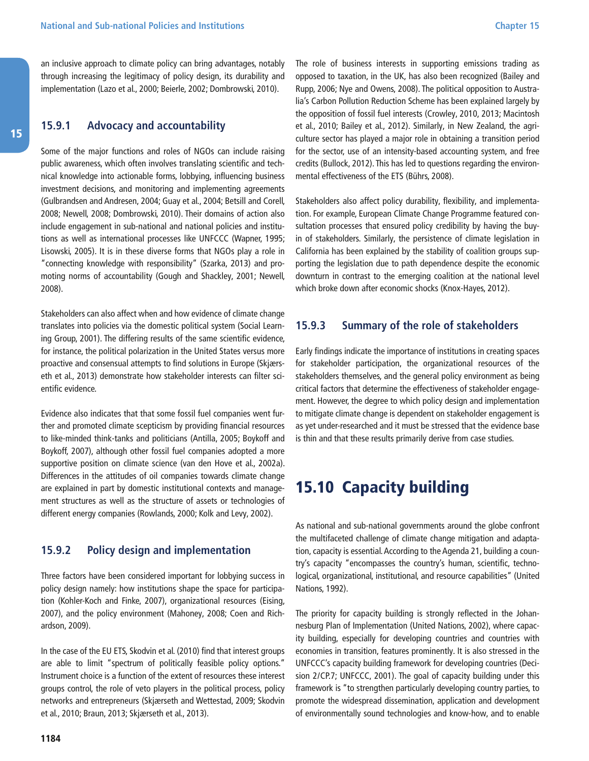<span id="page-43-0"></span>an inclusive approach to climate policy can bring advantages, notably through increasing the legitimacy of policy design, its durability and implementation (Lazo et al., 2000; Beierle, 2002; Dombrowski, 2010).

#### **15.9.1 Advocacy and accountability**

Some of the major functions and roles of NGOs can include raising public awareness, which often involves translating scientific and technical knowledge into actionable forms, lobbying, influencing business investment decisions, and monitoring and implementing agreements (Gulbrandsen and Andresen, 2004; Guay et al., 2004; Betsill and Corell, 2008; Newell, 2008; Dombrowski, 2010). Their domains of action also include engagement in sub-national and national policies and institutions as well as international processes like UNFCCC (Wapner, 1995; Lisowski, 2005). It is in these diverse forms that NGOs play a role in "connecting knowledge with responsibility" (Szarka, 2013) and promoting norms of accountability (Gough and Shackley, 2001; Newell, 2008).

Stakeholders can also affect when and how evidence of climate change translates into policies via the domestic political system (Social Learning Group, 2001). The differing results of the same scientific evidence, for instance, the political polarization in the United States versus more proactive and consensual attempts to find solutions in Europe (Skjærseth et al., 2013) demonstrate how stakeholder interests can filter scientific evidence.

Evidence also indicates that that some fossil fuel companies went further and promoted climate scepticism by providing financial resources to like-minded think-tanks and politicians (Antilla, 2005; Boykoff and Boykoff, 2007), although other fossil fuel companies adopted a more supportive position on climate science (van den Hove et al., 2002a). Differences in the attitudes of oil companies towards climate change are explained in part by domestic institutional contexts and management structures as well as the structure of assets or technologies of different energy companies (Rowlands, 2000; Kolk and Levy, 2002).

#### **15.9.2 Policy design and implementation**

Three factors have been considered important for lobbying success in policy design namely: how institutions shape the space for participation (Kohler-Koch and Finke, 2007), organizational resources (Eising, 2007), and the policy environment (Mahoney, 2008; Coen and Richardson, 2009).

In the case of the EU ETS, Skodvin et al. (2010) find that interest groups are able to limit "spectrum of politically feasible policy options." Instrument choice is a function of the extent of resources these interest groups control, the role of veto players in the political process, policy networks and entrepreneurs (Skjærseth and Wettestad, 2009; Skodvin et al., 2010; Braun, 2013; Skjærseth et al., 2013).

The role of business interests in supporting emissions trading as opposed to taxation, in the UK, has also been recognized (Bailey and Rupp, 2006; Nye and Owens, 2008). The political opposition to Australia's Carbon Pollution Reduction Scheme has been explained largely by the opposition of fossil fuel interests (Crowley, 2010, 2013; Macintosh et al., 2010; Bailey et al., 2012). Similarly, in New Zealand, the agriculture sector has played a major role in obtaining a transition period for the sector, use of an intensity-based accounting system, and free credits (Bullock, 2012). This has led to questions regarding the environmental effectiveness of the ETS (Bührs, 2008).

Stakeholders also affect policy durability, flexibility, and implementation. For example, European Climate Change Programme featured consultation processes that ensured policy credibility by having the buyin of stakeholders. Similarly, the persistence of climate legislation in California has been explained by the stability of coalition groups supporting the legislation due to path dependence despite the economic downturn in contrast to the emerging coalition at the national level which broke down after economic shocks (Knox-Hayes, 2012).

#### **15.9.3 Summary of the role of stakeholders**

Early findings indicate the importance of institutions in creating spaces for stakeholder participation, the organizational resources of the stakeholders themselves, and the general policy environment as being critical factors that determine the effectiveness of stakeholder engagement. However, the degree to which policy design and implementation to mitigate climate change is dependent on stakeholder engagement is as yet under-researched and it must be stressed that the evidence base is thin and that these results primarily derive from case studies.

### 15.10 Capacity building

As national and sub-national governments around the globe confront the multifaceted challenge of climate change mitigation and adaptation, capacity is essential. According to the Agenda 21, building a country's capacity "encompasses the country's human, scientific, technological, organizational, institutional, and resource capabilities" (United Nations, 1992).

The priority for capacity building is strongly reflected in the Johannesburg Plan of Implementation (United Nations, 2002), where capacity building, especially for developing countries and countries with economies in transition, features prominently. It is also stressed in the UNFCCC's capacity building framework for developing countries (Decision 2/CP.7; UNFCCC, 2001). The goal of capacity building under this framework is "to strengthen particularly developing country parties, to promote the widespread dissemination, application and development of environmentally sound technologies and know-how, and to enable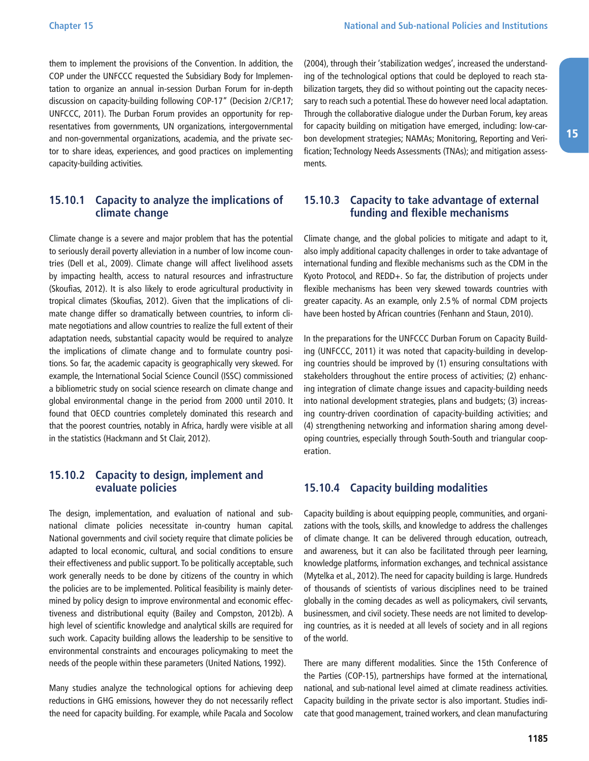<span id="page-44-0"></span>them to implement the provisions of the Convention. In addition, the COP under the UNFCCC requested the Subsidiary Body for Implementation to organize an annual in-session Durban Forum for in-depth discussion on capacity-building following COP-17" (Decision 2/CP.17; UNFCCC, 2011). The Durban Forum provides an opportunity for representatives from governments, UN organizations, intergovernmental and non-governmental organizations, academia, and the private sector to share ideas, experiences, and good practices on implementing capacity-building activities.

#### **15.10.1 Capacity to analyze the implications of climate change**

Climate change is a severe and major problem that has the potential to seriously derail poverty alleviation in a number of low income countries (Dell et al., 2009). Climate change will affect livelihood assets by impacting health, access to natural resources and infrastructure (Skoufias, 2012). It is also likely to erode agricultural productivity in tropical climates (Skoufias, 2012). Given that the implications of climate change differ so dramatically between countries, to inform climate negotiations and allow countries to realize the full extent of their adaptation needs, substantial capacity would be required to analyze the implications of climate change and to formulate country positions. So far, the academic capacity is geographically very skewed. For example, the International Social Science Council (ISSC) commissioned a bibliometric study on social science research on climate change and global environmental change in the period from 2000 until 2010. It found that OECD countries completely dominated this research and that the poorest countries, notably in Africa, hardly were visible at all in the statistics (Hackmann and St Clair, 2012).

#### **15.10.2 Capacity to design, implement and evaluate policies**

The design, implementation, and evaluation of national and subnational climate policies necessitate in-country human capital. National governments and civil society require that climate policies be adapted to local economic, cultural, and social conditions to ensure their effectiveness and public support. To be politically acceptable, such work generally needs to be done by citizens of the country in which the policies are to be implemented. Political feasibility is mainly determined by policy design to improve environmental and economic effectiveness and distributional equity (Bailey and Compston, 2012b). A high level of scientific knowledge and analytical skills are required for such work. Capacity building allows the leadership to be sensitive to environmental constraints and encourages policymaking to meet the needs of the people within these parameters (United Nations, 1992).

Many studies analyze the technological options for achieving deep reductions in GHG emissions, however they do not necessarily reflect the need for capacity building. For example, while Pacala and Socolow

(2004), through their 'stabilization wedges', increased the understanding of the technological options that could be deployed to reach stabilization targets, they did so without pointing out the capacity necessary to reach such a potential. These do however need local adaptation. Through the collaborative dialogue under the Durban Forum, key areas for capacity building on mitigation have emerged, including: low-carbon development strategies; NAMAs; Monitoring, Reporting and Verification; Technology Needs Assessments (TNAs); and mitigation assessments.

#### **15.10.3 Capacity to take advantage of external funding and flexible mechanisms**

Climate change, and the global policies to mitigate and adapt to it, also imply additional capacity challenges in order to take advantage of international funding and flexible mechanisms such as the CDM in the Kyoto Protocol, and REDD+. So far, the distribution of projects under flexible mechanisms has been very skewed towards countries with greater capacity. As an example, only 2.5% of normal CDM projects have been hosted by African countries (Fenhann and Staun, 2010).

In the preparations for the UNFCCC Durban Forum on Capacity Building (UNFCCC, 2011) it was noted that capacity-building in developing countries should be improved by (1) ensuring consultations with stakeholders throughout the entire process of activities; (2) enhancing integration of climate change issues and capacity-building needs into national development strategies, plans and budgets; (3) increasing country-driven coordination of capacity-building activities; and (4) strengthening networking and information sharing among developing countries, especially through South-South and triangular cooperation.

#### **15.10.4 Capacity building modalities**

Capacity building is about equipping people, communities, and organizations with the tools, skills, and knowledge to address the challenges of climate change. It can be delivered through education, outreach, and awareness, but it can also be facilitated through peer learning, knowledge platforms, information exchanges, and technical assistance (Mytelka et al., 2012). The need for capacity building is large. Hundreds of thousands of scientists of various disciplines need to be trained globally in the coming decades as well as policymakers, civil servants, businessmen, and civil society. These needs are not limited to developing countries, as it is needed at all levels of society and in all regions of the world.

There are many different modalities. Since the 15th Conference of the Parties (COP-15), partnerships have formed at the international, national, and sub-national level aimed at climate readiness activities. Capacity building in the private sector is also important. Studies indicate that good management, trained workers, and clean manufacturing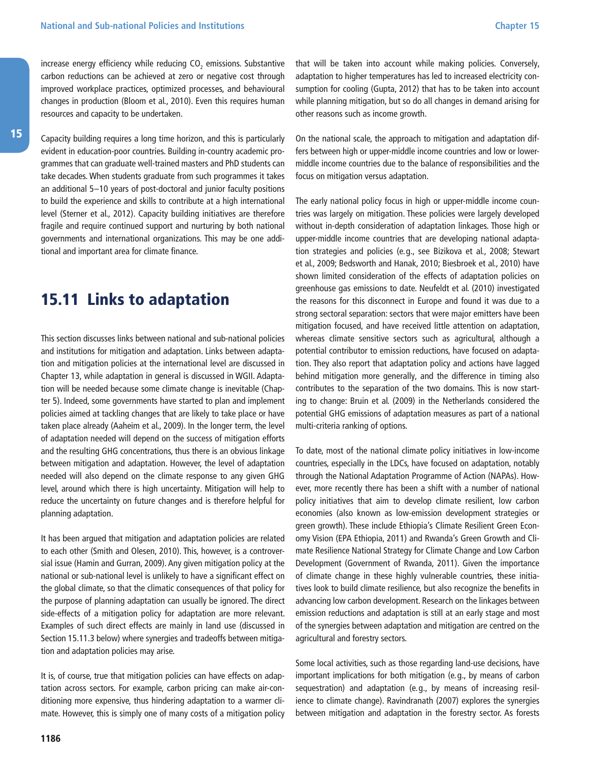<span id="page-45-0"></span>increase energy efficiency while reducing  $CO<sub>2</sub>$  emissions. Substantive carbon reductions can be achieved at zero or negative cost through improved workplace practices, optimized processes, and behavioural changes in production (Bloom et al., 2010). Even this requires human resources and capacity to be undertaken.

Capacity building requires a long time horizon, and this is particularly evident in education-poor countries. Building in-country academic programmes that can graduate well-trained masters and PhD students can take decades. When students graduate from such programmes it takes an additional 5–10 years of post-doctoral and junior faculty positions to build the experience and skills to contribute at a high international level (Sterner et al., 2012). Capacity building initiatives are therefore fragile and require continued support and nurturing by both national governments and international organizations. This may be one additional and important area for climate finance.

### 15.11 Links to adaptation

This section discusses links between national and sub-national policies and institutions for mitigation and adaptation. Links between adaptation and mitigation policies at the international level are discussed in Chapter 13, while adaptation in general is discussed in WGII. Adaptation will be needed because some climate change is inevitable (Chapter 5). Indeed, some governments have started to plan and implement policies aimed at tackling changes that are likely to take place or have taken place already (Aaheim et al., 2009). In the longer term, the level of adaptation needed will depend on the success of mitigation efforts and the resulting GHG concentrations, thus there is an obvious linkage between mitigation and adaptation. However, the level of adaptation needed will also depend on the climate response to any given GHG level, around which there is high uncertainty. Mitigation will help to reduce the uncertainty on future changes and is therefore helpful for planning adaptation.

It has been argued that mitigation and adaptation policies are related to each other (Smith and Olesen, 2010). This, however, is a controversial issue (Hamin and Gurran, 2009). Any given mitigation policy at the national or sub-national level is unlikely to have a significant effect on the global climate, so that the climatic consequences of that policy for the purpose of planning adaptation can usually be ignored. The direct side-effects of a mitigation policy for adaptation are more relevant. Examples of such direct effects are mainly in land use (discussed in Section 15.11.3 below) where synergies and tradeoffs between mitigation and adaptation policies may arise.

It is, of course, true that mitigation policies can have effects on adaptation across sectors. For example, carbon pricing can make air-conditioning more expensive, thus hindering adaptation to a warmer climate. However, this is simply one of many costs of a mitigation policy that will be taken into account while making policies. Conversely, adaptation to higher temperatures has led to increased electricity consumption for cooling (Gupta, 2012) that has to be taken into account while planning mitigation, but so do all changes in demand arising for other reasons such as income growth.

On the national scale, the approach to mitigation and adaptation differs between high or upper-middle income countries and low or lowermiddle income countries due to the balance of responsibilities and the focus on mitigation versus adaptation.

The early national policy focus in high or upper-middle income countries was largely on mitigation. These policies were largely developed without in-depth consideration of adaptation linkages. Those high or upper-middle income countries that are developing national adaptation strategies and policies (e.g., see Bizikova et al., 2008; Stewart et al., 2009; Bedsworth and Hanak, 2010; Biesbroek et al., 2010) have shown limited consideration of the effects of adaptation policies on greenhouse gas emissions to date. Neufeldt et al. (2010) investigated the reasons for this disconnect in Europe and found it was due to a strong sectoral separation: sectors that were major emitters have been mitigation focused, and have received little attention on adaptation, whereas climate sensitive sectors such as agricultural, although a potential contributor to emission reductions, have focused on adaptation. They also report that adaptation policy and actions have lagged behind mitigation more generally, and the difference in timing also contributes to the separation of the two domains. This is now starting to change: Bruin et al. (2009) in the Netherlands considered the potential GHG emissions of adaptation measures as part of a national multi-criteria ranking of options.

To date, most of the national climate policy initiatives in low-income countries, especially in the LDCs, have focused on adaptation, notably through the National Adaptation Programme of Action (NAPAs). However, more recently there has been a shift with a number of national policy initiatives that aim to develop climate resilient, low carbon economies (also known as low-emission development strategies or green growth). These include Ethiopia's Climate Resilient Green Economy Vision (EPA Ethiopia, 2011) and Rwanda's Green Growth and Climate Resilience National Strategy for Climate Change and Low Carbon Development (Government of Rwanda, 2011). Given the importance of climate change in these highly vulnerable countries, these initiatives look to build climate resilience, but also recognize the benefits in advancing low carbon development. Research on the linkages between emission reductions and adaptation is still at an early stage and most of the synergies between adaptation and mitigation are centred on the agricultural and forestry sectors.

Some local activities, such as those regarding land-use decisions, have important implications for both mitigation (e.g., by means of carbon sequestration) and adaptation (e.g., by means of increasing resilience to climate change). Ravindranath (2007) explores the synergies between mitigation and adaptation in the forestry sector. As forests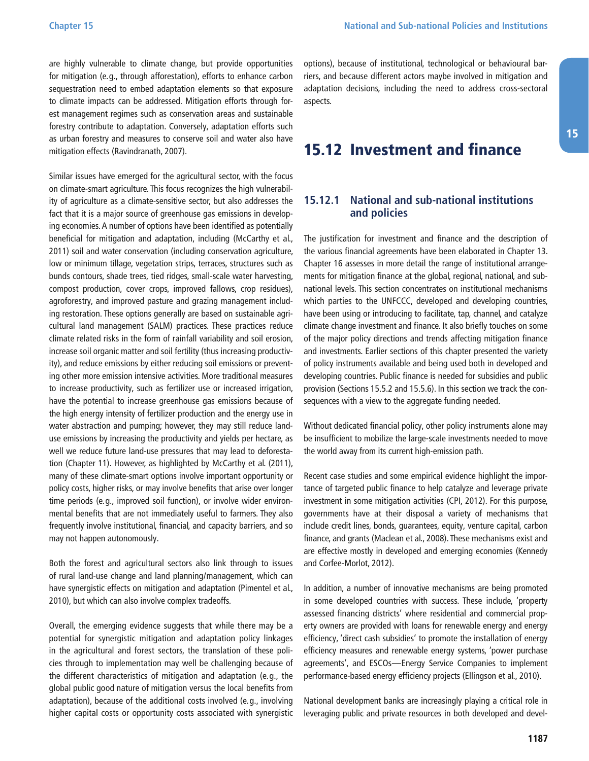<span id="page-46-0"></span>are highly vulnerable to climate change, but provide opportunities for mitigation (e.g., through afforestation), efforts to enhance carbon sequestration need to embed adaptation elements so that exposure to climate impacts can be addressed. Mitigation efforts through forest management regimes such as conservation areas and sustainable forestry contribute to adaptation. Conversely, adaptation efforts such as urban forestry and measures to conserve soil and water also have mitigation effects (Ravindranath, 2007).

Similar issues have emerged for the agricultural sector, with the focus on climate-smart agriculture. This focus recognizes the high vulnerability of agriculture as a climate-sensitive sector, but also addresses the fact that it is a major source of greenhouse gas emissions in developing economies. A number of options have been identified as potentially beneficial for mitigation and adaptation, including (McCarthy et al., 2011) soil and water conservation (including conservation agriculture, low or minimum tillage, vegetation strips, terraces, structures such as bunds contours, shade trees, tied ridges, small-scale water harvesting, compost production, cover crops, improved fallows, crop residues), agroforestry, and improved pasture and grazing management including restoration. These options generally are based on sustainable agricultural land management (SALM) practices. These practices reduce climate related risks in the form of rainfall variability and soil erosion, increase soil organic matter and soil fertility (thus increasing productivity), and reduce emissions by either reducing soil emissions or preventing other more emission intensive activities. More traditional measures to increase productivity, such as fertilizer use or increased irrigation, have the potential to increase greenhouse gas emissions because of the high energy intensity of fertilizer production and the energy use in water abstraction and pumping; however, they may still reduce landuse emissions by increasing the productivity and yields per hectare, as well we reduce future land-use pressures that may lead to deforestation (Chapter 11). However, as highlighted by McCarthy et al. (2011), many of these climate-smart options involve important opportunity or policy costs, higher risks, or may involve benefits that arise over longer time periods (e.g., improved soil function), or involve wider environmental benefits that are not immediately useful to farmers. They also frequently involve institutional, financial, and capacity barriers, and so may not happen autonomously.

Both the forest and agricultural sectors also link through to issues of rural land-use change and land planning/management, which can have synergistic effects on mitigation and adaptation (Pimentel et al., 2010), but which can also involve complex tradeoffs.

Overall, the emerging evidence suggests that while there may be a potential for synergistic mitigation and adaptation policy linkages in the agricultural and forest sectors, the translation of these policies through to implementation may well be challenging because of the different characteristics of mitigation and adaptation (e.g., the global public good nature of mitigation versus the local benefits from adaptation), because of the additional costs involved (e.g., involving higher capital costs or opportunity costs associated with synergistic options), because of institutional, technological or behavioural barriers, and because different actors maybe involved in mitigation and adaptation decisions, including the need to address cross-sectoral aspects.

### 15.12 Investment and finance

#### **15.12.1 National and sub-national institutions and policies**

The justification for investment and finance and the description of the various financial agreements have been elaborated in Chapter 13. Chapter 16 assesses in more detail the range of institutional arrangements for mitigation finance at the global, regional, national, and subnational levels. This section concentrates on institutional mechanisms which parties to the UNFCCC, developed and developing countries, have been using or introducing to facilitate, tap, channel, and catalyze climate change investment and finance. It also briefly touches on some of the major policy directions and trends affecting mitigation finance and investments. Earlier sections of this chapter presented the variety of policy instruments available and being used both in developed and developing countries. Public finance is needed for subsidies and public provision (Sections 15.5.2 and 15.5.6). In this section we track the consequences with a view to the aggregate funding needed.

Without dedicated financial policy, other policy instruments alone may be insufficient to mobilize the large-scale investments needed to move the world away from its current high-emission path.

Recent case studies and some empirical evidence highlight the importance of targeted public finance to help catalyze and leverage private investment in some mitigation activities (CPI, 2012). For this purpose, governments have at their disposal a variety of mechanisms that include credit lines, bonds, guarantees, equity, venture capital, carbon finance, and grants (Maclean et al., 2008). These mechanisms exist and are effective mostly in developed and emerging economies (Kennedy and Corfee-Morlot, 2012).

In addition, a number of innovative mechanisms are being promoted in some developed countries with success. These include, 'property assessed financing districts' where residential and commercial property owners are provided with loans for renewable energy and energy efficiency, 'direct cash subsidies' to promote the installation of energy efficiency measures and renewable energy systems, 'power purchase agreements', and ESCOs—Energy Service Companies to implement performance-based energy efficiency projects (Ellingson et al., 2010).

National development banks are increasingly playing a critical role in leveraging public and private resources in both developed and devel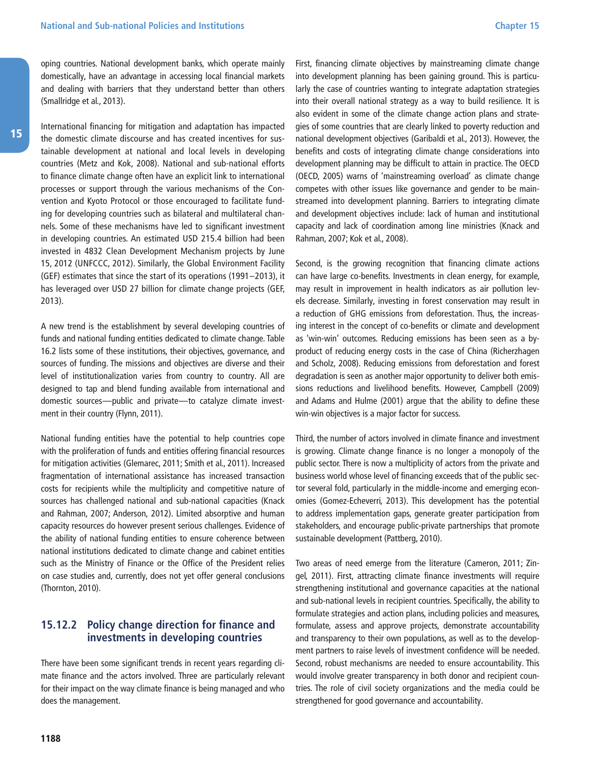<span id="page-47-0"></span>oping countries. National development banks, which operate mainly domestically, have an advantage in accessing local financial markets and dealing with barriers that they understand better than others (Smallridge et al., 2013).

International financing for mitigation and adaptation has impacted the domestic climate discourse and has created incentives for sustainable development at national and local levels in developing countries (Metz and Kok, 2008). National and sub-national efforts to finance climate change often have an explicit link to international processes or support through the various mechanisms of the Convention and Kyoto Protocol or those encouraged to facilitate funding for developing countries such as bilateral and multilateral channels. Some of these mechanisms have led to significant investment in developing countries. An estimated USD 215.4 billion had been invested in 4832 Clean Development Mechanism projects by June 15, 2012 (UNFCCC, 2012). Similarly, the Global Environment Facility (GEF) estimates that since the start of its operations (1991–2013), it has leveraged over USD 27 billion for climate change projects (GEF, 2013).

A new trend is the establishment by several developing countries of funds and national funding entities dedicated to climate change. Table 16.2 lists some of these institutions, their objectives, governance, and sources of funding. The missions and objectives are diverse and their level of institutionalization varies from country to country. All are designed to tap and blend funding available from international and domestic sources—public and private—to catalyze climate investment in their country (Flynn, 2011).

National funding entities have the potential to help countries cope with the proliferation of funds and entities offering financial resources for mitigation activities (Glemarec, 2011; Smith et al., 2011). Increased fragmentation of international assistance has increased transaction costs for recipients while the multiplicity and competitive nature of sources has challenged national and sub-national capacities (Knack and Rahman, 2007; Anderson, 2012). Limited absorptive and human capacity resources do however present serious challenges. Evidence of the ability of national funding entities to ensure coherence between national institutions dedicated to climate change and cabinet entities such as the Ministry of Finance or the Office of the President relies on case studies and, currently, does not yet offer general conclusions (Thornton, 2010).

#### **15.12.2 Policy change direction for finance and investments in developing countries**

There have been some significant trends in recent years regarding climate finance and the actors involved. Three are particularly relevant for their impact on the way climate finance is being managed and who does the management.

First, financing climate objectives by mainstreaming climate change into development planning has been gaining ground. This is particularly the case of countries wanting to integrate adaptation strategies into their overall national strategy as a way to build resilience. It is also evident in some of the climate change action plans and strategies of some countries that are clearly linked to poverty reduction and national development objectives (Garibaldi et al., 2013). However, the benefits and costs of integrating climate change considerations into development planning may be difficult to attain in practice. The OECD (OECD, 2005) warns of 'mainstreaming overload' as climate change competes with other issues like governance and gender to be mainstreamed into development planning. Barriers to integrating climate and development objectives include: lack of human and institutional capacity and lack of coordination among line ministries (Knack and Rahman, 2007; Kok et al., 2008).

Second, is the growing recognition that financing climate actions can have large co-benefits. Investments in clean energy, for example, may result in improvement in health indicators as air pollution levels decrease. Similarly, investing in forest conservation may result in a reduction of GHG emissions from deforestation. Thus, the increasing interest in the concept of co-benefits or climate and development as 'win-win' outcomes. Reducing emissions has been seen as a byproduct of reducing energy costs in the case of China (Richerzhagen and Scholz, 2008). Reducing emissions from deforestation and forest degradation is seen as another major opportunity to deliver both emissions reductions and livelihood benefits. However, Campbell (2009) and Adams and Hulme (2001) argue that the ability to define these win-win objectives is a major factor for success.

Third, the number of actors involved in climate finance and investment is growing. Climate change finance is no longer a monopoly of the public sector. There is now a multiplicity of actors from the private and business world whose level of financing exceeds that of the public sector several fold, particularly in the middle-income and emerging economies (Gomez-Echeverri, 2013). This development has the potential to address implementation gaps, generate greater participation from stakeholders, and encourage public-private partnerships that promote sustainable development (Pattberg, 2010).

Two areas of need emerge from the literature (Cameron, 2011; Zingel, 2011). First, attracting climate finance investments will require strengthening institutional and governance capacities at the national and sub-national levels in recipient countries. Specifically, the ability to formulate strategies and action plans, including policies and measures, formulate, assess and approve projects, demonstrate accountability and transparency to their own populations, as well as to the development partners to raise levels of investment confidence will be needed. Second, robust mechanisms are needed to ensure accountability. This would involve greater transparency in both donor and recipient countries. The role of civil society organizations and the media could be strengthened for good governance and accountability.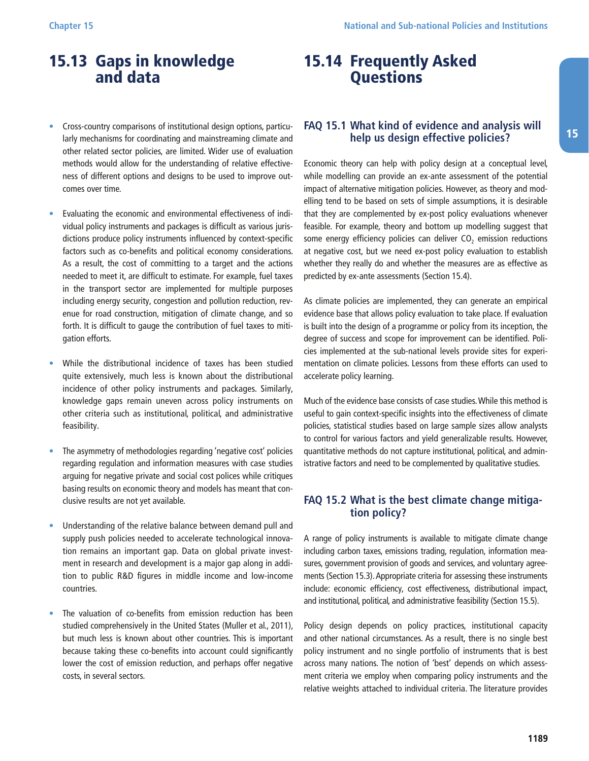### <span id="page-48-0"></span>15.13 Gaps in knowledge and data

- Cross-country comparisons of institutional design options, particularly mechanisms for coordinating and mainstreaming climate and other related sector policies, are limited. Wider use of evaluation methods would allow for the understanding of relative effectiveness of different options and designs to be used to improve outcomes over time.
- Evaluating the economic and environmental effectiveness of individual policy instruments and packages is difficult as various jurisdictions produce policy instruments influenced by context-specific factors such as co-benefits and political economy considerations. As a result, the cost of committing to a target and the actions needed to meet it, are difficult to estimate. For example, fuel taxes in the transport sector are implemented for multiple purposes including energy security, congestion and pollution reduction, revenue for road construction, mitigation of climate change, and so forth. It is difficult to gauge the contribution of fuel taxes to mitigation efforts.
- While the distributional incidence of taxes has been studied quite extensively, much less is known about the distributional incidence of other policy instruments and packages. Similarly, knowledge gaps remain uneven across policy instruments on other criteria such as institutional, political, and administrative feasibility.
- The asymmetry of methodologies regarding 'negative cost' policies regarding regulation and information measures with case studies arguing for negative private and social cost polices while critiques basing results on economic theory and models has meant that conclusive results are not yet available.
- Understanding of the relative balance between demand pull and supply push policies needed to accelerate technological innovation remains an important gap. Data on global private investment in research and development is a major gap along in addition to public R&D figures in middle income and low-income countries.
- The valuation of co-benefits from emission reduction has been studied comprehensively in the United States (Muller et al., 2011), but much less is known about other countries. This is important because taking these co-benefits into account could significantly lower the cost of emission reduction, and perhaps offer negative costs, in several sectors.

### 15.14 Frequently Asked **Questions**

#### **FAQ 15.1 What kind of evidence and analysis will help us design effective policies?**

Economic theory can help with policy design at a conceptual level, while modelling can provide an ex-ante assessment of the potential impact of alternative mitigation policies. However, as theory and modelling tend to be based on sets of simple assumptions, it is desirable that they are complemented by ex-post policy evaluations whenever feasible. For example, theory and bottom up modelling suggest that some energy efficiency policies can deliver  $CO<sub>2</sub>$  emission reductions at negative cost, but we need ex-post policy evaluation to establish whether they really do and whether the measures are as effective as predicted by ex-ante assessments (Section 15.4).

As climate policies are implemented, they can generate an empirical evidence base that allows policy evaluation to take place. If evaluation is built into the design of a programme or policy from its inception, the degree of success and scope for improvement can be identified. Policies implemented at the sub-national levels provide sites for experimentation on climate policies. Lessons from these efforts can used to accelerate policy learning.

Much of the evidence base consists of case studies. While this method is useful to gain context-specific insights into the effectiveness of climate policies, statistical studies based on large sample sizes allow analysts to control for various factors and yield generalizable results. However, quantitative methods do not capture institutional, political, and administrative factors and need to be complemented by qualitative studies.

#### **FAQ 15.2 What is the best climate change mitigation policy?**

A range of policy instruments is available to mitigate climate change including carbon taxes, emissions trading, regulation, information measures, government provision of goods and services, and voluntary agreements (Section 15.3). Appropriate criteria for assessing these instruments include: economic efficiency, cost effectiveness, distributional impact, and institutional, political, and administrative feasibility (Section 15.5).

Policy design depends on policy practices, institutional capacity and other national circumstances. As a result, there is no single best policy instrument and no single portfolio of instruments that is best across many nations. The notion of 'best' depends on which assessment criteria we employ when comparing policy instruments and the relative weights attached to individual criteria. The literature provides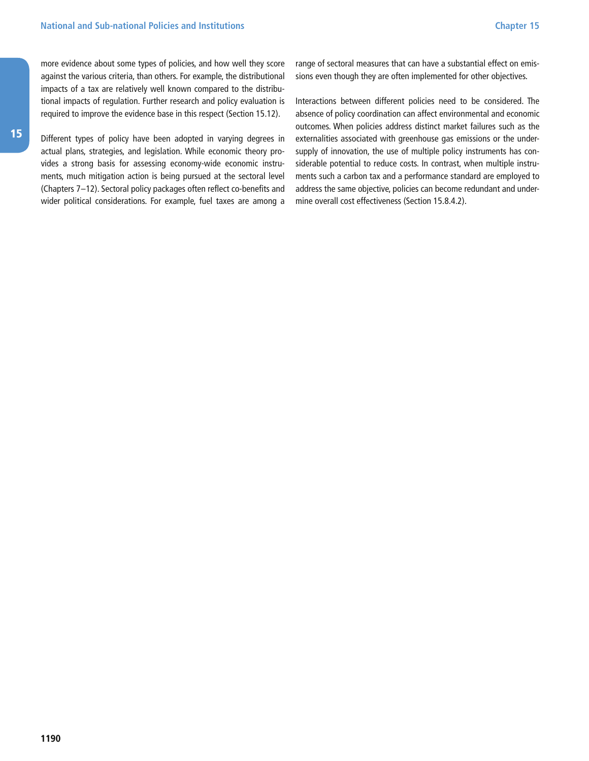<span id="page-49-0"></span>more evidence about some types of policies, and how well they score against the various criteria, than others. For example, the distributional impacts of a tax are relatively well known compared to the distributional impacts of regulation. Further research and policy evaluation is required to improve the evidence base in this respect (Section 15.12).

15

Different types of policy have been adopted in varying degrees in actual plans, strategies, and legislation. While economic theory provides a strong basis for assessing economy-wide economic instruments, much mitigation action is being pursued at the sectoral level (Chapters 7–12). Sectoral policy packages often reflect co-benefits and wider political considerations. For example, fuel taxes are among a range of sectoral measures that can have a substantial effect on emissions even though they are often implemented for other objectives.

Interactions between different policies need to be considered. The absence of policy coordination can affect environmental and economic outcomes. When policies address distinct market failures such as the externalities associated with greenhouse gas emissions or the undersupply of innovation, the use of multiple policy instruments has considerable potential to reduce costs. In contrast, when multiple instruments such a carbon tax and a performance standard are employed to address the same objective, policies can become redundant and undermine overall cost effectiveness (Section 15.8.4.2).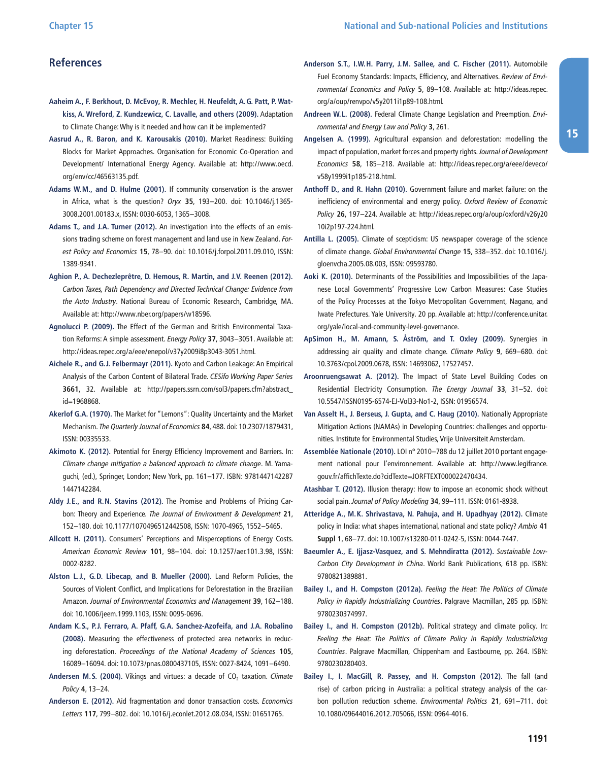#### **References**

- **Aaheim A., F. Berkhout, D. McEvoy, R. Mechler, H. Neufeldt, A. G. Patt, P. Watkiss, A. Wreford, Z. Kundzewicz, C. Lavalle, and others (2009).** Adaptation to Climate Change: Why is it needed and how can it be implemented?
- **Aasrud A., R. Baron, and K. Karousakis (2010).** Market Readiness: Building Blocks for Market Approaches. Organisation for Economic Co-Operation and Development/ International Energy Agency. Available at: http://www.oecd. [org/env/cc/46563135.pdf.](http://www.oecd.org/env/cc/46563135.pdf)
- **Adams W. M., and D. Hulme (2001).** If community conservation is the answer in Africa, what is the question? Oryx **35**, 193–200. doi: 10.1046/j.1365- 3008.2001.00183.x, ISSN: 0030-6053, 1365–3008.
- **Adams T., and J. A. Turner (2012).** An investigation into the effects of an emissions trading scheme on forest management and land use in New Zealand. Forest Policy and Economics **15**, 78–90. doi: 10.1016/j.forpol.2011.09.010, ISSN: 1389-9341.
- **Aghion P., A. Dechezleprêtre, D. Hemous, R. Martin, and J. V. Reenen (2012).** Carbon Taxes, Path Dependency and Directed Technical Change: Evidence from the Auto Industry. National Bureau of Economic Research, Cambridge, MA. Available at: [http:/ /www.nber.org/papers/w18596](http://www.nber.org/papers/w18596).
- **Agnolucci P. (2009).** The Effect of the German and British Environmental Taxation Reforms: A simple assessment. Energy Policy **37**, 3043–3051. Available at: [http:/ /ideas.repec.org/a/eee/enepol/v37y2009i8p3043-3051.html](http://ideas.repec.org/a/eee/enepol/v37y2009i8p3043-3051.html).
- **Aichele R., and G. J. Felbermayr (2011).** Kyoto and Carbon Leakage: An Empirical Analysis of the Carbon Content of Bilateral Trade. CESifo Working Paper Series **3661**, 32. Available at: [http:/ /papers.ssrn.com/sol3/papers.cfm?abstract\\_](http://papers.ssrn.com/sol3/papers.cfm?abstract_id=1968868) [id=1968868](http://papers.ssrn.com/sol3/papers.cfm?abstract_id=1968868).
- **Akerlof G. A. (1970).** The Market for "Lemons": Quality Uncertainty and the Market Mechanism. The Quarterly Journal of Economics **84**, 488. doi: 10.2307/1879431, ISSN: 00335533.
- **Akimoto K. (2012).** Potential for Energy Efficiency Improvement and Barriers. In: Climate change mitigation a balanced approach to climate change. M. Yamaguchi, (ed.), Springer, London; New York, pp. 161–177. ISBN: 9781447142287 1447142284.
- **Aldy J. E., and R. N. Stavins (2012).** The Promise and Problems of Pricing Carbon: Theory and Experience. The Journal of Environment & Development **21**, 152–180. doi: 10.1177/1070496512442508, ISSN: 1070-4965, 1552–5465.
- **Allcott H. (2011).** Consumers' Perceptions and Misperceptions of Energy Costs. American Economic Review **101**, 98–104. doi: 10.1257/aer.101.3.98, ISSN: 0002-8282.
- **Alston L. J., G. D. Libecap, and B. Mueller (2000).** Land Reform Policies, the Sources of Violent Conflict, and Implications for Deforestation in the Brazilian Amazon. Journal of Environmental Economics and Management **39**, 162–188. doi: 10.1006/jeem.1999.1103, ISSN: 0095-0696.
- **Andam K. S., P. J. Ferraro, A. Pfaff, G. A. Sanchez-Azofeifa, and J. A. Robalino (2008).** Measuring the effectiveness of protected area networks in reducing deforestation. Proceedings of the National Academy of Sciences **105**, 16089–16094. doi: 10.1073/pnas.0800437105, ISSN: 0027-8424, 1091–6490.
- Andersen M.S. (2004). Vikings and virtues: a decade of CO<sub>2</sub> taxation. Climate Policy **4**, 13–24.
- **Anderson E. (2012).** Aid fragmentation and donor transaction costs. Economics Letters **117**, 799–802. doi: 10.1016/j.econlet.2012.08.034, ISSN: 01651765.
- **Anderson S. T., I. W. H. Parry, J. M. Sallee, and C. Fischer (2011).** Automobile Fuel Economy Standards: Impacts, Efficiency, and Alternatives. Review of Environmental Economics and Policy **5**, 89–108. Available at: [http:/ /ideas.repec.](http://ideas.repec.org/a/oup/renvpo/v5y2011i1p89-108.html) [org/a/oup/renvpo/v5y2011i1p89-108.html](http://ideas.repec.org/a/oup/renvpo/v5y2011i1p89-108.html).
- **Andreen W. L. (2008).** Federal Climate Change Legislation and Preemption. Environmental and Energy Law and Policy **3**, 261.
- **Angelsen A. (1999).** Agricultural expansion and deforestation: modelling the impact of population, market forces and property rights. Journal of Development Economics **58**, 185–218. Available at: [http:/ /ideas.repec.org/a/eee/deveco/](http://ideas.repec.org/a/eee/deveco/v58y1999i1p185-218.html) [v58y1999i1p185-218.html.](http://ideas.repec.org/a/eee/deveco/v58y1999i1p185-218.html)
- **Anthoff D., and R. Hahn (2010).** Government failure and market failure: on the inefficiency of environmental and energy policy. Oxford Review of Economic Policy **26**, 197–224. Available at: [http:/ /ideas.repec.org/a/oup/oxford/v26y20](http://ideas.repec.org/a/oup/oxford/v26y2010i2p197-224.html) [10i2p197-224.html.](http://ideas.repec.org/a/oup/oxford/v26y2010i2p197-224.html)
- **Antilla L. (2005).** Climate of scepticism: US newspaper coverage of the science of climate change. Global Environmental Change **15**, 338–352. doi: 10.1016/j. gloenvcha.2005.08.003, ISSN: 09593780.
- **Aoki K. (2010).** Determinants of the Possibilities and Impossibilities of the Japanese Local Governments' Progressive Low Carbon Measures: Case Studies of the Policy Processes at the Tokyo Metropolitan Government, Nagano, and Iwate Prefectures. Yale University. 20 pp. Available at: [http:/ /conference.unitar.](http://conference.unitar.org/yale/local-and-community-level-governance) [org/yale/local-and-community-level-governance.](http://conference.unitar.org/yale/local-and-community-level-governance)
- **ApSimon H., M. Amann, S. Åström, and T. Oxley (2009).** Synergies in addressing air quality and climate change. Climate Policy **9**, 669–680. doi: 10.3763/cpol.2009.0678, ISSN: 14693062, 17527457.
- **Aroonruengsawat A. (2012).** The Impact of State Level Building Codes on Residential Electricity Consumption. The Energy Journal **33**, 31–52. doi: 10.5547/ISSN0195-6574-EJ-Vol33-No1-2, ISSN: 01956574.
- **Van Asselt H., J. Berseus, J. Gupta, and C. Haug (2010).** Nationally Appropriate Mitigation Actions (NAMAs) in Developing Countries: challenges and opportunities. Institute for Environmental Studies, Vrije Universiteit Amsterdam.
- **Assemblée Nationale (2010).** LOI n° 2010–788 du 12 juillet 2010 portant engagement national pour l'environnement. Available at: [http:/ /www.legifrance.](http://www.legifrance.gouv.fr/affichTexte.do?cidTexte=JORFTEXT000022470434) [gouv.fr/affichTexte.do?cidTexte=JORFTEXT000022470434.](http://www.legifrance.gouv.fr/affichTexte.do?cidTexte=JORFTEXT000022470434)
- **Atashbar T. (2012).** Illusion therapy: How to impose an economic shock without social pain. Journal of Policy Modeling **34**, 99–111. ISSN: 0161-8938.
- **Atteridge A., M. K. Shrivastava, N. Pahuja, and H. Upadhyay (2012).** Climate policy in India: what shapes international, national and state policy? Ambio **41 Suppl 1**, 68–77. doi: 10.1007/s13280-011-0242-5, ISSN: 0044-7447.
- **Baeumler A., E. Ijjasz-Vasquez, and S. Mehndiratta (2012).** Sustainable Low-Carbon City Development in China. World Bank Publications, 618 pp. ISBN: 9780821389881.
- **Bailey I., and H. Compston (2012a).** Feeling the Heat: The Politics of Climate Policy in Rapidly Industrializing Countries. Palgrave Macmillan, 285 pp. ISBN: 9780230374997.
- **Bailey I., and H. Compston (2012b).** Political strategy and climate policy. In: Feeling the Heat: The Politics of Climate Policy in Rapidly Industrializing Countries. Palgrave Macmillan, Chippenham and Eastbourne, pp. 264. ISBN: 9780230280403.
- **Bailey I., I. MacGill, R. Passey, and H. Compston (2012).** The fall (and rise) of carbon pricing in Australia: a political strategy analysis of the carbon pollution reduction scheme. Environmental Politics **21**, 691–711. doi: 10.1080/09644016.2012.705066, ISSN: 0964-4016.

15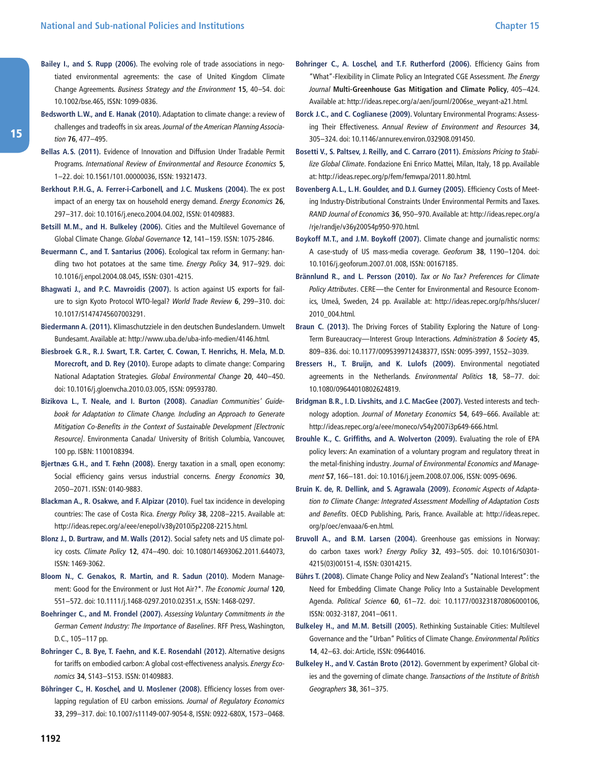- **Bailey I., and S. Rupp (2006).** The evolving role of trade associations in negotiated environmental agreements: the case of United Kingdom Climate Change Agreements. Business Strategy and the Environment **15**, 40–54. doi: 10.1002/bse.465, ISSN: 1099-0836.
- **Bedsworth L. W., and E. Hanak (2010).** Adaptation to climate change: a review of challenges and tradeoffs in six areas. Journal of the American Planning Association **76**, 477–495.
- **Bellas A. S. (2011).** Evidence of Innovation and Diffusion Under Tradable Permit Programs. International Review of Environmental and Resource Economics **5**, 1–22. doi: 10.1561/101.00000036, ISSN: 19321473.
- **Berkhout P. H. G., A. Ferrer-i-Carbonell, and J. C. Muskens (2004).** The ex post impact of an energy tax on household energy demand. Energy Economics **26**, 297–317. doi: 10.1016/j.eneco.2004.04.002, ISSN: 01409883.
- **Betsill M. M., and H. Bulkeley (2006).** Cities and the Multilevel Governance of Global Climate Change. Global Governance **12**, 141–159. ISSN: 1075-2846.
- **Beuermann C., and T. Santarius (2006).** Ecological tax reform in Germany: handling two hot potatoes at the same time. Energy Policy **34**, 917–929. doi: 10.1016/j.enpol.2004.08.045, ISSN: 0301-4215.
- **Bhagwati J., and P. C. Mavroidis (2007).** Is action against US exports for failure to sign Kyoto Protocol WTO-legal? World Trade Review **6**, 299–310. doi: 10.1017/S1474745607003291.
- **Biedermann A. (2011).** Klimaschutzziele in den deutschen Bundeslandern. Umwelt Bundesamt. Available at: [http:/ /www.uba.de/uba-info-medien/4146.html.](http://www.uba.de/uba-info-medien/4146.html)
- **Biesbroek G. R., R. J. Swart, T. R. Carter, C. Cowan, T. Henrichs, H. Mela, M. D. Morecroft, and D. Rey (2010).** Europe adapts to climate change: Comparing National Adaptation Strategies. Global Environmental Change **20**, 440–450. doi: 10.1016/j.gloenvcha.2010.03.005, ISSN: 09593780.
- **Bizikova L., T. Neale, and I. Burton (2008).** Canadian Communities' Guidebook for Adaptation to Climate Change. Including an Approach to Generate Mitigation Co-Benefits in the Context of Sustainable Development [Electronic Resource]. Environmenta Canada/ University of British Columbia, Vancouver, 100 pp. ISBN: 1100108394.
- **Bjertnæs G. H., and T. Fæhn (2008).** Energy taxation in a small, open economy: Social efficiency gains versus industrial concerns. Energy Economics **30**, 2050–2071. ISSN: 0140-9883.
- **Blackman A., R. Osakwe, and F. Alpizar (2010).** Fuel tax incidence in developing countries: The case of Costa Rica. Energy Policy **38**, 2208–2215. Available at: [http:/ /ideas.repec.org/a/eee/enepol/v38y2010i5p2208-2215.html.](http://ideas.repec.org/a/eee/enepol/v38y2010i5p2208-2215.html)
- **Blonz J., D. Burtraw, and M. Walls (2012).** Social safety nets and US climate policy costs. Climate Policy **12**, 474–490. doi: 10.1080/14693062.2011.644073, ISSN: 1469-3062.
- **Bloom N., C. Genakos, R. Martin, and R. Sadun (2010).** Modern Management: Good for the Environment or Just Hot Air?\*. The Economic Journal **120**, 551–572. doi: 10.1111/j.1468-0297.2010.02351.x, ISSN: 1468-0297.
- **Boehringer C., and M. Frondel (2007).** Assessing Voluntary Commitments in the German Cement Industry: The Importance of Baselines. RFF Press, Washington, D.C., 105–117 pp.
- **Bohringer C., B. Bye, T. Faehn, and K. E. Rosendahl (2012).** Alternative designs for tariffs on embodied carbon: A global cost-effectiveness analysis. Energy Economics **34**, S143–S153. ISSN: 01409883.
- **Böhringer C., H. Koschel, and U. Moslener (2008).** Efficiency losses from overlapping regulation of EU carbon emissions. Journal of Regulatory Economics **33**, 299–317. doi: 10.1007/s11149-007-9054-8, ISSN: 0922-680X, 1573–0468.
- **Bohringer C., A. Loschel, and T. F. Rutherford (2006).** Efficiency Gains from "What"-Flexibility in Climate Policy an Integrated CGE Assessment. The Energy Journal **Multi-Greenhouse Gas Mitigation and Climate Policy**, 405–424. Available at: [http:/ /ideas.repec.org/a/aen/journl/2006se\\_weyant-a21.html](http://ideas.repec.org/a/aen/journl/2006se_weyant-a21.html).
- **Borck J. C., and C. Coglianese (2009).** Voluntary Environmental Programs: Assessing Their Effectiveness. Annual Review of Environment and Resources **34**, 305–324. doi: 10.1146/annurev.environ.032908.091450.
- **Bosetti V., S. Paltsev, J. Reilly, and C. Carraro (2011).** Emissions Pricing to Stabilize Global Climate. Fondazione Eni Enrico Mattei, Milan, Italy, 18 pp. Available at: [http:/ /ideas.repec.org/p/fem/femwpa/2011.80.html](http://ideas.repec.org/p/fem/femwpa/2011.80.html).
- **Bovenberg A. L., L. H. Goulder, and D. J. Gurney (2005).** Efficiency Costs of Meeting Industry-Distributional Constraints Under Environmental Permits and Taxes. RAND Journal of Economics **36**, 950–970. Available at: [http:/ /ideas.repec.org/a](http://ideas.repec.org/a/rje/randje/v36y20054p950-970.html) [/rje/randje/v36y20054p950-970.html](http://ideas.repec.org/a/rje/randje/v36y20054p950-970.html).
- **Boykoff M. T., and J. M. Boykoff (2007).** Climate change and journalistic norms: A case-study of US mass-media coverage. Geoforum **38**, 1190–1204. doi: 10.1016/j.geoforum.2007.01.008, ISSN: 00167185.
- **Brännlund R., and L. Persson (2010).** Tax or No Tax? Preferences for Climate Policy Attributes. CERE—the Center for Environmental and Resource Economics, Umeå, Sweden, 24 pp. Available at: [http:/ /ideas.repec.org/p/hhs/slucer/](http://ideas.repec.org/p/hhs/slucer/2010_004.html) [2010\\_004.html.](http://ideas.repec.org/p/hhs/slucer/2010_004.html)
- **Braun C. (2013).** The Driving Forces of Stability Exploring the Nature of Long-Term Bureaucracy—Interest Group Interactions. Administration & Society **45**, 809–836. doi: 10.1177/0095399712438377, ISSN: 0095-3997, 1552–3039.
- **Bressers H., T. Bruijn, and K. Lulofs (2009).** Environmental negotiated agreements in the Netherlands. Environmental Politics **18**, 58–77. doi: 10.1080/09644010802624819.
- **Bridgman B. R., I. D. Livshits, and J. C. MacGee (2007).** Vested interests and technology adoption. Journal of Monetary Economics **54**, 649–666. Available at: [http:/ /ideas.repec.org/a/eee/moneco/v54y2007i3p649-666.html](http://ideas.repec.org/a/eee/moneco/v54y2007i3p649-666.html).
- **Brouhle K., C. Griffiths, and A. Wolverton (2009).** Evaluating the role of EPA policy levers: An examination of a voluntary program and regulatory threat in the metal-finishing industry. Journal of Environmental Economics and Management **57**, 166–181. doi: 10.1016/j.jeem.2008.07.006, ISSN: 0095-0696.
- **Bruin K. de, R. Dellink, and S. Agrawala (2009).** Economic Aspects of Adaptation to Climate Change: Integrated Assessment Modelling of Adaptation Costs and Benefits. OECD Publishing, Paris, France. Available at: [http:/ /ideas.repec.](http://ideas.repec.org/p/oec/envaaa/6-en.html) [org/p/oec/envaaa/6-en.html.](http://ideas.repec.org/p/oec/envaaa/6-en.html)
- **Bruvoll A., and B. M. Larsen (2004).** Greenhouse gas emissions in Norway: do carbon taxes work? Energy Policy **32**, 493–505. doi: 10.1016/S0301- 4215(03)00151-4, ISSN: 03014215.
- **Bührs T. (2008).** Climate Change Policy and New Zealand's "National Interest": the Need for Embedding Climate Change Policy Into a Sustainable Development Agenda. Political Science **60**, 61–72. doi: 10.1177/003231870806000106, ISSN: 0032-3187, 2041–0611.
- **Bulkeley H., and M. M. Betsill (2005).** Rethinking Sustainable Cities: Multilevel Governance and the "Urban" Politics of Climate Change. Environmental Politics **14**, 42–63. doi: Article, ISSN: 09644016.
- **Bulkeley H., and V. Castán Broto (2012).** Government by experiment? Global cities and the governing of climate change. Transactions of the Institute of British Geographers **38**, 361–375.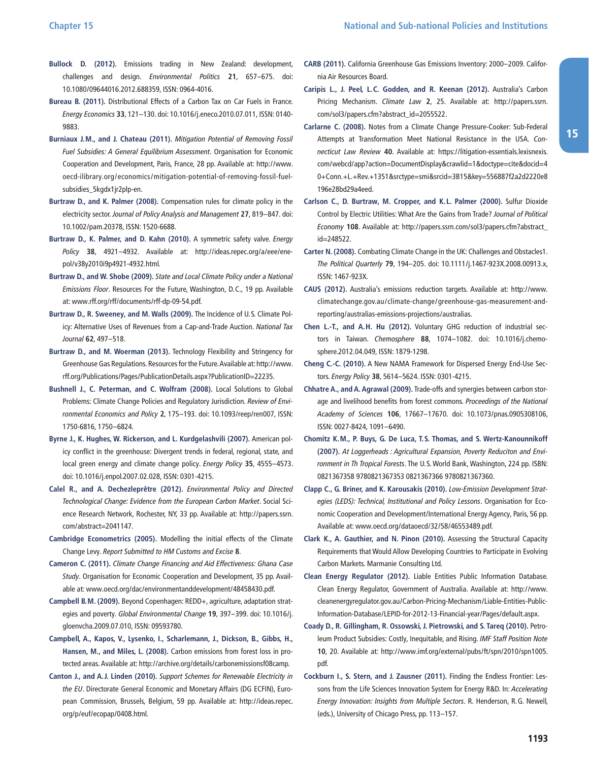- **Bullock D. (2012).** Emissions trading in New Zealand: development, challenges and design. Environmental Politics **21**, 657–675. doi: 10.1080/09644016.2012.688359, ISSN: 0964-4016.
- **Bureau B. (2011).** Distributional Effects of a Carbon Tax on Car Fuels in France. Energy Economics **33**, 121–130. doi: 10.1016/j.eneco.2010.07.011, ISSN: 0140- 9883.
- **Burniaux J. M., and J. Chateau (2011).** Mitigation Potential of Removing Fossil Fuel Subsidies: A General Equilibrium Assessment. Organisation for Economic Cooperation and Development, Paris, France, 28 pp. Available at: [http:/ /www.](http://www.oecd-ilibrary.org/economics/mitigation-potential-of-removing-fossil-fuel-subsidies_5kgdx1jr2plp-en) [oecd-ilibrary.org/economics/mitigation-potential-of-removing-fossil-fuel](http://www.oecd-ilibrary.org/economics/mitigation-potential-of-removing-fossil-fuel-subsidies_5kgdx1jr2plp-en)[subsidies\\_5kgdx1jr2plp-en](http://www.oecd-ilibrary.org/economics/mitigation-potential-of-removing-fossil-fuel-subsidies_5kgdx1jr2plp-en).
- **Burtraw D., and K. Palmer (2008).** Compensation rules for climate policy in the electricity sector. Journal of Policy Analysis and Management **27**, 819–847. doi: 10.1002/pam.20378, ISSN: 1520-6688.
- **Burtraw D., K. Palmer, and D. Kahn (2010).** A symmetric safety valve. Energy Policy **38**, 4921-4932. Available at: http://ideas.repec.org/a/eee/ene[pol/v38y2010i9p4921-4932.html.](http://ideas.repec.org/a/eee/enepol/v38y2010i9p4921-4932.html)
- **Burtraw D., and W. Shobe (2009).** State and Local Climate Policy under a National Emissions Floor. Resources For the Future, Washington, D.C., 19 pp. Available at: [www.rff.org/rff/documents/rff-dp-09-54.pdf](http://www.rff.org/rff/documents/rff-dp-09-54.pdf).
- **Burtraw D., R. Sweeney, and M. Walls (2009).** The Incidence of U.S. Climate Policy: Alternative Uses of Revenues from a Cap-and-Trade Auction. National Tax Journal **62**, 497–518.
- **Burtraw D., and M. Woerman (2013).** Technology Flexibility and Stringency for Greenhouse Gas Regulations. Resources for the Future. Available at: [http:/ /www.](http://www.rff.org/Publications/Pages/PublicationDetails.aspx?PublicationID=22235) [rff.org/Publications/Pages/PublicationDetails.aspx?PublicationID=22235.](http://www.rff.org/Publications/Pages/PublicationDetails.aspx?PublicationID=22235)
- **Bushnell J., C. Peterman, and C. Wolfram (2008).** Local Solutions to Global Problems: Climate Change Policies and Regulatory Jurisdiction. Review of Environmental Economics and Policy **2**, 175–193. doi: 10.1093/reep/ren007, ISSN: 1750-6816, 1750–6824.
- **Byrne J., K. Hughes, W. Rickerson, and L. Kurdgelashvili (2007).** American policy conflict in the greenhouse: Divergent trends in federal, regional, state, and local green energy and climate change policy. Energy Policy **35**, 4555–4573. doi: 10.1016/j.enpol.2007.02.028, ISSN: 0301-4215.
- **Calel R., and A. Dechezleprêtre (2012).** Environmental Policy and Directed Technological Change: Evidence from the European Carbon Market. Social Science Research Network, Rochester, NY, 33 pp. Available at: http://papers.ssrn. [com/abstract=2041147.](http://papers.ssrn.com/abstract=2041147)
- **Cambridge Econometrics (2005).** Modelling the initial effects of the Climate Change Levy. Report Submitted to HM Customs and Excise **8**.
- **Cameron C. (2011).** Climate Change Financing and Aid Effectiveness: Ghana Case Study. Organisation for Economic Cooperation and Development, 35 pp. Available at: [www.oecd.org/dac/environmentanddevelopment/48458430.pdf](http://www.oecd.org/dac/environmentanddevelopment/48458430.pdf).
- **Campbell B. M. (2009).** Beyond Copenhagen: REDD+, agriculture, adaptation strategies and poverty. Global Environmental Change **19**, 397–399. doi: 10.1016/j. gloenvcha.2009.07.010, ISSN: 09593780.
- **Campbell, A., Kapos, V., Lysenko, I., Scharlemann, J., Dickson, B., Gibbs, H., Hansen, M., and Miles, L. (2008).** Carbon emissions from forest loss in protected areas. Available at: [http:/ /archive.org/details/carbonemissionsf08camp.](http://archive.org/details/carbonemissionsf08camp)
- **Canton J., and A. J. Linden (2010).** Support Schemes for Renewable Electricity in the EU. Directorate General Economic and Monetary Affairs (DG ECFIN), European Commission, Brussels, Belgium, 59 pp. Available at: [http:/ /ideas.repec.](http://ideas.repec.org/p/euf/ecopap/0408.html) [org/p/euf/ecopap/0408.html](http://ideas.repec.org/p/euf/ecopap/0408.html).
- **CARB (2011).** California Greenhouse Gas Emissions Inventory: 2000–2009. California Air Resources Board.
- **Caripis L., J. Peel, L. C. Godden, and R. Keenan (2012).** Australia's Carbon Pricing Mechanism. Climate Law 2, 25. Available at: http://papers.ssrn. [com/sol3/papers.cfm?abstract\\_id=2055522](http://papers.ssrn.com/sol3/papers.cfm?abstract_id=2055522).
- **Carlarne C. (2008).** Notes from a Climate Change Pressure-Cooker: Sub-Federal Attempts at Transformation Meet National Resistance in the USA. Connecticut Law Review **40**. Available at: [https:/ /litigation-essentials.lexisnexis.](https://litigation-essentials.lexisnexis.com/webcd/app?action=DocumentDisplay&crawlid=1&doctype=cite&docid=40+Conn.+L.+Rev.+1351&srctype=smi&srcid=3B15&key=556887f2a2d2220e8196e28bd29a4eed) [com/webcd/app?action=DocumentDisplay&crawlid=1&doctype=cite&docid=4](https://litigation-essentials.lexisnexis.com/webcd/app?action=DocumentDisplay&crawlid=1&doctype=cite&docid=40+Conn.+L.+Rev.+1351&srctype=smi&srcid=3B15&key=556887f2a2d2220e8196e28bd29a4eed) [0+Conn.+L.+Rev.+1351&srctype=smi&srcid=3B15&key=556887f2a2d2220e8](https://litigation-essentials.lexisnexis.com/webcd/app?action=DocumentDisplay&crawlid=1&doctype=cite&docid=40+Conn.+L.+Rev.+1351&srctype=smi&srcid=3B15&key=556887f2a2d2220e8196e28bd29a4eed) [196e28bd29a4eed.](https://litigation-essentials.lexisnexis.com/webcd/app?action=DocumentDisplay&crawlid=1&doctype=cite&docid=40+Conn.+L.+Rev.+1351&srctype=smi&srcid=3B15&key=556887f2a2d2220e8196e28bd29a4eed)
- **Carlson C., D. Burtraw, M. Cropper, and K. L. Palmer (2000).** Sulfur Dioxide Control by Electric Utilities: What Are the Gains from Trade? Journal of Political Economy **108**. Available at: [http:/ /papers.ssrn.com/sol3/papers.cfm?abstract\\_](http://papers.ssrn.com/sol3/papers.cfm?abstract_id=248522) [id=248522.](http://papers.ssrn.com/sol3/papers.cfm?abstract_id=248522)
- **Carter N. (2008).** Combating Climate Change in the UK: Challenges and Obstacles1. The Political Quarterly **79**, 194–205. doi: 10.1111/j.1467-923X.2008.00913.x, ISSN: 1467-923X.
- **CAUS (2012).** Australia's emissions reduction targets. Available at: [http:/ /www.](http://www.climatechange.gov.au/climate-change/greenhouse-gas-measurement-and-reporting/australias-emissions-projections/australias) [climatechange.gov.au/climate-change/greenhouse-gas-measurement-and](http://www.climatechange.gov.au/climate-change/greenhouse-gas-measurement-and-reporting/australias-emissions-projections/australias)[reporting/australias-emissions-projections/australias](http://www.climatechange.gov.au/climate-change/greenhouse-gas-measurement-and-reporting/australias-emissions-projections/australias).
- **Chen L.-T., and A. H. Hu (2012).** Voluntary GHG reduction of industrial sectors in Taiwan. Chemosphere **88**, 1074–1082. doi: 10.1016/j.chemosphere.2012.04.049, ISSN: 1879-1298.
- **Cheng C.-C. (2010).** A New NAMA Framework for Dispersed Energy End-Use Sectors. Energy Policy **38**, 5614–5624. ISSN: 0301-4215.
- **Chhatre A., and A. Agrawal (2009).** Trade-offs and synergies between carbon storage and livelihood benefits from forest commons. Proceedings of the National Academy of Sciences **106**, 17667–17670. doi: 10.1073/pnas.0905308106, ISSN: 0027-8424, 1091–6490.
- **Chomitz K. M., P. Buys, G. De Luca, T. S. Thomas, and S. Wertz-Kanounnikoff (2007).** At Loggerheads : Agricultural Expansion, Poverty Reduciton and Environment in Th Tropical Forests. The U.S. World Bank, Washington, 224 pp. ISBN: 0821367358 9780821367353 0821367366 9780821367360.
- **Clapp C., G. Briner, and K. Karousakis (2010).** Low-Emission Development Strategies (LEDS): Technical, Institutional and Policy Lessons. Organisation for Economic Cooperation and Development/International Energy Agency, Paris, 56 pp. Available at: [www.oecd.org/dataoecd/32/58/46553489.pdf.](http://www.oecd.org/dataoecd/32/58/46553489.pdf)
- **Clark K., A. Gauthier, and N. Pinon (2010).** Assessing the Structural Capacity Requirements that Would Allow Developing Countries to Participate in Evolving Carbon Markets. Marmanie Consulting Ltd.
- **Clean Energy Regulator (2012).** Liable Entities Public Information Database. Clean Energy Regulator, Government of Australia. Available at: [http:/ /www.](http://www.cleanenergyregulator.gov.au/Carbon-Pricing-Mechanism/Liable-Entities-Public-Information-Database/LEPID-for-2012-13-Financial-year/Pages/default.aspx) [cleanenergyregulator.gov.au/Carbon-Pricing-Mechanism/Liable-Entities-Public-](http://www.cleanenergyregulator.gov.au/Carbon-Pricing-Mechanism/Liable-Entities-Public-Information-Database/LEPID-for-2012-13-Financial-year/Pages/default.aspx)[Information-Database/LEPID-for-2012-13-Financial-year/Pages/default.aspx](http://www.cleanenergyregulator.gov.au/Carbon-Pricing-Mechanism/Liable-Entities-Public-Information-Database/LEPID-for-2012-13-Financial-year/Pages/default.aspx).
- **Coady D., R. Gillingham, R. Ossowski, J. Pietrowski, and S. Tareq (2010).** Petroleum Product Subsidies: Costly, Inequitable, and Rising. IMF Staff Position Note **10**, 20. Available at: [http:/ /www.imf.org/external/pubs/ft/spn/2010/spn1005.](http://www.imf.org/external/pubs/ft/spn/2010/spn1005.pdf) [pdf.](http://www.imf.org/external/pubs/ft/spn/2010/spn1005.pdf)
- **Cockburn I., S. Stern, and J. Zausner (2011).** Finding the Endless Frontier: Lessons from the Life Sciences Innovation System for Energy R&D. In: Accelerating Energy Innovation: Insights from Multiple Sectors. R. Henderson, R.G. Newell, (eds.), University of Chicago Press, pp. 113–157.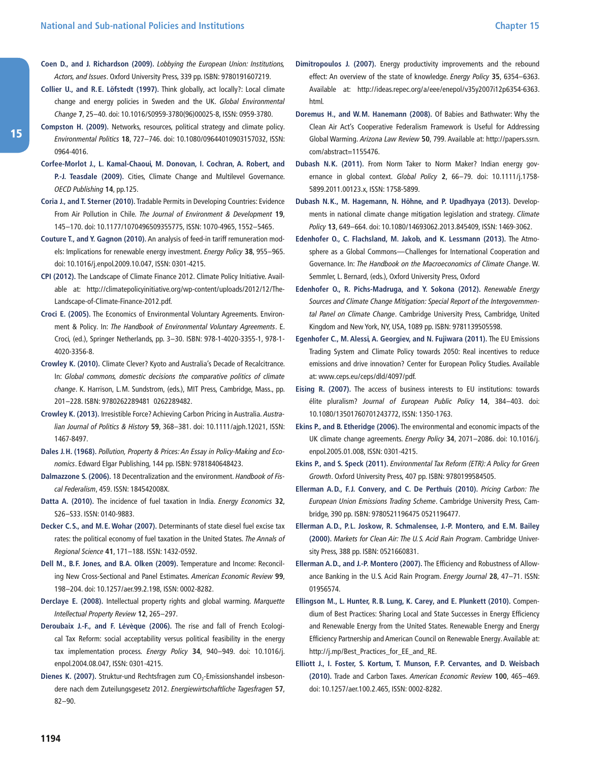- **Coen D., and J. Richardson (2009).** Lobbying the European Union: Institutions, Actors, and Issues. Oxford University Press, 339 pp. ISBN: 9780191607219.
- **Collier U., and R. E. Löfstedt (1997).** Think globally, act locally?: Local climate change and energy policies in Sweden and the UK. Global Environmental Change **7**, 25–40. doi: 10.1016/S0959-3780(96)00025-8, ISSN: 0959-3780.
- **Compston H. (2009).** Networks, resources, political strategy and climate policy. Environmental Politics **18**, 727–746. doi: 10.1080/09644010903157032, ISSN: 0964-4016.
- **Corfee-Morlot J., L. Kamal-Chaoui, M. Donovan, I. Cochran, A. Robert, and P.-J. Teasdale (2009).** Cities, Climate Change and Multilevel Governance. OECD Publishing **14**, pp.125.
- **Coria J., and T. Sterner (2010).** Tradable Permits in Developing Countries: Evidence From Air Pollution in Chile. The Journal of Environment & Development **19**, 145–170. doi: 10.1177/1070496509355775, ISSN: 1070-4965, 1552–5465.
- **Couture T., and Y. Gagnon (2010).** An analysis of feed-in tariff remuneration models: Implications for renewable energy investment. Energy Policy **38**, 955–965. doi: 10.1016/j.enpol.2009.10.047, ISSN: 0301-4215.
- **CPI (2012).** The Landscape of Climate Finance 2012. Climate Policy Initiative. Available at: [http:/ /climatepolicyinitiative.org/wp-content/uploads/2012/12/The-](http://climatepolicyinitiative.org/wp-content/uploads/2012/12/The-Landscape-of-Climate-Finance-2012.pdf)[Landscape-of-Climate-Finance-2012.pdf](http://climatepolicyinitiative.org/wp-content/uploads/2012/12/The-Landscape-of-Climate-Finance-2012.pdf).
- **Croci E. (2005).** The Economics of Environmental Voluntary Agreements. Environment & Policy. In: The Handbook of Environmental Voluntary Agreements. E. Croci, (ed.), Springer Netherlands, pp. 3–30. ISBN: 978-1-4020-3355-1, 978-1- 4020-3356-8.
- **Crowley K. (2010).** Climate Clever? Kyoto and Australia's Decade of Recalcitrance. In: Global commons, domestic decisions the comparative politics of climate change. K. Harrison, L.M. Sundstrom, (eds.), MIT Press, Cambridge, Mass., pp. 201–228. ISBN: 9780262289481 0262289482.
- **Crowley K. (2013).** Irresistible Force? Achieving Carbon Pricing in Australia. Australian Journal of Politics & History **59**, 368–381. doi: 10.1111/ajph.12021, ISSN: 1467-8497.
- **Dales J. H. (1968).** Pollution, Property & Prices: An Essay in Policy-Making and Economics. Edward Elgar Publishing, 144 pp. ISBN: 9781840648423.
- **Dalmazzone S. (2006).** 18 Decentralization and the environment. Handbook of Fiscal Federalism, 459. ISSN: 184542008X.
- **Datta A. (2010).** The incidence of fuel taxation in India. Energy Economics **32**, S26–S33. ISSN: 0140-9883.
- **Decker C. S., and M. E. Wohar (2007).** Determinants of state diesel fuel excise tax rates: the political economy of fuel taxation in the United States. The Annals of Regional Science **41**, 171–188. ISSN: 1432-0592.
- **Dell M., B. F. Jones, and B. A. Olken (2009).** Temperature and Income: Reconciling New Cross-Sectional and Panel Estimates. American Economic Review **99**, 198–204. doi: 10.1257/aer.99.2.198, ISSN: 0002-8282.
- **Derclaye E. (2008).** Intellectual property rights and global warming. Marquette Intellectual Property Review **12**, 265–297.
- **Deroubaix J.-F., and F. Lévèque (2006).** The rise and fall of French Ecological Tax Reform: social acceptability versus political feasibility in the energy tax implementation process. Energy Policy **34**, 940–949. doi: 10.1016/j. enpol.2004.08.047, ISSN: 0301-4215.
- Dienes K. (2007). Struktur-und Rechtsfragen zum CO<sub>2</sub>-Emissionshandel insbesondere nach dem Zuteilungsgesetz 2012. Energiewirtschaftliche Tagesfragen **57**, 82–90.
- **Dimitropoulos J. (2007).** Energy productivity improvements and the rebound effect: An overview of the state of knowledge. Energy Policy **35**, 6354–6363. Available at: [http:/ /ideas.repec.org/a/eee/enepol/v35y2007i12p6354-6363.](http://ideas.repec.org/a/eee/enepol/v35y2007i12p6354-6363.html) [html.](http://ideas.repec.org/a/eee/enepol/v35y2007i12p6354-6363.html)
- **Doremus H., and W. M. Hanemann (2008).** Of Babies and Bathwater: Why the Clean Air Act's Cooperative Federalism Framework is Useful for Addressing Global Warming. Arizona Law Review **50**, 799. Available at: [http:/ /papers.ssrn.](http://papers.ssrn.com/abstract=1155476) [com/abstract=1155476](http://papers.ssrn.com/abstract=1155476).
- **Dubash N. K. (2011).** From Norm Taker to Norm Maker? Indian energy governance in global context. Global Policy **2**, 66–79. doi: 10.1111/j.1758- 5899.2011.00123.x, ISSN: 1758-5899.
- **Dubash N. K., M. Hagemann, N. Höhne, and P. Upadhyaya (2013).** Developments in national climate change mitigation legislation and strategy. Climate Policy **13**, 649–664. doi: 10.1080/14693062.2013.845409, ISSN: 1469-3062.
- **Edenhofer O., C. Flachsland, M. Jakob, and K. Lessmann (2013).** The Atmosphere as a Global Commons—Challenges for International Cooperation and Governance. In: The Handbook on the Macroeconomics of Climate Change. W. Semmler, L. Bernard, (eds.), Oxford University Press, Oxford
- **Edenhofer O., R. Pichs-Madruga, and Y. Sokona (2012).** Renewable Energy Sources and Climate Change Mitigation: Special Report of the Intergovernmental Panel on Climate Change. Cambridge University Press, Cambridge, United Kingdom and New York, NY, USA, 1089 pp. ISBN: 9781139505598.
- **Egenhofer C., M. Alessi, A. Georgiev, and N. Fujiwara (2011).** The EU Emissions Trading System and Climate Policy towards 2050: Real incentives to reduce emissions and drive innovation? Center for European Policy Studies. Available at: [www.ceps.eu/ceps/dld/4097/pdf.](http://www.ceps.eu/ceps/dld/4097/pdf)
- **Eising R. (2007).** The access of business interests to EU institutions: towards élite pluralism? Journal of European Public Policy **14**, 384–403. doi: 10.1080/13501760701243772, ISSN: 1350-1763.
- **Ekins P., and B. Etheridge (2006).** The environmental and economic impacts of the UK climate change agreements. Energy Policy **34**, 2071–2086. doi: 10.1016/j. enpol.2005.01.008, ISSN: 0301-4215.
- **Ekins P., and S. Speck (2011).** Environmental Tax Reform (ETR): A Policy for Green Growth. Oxford University Press, 407 pp. ISBN: 9780199584505.
- **Ellerman A. D., F. J. Convery, and C. De Perthuis (2010).** Pricing Carbon: The European Union Emissions Trading Scheme. Cambridge University Press, Cambridge, 390 pp. ISBN: 9780521196475 0521196477.
- **Ellerman A. D., P. L. Joskow, R. Schmalensee, J.-P. Montero, and E. M. Bailey (2000).** Markets for Clean Air: The U.S. Acid Rain Program. Cambridge University Press, 388 pp. ISBN: 0521660831.
- **Ellerman A. D., and J.-P. Montero (2007).** The Efficiency and Robustness of Allowance Banking in the U.S. Acid Rain Program. Energy Journal **28**, 47–71. ISSN: 01956574.
- **Ellingson M., L. Hunter, R. B. Lung, K. Carey, and E. Plunkett (2010).** Compendium of Best Practices: Sharing Local and State Successes in Energy Efficiency and Renewable Energy from the United States. Renewable Energy and Energy Efficiency Partnership and American Council on Renewable Energy. Available at: [http:/ /j.mp/Best\\_Practices\\_for\\_EE\\_and\\_RE](http://j.mp/Best_Practices_for_EE_and_RE).
- **Elliott J., I. Foster, S. Kortum, T. Munson, F. P. Cervantes, and D. Weisbach (2010).** Trade and Carbon Taxes. American Economic Review **100**, 465–469. doi: 10.1257/aer.100.2.465, ISSN: 0002-8282.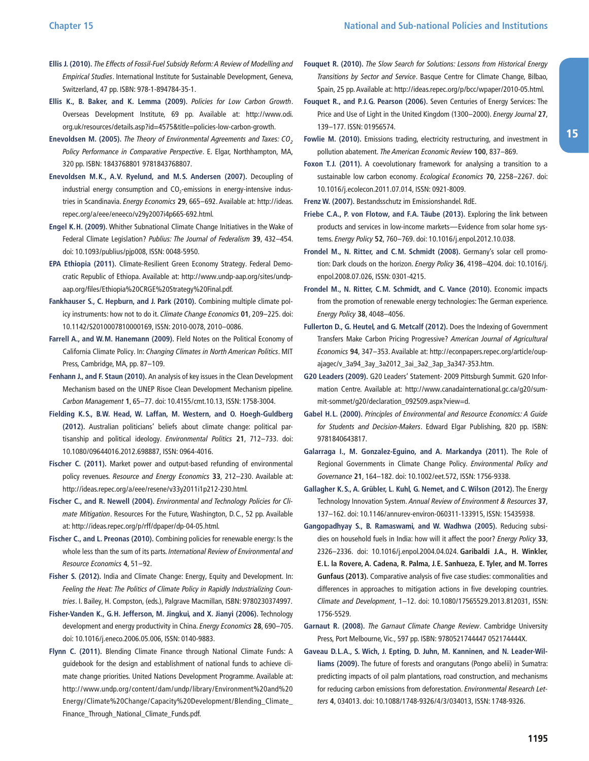- **Ellis J. (2010).** The Effects of Fossil-Fuel Subsidy Reform: A Review of Modelling and Empirical Studies. International Institute for Sustainable Development, Geneva, Switzerland, 47 pp. ISBN: 978-1-894784-35-1.
- **Ellis K., B. Baker, and K. Lemma (2009).** Policies for Low Carbon Growth. Overseas Development Institute, 69 pp. Available at: [http:/ /www.odi.](http://www.odi.org.uk/resources/details.asp?id=4575&title=policies-low-carbon-growth) [org.uk/resources/details.asp?id=4575&title=policies-low-carbon-growth](http://www.odi.org.uk/resources/details.asp?id=4575&title=policies-low-carbon-growth).
- **Enevoldsen M. (2005).** The Theory of Environmental Agreements and Taxes: CO*<sup>2</sup>* Policy Performance in Comparative Perspective. E. Elgar, Northhampton, MA, 320 pp. ISBN: 1843768801 9781843768807.
- **Enevoldsen M. K., A. V. Ryelund, and M. S. Andersen (2007).** Decoupling of industrial energy consumption and  $CO<sub>2</sub>$ -emissions in energy-intensive industries in Scandinavia. Energy Economics **29**, 665–692. Available at: [http:/ /ideas.](http://ideas.repec.org/a/eee/eneeco/v29y2007i4p665-692.html) [repec.org/a/eee/eneeco/v29y2007i4p665-692.html](http://ideas.repec.org/a/eee/eneeco/v29y2007i4p665-692.html).
- **Engel K. H. (2009).** Whither Subnational Climate Change Initiatives in the Wake of Federal Climate Legislation? Publius: The Journal of Federalism **39**, 432–454. doi: 10.1093/publius/pjp008, ISSN: 0048-5950.
- **EPA Ethiopia (2011).** Climate-Resilient Green Economy Strategy. Federal Democratic Republic of Ethiopa. Available at: [http:/ /www.undp-aap.org/sites/undp](http://www.undp-aap.org/sites/undp-aap.org/files/Ethiopia%20CRGE%20Strategy%20Final.pdf)[aap.org/files/Ethiopia%20CRGE%20Strategy%20Final.pdf.](http://www.undp-aap.org/sites/undp-aap.org/files/Ethiopia%20CRGE%20Strategy%20Final.pdf)
- **Fankhauser S., C. Hepburn, and J. Park (2010).** Combining multiple climate policy instruments: how not to do it. Climate Change Economics **01**, 209–225. doi: 10.1142/S2010007810000169, ISSN: 2010-0078, 2010–0086.
- **Farrell A., and W. M. Hanemann (2009).** FIeld Notes on the Political Economy of California Climate Policy. In: Changing Climates in North American Politics. MIT Press, Cambridge, MA, pp. 87–109.
- **Fenhann J., and F. Staun (2010).** An analysis of key issues in the Clean Development Mechanism based on the UNEP Risoe Clean Development Mechanism pipeline. Carbon Management **1**, 65–77. doi: 10.4155/cmt.10.13, ISSN: 1758-3004.
- **Fielding K. S., B. W. Head, W. Laffan, M. Western, and O. Hoegh-Guldberg (2012).** Australian politicians' beliefs about climate change: political partisanship and political ideology. Environmental Politics **21**, 712–733. doi: 10.1080/09644016.2012.698887, ISSN: 0964-4016.
- **Fischer C. (2011).** Market power and output-based refunding of environmental policy revenues. Resource and Energy Economics **33**, 212–230. Available at: [http:/ /ideas.repec.org/a/eee/resene/v33y2011i1p212-230.html.](http://ideas.repec.org/a/eee/resene/v33y2011i1p212-230.html)
- **Fischer C., and R. Newell (2004).** Environmental and Technology Policies for Climate Mitigation. Resources For the Future, Washington, D.C., 52 pp. Available at: [http:/ /ideas.repec.org/p/rff/dpaper/dp-04-05.html](http://ideas.repec.org/p/rff/dpaper/dp-04-05.html).
- **Fischer C., and L. Preonas (2010).** Combining policies for renewable energy: Is the whole less than the sum of its parts. International Review of Environmental and Resource Economics **4**, 51–92.
- **Fisher S. (2012).** India and Climate Change: Energy, Equity and Development. In: Feeling the Heat: The Politics of Climate Policy in Rapidly Industrializing Countries. I. Bailey, H. Compston, (eds.), Palgrave Macmillan, ISBN: 9780230374997.
- **Fisher-Vanden K., G. H. Jefferson, M. Jingkui, and X. Jianyi (2006).** Technology development and energy productivity in China. Energy Economics **28**, 690–705. doi: 10.1016/j.eneco.2006.05.006, ISSN: 0140-9883.
- **Flynn C. (2011).** Blending Climate Finance through National Climate Funds: A guidebook for the design and establishment of national funds to achieve climate change priorities. United Nations Development Programme. Available at: [http:/ /www.undp.org/content/dam/undp/library/Environment%20and%20](http://www.undp.org/content/dam/undp/library/Environment%20and%20Energy/Climate%20Change/Capacity%20Development/Blending_Climate_Finance_Through_National_Climate_Funds.pdf) [Energy/Climate%20Change/Capacity%20Development/Blending\\_Climate\\_](http://www.undp.org/content/dam/undp/library/Environment%20and%20Energy/Climate%20Change/Capacity%20Development/Blending_Climate_Finance_Through_National_Climate_Funds.pdf) [Finance\\_Through\\_National\\_Climate\\_Funds.pdf](http://www.undp.org/content/dam/undp/library/Environment%20and%20Energy/Climate%20Change/Capacity%20Development/Blending_Climate_Finance_Through_National_Climate_Funds.pdf).
- **Fouquet R. (2010).** The Slow Search for Solutions: Lessons from Historical Energy Transitions by Sector and Service. Basque Centre for Climate Change, Bilbao, Spain, 25 pp. Available at: [http:/ /ideas.repec.org/p/bcc/wpaper/2010-05.html](http://ideas.repec.org/p/bcc/wpaper/2010-05.html).
- **Fouquet R., and P. J. G. Pearson (2006).** Seven Centuries of Energy Services: The Price and Use of Light in the United Kingdom (1300–2000). Energy Journal **27**, 139–177. ISSN: 01956574.
- **Fowlie M. (2010).** Emissions trading, electricity restructuring, and investment in pollution abatement. The American Economic Review **100**, 837–869.
- Foxon T.J. (2011). A coevolutionary framework for analysing a transition to a sustainable low carbon economy. Ecological Economics **70**, 2258–2267. doi: 10.1016/j.ecolecon.2011.07.014, ISSN: 0921-8009.

**Frenz W. (2007).** Bestandsschutz im Emissionshandel. RdE.

- **Friebe C. A., P. von Flotow, and F. A. Täube (2013).** Exploring the link between products and services in low-income markets—Evidence from solar home systems. Energy Policy **52**, 760–769. doi: 10.1016/j.enpol.2012.10.038.
- **Frondel M., N. Ritter, and C. M. Schmidt (2008).** Germany's solar cell promotion: Dark clouds on the horizon. Energy Policy **36**, 4198–4204. doi: 10.1016/j. enpol.2008.07.026, ISSN: 0301-4215.
- **Frondel M., N. Ritter, C. M. Schmidt, and C. Vance (2010).** Economic impacts from the promotion of renewable energy technologies: The German experience. Energy Policy **38**, 4048–4056.
- **Fullerton D., G. Heutel, and G. Metcalf (2012).** Does the Indexing of Government Transfers Make Carbon Pricing Progressive? American Journal of Agricultural Economics **94**, 347–353. Available at: [http:/ /econpapers.repec.org/article/oup](http://econpapers.repec.org/article/oupajagec/v_3a94_3ay_3a2012_3ai_3a2_3ap_3a347-353.htm)[ajagec/v\\_3a94\\_3ay\\_3a2012\\_3ai\\_3a2\\_3ap\\_3a347-353.htm.](http://econpapers.repec.org/article/oupajagec/v_3a94_3ay_3a2012_3ai_3a2_3ap_3a347-353.htm)
- **G20 Leaders (2009).** G20 Leaders' Statement- 2009 Pittsburgh Summit. G20 Information Centre. Available at: [http:/ /www.canadainternational.gc.ca/g20/sum](http://www.canadainternational.gc.ca/g20/summit-sommet/g20/declaration_092509.aspx?view=d)[mit-sommet/g20/declaration\\_092509.aspx?view=d.](http://www.canadainternational.gc.ca/g20/summit-sommet/g20/declaration_092509.aspx?view=d)
- **Gabel H. L. (2000).** Principles of Environmental and Resource Economics: A Guide for Students and Decision-Makers. Edward Elgar Publishing, 820 pp. ISBN: 9781840643817.
- **Galarraga I., M. Gonzalez-Eguino, and A. Markandya (2011).** The Role of Regional Governments in Climate Change Policy. Environmental Policy and Governance **21**, 164–182. doi: 10.1002/eet.572, ISSN: 1756-9338.
- **Gallagher K. S., A. Grübler, L. Kuhl, G. Nemet, and C. Wilson (2012).** The Energy Technology Innovation System. Annual Review of Environment & Resources **37**, 137–162. doi: 10.1146/annurev-environ-060311-133915, ISSN: 15435938.
- **Gangopadhyay S., B. Ramaswami, and W. Wadhwa (2005).** Reducing subsidies on household fuels in India: how will it affect the poor? Energy Policy **33**, 2326–2336. doi: 10.1016/j.enpol.2004.04.024. **Garibaldi J. A., H. Winkler, E. L. la Rovere, A. Cadena, R. Palma, J. E. Sanhueza, E. Tyler, and M. Torres Gunfaus (2013).** Comparative analysis of five case studies: commonalities and differences in approaches to mitigation actions in five developing countries. Climate and Development, 1–12. doi: 10.1080/17565529.2013.812031, ISSN: 1756-5529.
- **Garnaut R. (2008).** The Garnaut Climate Change Review. Cambridge University Press, Port Melbourne, Vic., 597 pp. ISBN: 9780521744447 052174444X.
- Gaveau D.L.A., S. Wich, J. Epting, D. Juhn, M. Kanninen, and N. Leader-Wil**liams (2009).** The future of forests and orangutans (Pongo abelii) in Sumatra: predicting impacts of oil palm plantations, road construction, and mechanisms for reducing carbon emissions from deforestation. Environmental Research Letters **4**, 034013. doi: 10.1088/1748-9326/4/3/034013, ISSN: 1748-9326.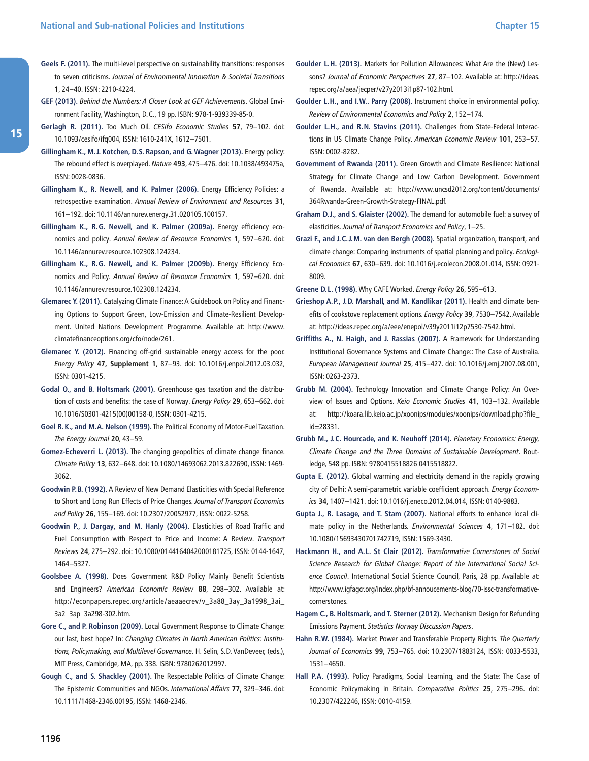- **Geels F. (2011).** The multi-level perspective on sustainability transitions: responses to seven criticisms. Journal of Environmental Innovation & Societal Transitions **1**, 24–40. ISSN: 2210-4224.
- **GEF (2013).** Behind the Numbers: A Closer Look at GEF Achievements. Global Environment Facility, Washington, D.C., 19 pp. ISBN: 978-1-939339-85-0.
- **Gerlagh R. (2011).** Too Much Oil. CESifo Economic Studies **57**, 79–102. doi: 10.1093/cesifo/ifq004, ISSN: 1610-241X, 1612–7501.

**Gillingham K., M. J. Kotchen, D. S. Rapson, and G. Wagner (2013).** Energy policy: The rebound effect is overplayed. Nature **493**, 475–476. doi: 10.1038/493475a, ISSN: 0028-0836.

- **Gillingham K., R. Newell, and K. Palmer (2006).** Energy Efficiency Policies: a retrospective examination. Annual Review of Environment and Resources **31**, 161–192. doi: 10.1146/annurev.energy.31.020105.100157.
- **Gillingham K., R. G. Newell, and K. Palmer (2009a).** Energy efficiency economics and policy. Annual Review of Resource Economics **1**, 597–620. doi: 10.1146/annurev.resource.102308.124234.
- **Gillingham K., R. G. Newell, and K. Palmer (2009b).** Energy Efficiency Economics and Policy. Annual Review of Resource Economics **1**, 597–620. doi: 10.1146/annurev.resource.102308.124234.
- **Glemarec Y. (2011).** Catalyzing Climate Finance: A Guidebook on Policy and Financing Options to Support Green, Low-Emission and Climate-Resilient Development. United Nations Development Programme. Available at: http://www. [climatefinanceoptions.org/cfo/node/261](http://www.climatefinanceoptions.org/cfo/node/261).
- **Glemarec Y. (2012).** Financing off-grid sustainable energy access for the poor. Energy Policy **47, Supplement 1**, 87–93. doi: 10.1016/j.enpol.2012.03.032, ISSN: 0301-4215.
- **Godal O., and B. Holtsmark (2001).** Greenhouse gas taxation and the distribution of costs and benefits: the case of Norway. Energy Policy **29**, 653–662. doi: 10.1016/S0301-4215(00)00158-0, ISSN: 0301-4215.
- **Goel R. K., and M. A. Nelson (1999).** The Political Economy of Motor-Fuel Taxation. The Energy Journal **20**, 43–59.
- **Gomez-Echeverri L. (2013).** The changing geopolitics of climate change finance. Climate Policy **13**, 632–648. doi: 10.1080/14693062.2013.822690, ISSN: 1469- 3062.
- **Goodwin P. B. (1992).** A Review of New Demand Elasticities with Special Reference to Short and Long Run Effects of Price Changes. Journal of Transport Economics and Policy **26**, 155–169. doi: 10.2307/20052977, ISSN: 0022-5258.
- **Goodwin P., J. Dargay, and M. Hanly (2004).** Elasticities of Road Traffic and Fuel Consumption with Respect to Price and Income: A Review. Transport Reviews **24**, 275–292. doi: 10.1080/0144164042000181725, ISSN: 0144-1647, 1464–5327.
- **Goolsbee A. (1998).** Does Government R&D Policy Mainly Benefit Scientists and Engineers? American Economic Review **88**, 298–302. Available at: http://econpapers.repec.org/article/aeaaecrev/v\_3a88\_3ay\_3a1998\_3ai [3a2\\_3ap\\_3a298-302.htm](http://econpapers.repec.org/article/aeaaecrev/v_3a88_3ay_3a1998_3ai_3a2_3ap_3a298-302.htm).
- **Gore C., and P. Robinson (2009).** Local Government Response to Climate Change: our last, best hope? In: Changing Climates in North American Politics: Institutions, Policymaking, and Multilevel Governance. H. Selin, S.D. VanDeveer, (eds.), MIT Press, Cambridge, MA, pp. 338. ISBN: 9780262012997.
- **Gough C., and S. Shackley (2001).** The Respectable Politics of Climate Change: The Epistemic Communities and NGOs. International Affairs **77**, 329–346. doi: 10.1111/1468-2346.00195, ISSN: 1468-2346.
- **Goulder L. H. (2013).** Markets for Pollution Allowances: What Are the (New) Lessons? Journal of Economic Perspectives **27**, 87–102. Available at: [http:/ /ideas.](http://ideas.repec.org/a/aea/jecper/v27y2013i1p87-102.html) [repec.org/a/aea/jecper/v27y2013i1p87-102.html.](http://ideas.repec.org/a/aea/jecper/v27y2013i1p87-102.html)
- **Goulder L. H., and I. W.. Parry (2008).** Instrument choice in environmental policy. Review of Environmental Economics and Policy **2**, 152–174.
- **Goulder L. H., and R. N. Stavins (2011).** Challenges from State-Federal Interactions in US Climate Change Policy. American Economic Review **101**, 253–57. ISSN: 0002-8282.
- **Government of Rwanda (2011).** Green Growth and Climate Resilience: National Strategy for Climate Change and Low Carbon Development. Government of Rwanda. Available at: [http:/ /www.uncsd2012.org/content/documents/](http://www.uncsd2012.org/content/documents/364Rwanda-Green-Growth-Strategy-FINAL.pdf) [364Rwanda-Green-Growth-Strategy-FINAL.pdf.](http://www.uncsd2012.org/content/documents/364Rwanda-Green-Growth-Strategy-FINAL.pdf)
- **Graham D. J., and S. Glaister (2002).** The demand for automobile fuel: a survey of elasticities. Journal of Transport Economics and Policy, 1–25.
- **Grazi F., and J. C. J. M. van den Bergh (2008).** Spatial organization, transport, and climate change: Comparing instruments of spatial planning and policy. Ecological Economics **67**, 630–639. doi: 10.1016/j.ecolecon.2008.01.014, ISSN: 0921- 8009.

**Greene D. L. (1998).** Why CAFE Worked. Energy Policy **26**, 595–613.

- **Grieshop A. P., J. D. Marshall, and M. Kandlikar (2011).** Health and climate benefits of cookstove replacement options. Energy Policy **39**, 7530–7542. Available at: [http:/ /ideas.repec.org/a/eee/enepol/v39y2011i12p7530-7542.html](http://ideas.repec.org/a/eee/enepol/v39y2011i12p7530-7542.html).
- **Griffiths A., N. Haigh, and J. Rassias (2007).** A Framework for Understanding Institutional Governance Systems and Climate Change:: The Case of Australia. European Management Journal **25**, 415–427. doi: 10.1016/j.emj.2007.08.001, ISSN: 0263-2373.
- **Grubb M. (2004).** Technology Innovation and Climate Change Policy: An Overview of Issues and Options. Keio Economic Studies **41**, 103–132. Available at: [http:/ /koara.lib.keio.ac.jp/xoonips/modules/xoonips/download.php?file\\_](http://koara.lib.keio.ac.jp/xoonips/modules/xoonips/download.php?file_id=28331) [id=28331](http://koara.lib.keio.ac.jp/xoonips/modules/xoonips/download.php?file_id=28331).
- **Grubb M., J. C. Hourcade, and K. Neuhoff (2014).** Planetary Economics: Energy, Climate Change and the Three Domains of Sustainable Development. Routledge, 548 pp. ISBN: 9780415518826 0415518822.
- **Gupta E. (2012).** Global warming and electricity demand in the rapidly growing city of Delhi: A semi-parametric variable coefficient approach. Energy Economics **34**, 1407–1421. doi: 10.1016/j.eneco.2012.04.014, ISSN: 0140-9883.
- **Gupta J., R. Lasage, and T. Stam (2007).** National efforts to enhance local climate policy in the Netherlands. Environmental Sciences **4**, 171–182. doi: 10.1080/15693430701742719, ISSN: 1569-3430.
- **Hackmann H., and A. L. St Clair (2012).** Transformative Cornerstones of Social Science Research for Global Change: Report of the International Social Science Council. International Social Science Council, Paris, 28 pp. Available at: [http:/ /www.igfagcr.org/index.php/bf-annoucements-blog/70-issc-transformative](http://www.igfagcr.org/index.php/bf-annoucements-blog/70-issc-transformative-cornerstones)[cornerstones.](http://www.igfagcr.org/index.php/bf-annoucements-blog/70-issc-transformative-cornerstones)
- **Hagem C., B. Holtsmark, and T. Sterner (2012).** Mechanism Design for Refunding Emissions Payment. Statistics Norway Discussion Papers.
- **Hahn R. W. (1984).** Market Power and Transferable Property Rights. The Quarterly Journal of Economics **99**, 753–765. doi: 10.2307/1883124, ISSN: 0033-5533, 1531–4650.
- **Hall P. A. (1993).** Policy Paradigms, Social Learning, and the State: The Case of Economic Policymaking in Britain. Comparative Politics **25**, 275–296. doi: 10.2307/422246, ISSN: 0010-4159.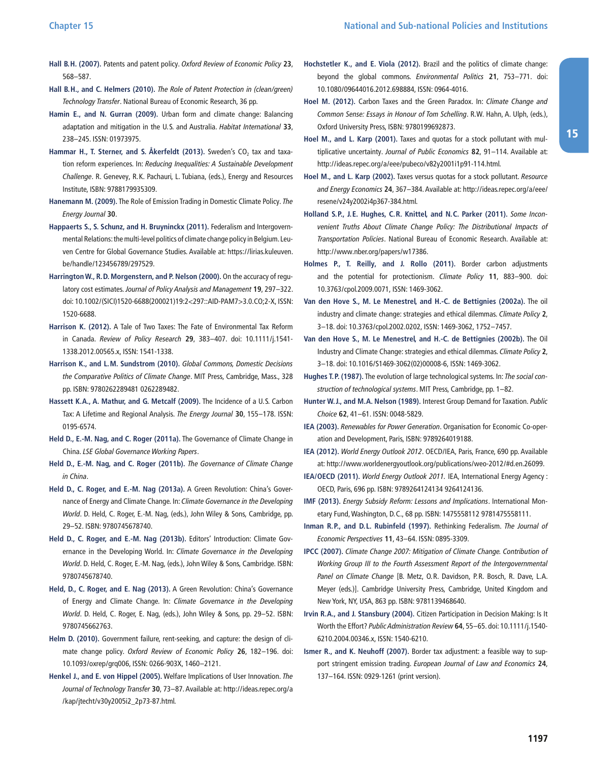- **Hall B. H. (2007).** Patents and patent policy. Oxford Review of Economic Policy **23**, 568–587.
- **Hall B. H., and C. Helmers (2010).** The Role of Patent Protection in (clean/green) Technology Transfer. National Bureau of Economic Research, 36 pp.
- **Hamin E., and N. Gurran (2009).** Urban form and climate change: Balancing adaptation and mitigation in the U.S. and Australia. Habitat International **33**, 238–245. ISSN: 01973975.
- Hammar H., T. Sterner, and S. Åkerfeldt (2013). Sweden's CO<sub>2</sub> tax and taxation reform experiences. In: Reducing Inequalities: A Sustainable Development Challenge. R. Genevey, R.K. Pachauri, L. Tubiana, (eds.), Energy and Resources Institute, ISBN: 9788179935309.
- **Hanemann M. (2009).** The Role of Emission Trading in Domestic Climate Policy. The Energy Journal **30**.
- **Happaerts S., S. Schunz, and H. Bruyninckx (2011).** Federalism and Intergovernmental Relations: the multi-level politics of climate change policy in Belgium. Leuven Centre for Global Governance Studies. Available at: [https:/ /lirias.kuleuven.](https://lirias.kuleuven.be/handle/123456789/297529) [be/handle/123456789/297529](https://lirias.kuleuven.be/handle/123456789/297529).
- **Harrington W., R. D. Morgenstern, and P. Nelson (2000).** On the accuracy of regulatory cost estimates. Journal of Policy Analysis and Management **19**, 297–322. doi: 10.1002/(SICI)1520-6688(200021)19:2<297::AID-PAM7>3.0.CO;2-X, ISSN: 1520-6688.
- **Harrison K. (2012).** A Tale of Two Taxes: The Fate of Environmental Tax Reform in Canada. Review of Policy Research **29**, 383–407. doi: 10.1111/j.1541- 1338.2012.00565.x, ISSN: 1541-1338.
- **Harrison K., and L. M. Sundstrom (2010).** Global Commons, Domestic Decisions the Comparative Politics of Climate Change. MIT Press, Cambridge, Mass., 328 pp. ISBN: 9780262289481 0262289482.
- **Hassett K. A., A. Mathur, and G. Metcalf (2009).** The Incidence of a U.S. Carbon Tax: A Lifetime and Regional Analysis. The Energy Journal **30**, 155–178. ISSN: 0195-6574.
- **Held D., E.-M. Nag, and C. Roger (2011a).** The Governance of Climate Change in China. LSE Global Governance Working Papers.
- **Held D., E.-M. Nag, and C. Roger (2011b).** The Governance of Climate Change in China.
- **Held D., C. Roger, and E.-M. Nag (2013a).** A Green Revolution: China's Governance of Energy and Climate Change. In: Climate Governance in the Developing World. D. Held, C. Roger, E.-M. Nag, (eds.), John Wiley & Sons, Cambridge, pp. 29–52. ISBN: 9780745678740.
- **Held D., C. Roger, and E.-M. Nag (2013b).** Editors' Introduction: Climate Governance in the Developing World. In: Climate Governance in the Developing World. D. Held, C. Roger, E.-M. Nag, (eds.), John Wiley & Sons, Cambridge. ISBN: 9780745678740.
- **Held, D., C. Roger, and E. Nag (2013).** A Green Revolution: China's Governance of Energy and Climate Change. In: Climate Governance in the Developing World. D. Held, C. Roger, E. Nag, (eds.), John Wiley & Sons, pp. 29–52. ISBN: 9780745662763.
- **Helm D. (2010).** Government failure, rent-seeking, and capture: the design of climate change policy. Oxford Review of Economic Policy **26**, 182–196. doi: 10.1093/oxrep/grq006, ISSN: 0266-903X, 1460–2121.
- **Henkel J., and E. von Hippel (2005).** Welfare Implications of User Innovation. The Journal of Technology Transfer **30**, 73–87. Available at: [http:/ /ideas.repec.org/a](http://ideas.repec.org/a/kap/jtecht/v30y2005i2_2p73-87.html) [/kap/jtecht/v30y2005i2\\_2p73-87.html](http://ideas.repec.org/a/kap/jtecht/v30y2005i2_2p73-87.html).
- **Hochstetler K., and E. Viola (2012).** Brazil and the politics of climate change: beyond the global commons. Environmental Politics **21**, 753–771. doi: 10.1080/09644016.2012.698884, ISSN: 0964-4016.
- **Hoel M. (2012).** Carbon Taxes and the Green Paradox. In: Climate Change and Common Sense: Essays in Honour of Tom Schelling. R.W. Hahn, A. Ulph, (eds.), Oxford University Press, ISBN: 9780199692873.
- **Hoel M., and L. Karp (2001).** Taxes and quotas for a stock pollutant with multiplicative uncertainty. Journal of Public Economics **82**, 91–114. Available at: [http:/ /ideas.repec.org/a/eee/pubeco/v82y2001i1p91-114.html](http://ideas.repec.org/a/eee/pubeco/v82y2001i1p91-114.html).
- **Hoel M., and L. Karp (2002).** Taxes versus quotas for a stock pollutant. Resource and Energy Economics **24**, 367–384. Available at: [http:/ /ideas.repec.org/a/eee/](http://ideas.repec.org/a/eee/resene/v24y2002i4p367-384.html) [resene/v24y2002i4p367-384.html.](http://ideas.repec.org/a/eee/resene/v24y2002i4p367-384.html)
- **Holland S. P., J. E. Hughes, C. R. Knittel, and N. C. Parker (2011).** Some Inconvenient Truths About Climate Change Policy: The Distributional Impacts of Transportation Policies. National Bureau of Economic Research. Available at: [http:/ /www.nber.org/papers/w17386.](http://www.nber.org/papers/w17386)
- **Holmes P., T. Reilly, and J. Rollo (2011).** Border carbon adjustments and the potential for protectionism. Climate Policy **11**, 883–900. doi: 10.3763/cpol.2009.0071, ISSN: 1469-3062.
- **Van den Hove S., M. Le Menestrel, and H.-C. de Bettignies (2002a).** The oil industry and climate change: strategies and ethical dilemmas. Climate Policy **2**, 3–18. doi: 10.3763/cpol.2002.0202, ISSN: 1469-3062, 1752–7457.
- **Van den Hove S., M. Le Menestrel, and H.-C. de Bettignies (2002b).** The Oil Industry and Climate Change: strategies and ethical dilemmas. Climate Policy **2**, 3–18. doi: 10.1016/S1469-3062(02)00008-6, ISSN: 1469-3062.
- **Hughes T. P. (1987).** The evolution of large technological systems. In: The social construction of technological systems. MIT Press, Cambridge, pp. 1–82.
- **Hunter W. J., and M. A. Nelson (1989).** Interest Group Demand for Taxation. Public Choice **62**, 41–61. ISSN: 0048-5829.
- **IEA (2003).** Renewables for Power Generation. Organisation for Economic Co-operation and Development, Paris, ISBN: 9789264019188.
- **IEA (2012).** World Energy Outlook 2012. OECD/IEA, Paris, France, 690 pp. Available at: [http:/ /www.worldenergyoutlook.org/publications/weo-2012/#d.en.26099](http://www.worldenergyoutlook.org/publications/weo-2012/#d.en.26099).
- **IEA/OECD (2011).** World Energy Outlook 2011. IEA, International Energy Agency : OECD, Paris, 696 pp. ISBN: 9789264124134 9264124136.
- **IMF (2013).** Energy Subsidy Reform: Lessons and Implications. International Monetary Fund, Washington, D.C., 68 pp. ISBN: 1475558112 9781475558111.
- **Inman R. P., and D. L. Rubinfeld (1997).** Rethinking Federalism. The Journal of Economic Perspectives **11**, 43–64. ISSN: 0895-3309.
- **IPCC (2007).** Climate Change 2007: Mitigation of Climate Change. Contribution of Working Group III to the Fourth Assessment Report of the Intergovernmental Panel on Climate Change [B. Metz, O.R. Davidson, P.R. Bosch, R. Dave, L.A. Meyer (eds.)]. Cambridge University Press, Cambridge, United Kingdom and New York, NY, USA, 863 pp. ISBN: 9781139468640.
- **Irvin R. A., and J. Stansbury (2004).** Citizen Participation in Decision Making: Is It Worth the Effort? Public Administration Review **64**, 55–65. doi: 10.1111/j.1540- 6210.2004.00346.x, ISSN: 1540-6210.
- **Ismer R., and K. Neuhoff (2007).** Border tax adjustment: a feasible way to support stringent emission trading. European Journal of Law and Economics **24**, 137–164. ISSN: 0929-1261 (print version).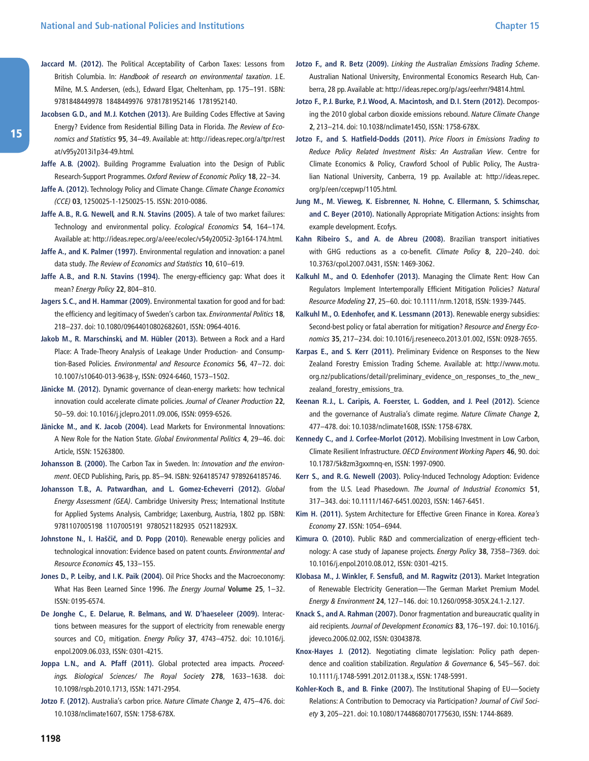- **Jaccard M. (2012).** The Political Acceptability of Carbon Taxes: Lessons from British Columbia. In: Handbook of research on environmental taxation. J.E. Milne, M.S. Andersen, (eds.), Edward Elgar, Cheltenham, pp. 175–191. ISBN: 9781848449978 1848449976 9781781952146 1781952140.
- **Jacobsen G. D., and M. J. Kotchen (2013).** Are Building Codes Effective at Saving Energy? Evidence from Residential Billing Data in Florida. The Review of Economics and Statistics **95**, 34–49. Available at: [http:/ /ideas.repec.org/a/tpr/rest](http://ideas.repec.org/a/tpr/restat/v95y2013i1p34-49.html) [at/v95y2013i1p34-49.html.](http://ideas.repec.org/a/tpr/restat/v95y2013i1p34-49.html)
- **Jaffe A. B. (2002).** Building Programme Evaluation into the Design of Public Research-Support Programmes. Oxford Review of Economic Policy **18**, 22–34.
- **Jaffe A. (2012).** Technology Policy and Climate Change. Climate Change Economics (CCE) **03**, 1250025-1-1250025-15. ISSN: 2010-0086.
- **Jaffe A. B., R. G. Newell, and R. N. Stavins (2005).** A tale of two market failures: Technology and environmental policy. Ecological Economics **54**, 164–174. Available at: [http:/ /ideas.repec.org/a/eee/ecolec/v54y2005i2-3p164-174.html](http://ideas.repec.org/a/eee/ecolec/v54y2005i2-3p164-174.html).
- **Jaffe A., and K. Palmer (1997).** Environmental regulation and innovation: a panel data study. The Review of Economics and Statistics **10**, 610–619.
- **Jaffe A. B., and R. N. Stavins (1994).** The energy-efficiency gap: What does it mean? Energy Policy **22**, 804–810.
- **Jagers S. C., and H. Hammar (2009).** Environmental taxation for good and for bad: the efficiency and legitimacy of Sweden's carbon tax. Environmental Politics **18**, 218–237. doi: 10.1080/09644010802682601, ISSN: 0964-4016.
- **Jakob M., R. Marschinski, and M. Hübler (2013).** Between a Rock and a Hard Place: A Trade-Theory Analysis of Leakage Under Production- and Consumption-Based Policies. Environmental and Resource Economics **56**, 47–72. doi: 10.1007/s10640-013-9638-y, ISSN: 0924-6460, 1573–1502.
- **Jänicke M. (2012).** Dynamic governance of clean-energy markets: how technical innovation could accelerate climate policies. Journal of Cleaner Production **22**, 50–59. doi: 10.1016/j.jclepro.2011.09.006, ISSN: 0959-6526.
- **Jänicke M., and K. Jacob (2004).** Lead Markets for Environmental Innovations: A New Role for the Nation State. Global Environmental Politics **4**, 29–46. doi: Article, ISSN: 15263800.
- **Johansson B. (2000).** The Carbon Tax in Sweden. In: Innovation and the environment. OECD Publishing, Paris, pp. 85–94. ISBN: 9264185747 9789264185746.
- **Johansson T. B., A. Patwardhan, and L. Gomez-Echeverri (2012).** Global Energy Assessment (GEA). Cambridge University Press; International Institute for Applied Systems Analysis, Cambridge; Laxenburg, Austria, 1802 pp. ISBN: 9781107005198 1107005191 9780521182935 052118293X.
- **Johnstone N., I. Haščič, and D. Popp (2010).** Renewable energy policies and technological innovation: Evidence based on patent counts. Environmental and Resource Economics **45**, 133–155.
- **Jones D., P. Leiby, and I. K. Paik (2004).** Oil Price Shocks and the Macroeconomy: What Has Been Learned Since 1996. The Energy Journal **Volume 25**, 1–32. ISSN: 0195-6574.
- **De Jonghe C., E. Delarue, R. Belmans, and W. D'haeseleer (2009).** Interactions between measures for the support of electricity from renewable energy sources and CO<sub>2</sub> mitigation. Energy Policy 37, 4743-4752. doi: 10.1016/j. enpol.2009.06.033, ISSN: 0301-4215.
- Joppa L.N., and A. Pfaff (2011). Global protected area impacts. Proceedings. Biological Sciences/ The Royal Society **278**, 1633–1638. doi: 10.1098/rspb.2010.1713, ISSN: 1471-2954.
- **Jotzo F. (2012).** Australia's carbon price. Nature Climate Change **2**, 475–476. doi: 10.1038/nclimate1607, ISSN: 1758-678X.
- **Jotzo F., and R. Betz (2009).** Linking the Australian Emissions Trading Scheme. Australian National University, Environmental Economics Research Hub, Canberra, 28 pp. Available at: [http:/ /ideas.repec.org/p/ags/eerhrr/94814.html](http://ideas.repec.org/p/ags/eerhrr/94814.html).
- **Jotzo F., P. J. Burke, P. J. Wood, A. Macintosh, and D. I. Stern (2012).** Decomposing the 2010 global carbon dioxide emissions rebound. Nature Climate Change **2**, 213–214. doi: 10.1038/nclimate1450, ISSN: 1758-678X.
- **Jotzo F., and S. Hatfield-Dodds (2011).** Price Floors in Emissions Trading to Reduce Policy Related Investment Risks: An Australian View. Centre for Climate Economics & Policy, Crawford School of Public Policy, The Australian National University, Canberra, 19 pp. Available at: http://ideas.repec. [org/p/een/ccepwp/1105.html](http://ideas.repec.org/p/een/ccepwp/1105.html).
- **Jung M., M. Vieweg, K. Eisbrenner, N. Hohne, C. Ellermann, S. Schimschar, and C. Beyer (2010).** Nationally Appropriate Mitigation Actions: insights from example development. Ecofys.
- **Kahn Ribeiro S., and A. de Abreu (2008).** Brazilian transport initiatives with GHG reductions as a co-benefit. Climate Policy **8**, 220–240. doi: 10.3763/cpol.2007.0431, ISSN: 1469-3062.
- **Kalkuhl M., and O. Edenhofer (2013).** Managing the Climate Rent: How Can Regulators Implement Intertemporally Efficient Mitigation Policies? Natural Resource Modeling **27**, 25–60. doi: 10.1111/nrm.12018, ISSN: 1939-7445.
- **Kalkuhl M., O. Edenhofer, and K. Lessmann (2013).** Renewable energy subsidies: Second-best policy or fatal aberration for mitigation? Resource and Energy Economics **35**, 217–234. doi: 10.1016/j.reseneeco.2013.01.002, ISSN: 0928-7655.
- **Karpas E., and S. Kerr (2011).** Preliminary Evidence on Responses to the New Zealand Forestry Emission Trading Scheme. Available at: http://www.motu. [org.nz/publications/detail/preliminary\\_evidence\\_on\\_responses\\_to\\_the\\_new\\_](http://www.motu.org.nz/publications/detail/preliminary_evidence_on_responses_to_the_new_zealand_forestry_emissions_tra) [zealand\\_forestry\\_emissions\\_tra](http://www.motu.org.nz/publications/detail/preliminary_evidence_on_responses_to_the_new_zealand_forestry_emissions_tra).
- **Keenan R. J., L. Caripis, A. Foerster, L. Godden, and J. Peel (2012).** Science and the governance of Australia's climate regime. Nature Climate Change **2**, 477–478. doi: 10.1038/nclimate1608, ISSN: 1758-678X.
- **Kennedy C., and J. Corfee-Morlot (2012).** Mobilising Investment in Low Carbon, Climate Resilient Infrastructure. OECD Environment Working Papers **46**, 90. doi: 10.1787/5k8zm3gxxmnq-en, ISSN: 1997-0900.
- **Kerr S., and R. G. Newell (2003).** Policy-Induced Technology Adoption: Evidence from the U.S. Lead Phasedown. The Journal of Industrial Economics **51**, 317–343. doi: 10.1111/1467-6451.00203, ISSN: 1467-6451.
- **Kim H. (2011).** System Architecture for Effective Green Finance in Korea. Korea's Economy **27**. ISSN: 1054–6944.
- **Kimura O. (2010).** Public R&D and commercialization of energy-efficient technology: A case study of Japanese projects. Energy Policy **38**, 7358–7369. doi: 10.1016/j.enpol.2010.08.012, ISSN: 0301-4215.
- **Klobasa M., J. Winkler, F. Sensfuß, and M. Ragwitz (2013).** Market Integration of Renewable Electricity Generation—The German Market Premium Model. Energy & Environment **24**, 127–146. doi: 10.1260/0958-305X.24.1-2.127.
- **Knack S., and A. Rahman (2007).** Donor fragmentation and bureaucratic quality in aid recipients. Journal of Development Economics **83**, 176–197. doi: 10.1016/j. jdeveco.2006.02.002, ISSN: 03043878.
- **Knox-Hayes J. (2012).** Negotiating climate legislation: Policy path dependence and coalition stabilization. Regulation & Governance **6**, 545–567. doi: 10.1111/j.1748-5991.2012.01138.x, ISSN: 1748-5991.
- **Kohler-Koch B., and B. Finke (2007).** The Institutional Shaping of EU—Society Relations: A Contribution to Democracy via Participation? Journal of Civil Society **3**, 205–221. doi: 10.1080/17448680701775630, ISSN: 1744-8689.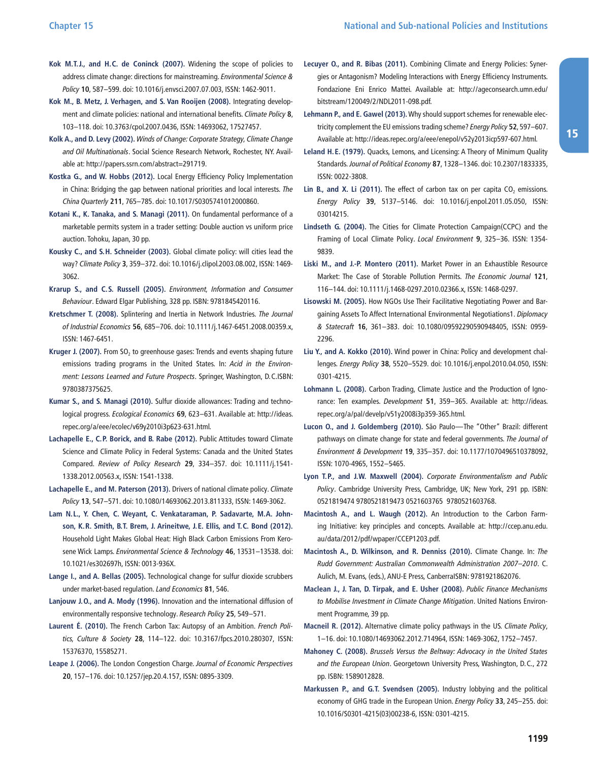- **Kok M. T. J., and H. C. de Coninck (2007).** Widening the scope of policies to address climate change: directions for mainstreaming. Environmental Science & Policy **10**, 587–599. doi: 10.1016/j.envsci.2007.07.003, ISSN: 1462-9011.
- **Kok M., B. Metz, J. Verhagen, and S. Van Rooijen (2008).** Integrating development and climate policies: national and international benefits. Climate Policy **8**, 103–118. doi: 10.3763/cpol.2007.0436, ISSN: 14693062, 17527457.
- **Kolk A., and D. Levy (2002).** Winds of Change: Corporate Strategy, Climate Change and Oil Multinationals. Social Science Research Network, Rochester, NY. Available at: [http:/ /papers.ssrn.com/abstract=291719](http://papers.ssrn.com/abstract=291719).
- **Kostka G., and W. Hobbs (2012).** Local Energy Efficiency Policy Implementation in China: Bridging the gap between national priorities and local interests. The China Quarterly **211**, 765–785. doi: 10.1017/S0305741012000860.
- **Kotani K., K. Tanaka, and S. Managi (2011).** On fundamental performance of a marketable permits system in a trader setting: Double auction vs uniform price auction. Tohoku, Japan, 30 pp.
- **Kousky C., and S. H. Schneider (2003).** Global climate policy: will cities lead the way? Climate Policy **3**, 359–372. doi: 10.1016/j.clipol.2003.08.002, ISSN: 1469- 3062.
- **Krarup S., and C. S. Russell (2005).** Environment, Information and Consumer Behaviour. Edward Elgar Publishing, 328 pp. ISBN: 9781845420116.
- **Kretschmer T. (2008).** Splintering and Inertia in Network Industries. The Journal of Industrial Economics **56**, 685–706. doi: 10.1111/j.1467-6451.2008.00359.x, ISSN: 1467-6451.
- **Kruger J. (2007).** From SO<sub>2</sub> to greenhouse gases: Trends and events shaping future emissions trading programs in the United States. In: Acid in the Environment: Lessons Learned and Future Prospects. Springer, Washington, D.C.ISBN: 9780387375625.
- **Kumar S., and S. Managi (2010).** Sulfur dioxide allowances: Trading and technological progress. Ecological Economics **69**, 623–631. Available at: [http:/ /ideas.](http://ideas.repec.org/a/eee/ecolec/v69y2010i3p623-631.html) [repec.org/a/eee/ecolec/v69y2010i3p623-631.html.](http://ideas.repec.org/a/eee/ecolec/v69y2010i3p623-631.html)
- **Lachapelle E., C. P. Borick, and B. Rabe (2012).** Public Attitudes toward Climate Science and Climate Policy in Federal Systems: Canada and the United States Compared. Review of Policy Research **29**, 334–357. doi: 10.1111/j.1541- 1338.2012.00563.x, ISSN: 1541-1338.
- **Lachapelle E., and M. Paterson (2013).** Drivers of national climate policy. Climate Policy **13**, 547–571. doi: 10.1080/14693062.2013.811333, ISSN: 1469-3062.
- **Lam N. L., Y. Chen, C. Weyant, C. Venkataraman, P. Sadavarte, M. A. Johnson, K. R. Smith, B. T. Brem, J. Arineitwe, J. E. Ellis, and T. C. Bond (2012).** Household Light Makes Global Heat: High Black Carbon Emissions From Kerosene Wick Lamps. Environmental Science & Technology **46**, 13531–13538. doi: 10.1021/es302697h, ISSN: 0013-936X.
- **Lange I., and A. Bellas (2005).** Technological change for sulfur dioxide scrubbers under market-based regulation. Land Economics **81**, 546.
- **Lanjouw J. O., and A. Mody (1996).** Innovation and the international diffusion of environmentally responsive technology. Research Policy **25**, 549–571.
- Laurent É. (2010). The French Carbon Tax: Autopsy of an Ambition. French Politics, Culture & Society **28**, 114–122. doi: 10.3167/fpcs.2010.280307, ISSN: 15376370, 15585271.
- **Leape J. (2006).** The London Congestion Charge. Journal of Economic Perspectives **20**, 157–176. doi: 10.1257/jep.20.4.157, ISSN: 0895-3309.
- **Lecuyer O., and R. Bibas (2011).** Combining Climate and Energy Policies: Synergies or Antagonism? Modeling Interactions with Energy Efficiency Instruments. Fondazione Eni Enrico Mattei. Available at: http://ageconsearch.umn.edu/ [bitstream/120049/2/NDL2011-098.pdf](http://ageconsearch.umn.edu/bitstream/120049/2/NDL2011-098.pdf).
- **Lehmann P., and E. Gawel (2013).** Why should support schemes for renewable electricity complement the EU emissions trading scheme? Energy Policy **52**, 597–607. Available at: [http:/ /ideas.repec.org/a/eee/enepol/v52y2013icp597-607.html](http://ideas.repec.org/a/eee/enepol/v52y2013icp597-607.html).
- **Leland H. E. (1979).** Quacks, Lemons, and Licensing: A Theory of Minimum Quality Standards. Journal of Political Economy **87**, 1328–1346. doi: 10.2307/1833335, ISSN: 0022-3808.
- Lin B., and X. Li (2011). The effect of carbon tax on per capita CO<sub>2</sub> emissions. Energy Policy **39**, 5137–5146. doi: 10.1016/j.enpol.2011.05.050, ISSN: 03014215.
- **Lindseth G. (2004).** The Cities for Climate Protection Campaign(CCPC) and the Framing of Local Climate Policy. Local Environment **9**, 325–36. ISSN: 1354- 9839.
- **Liski M., and J.-P. Montero (2011).** Market Power in an Exhaustible Resource Market: The Case of Storable Pollution Permits. The Economic Journal **121**, 116–144. doi: 10.1111/j.1468-0297.2010.02366.x, ISSN: 1468-0297.
- **Lisowski M. (2005).** How NGOs Use Their Facilitative Negotiating Power and Bargaining Assets To Affect International Environmental Negotiations1. Diplomacy & Statecraft **16**, 361–383. doi: 10.1080/09592290590948405, ISSN: 0959- 2296.
- **Liu Y., and A. Kokko (2010).** Wind power in China: Policy and development challenges. Energy Policy **38**, 5520–5529. doi: 10.1016/j.enpol.2010.04.050, ISSN: 0301-4215.
- **Lohmann L. (2008).** Carbon Trading, Climate Justice and the Production of Ignorance: Ten examples. Development **51**, 359–365. Available at: [http:/ /ideas.](http://ideas.repec.org/a/pal/develp/v51y2008i3p359-365.html) [repec.org/a/pal/develp/v51y2008i3p359-365.html](http://ideas.repec.org/a/pal/develp/v51y2008i3p359-365.html).
- **Lucon O., and J. Goldemberg (2010).** São Paulo—The "Other" Brazil: different pathways on climate change for state and federal governments. The Journal of Environment & Development **19**, 335–357. doi: 10.1177/1070496510378092, ISSN: 1070-4965, 1552–5465.
- **Lyon T. P., and J. W. Maxwell (2004).** Corporate Environmentalism and Public Policy. Cambridge University Press, Cambridge, UK; New York, 291 pp. ISBN: 0521819474 9780521819473 0521603765 9780521603768.
- **Macintosh A., and L. Waugh (2012).** An Introduction to the Carbon Farming Initiative: key principles and concepts. Available at: [http:/ /ccep.anu.edu.](http://ccep.anu.edu.au/data/2012/pdf/wpaper/CCEP1203.pdf) [au/data/2012/pdf/wpaper/CCEP1203.pdf.](http://ccep.anu.edu.au/data/2012/pdf/wpaper/CCEP1203.pdf)
- **Macintosh A., D. Wilkinson, and R. Denniss (2010).** Climate Change. In: The Rudd Government: Australian Commonwealth Administration 2007–2010. C. Aulich, M. Evans, (eds.), ANU-E Press, CanberraISBN: 9781921862076.
- **Maclean J., J. Tan, D. Tirpak, and E. Usher (2008).** Public Finance Mechanisms to Mobilise Investment in Climate Change Mitigation. United Nations Environment Programme, 39 pp.
- **Macneil R. (2012).** Alternative climate policy pathways in the US. Climate Policy, 1–16. doi: 10.1080/14693062.2012.714964, ISSN: 1469-3062, 1752–7457.
- **Mahoney C. (2008).** Brussels Versus the Beltway: Advocacy in the United States and the European Union. Georgetown University Press, Washington, D.C., 272 pp. ISBN: 1589012828.
- **Markussen P., and G. T. Svendsen (2005).** Industry lobbying and the political economy of GHG trade in the European Union. Energy Policy **33**, 245–255. doi: 10.1016/S0301-4215(03)00238-6, ISSN: 0301-4215.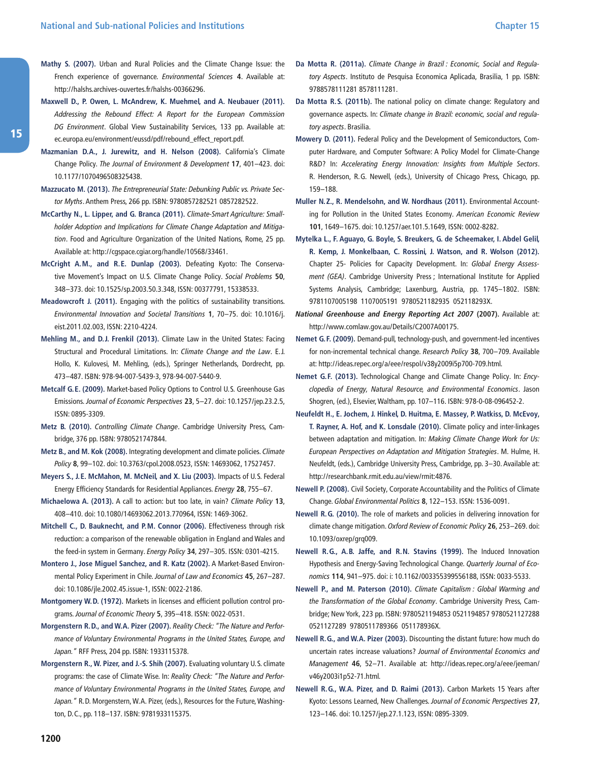- **Mathy S. (2007).** Urban and Rural Policies and the Climate Change Issue: the French experience of governance. Environmental Sciences **4**. Available at: [http:/ /halshs.archives-ouvertes.fr/halshs-00366296](http://halshs.archives-ouvertes.fr/halshs-00366296).
- **Maxwell D., P. Owen, L. McAndrew, K. Muehmel, and A. Neubauer (2011).** Addressing the Rebound Effect: A Report for the European Commission DG Environment. Global View Sustainability Services, 133 pp. Available at: ec.europa.eu/environment/eussd/pdf/rebound\_effect\_report.pdf.
- **Mazmanian D. A., J. Jurewitz, and H. Nelson (2008).** California's Climate Change Policy. The Journal of Environment & Development **17**, 401–423. doi: 10.1177/1070496508325438.
- **Mazzucato M. (2013).** The Entrepreneurial State: Debunking Public vs. Private Sector Myths. Anthem Press, 266 pp. ISBN: 9780857282521 0857282522.
- **McCarthy N., L. Lipper, and G. Branca (2011).** Climate-Smart Agriculture: Smallholder Adoption and Implications for Climate Change Adaptation and Mitigation. Food and Agriculture Organization of the United Nations, Rome, 25 pp. Available at: [http:/ /cgspace.cgiar.org/handle/10568/33461](http://cgspace.cgiar.org/handle/10568/33461).
- **McCright A. M., and R. E. Dunlap (2003).** Defeating Kyoto: The Conservative Movement's Impact on U.S. Climate Change Policy. Social Problems **50**, 348–373. doi: 10.1525/sp.2003.50.3.348, ISSN: 00377791, 15338533.
- **Meadowcroft J. (2011).** Engaging with the politics of sustainability transitions. Environmental Innovation and Societal Transitions **1**, 70–75. doi: 10.1016/j. eist.2011.02.003, ISSN: 2210-4224.
- **Mehling M., and D. J. Frenkil (2013).** Climate Law in the United States: Facing Structural and Procedural Limitations. In: Climate Change and the Law. E.J. Hollo, K. Kulovesi, M. Mehling, (eds.), Springer Netherlands, Dordrecht, pp. 473–487. ISBN: 978-94-007-5439-3, 978-94-007-5440-9.
- **Metcalf G. E. (2009).** Market-based Policy Options to Control U.S. Greenhouse Gas Emissions. Journal of Economic Perspectives **23**, 5–27. doi: 10.1257/jep.23.2.5, ISSN: 0895-3309.
- **Metz B. (2010).** Controlling Climate Change. Cambridge University Press, Cambridge, 376 pp. ISBN: 9780521747844.
- **Metz B., and M. Kok (2008).** Integrating development and climate policies. Climate Policy **8**, 99–102. doi: 10.3763/cpol.2008.0523, ISSN: 14693062, 17527457.
- **Meyers S., J. E. McMahon, M. McNeil, and X. Liu (2003).** Impacts of U.S. Federal Energy Efficiency Standards for Residential Appliances. Energy **28**, 755–67.
- **Michaelowa A. (2013).** A call to action: but too late, in vain? Climate Policy **13**, 408–410. doi: 10.1080/14693062.2013.770964, ISSN: 1469-3062.
- **Mitchell C., D. Bauknecht, and P. M. Connor (2006).** Effectiveness through risk reduction: a comparison of the renewable obligation in England and Wales and the feed-in system in Germany. Energy Policy **34**, 297–305. ISSN: 0301-4215.
- **Montero J., Jose Miguel Sanchez, and R. Katz (2002).** A Market-Based Environmental Policy Experiment in Chile. Journal of Law and Economics **45**, 267–287. doi: 10.1086/jle.2002.45.issue-1, ISSN: 0022-2186.
- **Montgomery W. D. (1972).** Markets in licenses and efficient pollution control programs. Journal of Economic Theory **5**, 395–418. ISSN: 0022-0531.
- **Morgenstern R. D., and W. A. Pizer (2007).** Reality Check: "The Nature and Performance of Voluntary Environmental Programs in the United States, Europe, and Japan." RFF Press, 204 pp. ISBN: 1933115378.
- **Morgenstern R., W. Pizer, and J.-S. Shih (2007).** Evaluating voluntary U.S. climate programs: the case of Climate Wise. In: Reality Check: "The Nature and Performance of Voluntary Environmental Programs in the United States, Europe, and Japan." R.D. Morgenstern, W.A. Pizer, (eds.), Resources for the Future, Washington, D.C., pp. 118–137. ISBN: 9781933115375.
- Da Motta R. (2011a). Climate Change in Brazil : Economic, Social and Regulatory Aspects. Instituto de Pesquisa Economica Aplicada, Brasilia, 1 pp. ISBN: 9788578111281 8578111281.
- **Da Motta R. S. (2011b).** The national policy on climate change: Regulatory and governance aspects. In: Climate change in Brazil: economic, social and regulatory aspects. Brasilia.
- **Mowery D. (2011).** Federal Policy and the Development of Semiconductors, Computer Hardware, and Computer Software: A Policy Model for Climate-Change R&D? In: Accelerating Energy Innovation: Insights from Multiple Sectors. R. Henderson, R.G. Newell, (eds.), University of Chicago Press, Chicago, pp. 159–188.
- **Muller N. Z., R. Mendelsohn, and W. Nordhaus (2011).** Environmental Accounting for Pollution in the United States Economy. American Economic Review **101**, 1649–1675. doi: 10.1257/aer.101.5.1649, ISSN: 0002-8282.
- **Mytelka L., F. Aguayo, G. Boyle, S. Breukers, G. de Scheemaker, I. Abdel Gelil, R. Kemp, J. Monkelbaan, C. Rossini, J. Watson, and R. Wolson (2012).** Chapter 25- Policies for Capacity Development. In: Global Energy Assessment (GEA). Cambridge University Press ; International Institute for Applied Systems Analysis, Cambridge; Laxenburg, Austria, pp. 1745–1802. ISBN: 9781107005198 1107005191 9780521182935 052118293X.
- **National Greenhouse and Energy Reporting Act 2007 (2007).** Available at: [http:/ /www.comlaw.gov.au/Details/C2007A00175](http://www.comlaw.gov.au/Details/C2007A00175).
- **Nemet G. F. (2009).** Demand-pull, technology-push, and government-led incentives for non-incremental technical change. Research Policy **38**, 700–709. Available at: [http:/ /ideas.repec.org/a/eee/respol/v38y2009i5p700-709.html](http://ideas.repec.org/a/eee/respol/v38y2009i5p700-709.html).
- **Nemet G. F. (2013).** Technological Change and Climate Change Policy. In: Encyclopedia of Energy, Natural Resource, and Environmental Economics. Jason Shogren, (ed.), Elsevier, Waltham, pp. 107–116. ISBN: 978-0-08-096452-2.
- **Neufeldt H., E. Jochem, J. Hinkel, D. Huitma, E. Massey, P. Watkiss, D. McEvoy, T. Rayner, A. Hof, and K. Lonsdale (2010).** Climate policy and inter-linkages between adaptation and mitigation. In: Making Climate Change Work for Us: European Perspectives on Adaptation and Mitigation Strategies. M. Hulme, H. Neufeldt, (eds.), Cambridge University Press, Cambridge, pp. 3–30. Available at: [http:/ /researchbank.rmit.edu.au/view/rmit:4876.](http://researchbank.rmit.edu.au/view/rmit:4876)
- **Newell P. (2008).** Civil Society, Corporate Accountability and the Politics of Climate Change. Global Environmental Politics **8**, 122–153. ISSN: 1536-0091.
- **Newell R. G. (2010).** The role of markets and policies in delivering innovation for climate change mitigation. Oxford Review of Economic Policy **26**, 253–269. doi: 10.1093/oxrep/grq009.
- **Newell R. G., A. B. Jaffe, and R. N. Stavins (1999).** The Induced Innovation Hypothesis and Energy-Saving Technological Change. Quarterly Journal of Economics **114**, 941–975. doi: i: 10.1162/003355399556188, ISSN: 0033-5533.
- **Newell P., and M. Paterson (2010).** Climate Capitalism : Global Warming and the Transformation of the Global Economy. Cambridge University Press, Cambridge; New York, 223 pp. ISBN: 9780521194853 0521194857 9780521127288 0521127289 9780511789366 051178936X.
- **Newell R. G., and W. A. Pizer (2003).** Discounting the distant future: how much do uncertain rates increase valuations? Journal of Environmental Economics and Management **46**, 52–71. Available at: [http:/ /ideas.repec.org/a/eee/jeeman/](http://ideas.repec.org/a/eee/jeeman/v46y2003i1p52-71.html) [v46y2003i1p52-71.html.](http://ideas.repec.org/a/eee/jeeman/v46y2003i1p52-71.html)
- **Newell R. G., W. A. Pizer, and D. Raimi (2013).** Carbon Markets 15 Years after Kyoto: Lessons Learned, New Challenges. Journal of Economic Perspectives **27**, 123–146. doi: 10.1257/jep.27.1.123, ISSN: 0895-3309.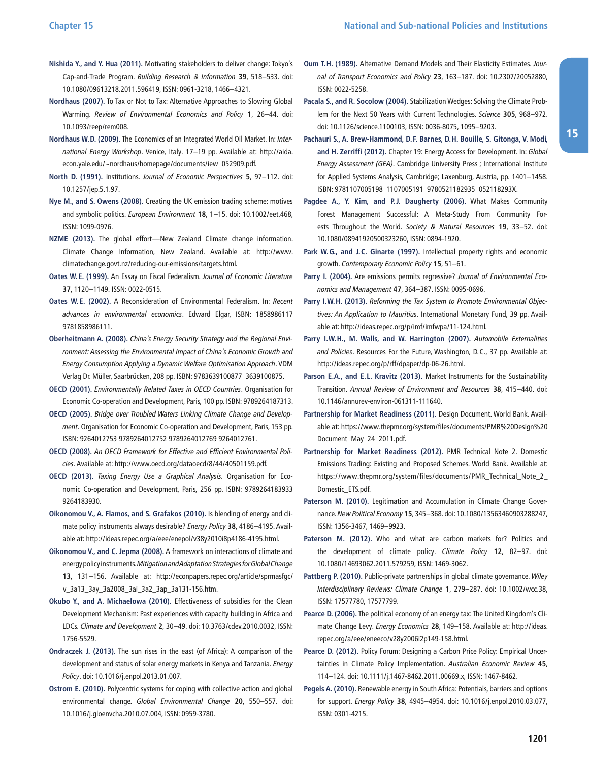- **Nishida Y., and Y. Hua (2011).** Motivating stakeholders to deliver change: Tokyo's Cap-and-Trade Program. Building Research & Information **39**, 518–533. doi: 10.1080/09613218.2011.596419, ISSN: 0961-3218, 1466–4321.
- **Nordhaus (2007).** To Tax or Not to Tax: Alternative Approaches to Slowing Global Warming. Review of Environmental Economics and Policy **1**, 26–44. doi: 10.1093/reep/rem008.
- **Nordhaus W. D. (2009).** The Economics of an Integrated World Oil Market. In: International Energy Workshop. Venice, Italy. 17-19 pp. Available at: http://aida. [econ.yale.edu/~nordhaus/homepage/documents/iew\\_052909.pdf](http://aida.econ.yale.edu/~nordhaus/homepage/documents/iew_052909.pdf).
- **North D. (1991).** Institutions. Journal of Economic Perspectives **5**, 97–112. doi: 10.1257/jep.5.1.97.
- **Nye M., and S. Owens (2008).** Creating the UK emission trading scheme: motives and symbolic politics. European Environment **18**, 1–15. doi: 10.1002/eet.468, ISSN: 1099-0976.
- **NZME (2013).** The global effort—New Zealand Climate change information. Climate Change Information, New Zealand. Available at: http://www. [climatechange.govt.nz/reducing-our-emissions/targets.html.](http://www.climatechange.govt.nz/reducing-our-emissions/targets.html)
- **Oates W. E. (1999).** An Essay on Fiscal Federalism. Journal of Economic Literature **37**, 1120–1149. ISSN: 0022-0515.
- **Oates W. E. (2002).** A Reconsideration of Environmental Federalism. In: Recent advances in environmental economics. Edward Elgar, ISBN: 1858986117 9781858986111.
- **Oberheitmann A. (2008).** China's Energy Security Strategy and the Regional Environment: Assessing the Environmental Impact of China's Economic Growth and Energy Consumption Applying a Dynamic Welfare Optimisation Approach. VDM Verlag Dr. Müller, Saarbrücken, 208 pp. ISBN: 9783639100877 3639100875.
- **OECD (2001).** Environmentally Related Taxes in OECD Countries. Organisation for Economic Co-operation and Development, Paris, 100 pp. ISBN: 9789264187313.
- **OECD (2005).** Bridge over Troubled Waters Linking Climate Change and Development. Organisation for Economic Co-operation and Development, Paris, 153 pp. ISBN: 9264012753 9789264012752 9789264012769 9264012761.
- **OECD (2008).** An OECD Framework for Effective and Efficient Environmental Policies. Available at: [http:/ /www.oecd.org/dataoecd/8/44/40501159.pdf](http://www.oecd.org/dataoecd/8/44/40501159.pdf).
- **OECD (2013).** Taxing Energy Use a Graphical Analysis. Organisation for Economic Co-operation and Development, Paris, 256 pp. ISBN: 9789264183933 9264183930.
- **Oikonomou V., A. Flamos, and S. Grafakos (2010).** Is blending of energy and climate policy instruments always desirable? Energy Policy **38**, 4186–4195. Available at: [http:/ /ideas.repec.org/a/eee/enepol/v38y2010i8p4186-4195.html.](http://ideas.repec.org/a/eee/enepol/v38y2010i8p4186-4195.html)
- **Oikonomou V., and C. Jepma (2008).** A framework on interactions of climate and energy policy instruments. Mitigation and Adaptation Strategies for Global Change **13**, 131–156. Available at: [http:/ /econpapers.repec.org/article/sprmasfgc/](http://econpapers.repec.org/article/sprmasfgc/v_3a13_3ay_3a2008_3ai_3a2_3ap_3a131-156.htm) [v\\_3a13\\_3ay\\_3a2008\\_3ai\\_3a2\\_3ap\\_3a131-156.htm.](http://econpapers.repec.org/article/sprmasfgc/v_3a13_3ay_3a2008_3ai_3a2_3ap_3a131-156.htm)
- **Okubo Y., and A. Michaelowa (2010).** Effectiveness of subsidies for the Clean Development Mechanism: Past experiences with capacity building in Africa and LDCs. Climate and Development **2**, 30–49. doi: 10.3763/cdev.2010.0032, ISSN: 1756-5529.
- **Ondraczek J. (2013).** The sun rises in the east (of Africa): A comparison of the development and status of solar energy markets in Kenya and Tanzania. Energy Policy. doi: 10.1016/j.enpol.2013.01.007.
- **Ostrom E. (2010).** Polycentric systems for coping with collective action and global environmental change. Global Environmental Change **20**, 550–557. doi: 10.1016/j.gloenvcha.2010.07.004, ISSN: 0959-3780.
- **Oum T. H. (1989).** Alternative Demand Models and Their Elasticity Estimates. Journal of Transport Economics and Policy **23**, 163–187. doi: 10.2307/20052880, ISSN: 0022-5258.
- **Pacala S., and R. Socolow (2004).** Stabilization Wedges: Solving the Climate Problem for the Next 50 Years with Current Technologies. Science **305**, 968–972. doi: 10.1126/science.1100103, ISSN: 0036-8075, 1095–9203.
- **Pachauri S., A. Brew-Hammond, D. F. Barnes, D. H. Bouille, S. Gitonga, V. Modi, and H. Zerriffi (2012).** Chapter 19: Energy Access for Development. In: Global Energy Assessment (GEA). Cambridge University Press ; International Institute for Applied Systems Analysis, Cambridge; Laxenburg, Austria, pp. 1401–1458. ISBN: 9781107005198 1107005191 9780521182935 052118293X.
- **Pagdee A., Y. Kim, and P. J. Daugherty (2006).** What Makes Community Forest Management Successful: A Meta-Study From Community Forests Throughout the World. Society & Natural Resources **19**, 33–52. doi: 10.1080/08941920500323260, ISSN: 0894-1920.
- **Park W. G., and J. C. Ginarte (1997).** Intellectual property rights and economic growth. Contemporary Economic Policy **15**, 51–61.
- Parry I. (2004). Are emissions permits regressive? Journal of Environmental Economics and Management **47**, 364–387. ISSN: 0095-0696.
- **Parry I. W. H. (2013).** Reforming the Tax System to Promote Environmental Objectives: An Application to Mauritius. International Monetary Fund, 39 pp. Available at: [http:/ /ideas.repec.org/p/imf/imfwpa/11-124.html](http://ideas.repec.org/p/imf/imfwpa/11-124.html).
- **Parry I. W. H., M. Walls, and W. Harrington (2007).** Automobile Externalities and Policies. Resources For the Future, Washington, D.C., 37 pp. Available at: [http:/ /ideas.repec.org/p/rff/dpaper/dp-06-26.html.](http://ideas.repec.org/p/rff/dpaper/dp-06-26.html)
- **Parson E. A., and E. L. Kravitz (2013).** Market Instruments for the Sustainability Transition. Annual Review of Environment and Resources **38**, 415–440. doi: 10.1146/annurev-environ-061311-111640.
- **Partnership for Market Readiness (2011).** Design Document. World Bank. Available at: [https:/ /www.thepmr.org/system/files/documents/PMR%20Design%20](https://www.thepmr.org/system/files/documents/PMR%20Design%20Document_May_24_2011.pdf) [Document\\_May\\_24\\_2011.pdf.](https://www.thepmr.org/system/files/documents/PMR%20Design%20Document_May_24_2011.pdf)
- **Partnership for Market Readiness (2012).** PMR Technical Note 2. Domestic Emissions Trading: Existing and Proposed Schemes. World Bank. Available at: [https:/ /www.thepmr.org/system/files/documents/PMR\\_Technical\\_Note\\_2\\_](https://www.thepmr.org/system/files/documents/PMR_Technical_Note_2_Domestic_ETS.pdf) [Domestic\\_ETS.pdf.](https://www.thepmr.org/system/files/documents/PMR_Technical_Note_2_Domestic_ETS.pdf)
- **Paterson M. (2010).** Legitimation and Accumulation in Climate Change Governance. New Political Economy **15**, 345–368. doi: 10.1080/13563460903288247, ISSN: 1356-3467, 1469–9923.
- **Paterson M. (2012).** Who and what are carbon markets for? Politics and the development of climate policy. Climate Policy **12**, 82–97. doi: 10.1080/14693062.2011.579259, ISSN: 1469-3062.
- Pattberg P. (2010). Public-private partnerships in global climate governance. Wiley Interdisciplinary Reviews: Climate Change **1**, 279–287. doi: 10.1002/wcc.38, ISSN: 17577780, 17577799.
- **Pearce D. (2006).** The political economy of an energy tax: The United Kingdom's Climate Change Levy. Energy Economics **28**, 149–158. Available at: [http:/ /ideas.](http://ideas.repec.org/a/eee/eneeco/v28y2006i2p149-158.html) [repec.org/a/eee/eneeco/v28y2006i2p149-158.html](http://ideas.repec.org/a/eee/eneeco/v28y2006i2p149-158.html).
- **Pearce D. (2012).** Policy Forum: Designing a Carbon Price Policy: Empirical Uncertainties in Climate Policy Implementation. Australian Economic Review **45**, 114–124. doi: 10.1111/j.1467-8462.2011.00669.x, ISSN: 1467-8462.
- **Pegels A. (2010).** Renewable energy in South Africa: Potentials, barriers and options for support. Energy Policy **38**, 4945–4954. doi: 10.1016/j.enpol.2010.03.077, ISSN: 0301-4215.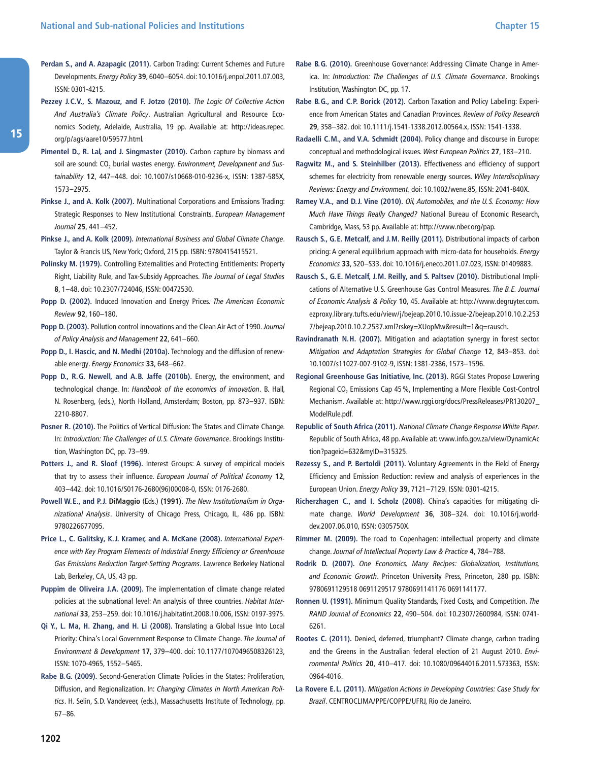- **Perdan S., and A. Azapagic (2011).** Carbon Trading: Current Schemes and Future Developments. Energy Policy **39**, 6040–6054. doi: 10.1016/j.enpol.2011.07.003, ISSN: 0301-4215.
- **Pezzey J. C. V., S. Mazouz, and F. Jotzo (2010).** The Logic Of Collective Action And Australia's Climate Policy. Australian Agricultural and Resource Economics Society, Adelaide, Australia, 19 pp. Available at: [http:/ /ideas.repec.](http://ideas.repec.org/p/ags/aare10/59577.html) [org/p/ags/aare10/59577.html.](http://ideas.repec.org/p/ags/aare10/59577.html)
- **Pimentel D., R. Lal, and J. Singmaster (2010).** Carbon capture by biomass and soil are sound:  $CO<sub>2</sub>$  burial wastes energy. Environment, Development and Sustainability **12**, 447–448. doi: 10.1007/s10668-010-9236-x, ISSN: 1387-585X, 1573–2975.
- **Pinkse J., and A. Kolk (2007).** Multinational Corporations and Emissions Trading: Strategic Responses to New Institutional Constraints. European Management Journal **25**, 441–452.
- **Pinkse J., and A. Kolk (2009).** International Business and Global Climate Change. Taylor & Francis US, New York; Oxford, 215 pp. ISBN: 9780415415521.
- **Polinsky M. (1979).** Controlling Externalities and Protecting Entitlements: Property Right, Liability Rule, and Tax-Subsidy Approaches. The Journal of Legal Studies **8**, 1–48. doi: 10.2307/724046, ISSN: 00472530.
- Popp D. (2002). Induced Innovation and Energy Prices. The American Economic Review **92**, 160–180.
- **Popp D. (2003).** Pollution control innovations and the Clean Air Act of 1990. Journal of Policy Analysis and Management **22**, 641–660.
- **Popp D., I. Hascic, and N. Medhi (2010a).** Technology and the diffusion of renewable energy. Energy Economics **33**, 648–662.
- **Popp D., R. G. Newell, and A. B. Jaffe (2010b).** Energy, the environment, and technological change. In: Handbook of the economics of innovation. B. Hall, N. Rosenberg, (eds.), North Holland, Amsterdam; Boston, pp. 873–937. ISBN: 2210-8807.
- **Posner R. (2010).** The Politics of Vertical Diffusion: The States and Climate Change. In: Introduction: The Challenges of U.S. Climate Governance. Brookings Institution, Washington DC, pp. 73–99.
- Potters J., and R. Sloof (1996). Interest Groups: A survey of empirical models that try to assess their influence. European Journal of Political Economy **12**, 403–442. doi: 10.1016/S0176-2680(96)00008-0, ISSN: 0176-2680.
- **Powell W. E., and P. J. DiMaggio** (Eds.) **(1991).** The New Institutionalism in Organizational Analysis. University of Chicago Press, Chicago, IL, 486 pp. ISBN: 9780226677095.
- **Price L., C. Galitsky, K. J. Kramer, and A. McKane (2008).** International Experience with Key Program Elements of Industrial Energy Efficiency or Greenhouse Gas Emissions Reduction Target-Setting Programs. Lawrence Berkeley National Lab, Berkeley, CA, US, 43 pp.
- Puppim de Oliveira J.A. (2009). The implementation of climate change related policies at the subnational level: An analysis of three countries. Habitat International **33**, 253–259. doi: 10.1016/j.habitatint.2008.10.006, ISSN: 0197-3975.
- **Qi Y., L. Ma, H. Zhang, and H. Li (2008).** Translating a Global Issue Into Local Priority: China's Local Government Response to Climate Change. The Journal of Environment & Development **17**, 379–400. doi: 10.1177/1070496508326123, ISSN: 1070-4965, 1552–5465.
- **Rabe B. G. (2009).** Second-Generation Climate Policies in the States: Proliferation, Diffusion, and Regionalization. In: Changing Climates in North American Politics. H. Selin, S.D. Vandeveer, (eds.), Massachusetts Institute of Technology, pp. 67–86.
- **Rabe B. G. (2010).** Greenhouse Governance: Addressing Climate Change in America. In: Introduction: The Challenges of U.S. Climate Governance. Brookings Institution, Washington DC, pp. 17.
- **Rabe B. G., and C. P. Borick (2012).** Carbon Taxation and Policy Labeling: Experience from American States and Canadian Provinces. Review of Policy Research **29**, 358–382. doi: 10.1111/j.1541-1338.2012.00564.x, ISSN: 1541-1338.
- **Radaelli C. M., and V. A. Schmidt (2004).** Policy change and discourse in Europe: conceptual and methodological issues. West European Politics **27**, 183–210.
- **Ragwitz M., and S. Steinhilber (2013).** Effectiveness and efficiency of support schemes for electricity from renewable energy sources. Wiley Interdisciplinary Reviews: Energy and Environment. doi: 10.1002/wene.85, ISSN: 2041-840X.
- **Ramey V. A., and D. J. Vine (2010).** Oil, Automobiles, and the U.S. Economy: How Much Have Things Really Changed? National Bureau of Economic Research, Cambridge, Mass, 53 pp. Available at: [http:/ /www.nber.org/pap.](http://www.nber.org/pap)
- **Rausch S., G. E. Metcalf, and J. M. Reilly (2011).** Distributional impacts of carbon pricing: A general equilibrium approach with micro-data for households. Energy Economics **33**, S20–S33. doi: 10.1016/j.eneco.2011.07.023, ISSN: 01409883.
- **Rausch S., G. E. Metcalf, J. M. Reilly, and S. Paltsev (2010).** Distributional Implications of Alternative U.S. Greenhouse Gas Control Measures. The B.E. Journal of Economic Analysis & Policy **10**, 45. Available at: [http:/ /www.degruyter.com.](http://www.degruyter.com.ezproxy.library.tufts.edu/view/j/bejeap.2010.10.issue-2/bejeap.2010.10.2.2537/bejeap.2010.10.2.2537.xml?rskey=XUopMw&result=1&q=rausch) [ezproxy.library.tufts.edu/view/j/bejeap.2010.10.issue-2/bejeap.2010.10.2.253](http://www.degruyter.com.ezproxy.library.tufts.edu/view/j/bejeap.2010.10.issue-2/bejeap.2010.10.2.2537/bejeap.2010.10.2.2537.xml?rskey=XUopMw&result=1&q=rausch) [7/bejeap.2010.10.2.2537.xml?rskey=XUopMw&result=1&q=rausch.](http://www.degruyter.com.ezproxy.library.tufts.edu/view/j/bejeap.2010.10.issue-2/bejeap.2010.10.2.2537/bejeap.2010.10.2.2537.xml?rskey=XUopMw&result=1&q=rausch)
- **Ravindranath N. H. (2007).** Mitigation and adaptation synergy in forest sector. Mitigation and Adaptation Strategies for Global Change **12**, 843–853. doi: 10.1007/s11027-007-9102-9, ISSN: 1381-2386, 1573–1596.
- **Regional Greenhouse Gas Initiative, Inc. (2013).** RGGI States Propose Lowering Regional CO<sub>2</sub> Emissions Cap 45%, Implementing a More Flexible Cost-Control Mechanism. Available at: [http:/ /www.rggi.org/docs/PressReleases/PR130207\\_](http://www.rggi.org/docs/PressReleases/PR130207_ModelRule.pdf) [ModelRule.pdf](http://www.rggi.org/docs/PressReleases/PR130207_ModelRule.pdf).
- **Republic of South Africa (2011).** National Climate Change Response White Paper. Republic of South Africa, 48 pp. Available at: [www.info.gov.za/view/DynamicAc](http://www.info.gov.za/view/DynamicAction?pageid=632&myID=315325) [tion?pageid=632&myID=315325](http://www.info.gov.za/view/DynamicAction?pageid=632&myID=315325).
- **Rezessy S., and P. Bertoldi (2011).** Voluntary Agreements in the Field of Energy Efficiency and Emission Reduction: review and analysis of experiences in the European Union. Energy Policy **39**, 7121–7129. ISSN: 0301-4215.
- **Richerzhagen C., and I. Scholz (2008).** China's capacities for mitigating climate change. World Development **36**, 308–324. doi: 10.1016/j.worlddev.2007.06.010, ISSN: 0305750X.
- **Rimmer M. (2009).** The road to Copenhagen: intellectual property and climate change. Journal of Intellectual Property Law & Practice **4**, 784–788.
- **Rodrik D. (2007).** One Economics, Many Recipes: Globalization, Institutions, and Economic Growth. Princeton University Press, Princeton, 280 pp. ISBN: 9780691129518 0691129517 9780691141176 0691141177.
- **Ronnen U. (1991).** Minimum Quality Standards, Fixed Costs, and Competition. The RAND Journal of Economics **22**, 490–504. doi: 10.2307/2600984, ISSN: 0741- 6261.
- **Rootes C. (2011).** Denied, deferred, triumphant? Climate change, carbon trading and the Greens in the Australian federal election of 21 August 2010. Environmental Politics **20**, 410–417. doi: 10.1080/09644016.2011.573363, ISSN: 0964-4016.
- **La Rovere E. L. (2011).** Mitigation Actions in Developing Countries: Case Study for Brazil. CENTROCLIMA/PPE/COPPE/UFRJ, Rio de Janeiro.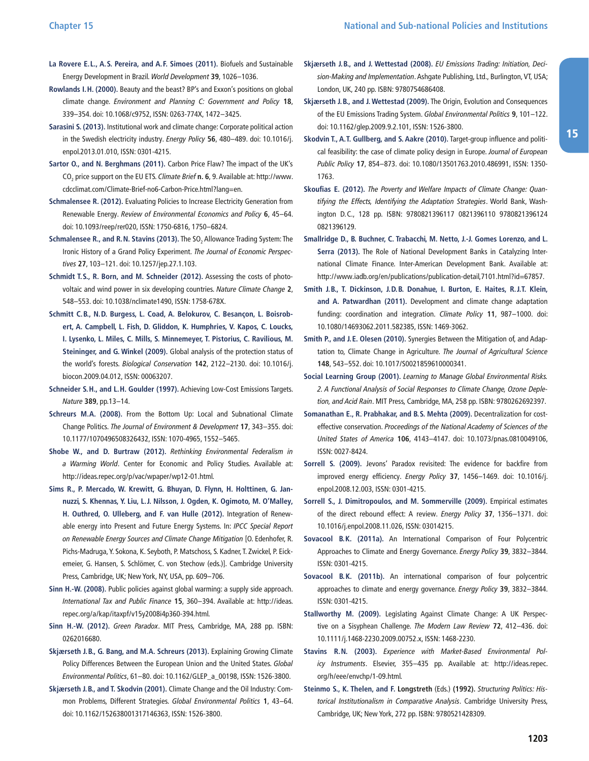- **La Rovere E. L., A. S. Pereira, and A. F. Simoes (2011).** Biofuels and Sustainable Energy Development in Brazil. World Development **39**, 1026–1036.
- **Rowlands I. H. (2000).** Beauty and the beast? BP's and Exxon's positions on global climate change. Environment and Planning C: Government and Policy **18**, 339–354. doi: 10.1068/c9752, ISSN: 0263-774X, 1472–3425.
- **Sarasini S. (2013).** Institutional work and climate change: Corporate political action in the Swedish electricity industry. Energy Policy **56**, 480–489. doi: 10.1016/j. enpol.2013.01.010, ISSN: 0301-4215.
- **Sartor O., and N. Berghmans (2011).** Carbon Price Flaw? The impact of the UK's CO2 price support on the EU ETS. Climate Brief **n. 6**, 9. Available at: [http:/ /www.](http://www.cdcclimat.com/Climate-Brief-no6-Carbon-Price.html?lang=en) [cdcclimat.com/Climate-Brief-no6-Carbon-Price.html?lang=en](http://www.cdcclimat.com/Climate-Brief-no6-Carbon-Price.html?lang=en).
- **Schmalensee R. (2012).** Evaluating Policies to Increase Electricity Generation from Renewable Energy. Review of Environmental Economics and Policy **6**, 45–64. doi: 10.1093/reep/rer020, ISSN: 1750-6816, 1750–6824.
- **Schmalensee R., and R.N. Stavins (2013).** The SO<sub>2</sub> Allowance Trading System: The Ironic History of a Grand Policy Experiment. The Journal of Economic Perspectives **27**, 103–121. doi: 10.1257/jep.27.1.103.
- **Schmidt T. S., R. Born, and M. Schneider (2012).** Assessing the costs of photovoltaic and wind power in six developing countries. Nature Climate Change **2**, 548–553. doi: 10.1038/nclimate1490, ISSN: 1758-678X.
- **Schmitt C. B., N. D. Burgess, L. Coad, A. Belokurov, C. Besançon, L. Boisrobert, A. Campbell, L. Fish, D. Gliddon, K. Humphries, V. Kapos, C. Loucks, I. Lysenko, L. Miles, C. Mills, S. Minnemeyer, T. Pistorius, C. Ravilious, M. Steininger, and G. Winkel (2009).** Global analysis of the protection status of the world's forests. Biological Conservation **142**, 2122–2130. doi: 10.1016/j. biocon.2009.04.012, ISSN: 00063207.
- **Schneider S. H., and L. H. Goulder (1997).** Achieving Low-Cost Emissions Targets. Nature **389**, pp.13–14.
- **Schreurs M. A. (2008).** From the Bottom Up: Local and Subnational Climate Change Politics. The Journal of Environment & Development **17**, 343–355. doi: 10.1177/1070496508326432, ISSN: 1070-4965, 1552–5465.
- **Shobe W., and D. Burtraw (2012).** Rethinking Environmental Federalism in a Warming World. Center for Economic and Policy Studies. Available at: [http:/ /ideas.repec.org/p/vac/wpaper/wp12-01.html.](http://ideas.repec.org/p/vac/wpaper/wp12-01.html)
- **Sims R., P. Mercado, W. Krewitt, G. Bhuyan, D. Flynn, H. Holttinen, G. Jannuzzi, S. Khennas, Y. Liu, L. J. Nilsson, J. Ogden, K. Ogimoto, M. O'Malley, H. Outhred, O. Ulleberg, and F. van Hulle (2012).** Integration of Renewable energy into Present and Future Energy Systems. In: IPCC Special Report on Renewable Energy Sources and Climate Change Mitigation [O. Edenhofer, R. Pichs-Madruga, Y. Sokona, K. Seyboth, P. Matschoss, S. Kadner, T. Zwickel, P. Eickemeier, G. Hansen, S. Schlömer, C. von Stechow (eds.)]. Cambridge University Press, Cambridge, UK; New York, NY, USA, pp. 609–706.
- **Sinn H.-W. (2008).** Public policies against global warming: a supply side approach. International Tax and Public Finance **15**, 360–394. Available at: [http:/ /ideas.](http://ideas.repec.org/a/kap/itaxpf/v15y2008i4p360-394.html) [repec.org/a/kap/itaxpf/v15y2008i4p360-394.html.](http://ideas.repec.org/a/kap/itaxpf/v15y2008i4p360-394.html)
- **Sinn H.-W. (2012).** Green Paradox. MIT Press, Cambridge, MA, 288 pp. ISBN: 0262016680.
- **Skjærseth J. B., G. Bang, and M. A. Schreurs (2013).** Explaining Growing Climate Policy Differences Between the European Union and the United States. Global Environmental Politics, 61–80. doi: 10.1162/GLEP\_a\_00198, ISSN: 1526-3800.
- **Skjærseth J. B., and T. Skodvin (2001).** Climate Change and the Oil Industry: Common Problems, Different Strategies. Global Environmental Politics **1**, 43–64. doi: 10.1162/152638001317146363, ISSN: 1526-3800.
- **Skjærseth J. B., and J. Wettestad (2008).** EU Emissions Trading: Initiation, Decision-Making and Implementation. Ashgate Publishing, Ltd., Burlington, VT, USA; London, UK, 240 pp. ISBN: 9780754686408.
- **Skjærseth J. B., and J. Wettestad (2009).** The Origin, Evolution and Consequences of the EU Emissions Trading System. Global Environmental Politics **9**, 101–122. doi: 10.1162/glep.2009.9.2.101, ISSN: 1526-3800.
- **Skodvin T., A. T. Gullberg, and S. Aakre (2010).** Target-group influence and political feasibility: the case of climate policy design in Europe. Journal of European Public Policy **17**, 854–873. doi: 10.1080/13501763.2010.486991, ISSN: 1350- 1763.
- **Skoufias E. (2012).** The Poverty and Welfare Impacts of Climate Change: Quantifying the Effects, Identifying the Adaptation Strategies. World Bank, Washington D.C., 128 pp. ISBN: 9780821396117 0821396110 9780821396124 0821396129.
- **Smallridge D., B. Buchner, C. Trabacchi, M. Netto, J.-J. Gomes Lorenzo, and L. Serra (2013).** The Role of National Development Banks in Catalyzing International Climate Finance. Inter-American Development Bank. Available at: http://www.iadb.org/en/publications/publication-detail,7101.html?id=67857.
- **Smith J. B., T. Dickinson, J. D. B. Donahue, I. Burton, E. Haites, R. J. T. Klein, and A. Patwardhan (2011).** Development and climate change adaptation funding: coordination and integration. Climate Policy **11**, 987–1000. doi: 10.1080/14693062.2011.582385, ISSN: 1469-3062.
- **Smith P., and J. E. Olesen (2010).** Synergies Between the Mitigation of, and Adaptation to, Climate Change in Agriculture. The Journal of Agricultural Science **148**, 543–552. doi: 10.1017/S0021859610000341.
- **Social Learning Group (2001).** Learning to Manage Global Environmental Risks. 2. A Functional Analysis of Social Responses to Climate Change, Ozone Depletion, and Acid Rain. MIT Press, Cambridge, MA, 258 pp. ISBN: 9780262692397.
- **Somanathan E., R. Prabhakar, and B. S. Mehta (2009).** Decentralization for costeffective conservation. Proceedings of the National Academy of Sciences of the United States of America **106**, 4143–4147. doi: 10.1073/pnas.0810049106, ISSN: 0027-8424.
- **Sorrell S. (2009).** Jevons' Paradox revisited: The evidence for backfire from improved energy efficiency. Energy Policy **37**, 1456–1469. doi: 10.1016/j. enpol.2008.12.003, ISSN: 0301-4215.
- **Sorrell S., J. Dimitropoulos, and M. Sommerville (2009).** Empirical estimates of the direct rebound effect: A review. Energy Policy **37**, 1356–1371. doi: 10.1016/j.enpol.2008.11.026, ISSN: 03014215.
- **Sovacool B. K. (2011a).** An International Comparison of Four Polycentric Approaches to Climate and Energy Governance. Energy Policy **39**, 3832–3844. ISSN: 0301-4215.
- **Sovacool B. K. (2011b).** An international comparison of four polycentric approaches to climate and energy governance. Energy Policy **39**, 3832–3844. ISSN: 0301-4215.
- **Stallworthy M. (2009).** Legislating Against Climate Change: A UK Perspective on a Sisyphean Challenge. The Modern Law Review **72**, 412–436. doi: 10.1111/j.1468-2230.2009.00752.x, ISSN: 1468-2230.
- **Stavins R. N. (2003).** Experience with Market-Based Environmental Policy Instruments. Elsevier, 355-435 pp. Available at: http://ideas.repec. [org/h/eee/envchp/1-09.html](http://ideas.repec.org/h/eee/envchp/1-09.html).
- **Steinmo S., K. Thelen, and F. Longstreth** (Eds.) **(1992).** Structuring Politics: Historical Institutionalism in Comparative Analysis. Cambridge University Press, Cambridge, UK; New York, 272 pp. ISBN: 9780521428309.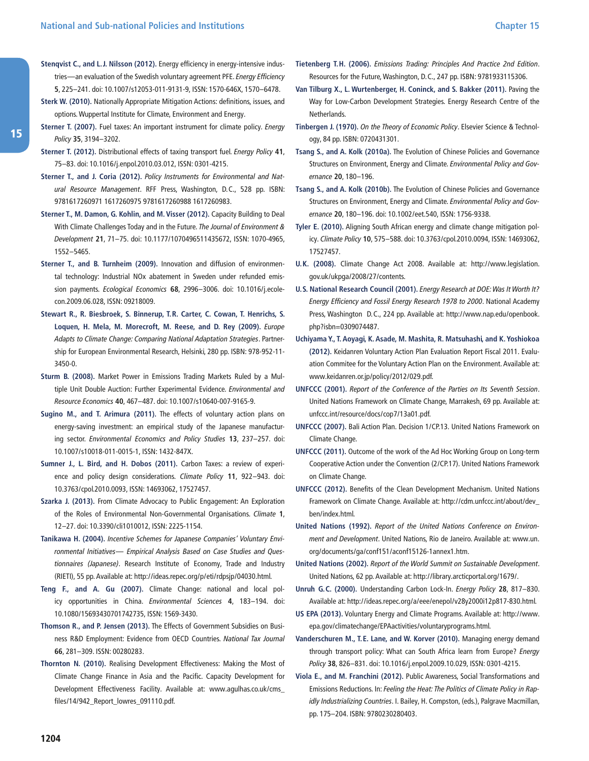- **Stenqvist C., and L. J. Nilsson (2012).** Energy efficiency in energy-intensive industries—an evaluation of the Swedish voluntary agreement PFE. Energy Efficiency **5**, 225–241. doi: 10.1007/s12053-011-9131-9, ISSN: 1570-646X, 1570–6478.
- **Sterk W. (2010).** Nationally Appropriate Mitigation Actions: definitions, issues, and options. Wuppertal Institute for Climate, Environment and Energy.
- **Sterner T. (2007).** Fuel taxes: An important instrument for climate policy. Energy Policy **35**, 3194–3202.
- **Sterner T. (2012).** Distributional effects of taxing transport fuel. Energy Policy **41**, 75–83. doi: 10.1016/j.enpol.2010.03.012, ISSN: 0301-4215.
- **Sterner T., and J. Coria (2012).** Policy Instruments for Environmental and Natural Resource Management. RFF Press, Washington, D.C., 528 pp. ISBN: 9781617260971 1617260975 9781617260988 1617260983.
- **Sterner T., M. Damon, G. Kohlin, and M. Visser (2012).** Capacity Building to Deal With Climate Challenges Today and in the Future. The Journal of Environment & Development **21**, 71–75. doi: 10.1177/1070496511435672, ISSN: 1070-4965, 1552–5465.
- **Sterner T., and B. Turnheim (2009).** Innovation and diffusion of environmental technology: Industrial NOx abatement in Sweden under refunded emission payments. Ecological Economics **68**, 2996–3006. doi: 10.1016/j.ecolecon.2009.06.028, ISSN: 09218009.
- **Stewart R., R. Biesbroek, S. Binnerup, T. R. Carter, C. Cowan, T. Henrichs, S. Loquen, H. Mela, M. Morecroft, M. Reese, and D. Rey (2009).** Europe Adapts to Climate Change: Comparing National Adaptation Strategies. Partnership for European Environmental Research, Helsinki, 280 pp. ISBN: 978-952-11- 3450-0.
- **Sturm B. (2008).** Market Power in Emissions Trading Markets Ruled by a Multiple Unit Double Auction: Further Experimental Evidence. Environmental and Resource Economics **40**, 467–487. doi: 10.1007/s10640-007-9165-9.
- **Sugino M., and T. Arimura (2011).** The effects of voluntary action plans on energy-saving investment: an empirical study of the Japanese manufacturing sector. Environmental Economics and Policy Studies **13**, 237–257. doi: 10.1007/s10018-011-0015-1, ISSN: 1432-847X.
- **Sumner J., L. Bird, and H. Dobos (2011).** Carbon Taxes: a review of experience and policy design considerations. Climate Policy **11**, 922–943. doi: 10.3763/cpol.2010.0093, ISSN: 14693062, 17527457.
- **Szarka J. (2013).** From Climate Advocacy to Public Engagement: An Exploration of the Roles of Environmental Non-Governmental Organisations. Climate **1**, 12–27. doi: 10.3390/cli1010012, ISSN: 2225-1154.
- **Tanikawa H. (2004).** Incentive Schemes for Japanese Companies' Voluntary Environmental Initiatives— Empirical Analysis Based on Case Studies and Questionnaires (Japanese). Research Institute of Economy, Trade and Industry (RIETI), 55 pp. Available at: [http:/ /ideas.repec.org/p/eti/rdpsjp/04030.html.](http://ideas.repec.org/p/eti/rdpsjp/04030.html)
- **Teng F., and A. Gu (2007).** Climate Change: national and local policy opportunities in China. Environmental Sciences **4**, 183–194. doi: 10.1080/15693430701742735, ISSN: 1569-3430.
- **Thomson R., and P. Jensen (2013).** The Effects of Government Subsidies on Business R&D Employment: Evidence from OECD Countries. National Tax Journal **66**, 281–309. ISSN: 00280283.
- **Thornton N. (2010).** Realising Development Effectiveness: Making the Most of Climate Change Finance in Asia and the Pacific. Capacity Development for Development Effectiveness Facility. Available at: [www.agulhas.co.uk/cms\\_](http://www.agulhas.co.uk/cms_files/14/942_Report_lowres_091110.pdf) [files/14/942\\_Report\\_lowres\\_091110.pdf](http://www.agulhas.co.uk/cms_files/14/942_Report_lowres_091110.pdf).
- **Tietenberg T. H. (2006).** Emissions Trading: Principles And Practice 2nd Edition. Resources for the Future, Washington, D.C., 247 pp. ISBN: 9781933115306.
- **Van Tilburg X., L. Wurtenberger, H. Coninck, and S. Bakker (2011).** Paving the Way for Low-Carbon Development Strategies. Energy Research Centre of the **Netherlands**
- **Tinbergen J. (1970).** On the Theory of Economic Policy. Elsevier Science & Technology, 84 pp. ISBN: 0720431301.
- **Tsang S., and A. Kolk (2010a).** The Evolution of Chinese Policies and Governance Structures on Environment, Energy and Climate. Environmental Policy and Governance **20**, 180–196.
- **Tsang S., and A. Kolk (2010b).** The Evolution of Chinese Policies and Governance Structures on Environment, Energy and Climate. Environmental Policy and Governance **20**, 180–196. doi: 10.1002/eet.540, ISSN: 1756-9338.
- **Tyler E. (2010).** Aligning South African energy and climate change mitigation policy. Climate Policy **10**, 575–588. doi: 10.3763/cpol.2010.0094, ISSN: 14693062, 17527457.
- **U. K. (2008).** Climate Change Act 2008. Available at: [http:/ /www.legislation.](http://www.legislation.gov.uk/ukpga/2008/27/contents) [gov.uk/ukpga/2008/27/contents.](http://www.legislation.gov.uk/ukpga/2008/27/contents)
- **U. S. National Research Council (2001).** Energy Research at DOE: Was It Worth It? Energy Efficiency and Fossil Energy Research 1978 to 2000. National Academy Press, Washington D.C., 224 pp. Available at: http://www.nap.edu/openbook. [php?isbn=0309074487](http://www.nap.edu/openbook.php?isbn=0309074487).
- **Uchiyama Y., T. Aoyagi, K. Asade, M. Mashita, R. Matsuhashi, and K. Yoshiokoa (2012).** Keidanren Voluntary Action Plan Evaluation Report Fiscal 2011. Evaluation Commitee for the Voluntary Action Plan on the Environment. Available at: [www.keidanren.or.jp/policy/2012/029.pdf.](http://www.keidanren.or.jp/policy/2012/029.pdf)
- **UNFCCC (2001).** Report of the Conference of the Parties on Its Seventh Session. United Nations Framework on Climate Change, Marrakesh, 69 pp. Available at: unfccc.int/resource/docs/cop7/13a01.pdf.
- **UNFCCC (2007).** Bali Action Plan. Decision 1/CP.13. United Nations Framework on Climate Change.
- **UNFCCC (2011).** Outcome of the work of the Ad Hoc Working Group on Long-term Cooperative Action under the Convention (2/CP.17). United Nations Framework on Climate Change.
- **UNFCCC (2012).** Benefits of the Clean Development Mechanism. United Nations Framework on Climate Change. Available at: [http:/ /cdm.unfccc.int/about/dev\\_](http://cdm.unfccc.int/about/dev_ben/index.html) [ben/index.html](http://cdm.unfccc.int/about/dev_ben/index.html).
- **United Nations (1992).** Report of the United Nations Conference on Environment and Development. United Nations, Rio de Janeiro. Available at: [www.un.](http://www.un.org/documents/ga/conf151/aconf15126-1annex1.htm) [org/documents/ga/conf151/aconf15126-1annex1.htm](http://www.un.org/documents/ga/conf151/aconf15126-1annex1.htm).
- **United Nations (2002).** Report of the World Summit on Sustainable Development. United Nations, 62 pp. Available at: [http:/ /library.arcticportal.org/1679/.](http://library.arcticportal.org/1679/)
- **Unruh G. C. (2000).** Understanding Carbon Lock-In. Energy Policy **28**, 817–830. Available at: [http:/ /ideas.repec.org/a/eee/enepol/v28y2000i12p817-830.html](http://ideas.repec.org/a/eee/enepol/v28y2000i12p817-830.html).
- **US EPA (2013).** Voluntary Energy and Climate Programs. Available at: [http:/ /www.](http://www.epa.gov/climatechange/EPAactivities/voluntaryprograms.html) [epa.gov/climatechange/EPAactivities/voluntaryprograms.html.](http://www.epa.gov/climatechange/EPAactivities/voluntaryprograms.html)
- **Vanderschuren M., T. E. Lane, and W. Korver (2010).** Managing energy demand through transport policy: What can South Africa learn from Europe? Energy Policy **38**, 826–831. doi: 10.1016/j.enpol.2009.10.029, ISSN: 0301-4215.
- **Viola E., and M. Franchini (2012).** Public Awareness, Social Transformations and Emissions Reductions. In: Feeling the Heat: The Politics of Climate Policy in Rapidly Industrializing Countries. I. Bailey, H. Compston, (eds.), Palgrave Macmillan, pp. 175–204. ISBN: 9780230280403.